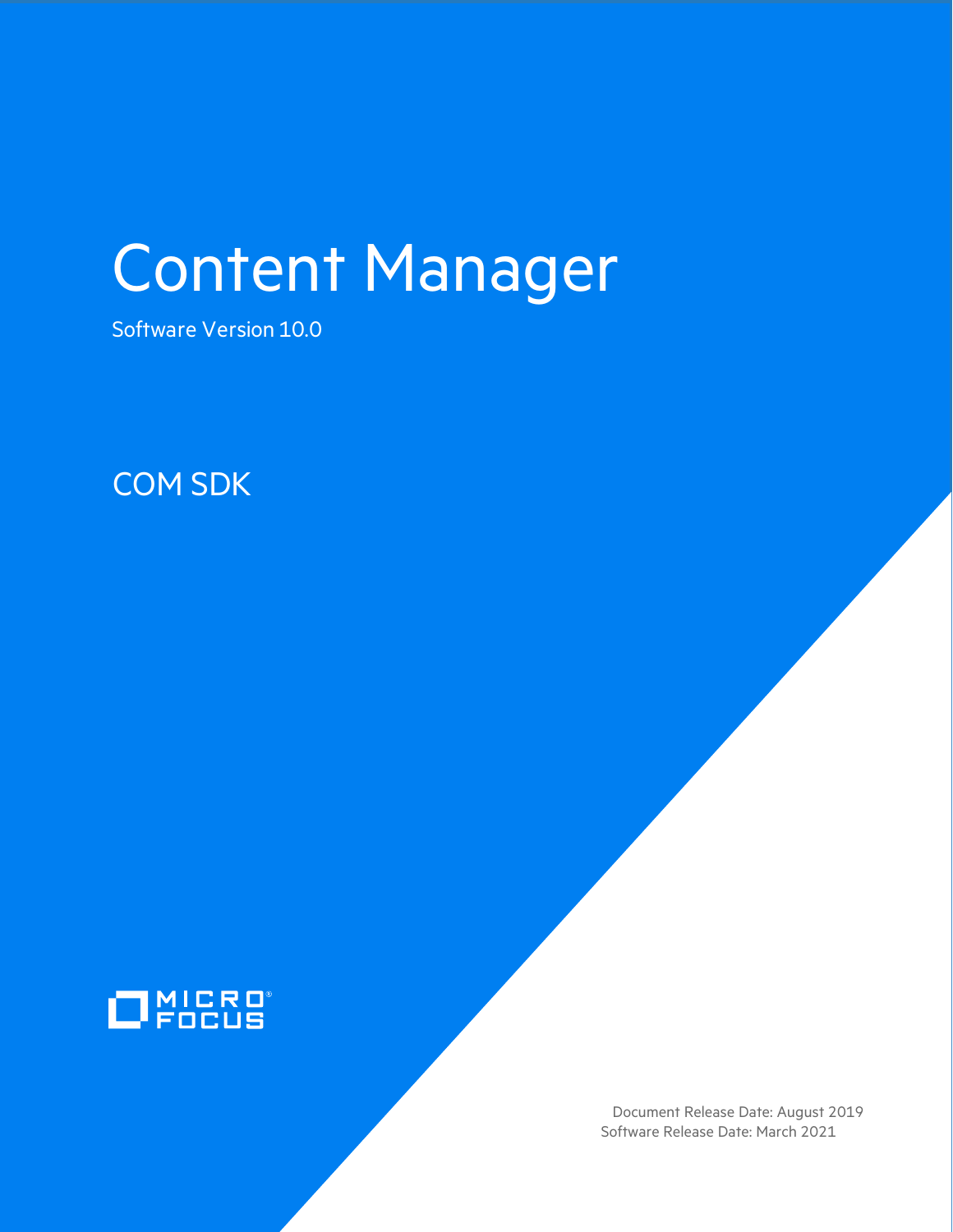# Content Manager

Software Version 10.0

COM SDK



Document Release Date: August 2019 Software Release Date: March 2021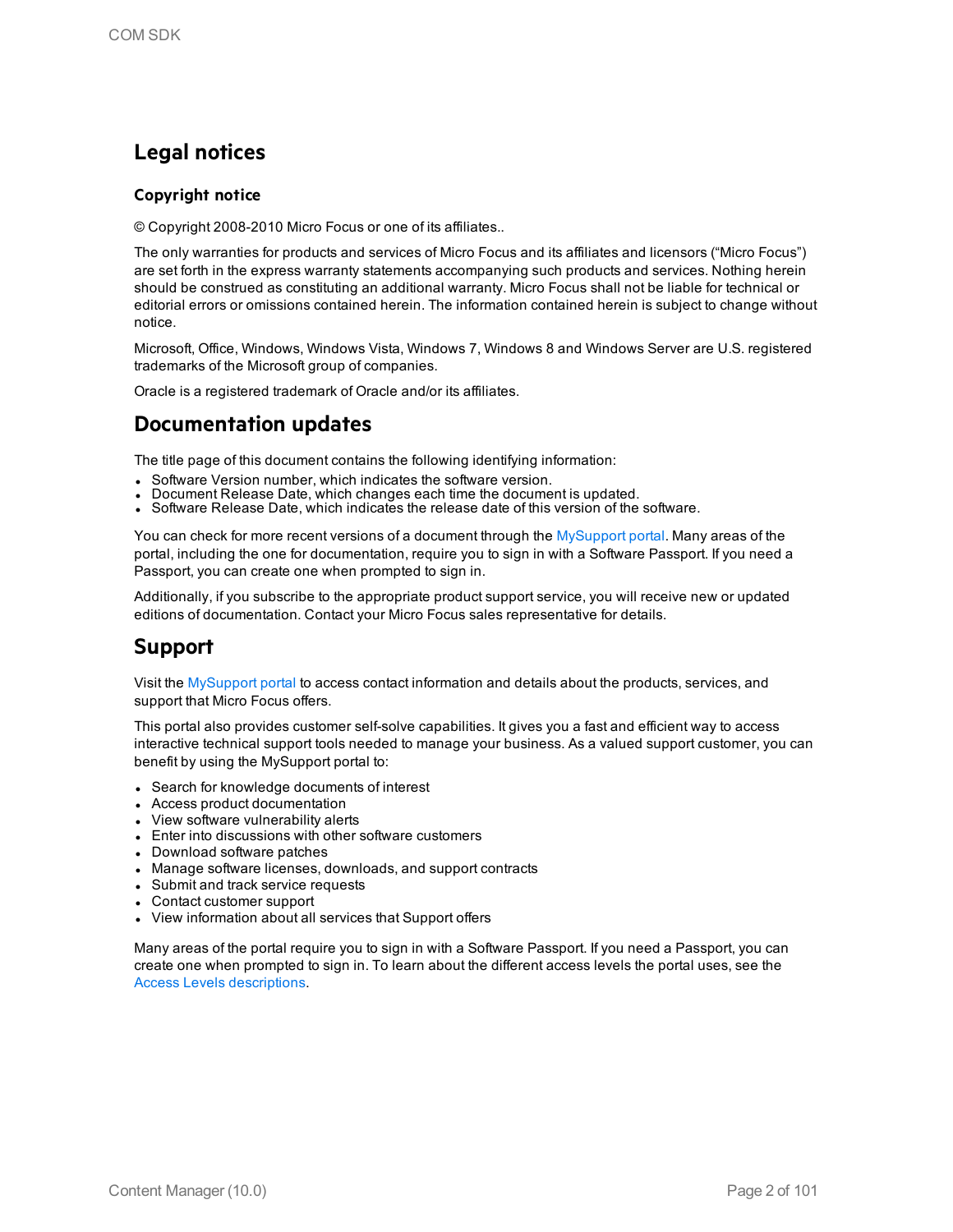#### **Legal notices**

#### **Copyright notice**

© Copyright 2008-2010 Micro Focus or one of its affiliates..

The only warranties for products and services of Micro Focus and its affiliates and licensors ("Micro Focus") are set forth in the express warranty statements accompanying such products and services. Nothing herein should be construed as constituting an additional warranty. Micro Focus shall not be liable for technical or editorial errors or omissions contained herein. The information contained herein is subject to change without notice.

Microsoft, Office, Windows, Windows Vista, Windows 7, Windows 8 and Windows Server are U.S. registered trademarks of the Microsoft group of companies.

Oracle is a registered trademark of Oracle and/or its affiliates.

#### **Documentation updates**

The title page of this document contains the following identifying information:

- Software Version number, which indicates the software version.
- Document Release Date, which changes each time the document is updated.
- Software Release Date, which indicates the release date of this version of the software.

You can check for more recent versions of a document through the [MySupport](https://softwaresupport.softwaregrp.com/) portal. Many areas of the portal, including the one for documentation, require you to sign in with a Software Passport. If you need a Passport, you can create one when prompted to sign in.

Additionally, if you subscribe to the appropriate product support service, you will receive new or updated editions of documentation. Contact your Micro Focus sales representative for details.

#### **Support**

Visit the [MySupport](https://softwaresupport.softwaregrp.com/) portal to access contact information and details about the products, services, and support that Micro Focus offers.

This portal also provides customer self-solve capabilities. It gives you a fast and efficient way to access interactive technical support tools needed to manage your business. As a valued support customer, you can benefit by using the MySupport portal to:

- Search for knowledge documents of interest
- Access product documentation
- View software vulnerability alerts
- Enter into discussions with other software customers
- Download software patches
- Manage software licenses, downloads, and support contracts
- Submit and track service requests
- Contact customer support
- View information about all services that Support offers

Many areas of the portal require you to sign in with a Software Passport. If you need a Passport, you can create one when prompted to sign in. To learn about the different access levels the portal uses, see the Access Levels [descriptions](https://softwaresupport.softwaregrp.com/web/softwaresupport/access-levels).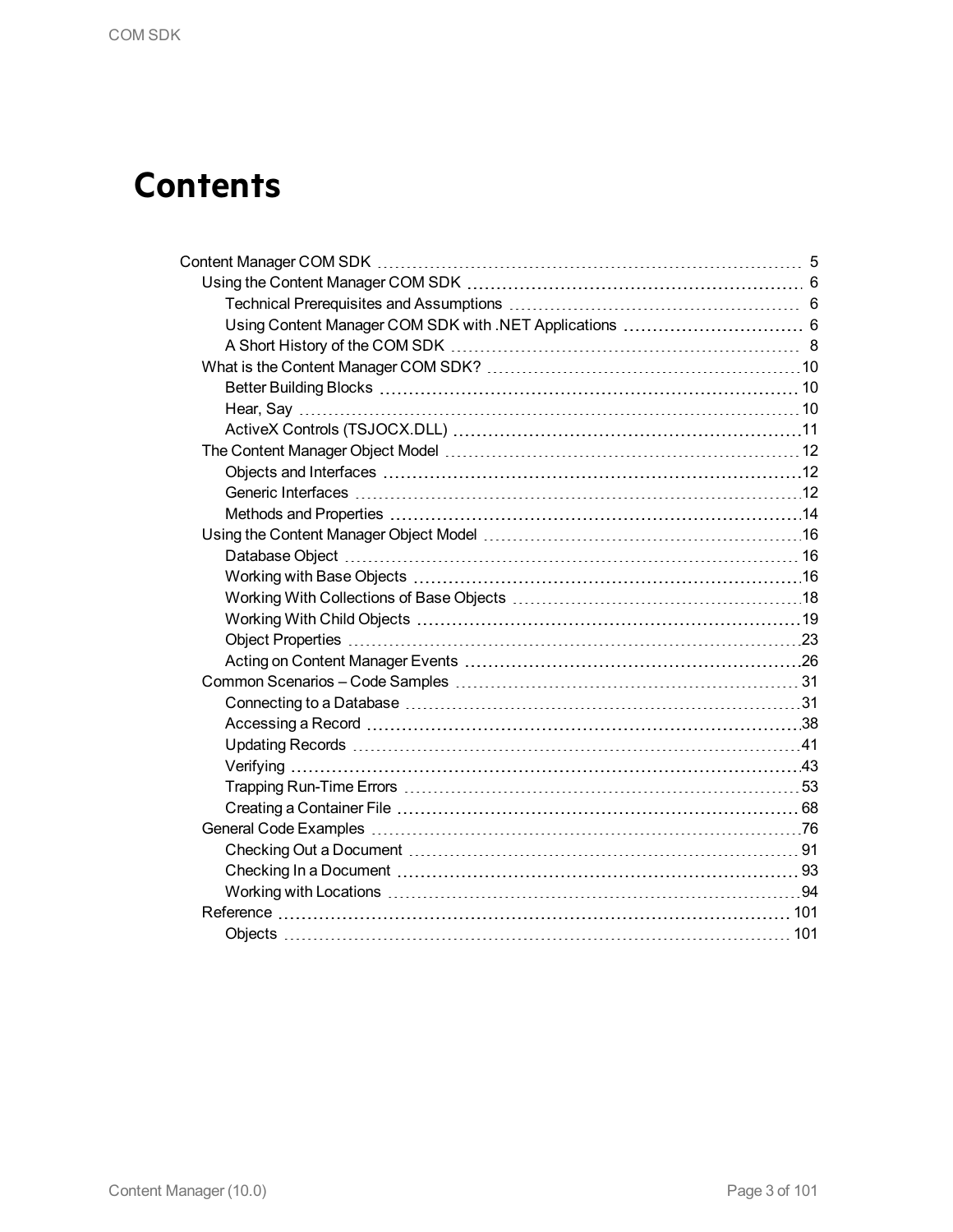## **Contents**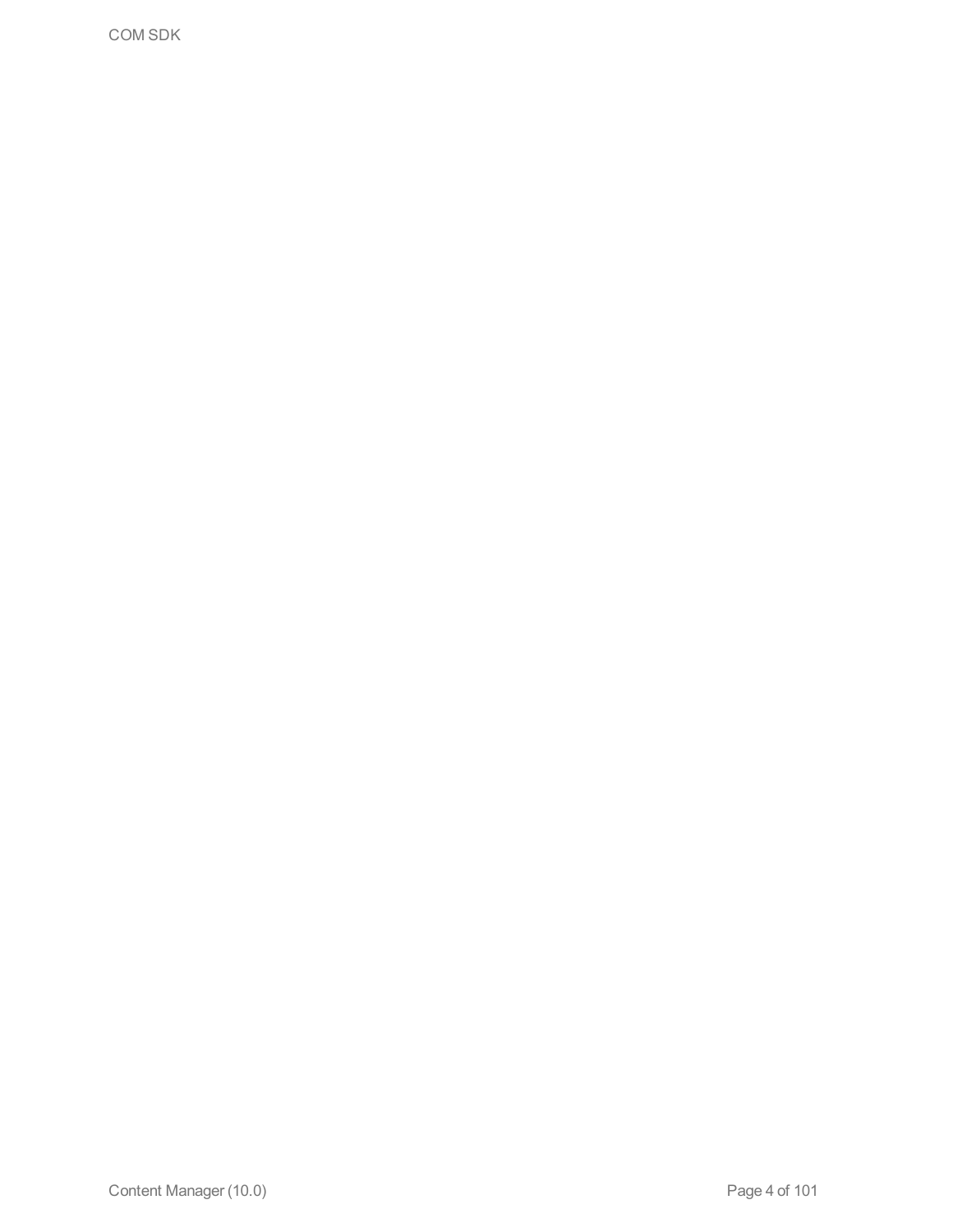COM SDK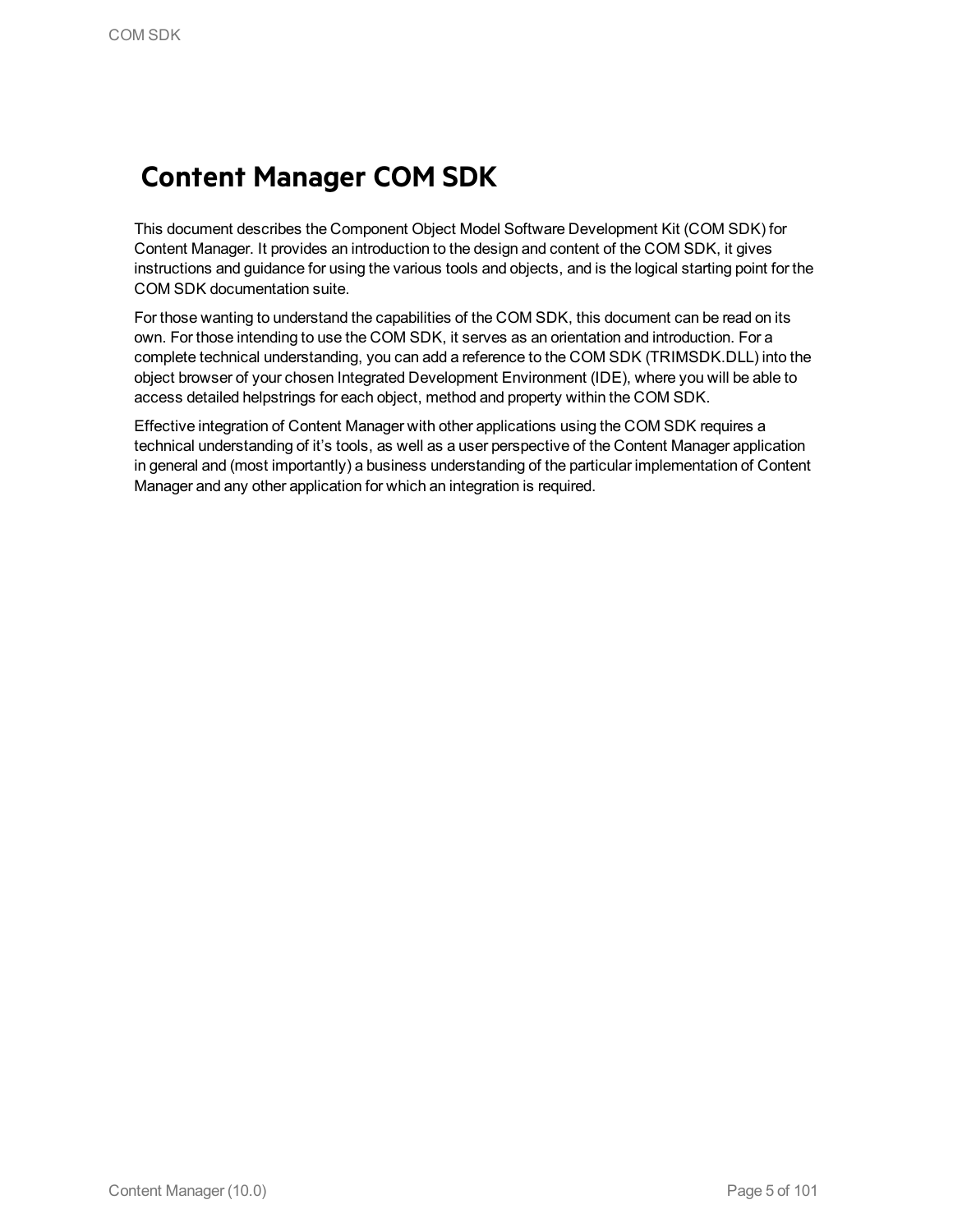### <span id="page-4-0"></span>**Content Manager COM SDK**

This document describes the Component Object Model Software Development Kit (COM SDK) for Content Manager. It provides an introduction to the design and content of the COM SDK, it gives instructions and guidance for using the various tools and objects, and is the logical starting point for the COM SDK documentation suite.

For those wanting to understand the capabilities of the COM SDK, this document can be read on its own. For those intending to use the COM SDK, it serves as an orientation and introduction. For a complete technical understanding, you can add a reference to the COM SDK (TRIMSDK.DLL) into the object browser of your chosen Integrated Development Environment (IDE), where you will be able to access detailed helpstrings for each object, method and property within the COM SDK.

Effective integration of Content Manager with other applications using the COM SDK requires a technical understanding of it's tools, as well as a user perspective of the Content Manager application in general and (most importantly) a business understanding of the particular implementation of Content Manager and any other application for which an integration is required.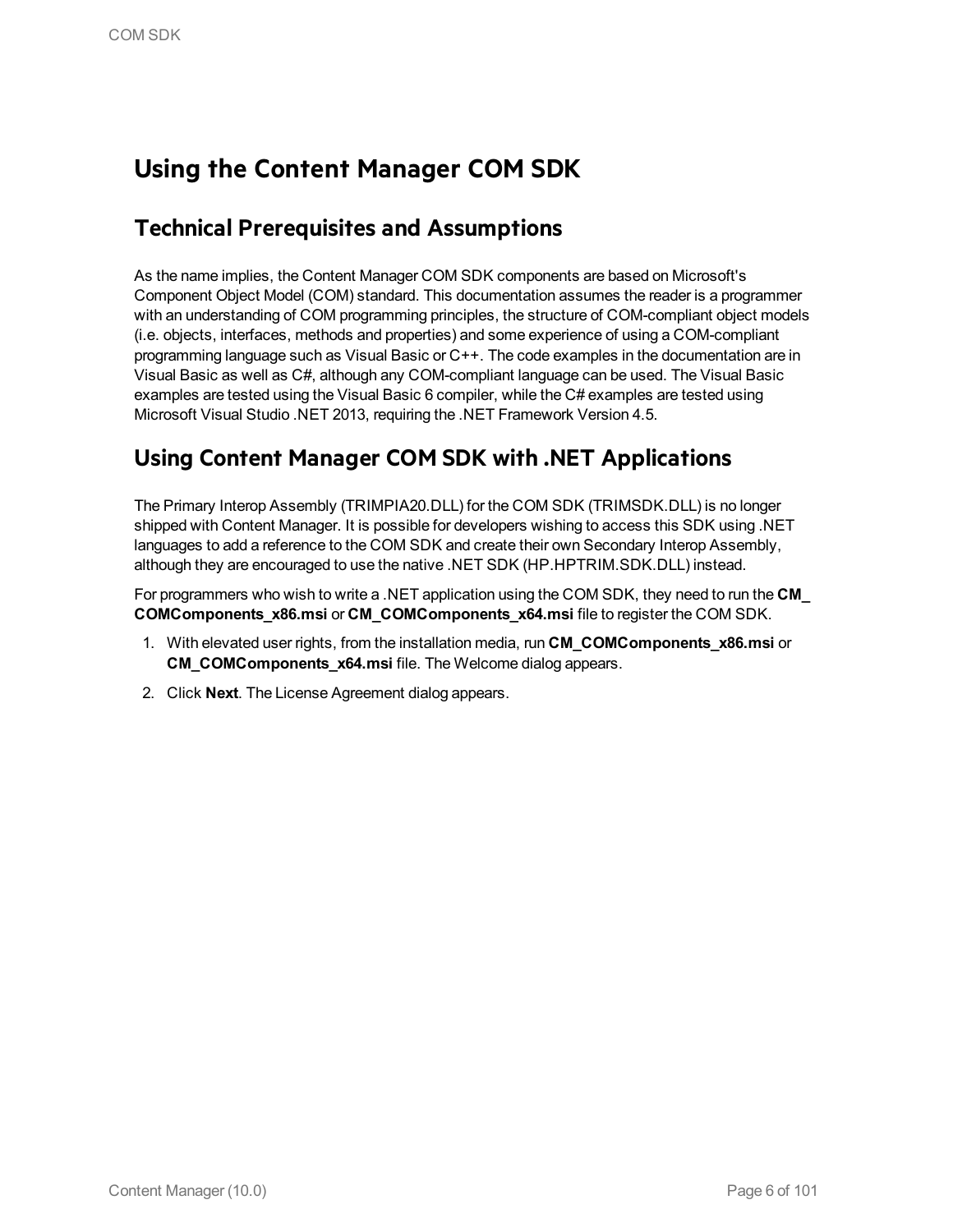### <span id="page-5-0"></span>**Using the Content Manager COM SDK**

#### <span id="page-5-1"></span>**Technical Prerequisites and Assumptions**

As the name implies, the Content Manager COM SDK components are based on Microsoft's Component Object Model (COM) standard. This documentation assumes the reader is a programmer with an understanding of COM programming principles, the structure of COM-compliant object models (i.e. objects, interfaces, methods and properties) and some experience of using a COM-compliant programming language such as Visual Basic or C++. The code examples in the documentation are in Visual Basic as well as C#, although any COM-compliant language can be used. The Visual Basic examples are tested using the Visual Basic 6 compiler, while the C# examples are tested using Microsoft Visual Studio .NET 2013, requiring the .NET Framework Version 4.5.

#### <span id="page-5-2"></span>**Using Content Manager COM SDK with .NET Applications**

The Primary Interop Assembly (TRIMPIA20.DLL) for the COM SDK (TRIMSDK.DLL) is no longer shipped with Content Manager. It is possible for developers wishing to access this SDK using .NET languages to add a reference to the COM SDK and create their own Secondary Interop Assembly, although they are encouraged to use the native .NET SDK (HP.HPTRIM.SDK.DLL) instead.

For programmers who wish to write a .NET application using the COM SDK, they need to run the **CM\_ COMComponents\_x86.msi** or **CM\_COMComponents\_x64.msi** file to register the COM SDK.

- 1. With elevated user rights, from the installation media, run **CM\_COMComponents\_x86.msi** or **CM\_COMComponents\_x64.msi** file. The Welcome dialog appears.
- 2. Click **Next**. The License Agreement dialog appears.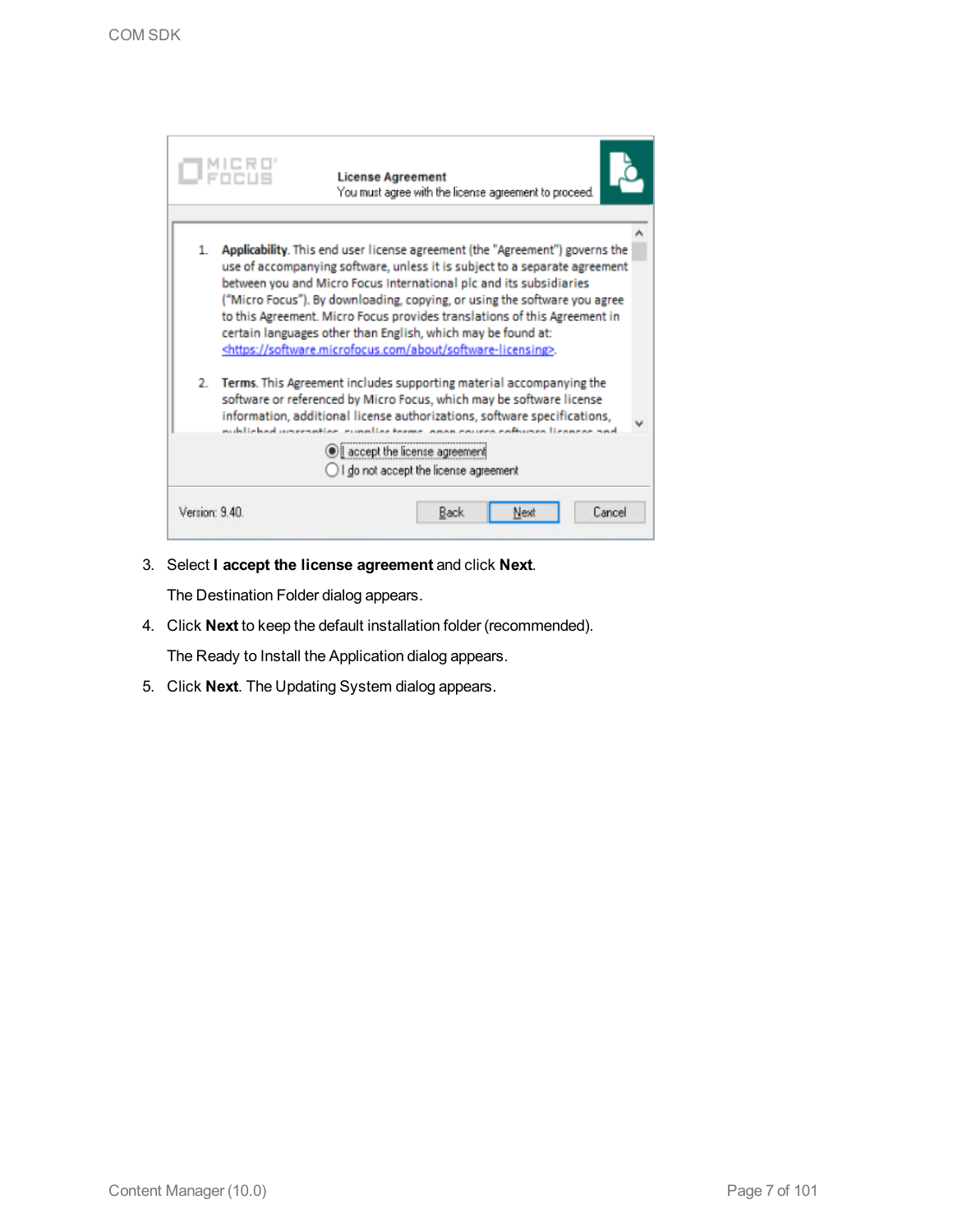|                                                                                | <b>License Agreement</b><br>You must agree with the license agreement to proceed.                                                                                                                                                                                                                                                                                                                                                                                                                                                          |  |
|--------------------------------------------------------------------------------|--------------------------------------------------------------------------------------------------------------------------------------------------------------------------------------------------------------------------------------------------------------------------------------------------------------------------------------------------------------------------------------------------------------------------------------------------------------------------------------------------------------------------------------------|--|
| 1.                                                                             | Applicability. This end user license agreement (the "Agreement") governs the<br>use of accompanying software, unless it is subject to a separate agreement<br>between you and Micro Focus International plc and its subsidiaries<br>("Micro Focus"). By downloading, copying, or using the software you agree<br>to this Agreement. Micro Focus provides translations of this Agreement in<br>certain languages other than English, which may be found at:<br><https: about="" software-licensing="" software.microfocus.com="">.</https:> |  |
|                                                                                | 2. Terms. This Agreement includes supporting material accompanying the<br>software or referenced by Micro Focus, which may be software license<br>information, additional license authorizations, software specifications,<br>aublicked warrastien nuorlier terme, onen nourna neftuare linennen and                                                                                                                                                                                                                                       |  |
| <b>I</b> accept the license agreement<br>I do not accept the license agreement |                                                                                                                                                                                                                                                                                                                                                                                                                                                                                                                                            |  |
| Version: 9.40                                                                  | Cancel<br>Back<br>Nex                                                                                                                                                                                                                                                                                                                                                                                                                                                                                                                      |  |

3. Select **I accept the license agreement** and click **Next**.

The Destination Folder dialog appears.

4. Click **Next** to keep the default installation folder (recommended).

The Ready to Install the Application dialog appears.

5. Click **Next**. The Updating System dialog appears.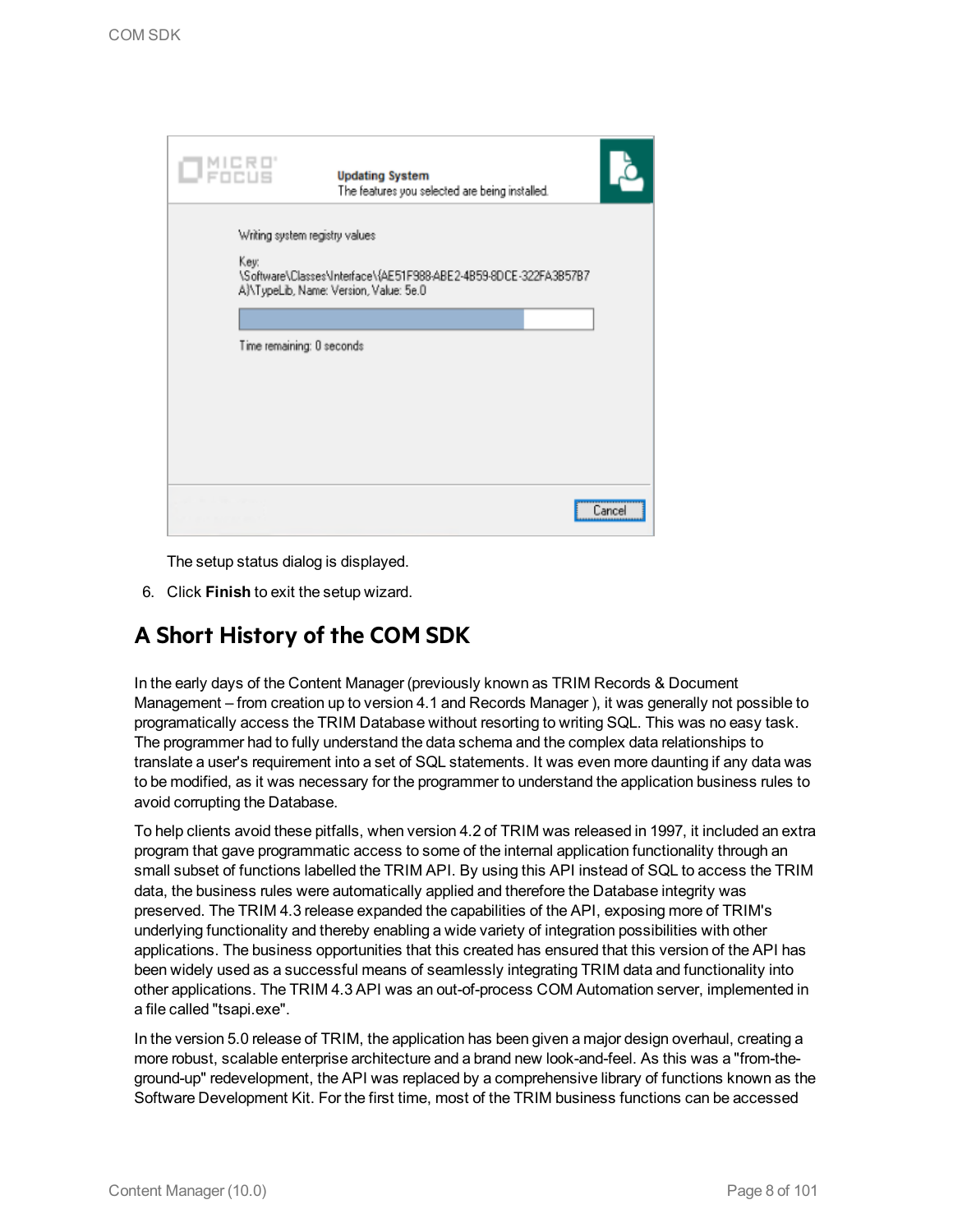| FOCUS<br>FOCUS                                                      | <b>Updating System</b><br>The features you selected are being installed.                                   |        |
|---------------------------------------------------------------------|------------------------------------------------------------------------------------------------------------|--------|
| Writing system registry values<br>Key:<br>Time remaining: 0 seconds | \Software\Classes\Interface\{AE51F988-ABE2-4B59-8DCE-322FA3B57B7<br>A)\TypeLib, Name: Version, Value: 5e.0 |        |
|                                                                     |                                                                                                            | Cancel |

The setup status dialog is displayed.

<span id="page-7-0"></span>6. Click **Finish** to exit the setup wizard.

### **A Short History of the COM SDK**

In the early days of the Content Manager (previously known as TRIM Records & Document Management – from creation up to version 4.1 and Records Manager ), it was generally not possible to programatically access the TRIM Database without resorting to writing SQL. This was no easy task. The programmer had to fully understand the data schema and the complex data relationships to translate a user's requirement into a set of SQL statements. It was even more daunting if any data was to be modified, as it was necessary for the programmer to understand the application business rules to avoid corrupting the Database.

To help clients avoid these pitfalls, when version 4.2 of TRIM was released in 1997, it included an extra program that gave programmatic access to some of the internal application functionality through an small subset of functions labelled the TRIM API. By using this API instead of SQL to access the TRIM data, the business rules were automatically applied and therefore the Database integrity was preserved. The TRIM 4.3 release expanded the capabilities of the API, exposing more of TRIM's underlying functionality and thereby enabling a wide variety of integration possibilities with other applications. The business opportunities that this created has ensured that this version of the API has been widely used as a successful means of seamlessly integrating TRIM data and functionality into other applications. The TRIM 4.3 API was an out-of-process COM Automation server, implemented in a file called "tsapi.exe".

In the version 5.0 release of TRIM, the application has been given a major design overhaul, creating a more robust, scalable enterprise architecture and a brand new look-and-feel. As this was a "from-theground-up" redevelopment, the API was replaced by a comprehensive library of functions known as the Software Development Kit. For the first time, most of the TRIM business functions can be accessed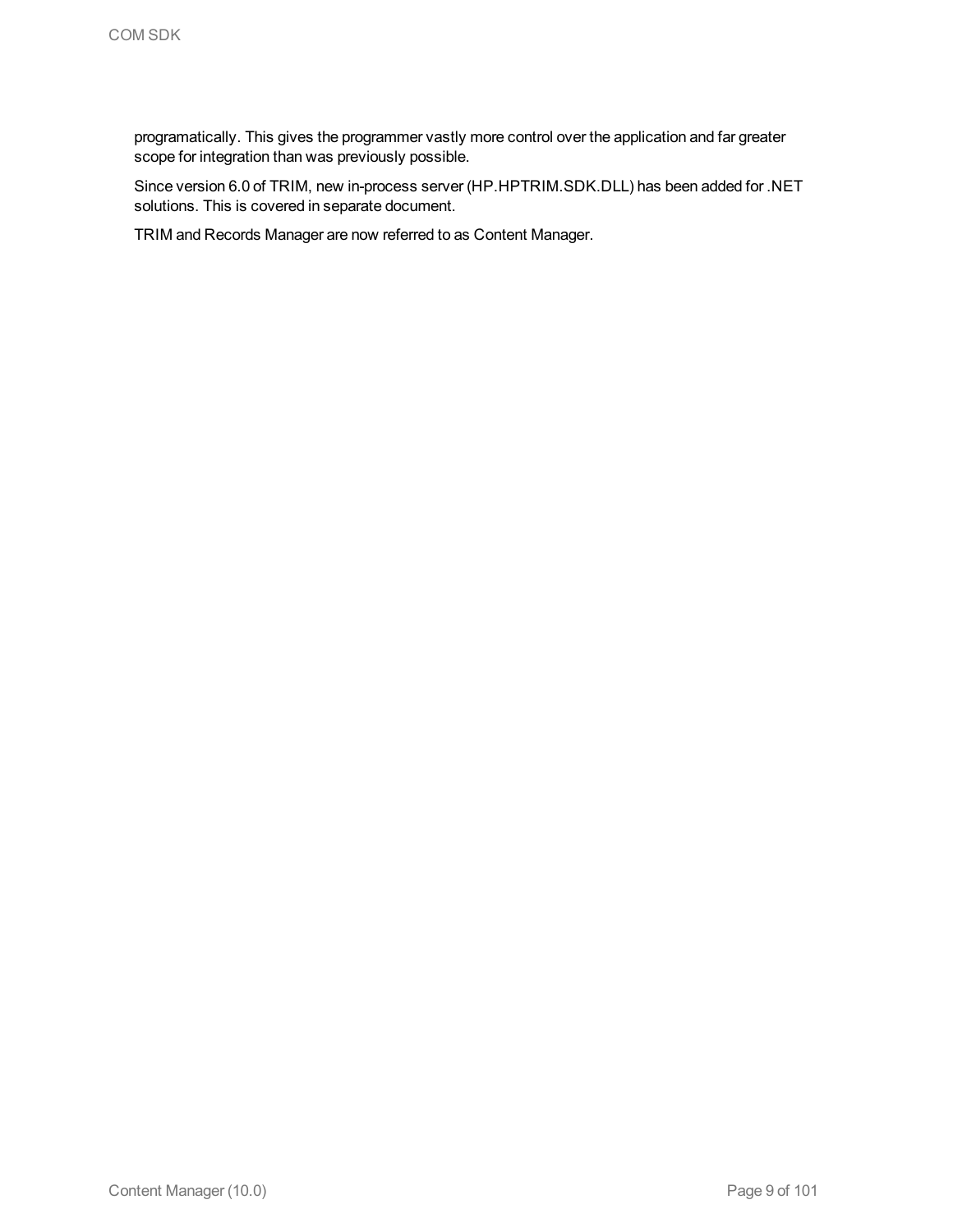programatically. This gives the programmer vastly more control over the application and far greater scope for integration than was previously possible.

Since version 6.0 of TRIM, new in-process server (HP.HPTRIM.SDK.DLL) has been added for .NET solutions. This is covered in separate document.

TRIM and Records Manager are now referred to as Content Manager.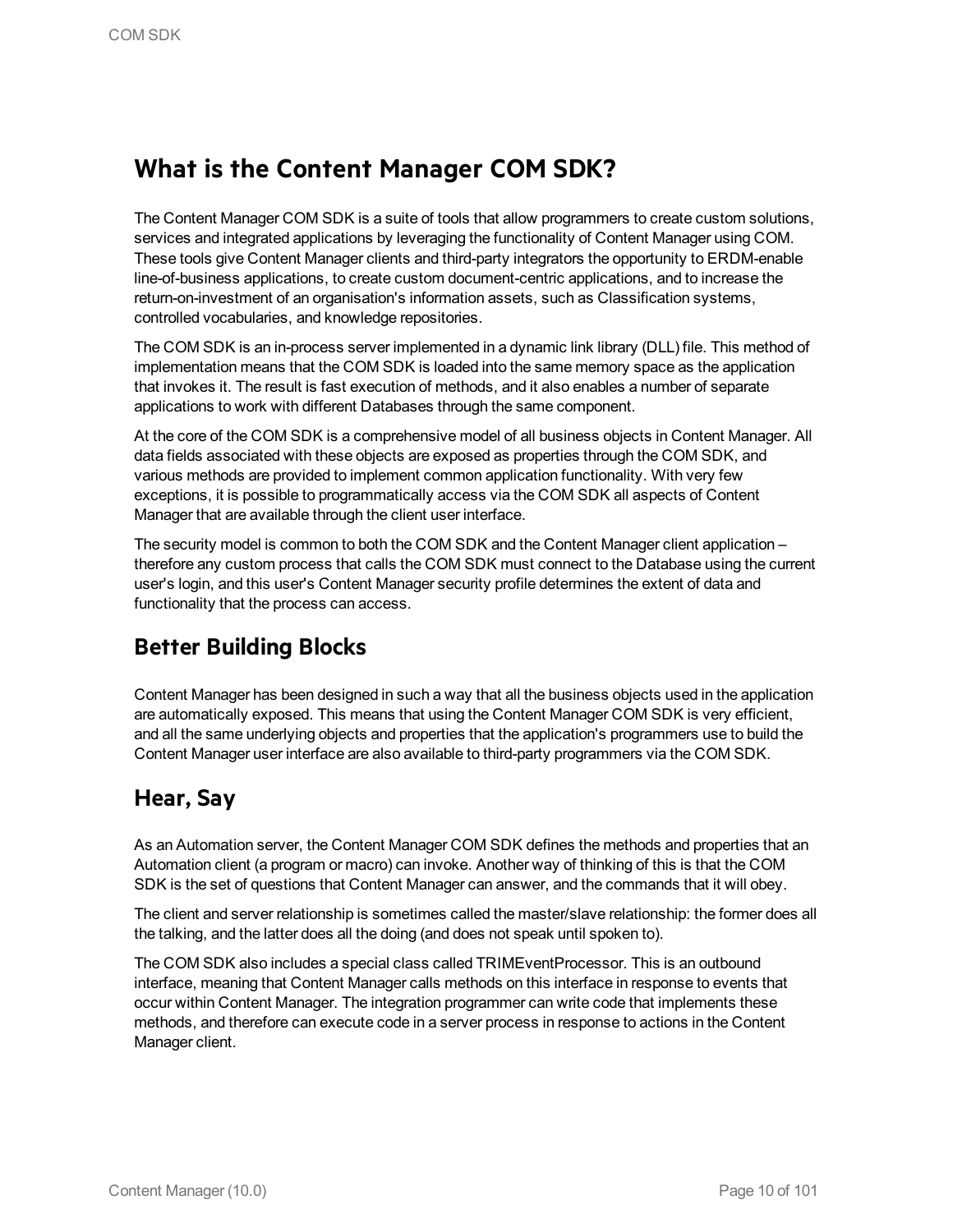### <span id="page-9-0"></span>**What is the Content Manager COM SDK?**

The Content Manager COM SDK is a suite of tools that allow programmers to create custom solutions, services and integrated applications by leveraging the functionality of Content Manager using COM. These tools give Content Manager clients and third-party integrators the opportunity to ERDM-enable line-of-business applications, to create custom document-centric applications, and to increase the return-on-investment of an organisation's information assets, such as Classification systems, controlled vocabularies, and knowledge repositories.

The COM SDK is an in-process server implemented in a dynamic link library (DLL) file. This method of implementation means that the COM SDK is loaded into the same memory space as the application that invokes it. The result is fast execution of methods, and it also enables a number of separate applications to work with different Databases through the same component.

At the core of the COM SDK is a comprehensive model of all business objects in Content Manager. All data fields associated with these objects are exposed as properties through the COM SDK, and various methods are provided to implement common application functionality. With very few exceptions, it is possible to programmatically access via the COM SDK all aspects of Content Manager that are available through the client user interface.

The security model is common to both the COM SDK and the Content Manager client application – therefore any custom process that calls the COM SDK must connect to the Database using the current user's login, and this user's Content Manager security profile determines the extent of data and functionality that the process can access.

### <span id="page-9-1"></span>**Better Building Blocks**

Content Manager has been designed in such a way that all the business objects used in the application are automatically exposed. This means that using the Content Manager COM SDK is very efficient, and all the same underlying objects and properties that the application's programmers use to build the Content Manager user interface are also available to third-party programmers via the COM SDK.

### <span id="page-9-2"></span>**Hear, Say**

As an Automation server, the Content Manager COM SDK defines the methods and properties that an Automation client (a program or macro) can invoke. Another way of thinking of this is that the COM SDK is the set of questions that Content Manager can answer, and the commands that it will obey.

The client and server relationship is sometimes called the master/slave relationship: the former does all the talking, and the latter does all the doing (and does not speak until spoken to).

The COM SDK also includes a special class called TRIMEventProcessor. This is an outbound interface, meaning that Content Manager calls methods on this interface in response to events that occur within Content Manager. The integration programmer can write code that implements these methods, and therefore can execute code in a server process in response to actions in the Content Manager client.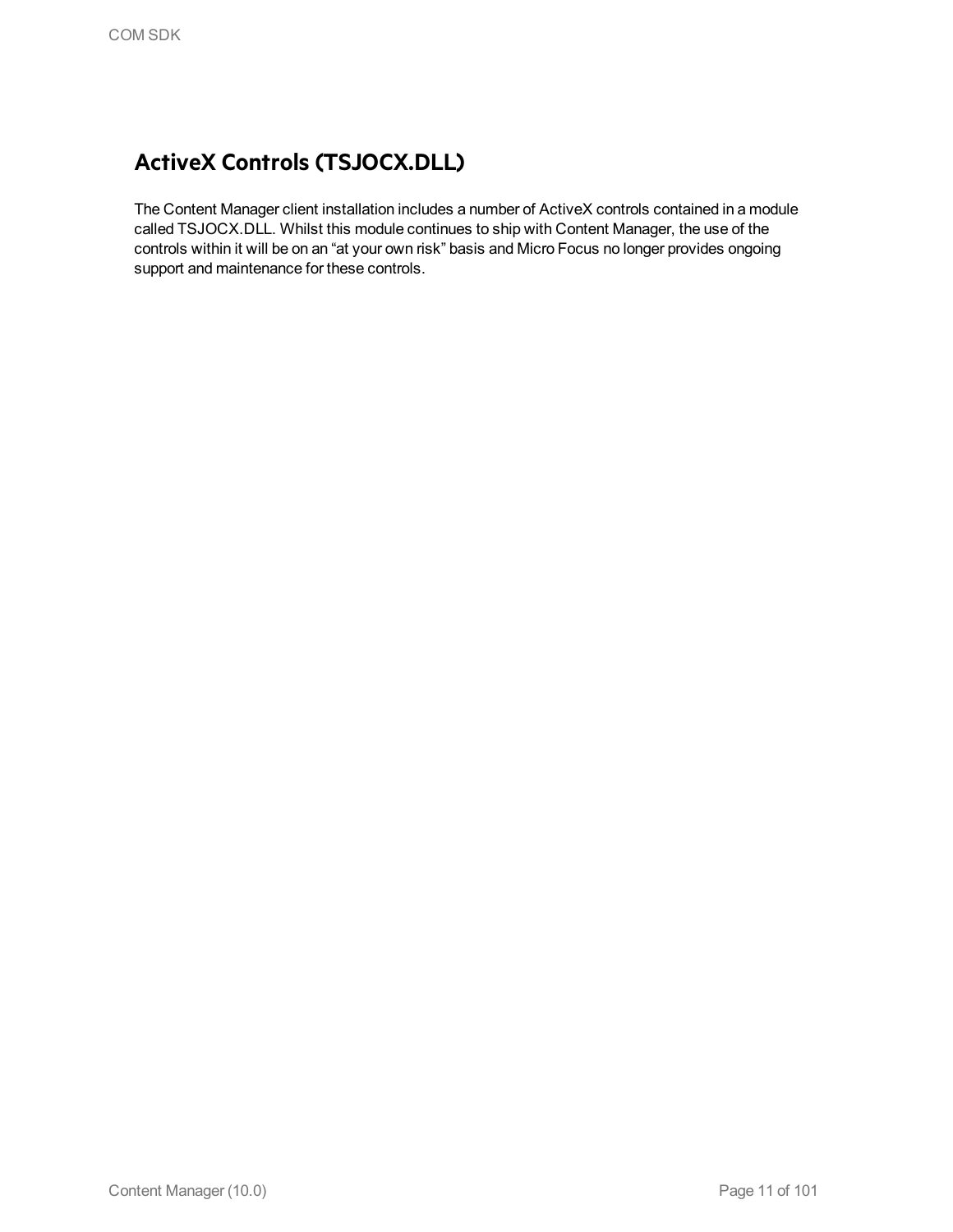### <span id="page-10-0"></span>**ActiveX Controls (TSJOCX.DLL)**

The Content Manager client installation includes a number of ActiveX controls contained in a module called TSJOCX.DLL. Whilst this module continues to ship with Content Manager, the use of the controls within it will be on an "at your own risk" basis and Micro Focus no longer provides ongoing support and maintenance for these controls.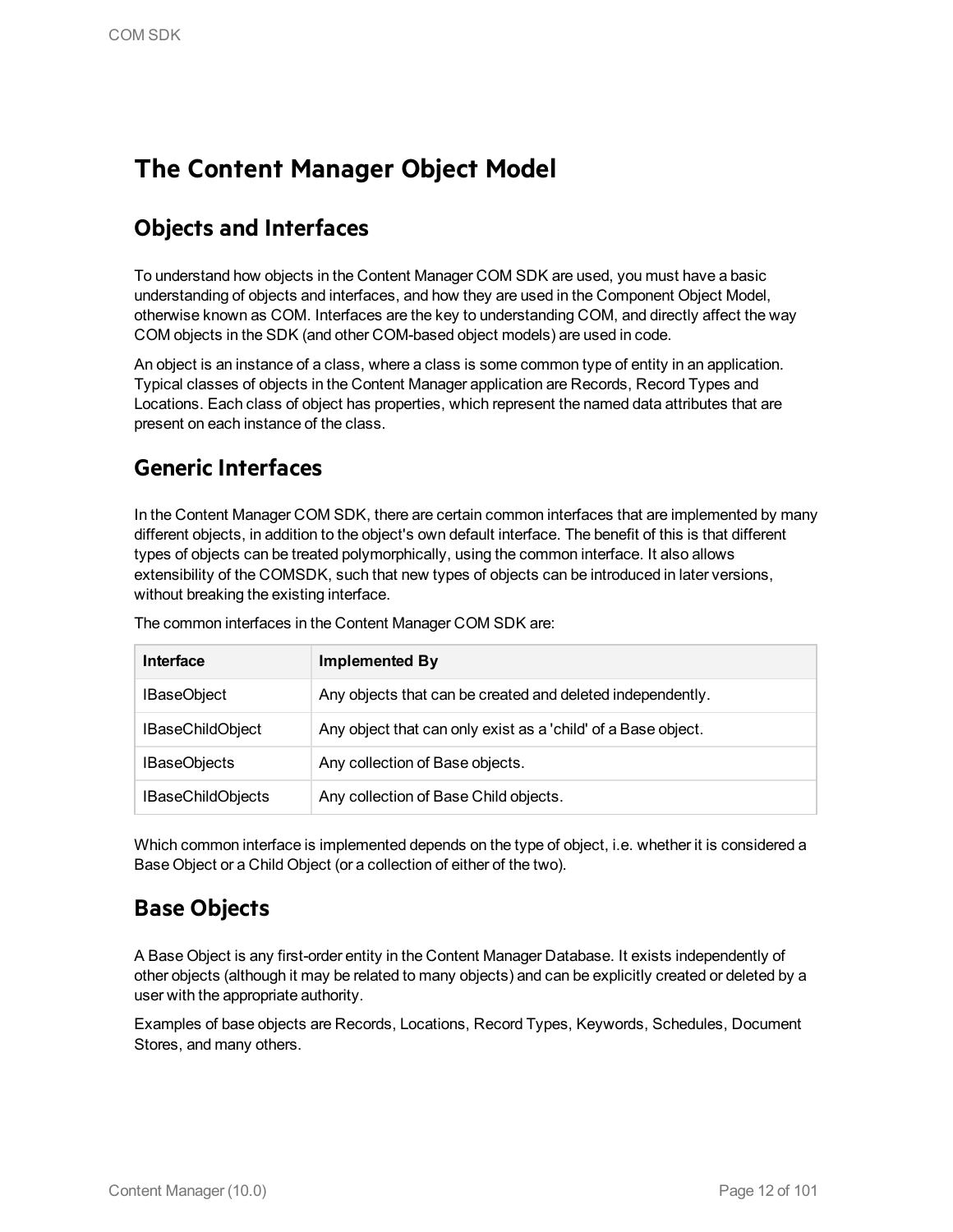### <span id="page-11-0"></span>**The Content Manager Object Model**

### <span id="page-11-1"></span>**Objects and Interfaces**

To understand how objects in the Content Manager COM SDK are used, you must have a basic understanding of objects and interfaces, and how they are used in the Component Object Model, otherwise known as COM. Interfaces are the key to understanding COM, and directly affect the way COM objects in the SDK (and other COM-based object models) are used in code.

An object is an instance of a class, where a class is some common type of entity in an application. Typical classes of objects in the Content Manager application are Records, Record Types and Locations. Each class of object has properties, which represent the named data attributes that are present on each instance of the class.

#### <span id="page-11-2"></span>**Generic Interfaces**

In the Content Manager COM SDK, there are certain common interfaces that are implemented by many different objects, in addition to the object's own default interface. The benefit of this is that different types of objects can be treated polymorphically, using the common interface. It also allows extensibility of the COMSDK, such that new types of objects can be introduced in later versions, without breaking the existing interface.

| Interface                | Implemented By                                                |
|--------------------------|---------------------------------------------------------------|
| <b>IBaseObject</b>       | Any objects that can be created and deleted independently.    |
| <b>IBaseChildObject</b>  | Any object that can only exist as a 'child' of a Base object. |
| <b>IBaseObjects</b>      | Any collection of Base objects.                               |
| <b>IBaseChildObjects</b> | Any collection of Base Child objects.                         |

The common interfaces in the Content Manager COM SDK are:

Which common interface is implemented depends on the type of object, i.e. whether it is considered a Base Object or a Child Object (or a collection of either of the two).

### **Base Objects**

A Base Object is any first-order entity in the Content Manager Database. It exists independently of other objects (although it may be related to many objects) and can be explicitly created or deleted by a user with the appropriate authority.

Examples of base objects are Records, Locations, Record Types, Keywords, Schedules, Document Stores, and many others.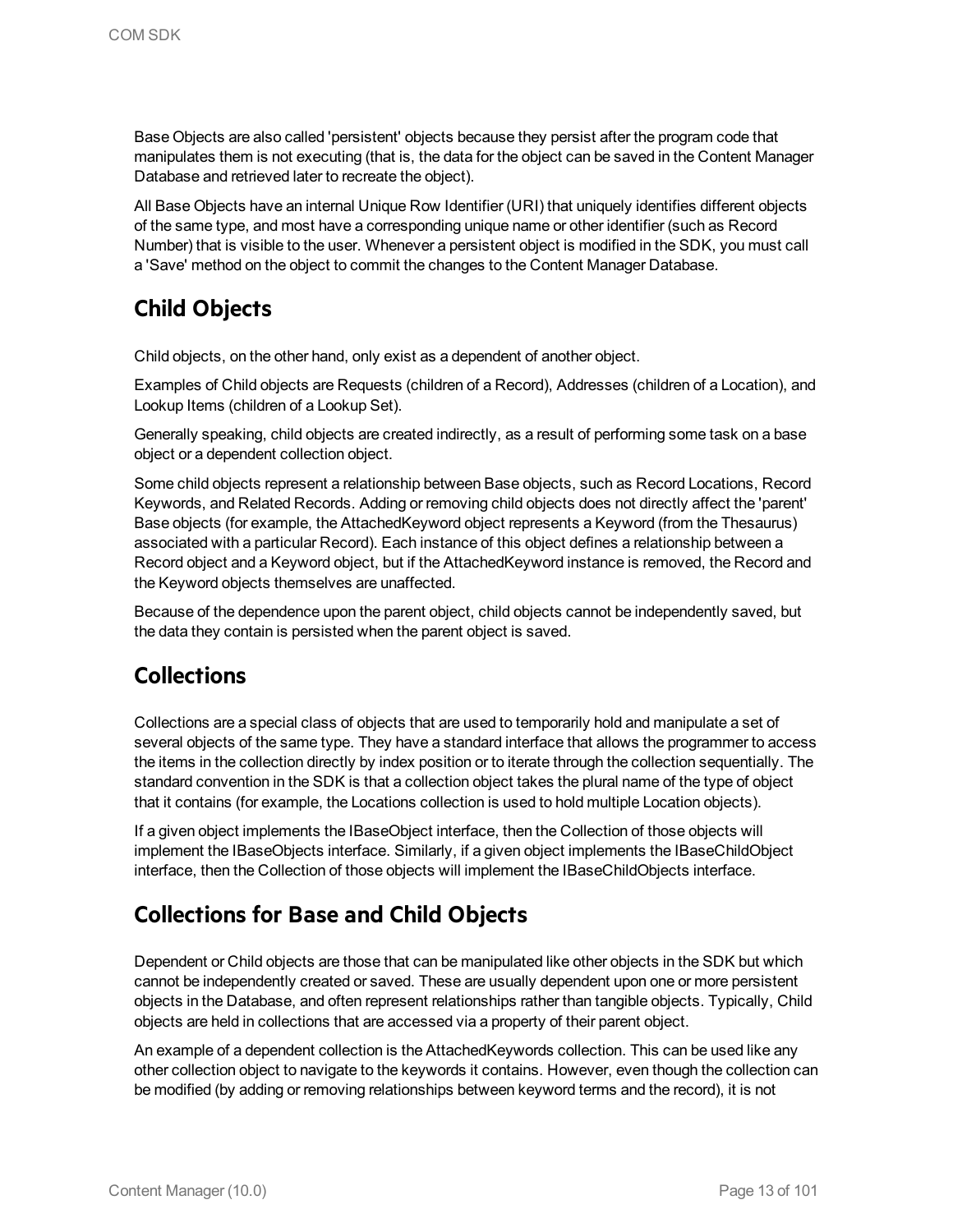Base Objects are also called 'persistent' objects because they persist after the program code that manipulates them is not executing (that is, the data for the object can be saved in the Content Manager Database and retrieved later to recreate the object).

All Base Objects have an internal Unique Row Identifier (URI) that uniquely identifies different objects of the same type, and most have a corresponding unique name or other identifier (such as Record Number) that is visible to the user. Whenever a persistent object is modified in the SDK, you must call a 'Save' method on the object to commit the changes to the Content Manager Database.

### **Child Objects**

Child objects, on the other hand, only exist as a dependent of another object.

Examples of Child objects are Requests (children of a Record), Addresses (children of a Location), and Lookup Items (children of a Lookup Set).

Generally speaking, child objects are created indirectly, as a result of performing some task on a base object or a dependent collection object.

Some child objects represent a relationship between Base objects, such as Record Locations, Record Keywords, and Related Records. Adding or removing child objects does not directly affect the 'parent' Base objects (for example, the AttachedKeyword object represents a Keyword (from the Thesaurus) associated with a particular Record). Each instance of this object defines a relationship between a Record object and a Keyword object, but if the AttachedKeyword instance is removed, the Record and the Keyword objects themselves are unaffected.

Because of the dependence upon the parent object, child objects cannot be independently saved, but the data they contain is persisted when the parent object is saved.

### **Collections**

Collections are a special class of objects that are used to temporarily hold and manipulate a set of several objects of the same type. They have a standard interface that allows the programmer to access the items in the collection directly by index position or to iterate through the collection sequentially. The standard convention in the SDK is that a collection object takes the plural name of the type of object that it contains (for example, the Locations collection is used to hold multiple Location objects).

If a given object implements the IBaseObject interface, then the Collection of those objects will implement the IBaseObjects interface. Similarly, if a given object implements the IBaseChildObject interface, then the Collection of those objects will implement the IBaseChildObjects interface.

### **Collections for Base and Child Objects**

Dependent or Child objects are those that can be manipulated like other objects in the SDK but which cannot be independently created or saved. These are usually dependent upon one or more persistent objects in the Database, and often represent relationships rather than tangible objects. Typically, Child objects are held in collections that are accessed via a property of their parent object.

An example of a dependent collection is the AttachedKeywords collection. This can be used like any other collection object to navigate to the keywords it contains. However, even though the collection can be modified (by adding or removing relationships between keyword terms and the record), it is not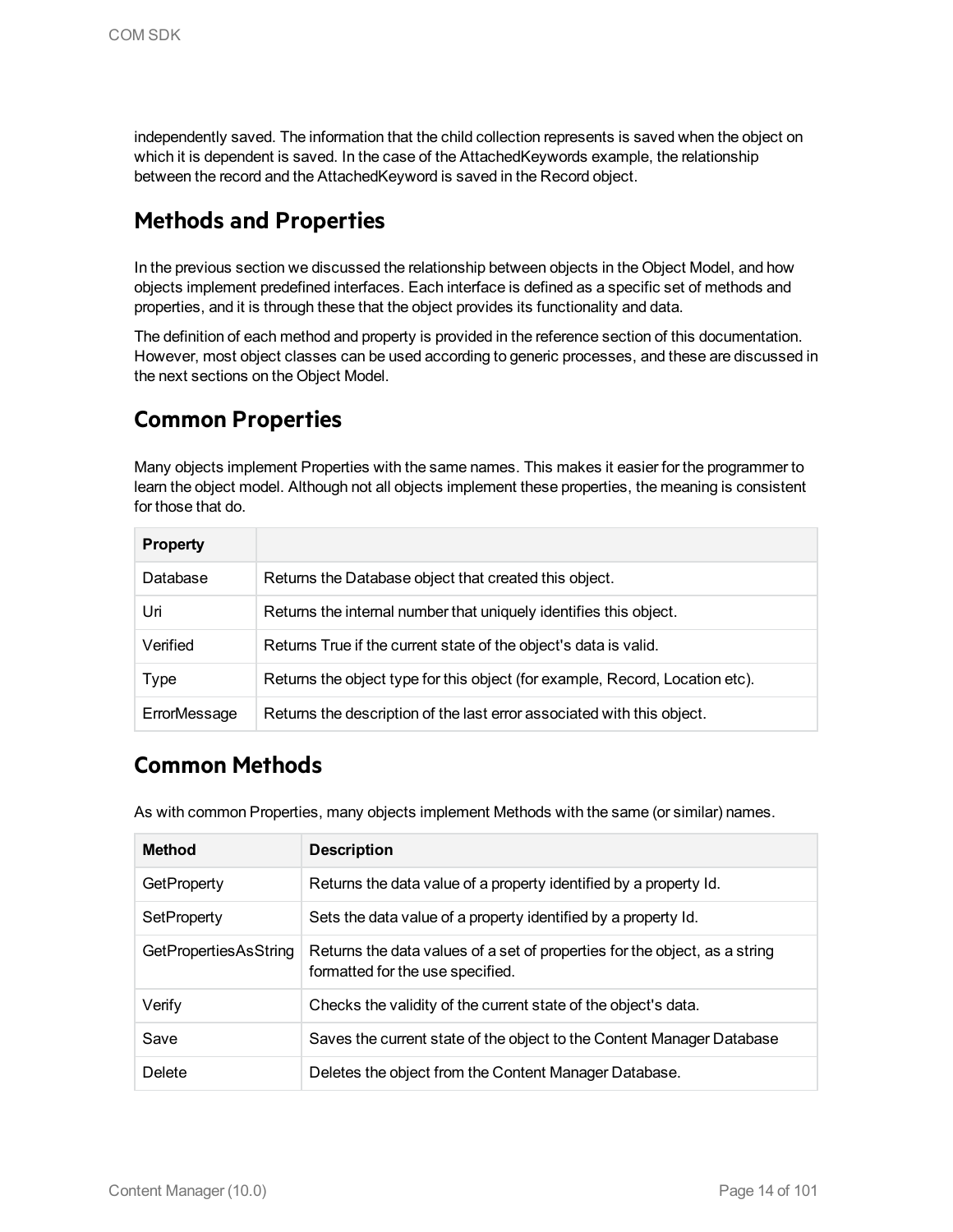independently saved. The information that the child collection represents is saved when the object on which it is dependent is saved. In the case of the AttachedKeywords example, the relationship between the record and the AttachedKeyword is saved in the Record object.

### <span id="page-13-0"></span>**Methods and Properties**

In the previous section we discussed the relationship between objects in the Object Model, and how objects implement predefined interfaces. Each interface is defined as a specific set of methods and properties, and it is through these that the object provides its functionality and data.

The definition of each method and property is provided in the reference section of this documentation. However, most object classes can be used according to generic processes, and these are discussed in the next sections on the Object Model.

#### **Common Properties**

Many objects implement Properties with the same names. This makes it easier for the programmer to learn the object model. Although not all objects implement these properties, the meaning is consistent for those that do.

| <b>Property</b> |                                                                              |
|-----------------|------------------------------------------------------------------------------|
| Database        | Returns the Database object that created this object.                        |
| Uri             | Returns the internal number that uniquely identifies this object.            |
| Verified        | Returns True if the current state of the object's data is valid.             |
| Type            | Returns the object type for this object (for example, Record, Location etc). |
| ErrorMessage    | Returns the description of the last error associated with this object.       |

#### **Common Methods**

As with common Properties, many objects implement Methods with the same (or similar) names.

| <b>Method</b>                | <b>Description</b>                                                                                             |
|------------------------------|----------------------------------------------------------------------------------------------------------------|
| GetProperty                  | Returns the data value of a property identified by a property Id.                                              |
| SetProperty                  | Sets the data value of a property identified by a property Id.                                                 |
| <b>GetPropertiesAsString</b> | Returns the data values of a set of properties for the object, as a string<br>formatted for the use specified. |
| Verify                       | Checks the validity of the current state of the object's data.                                                 |
| Save                         | Saves the current state of the object to the Content Manager Database                                          |
| Delete                       | Deletes the object from the Content Manager Database.                                                          |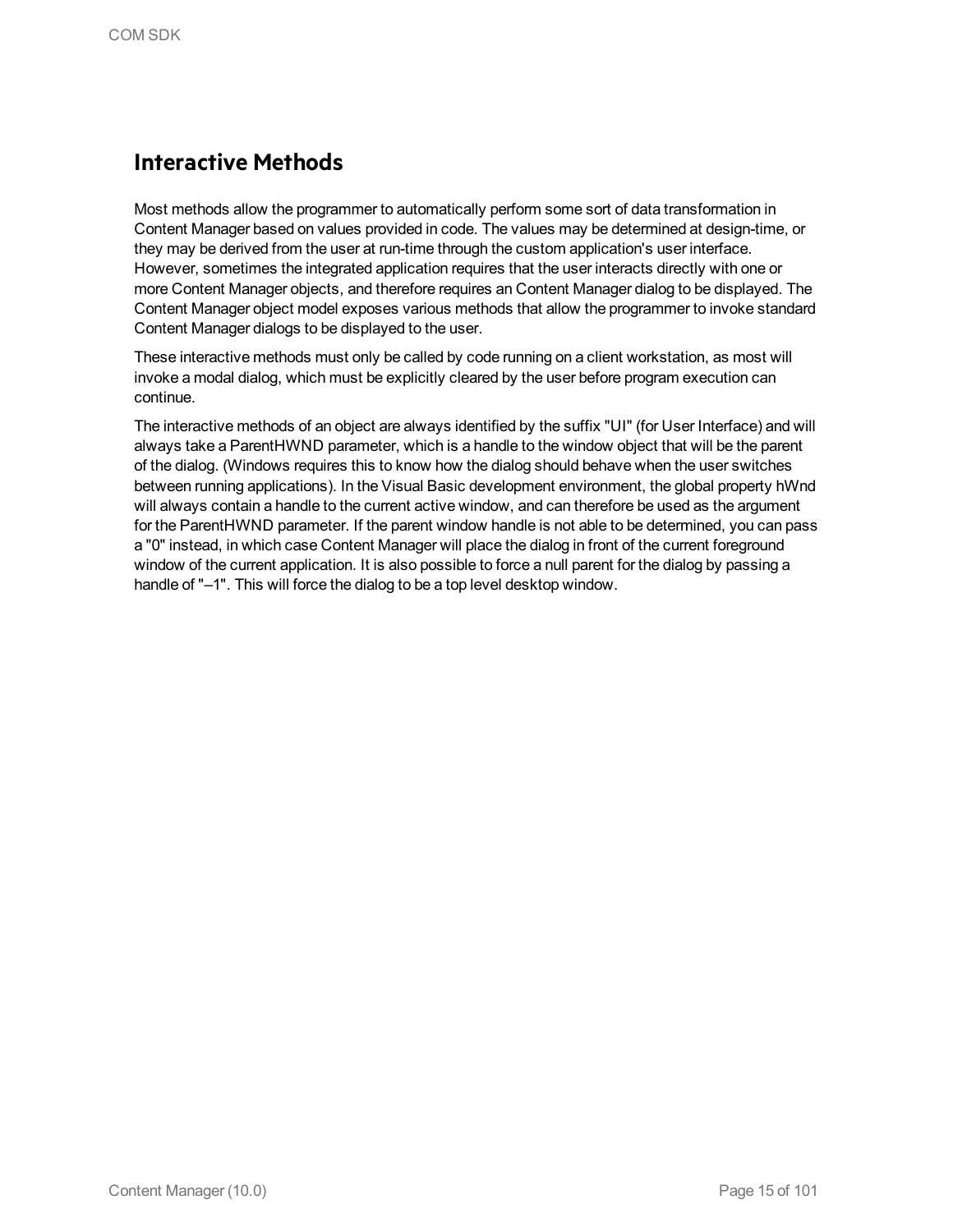#### **Interactive Methods**

Most methods allow the programmer to automatically perform some sort of data transformation in Content Manager based on values provided in code. The values may be determined at design-time, or they may be derived from the user at run-time through the custom application's user interface. However, sometimes the integrated application requires that the user interacts directly with one or more Content Manager objects, and therefore requires an Content Manager dialog to be displayed. The Content Manager object model exposes various methods that allow the programmer to invoke standard Content Manager dialogs to be displayed to the user.

These interactive methods must only be called by code running on a client workstation, as most will invoke a modal dialog, which must be explicitly cleared by the user before program execution can continue.

The interactive methods of an object are always identified by the suffix "UI" (for User Interface) and will always take a ParentHWND parameter, which is a handle to the window object that will be the parent of the dialog. (Windows requires this to know how the dialog should behave when the user switches between running applications). In the Visual Basic development environment, the global property hWnd will always contain a handle to the current active window, and can therefore be used as the argument for the ParentHWND parameter. If the parent window handle is not able to be determined, you can pass a "0" instead, in which case Content Manager will place the dialog in front of the current foreground window of the current application. It is also possible to force a null parent for the dialog by passing a handle of "-1". This will force the dialog to be a top level desktop window.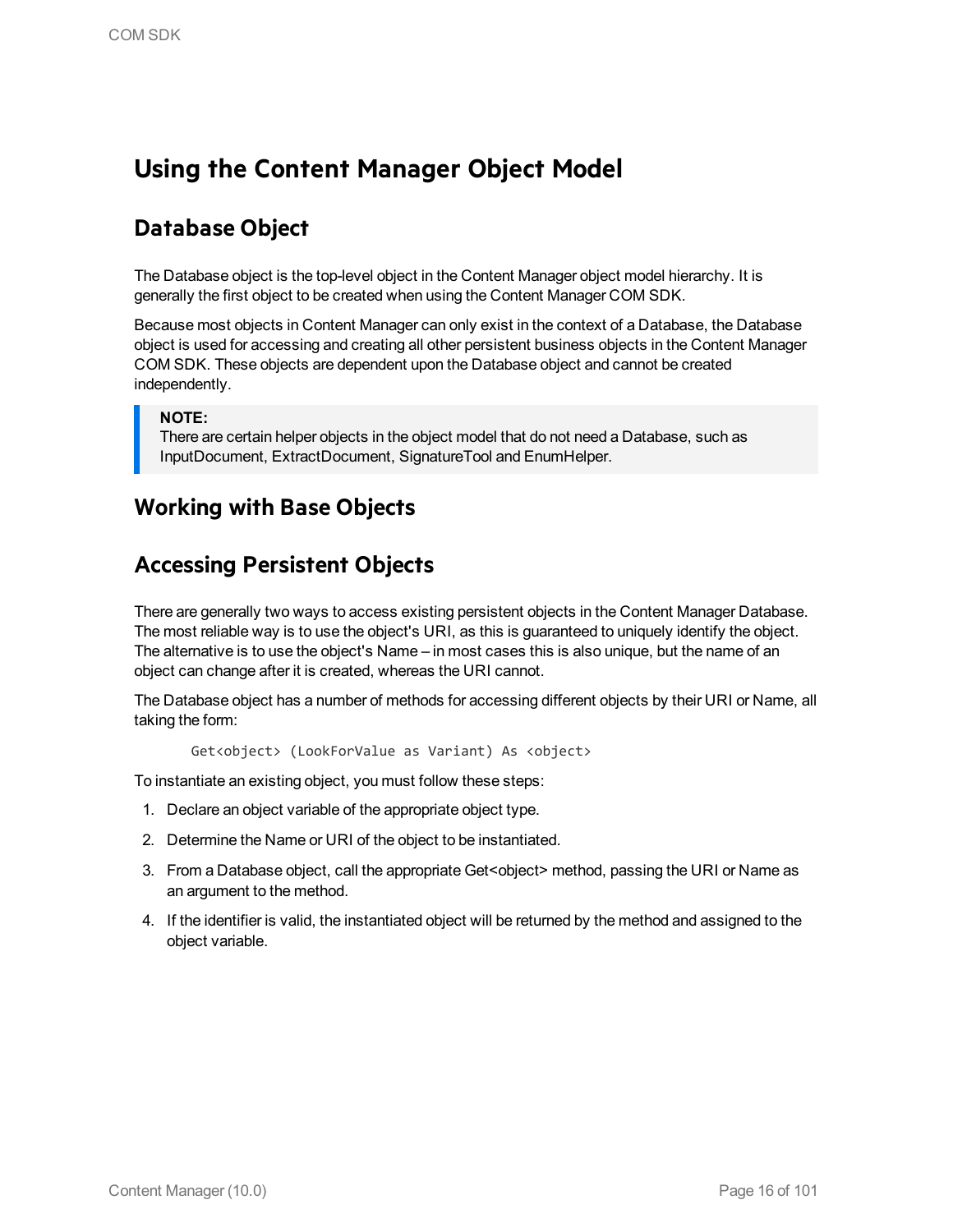### <span id="page-15-0"></span>**Using the Content Manager Object Model**

### <span id="page-15-1"></span>**Database Object**

The Database object is the top-level object in the Content Manager object model hierarchy. It is generally the first object to be created when using the Content Manager COM SDK.

Because most objects in Content Manager can only exist in the context of a Database, the Database object is used for accessing and creating all other persistent business objects in the Content Manager COM SDK. These objects are dependent upon the Database object and cannot be created independently.

#### **NOTE:**

There are certain helper objects in the object model that do not need a Database, such as InputDocument, ExtractDocument, SignatureTool and EnumHelper.

#### <span id="page-15-2"></span>**Working with Base Objects**

#### **Accessing Persistent Objects**

There are generally two ways to access existing persistent objects in the Content Manager Database. The most reliable way is to use the object's URI, as this is guaranteed to uniquely identify the object. The alternative is to use the object's Name – in most cases this is also unique, but the name of an object can change after it is created, whereas the URI cannot.

The Database object has a number of methods for accessing different objects by their URI or Name, all taking the form:

Get<object> (LookForValue as Variant) As <object>

To instantiate an existing object, you must follow these steps:

- 1. Declare an object variable of the appropriate object type.
- 2. Determine the Name or URI of the object to be instantiated.
- 3. From a Database object, call the appropriate Get<object> method, passing the URI or Name as an argument to the method.
- 4. If the identifier is valid, the instantiated object will be returned by the method and assigned to the object variable.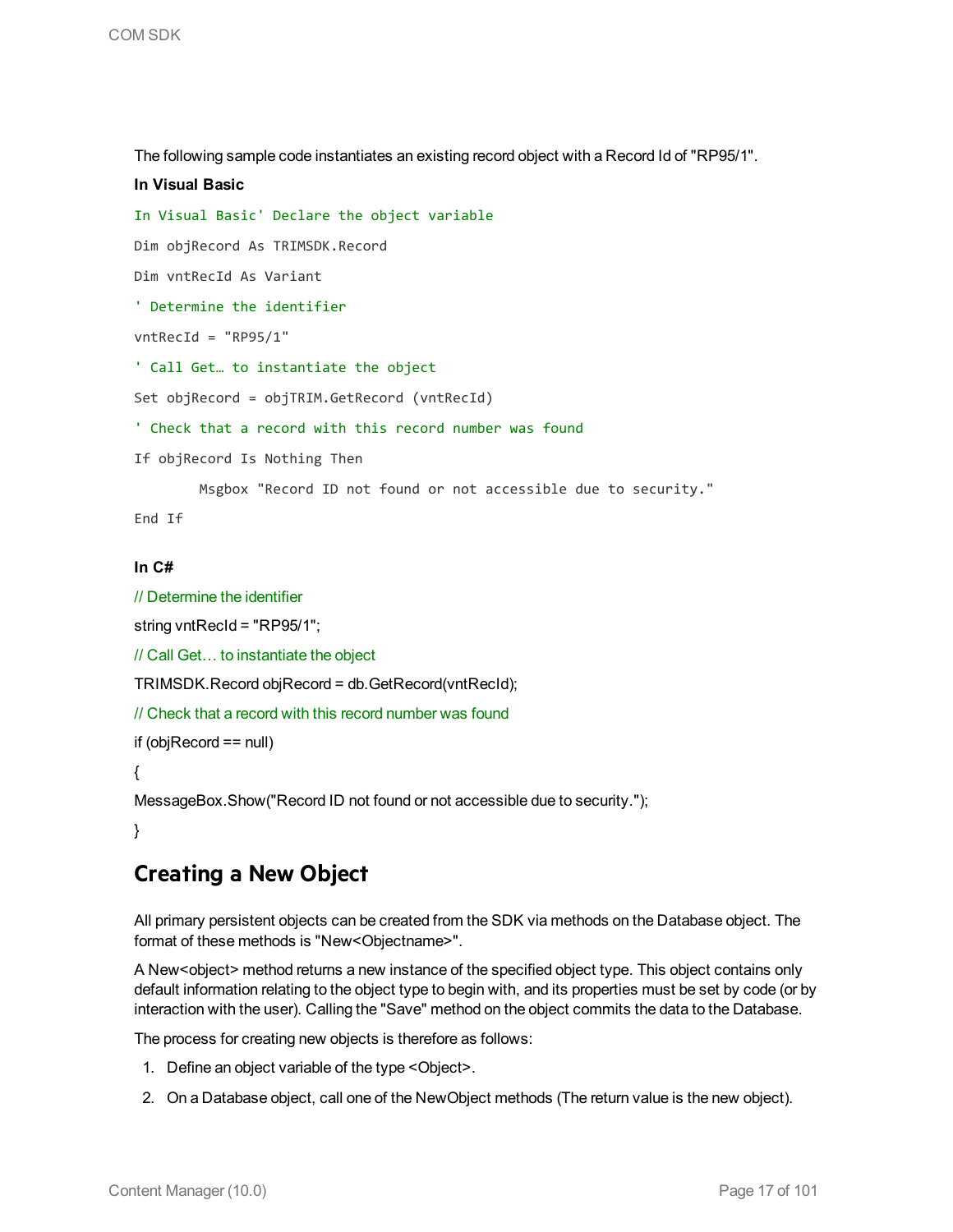COM SDK

The following sample code instantiates an existing record object with a Record Id of "RP95/1".

```
In Visual Basic
In Visual Basic' Declare the object variable
Dim objRecord As TRIMSDK.Record
Dim vntRecId As Variant
' Determine the identifier
vntRecId = "RP95/1"
' Call Get… to instantiate the object
Set objRecord = objTRIM.GetRecord (vntRecId)
' Check that a record with this record number was found
If objRecord Is Nothing Then
        Msgbox "Record ID not found or not accessible due to security."
End If
In C#
```

```
// Determine the identifier
```
string vntRecId = "RP95/1";

// Call Get… to instantiate the object

TRIMSDK.Record objRecord = db.GetRecord(vntRecId);

// Check that a record with this record number was found

```
if (objRecord == null)
```
{

MessageBox.Show("Record ID not found or not accessible due to security.");

}

### **Creating a New Object**

All primary persistent objects can be created from the SDK via methods on the Database object. The format of these methods is "New<Objectname>".

A New<object> method returns a new instance of the specified object type. This object contains only default information relating to the object type to begin with, and its properties must be set by code (or by interaction with the user). Calling the "Save" method on the object commits the data to the Database.

The process for creating new objects is therefore as follows:

- 1. Define an object variable of the type <Object>.
- 2. On a Database object, call one of the NewObject methods (The return value is the new object).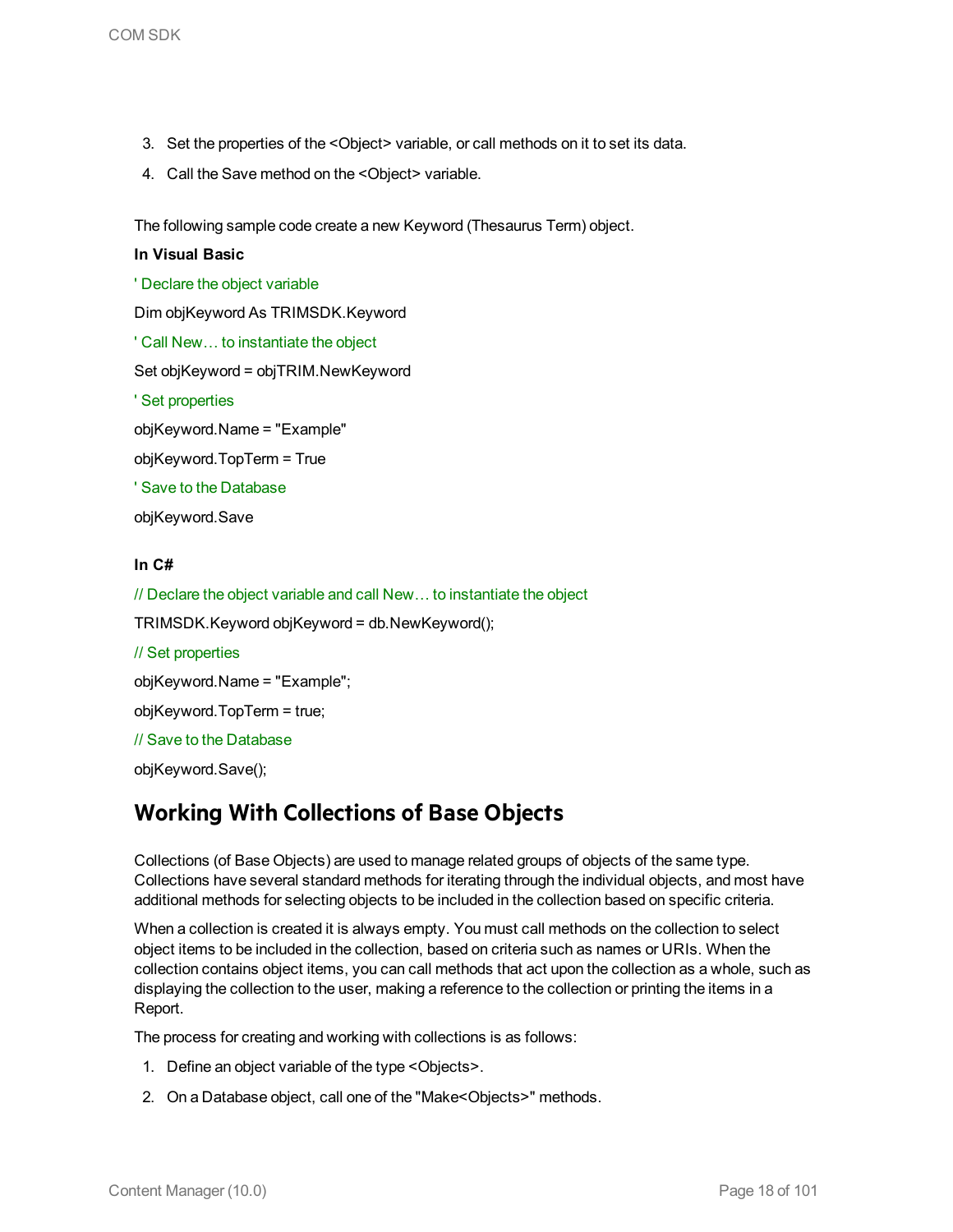- 3. Set the properties of the <Object> variable, or call methods on it to set its data.
- 4. Call the Save method on the <Object> variable.

The following sample code create a new Keyword (Thesaurus Term) object.

### **In Visual Basic** ' Declare the object variable Dim objKeyword As TRIMSDK.Keyword ' Call New… to instantiate the object Set objKeyword = objTRIM.NewKeyword ' Set properties objKeyword.Name = "Example" objKeyword.TopTerm = True ' Save to the Database objKeyword.Save

#### **In C#**

// Declare the object variable and call New… to instantiate the object TRIMSDK.Keyword objKeyword = db.NewKeyword(); // Set properties objKeyword.Name = "Example"; objKeyword.TopTerm = true; // Save to the Database objKeyword.Save();

#### <span id="page-17-0"></span>**Working With Collections of Base Objects**

Collections (of Base Objects) are used to manage related groups of objects of the same type. Collections have several standard methods for iterating through the individual objects, and most have additional methods for selecting objects to be included in the collection based on specific criteria.

When a collection is created it is always empty. You must call methods on the collection to select object items to be included in the collection, based on criteria such as names or URIs. When the collection contains object items, you can call methods that act upon the collection as a whole, such as displaying the collection to the user, making a reference to the collection or printing the items in a Report.

The process for creating and working with collections is as follows:

- 1. Define an object variable of the type <Objects>.
- 2. On a Database object, call one of the "Make<Objects>" methods.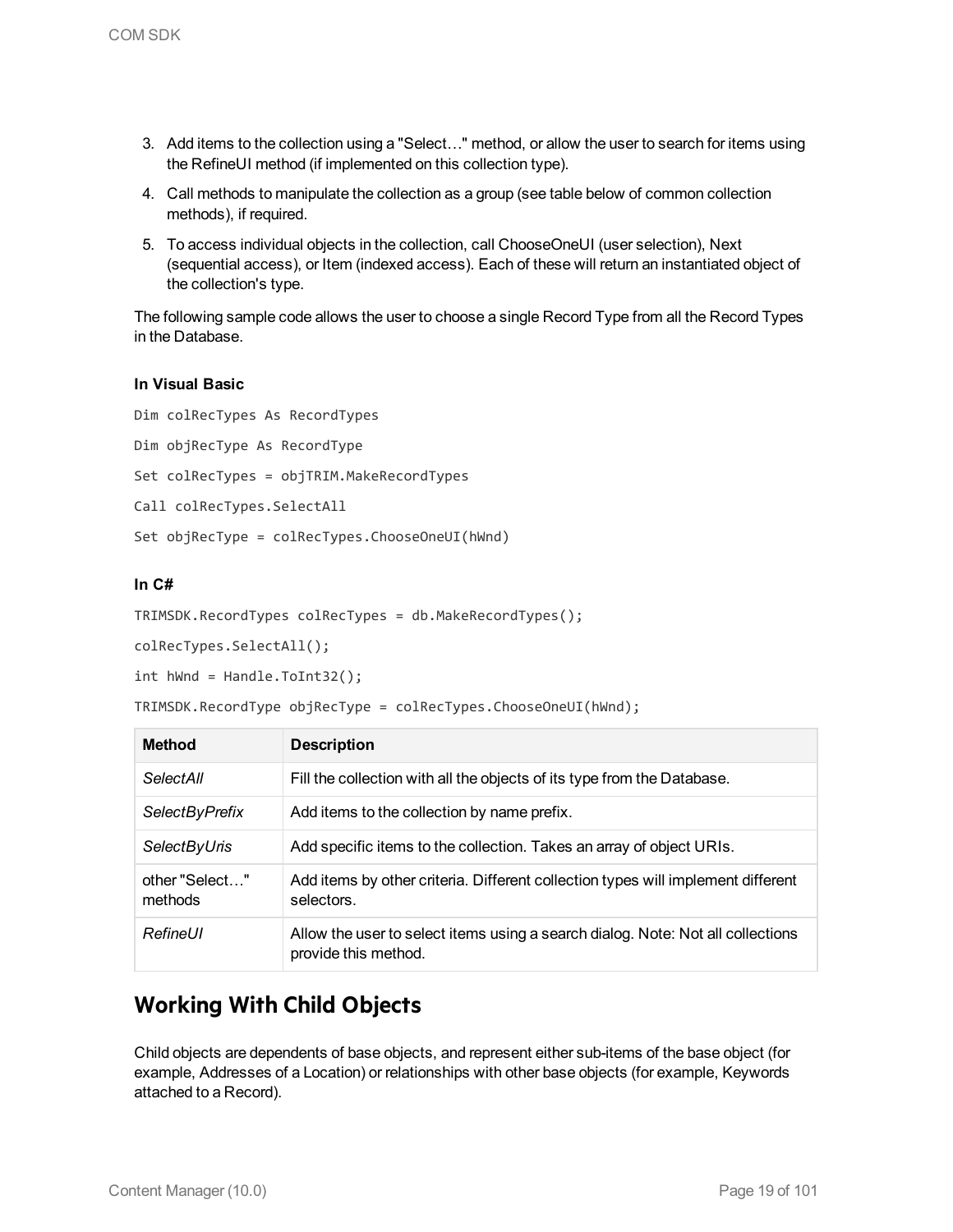- 3. Add items to the collection using a "Select…" method, or allow the user to search for items using the RefineUI method (if implemented on this collection type).
- 4. Call methods to manipulate the collection as a group (see table below of common collection methods), if required.
- 5. To access individual objects in the collection, call ChooseOneUI (user selection), Next (sequential access), or Item (indexed access). Each of these will return an instantiated object of the collection's type.

The following sample code allows the user to choose a single Record Type from all the Record Types in the Database.

#### **In Visual Basic**

```
Dim colRecTypes As RecordTypes
Dim objRecType As RecordType
Set colRecTypes = objTRIM.MakeRecordTypes
Call colRecTypes.SelectAll
```

```
Set objRecType = colRecTypes.ChooseOneUI(hWnd)
```
#### **In C#**

TRIMSDK.RecordTypes colRecTypes = db.MakeRecordTypes();

colRecTypes.SelectAll();

```
int hWnd = Handle.ToInt32();
```

```
TRIMSDK.RecordType objRecType = colRecTypes.ChooseOneUI(hWnd);
```

| <b>Method</b>             | <b>Description</b>                                                                                      |
|---------------------------|---------------------------------------------------------------------------------------------------------|
| SelectAll                 | Fill the collection with all the objects of its type from the Database.                                 |
| <b>SelectByPrefix</b>     | Add items to the collection by name prefix.                                                             |
| <b>SelectByUris</b>       | Add specific items to the collection. Takes an array of object URIs.                                    |
| other "Select"<br>methods | Add items by other criteria. Different collection types will implement different<br>selectors.          |
| RefineUI                  | Allow the user to select items using a search dialog. Note: Not all collections<br>provide this method. |

#### <span id="page-18-0"></span>**Working With Child Objects**

Child objects are dependents of base objects, and represent either sub-items of the base object (for example, Addresses of a Location) or relationships with other base objects (for example, Keywords attached to a Record).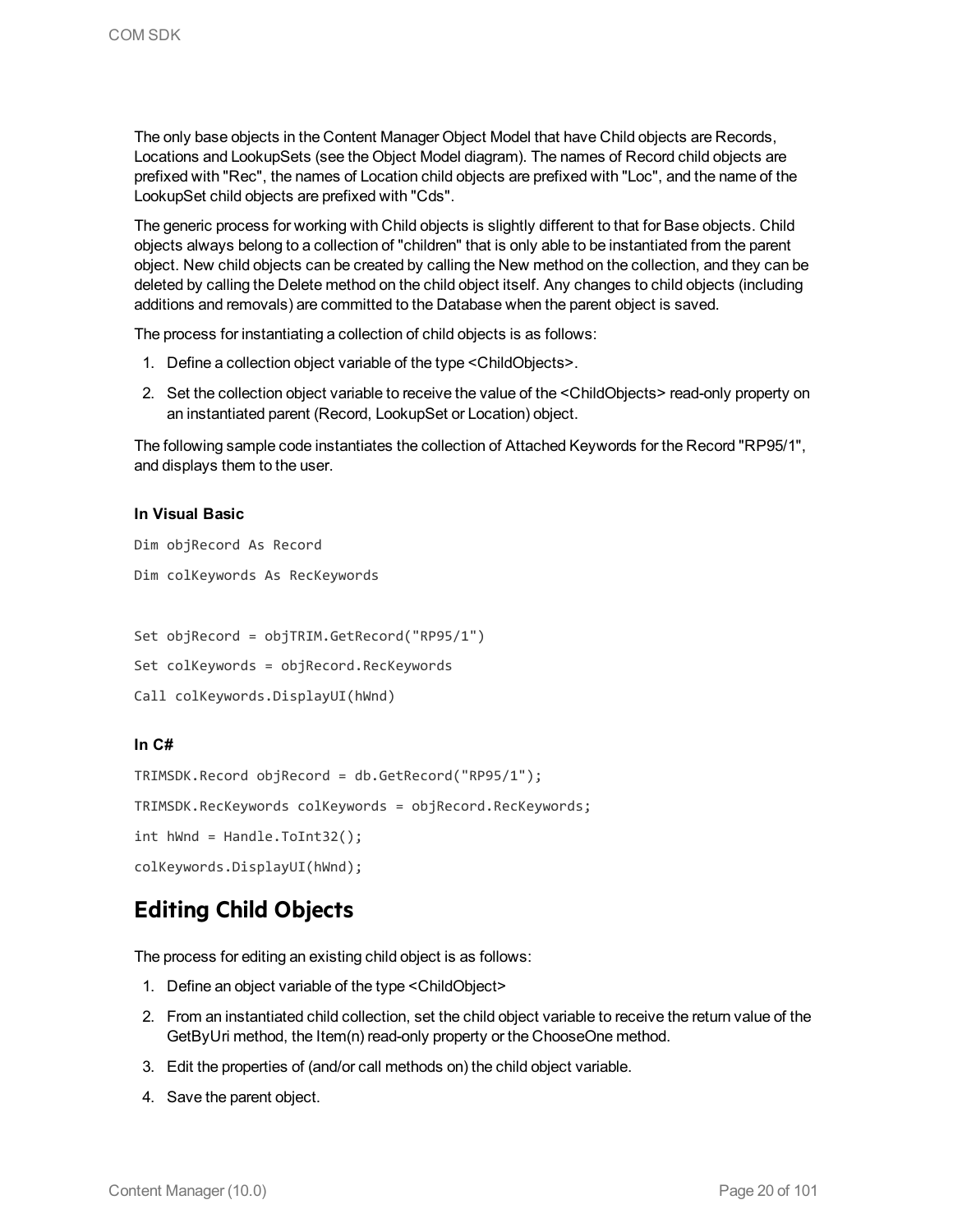The only base objects in the Content Manager Object Model that have Child objects are Records, Locations and LookupSets (see the Object Model diagram). The names of Record child objects are prefixed with "Rec", the names of Location child objects are prefixed with "Loc", and the name of the LookupSet child objects are prefixed with "Cds".

The generic process for working with Child objects is slightly different to that for Base objects. Child objects always belong to a collection of "children" that is only able to be instantiated from the parent object. New child objects can be created by calling the New method on the collection, and they can be deleted by calling the Delete method on the child object itself. Any changes to child objects (including additions and removals) are committed to the Database when the parent object is saved.

The process for instantiating a collection of child objects is as follows:

- 1. Define a collection object variable of the type <ChildObjects>.
- 2. Set the collection object variable to receive the value of the <ChildObjects> read-only property on an instantiated parent (Record, LookupSet or Location) object.

The following sample code instantiates the collection of Attached Keywords for the Record "RP95/1", and displays them to the user.

#### **In Visual Basic**

```
Dim objRecord As Record
```
Dim colKeywords As RecKeywords

Set objRecord = objTRIM.GetRecord("RP95/1")

- Set colKeywords = objRecord.RecKeywords
- Call colKeywords.DisplayUI(hWnd)

#### **In C#**

```
TRIMSDK.Record objRecord = db.GetRecord("RP95/1");
```
TRIMSDK.RecKeywords colKeywords = objRecord.RecKeywords;

```
int hWnd = Handle.ToInt32();
```
colKeywords.DisplayUI(hWnd);

#### **Editing Child Objects**

The process for editing an existing child object is as follows:

- 1. Define an object variable of the type <ChildObject>
- 2. From an instantiated child collection, set the child object variable to receive the return value of the GetByUri method, the Item(n) read-only property or the ChooseOne method.
- 3. Edit the properties of (and/or call methods on) the child object variable.
- 4. Save the parent object.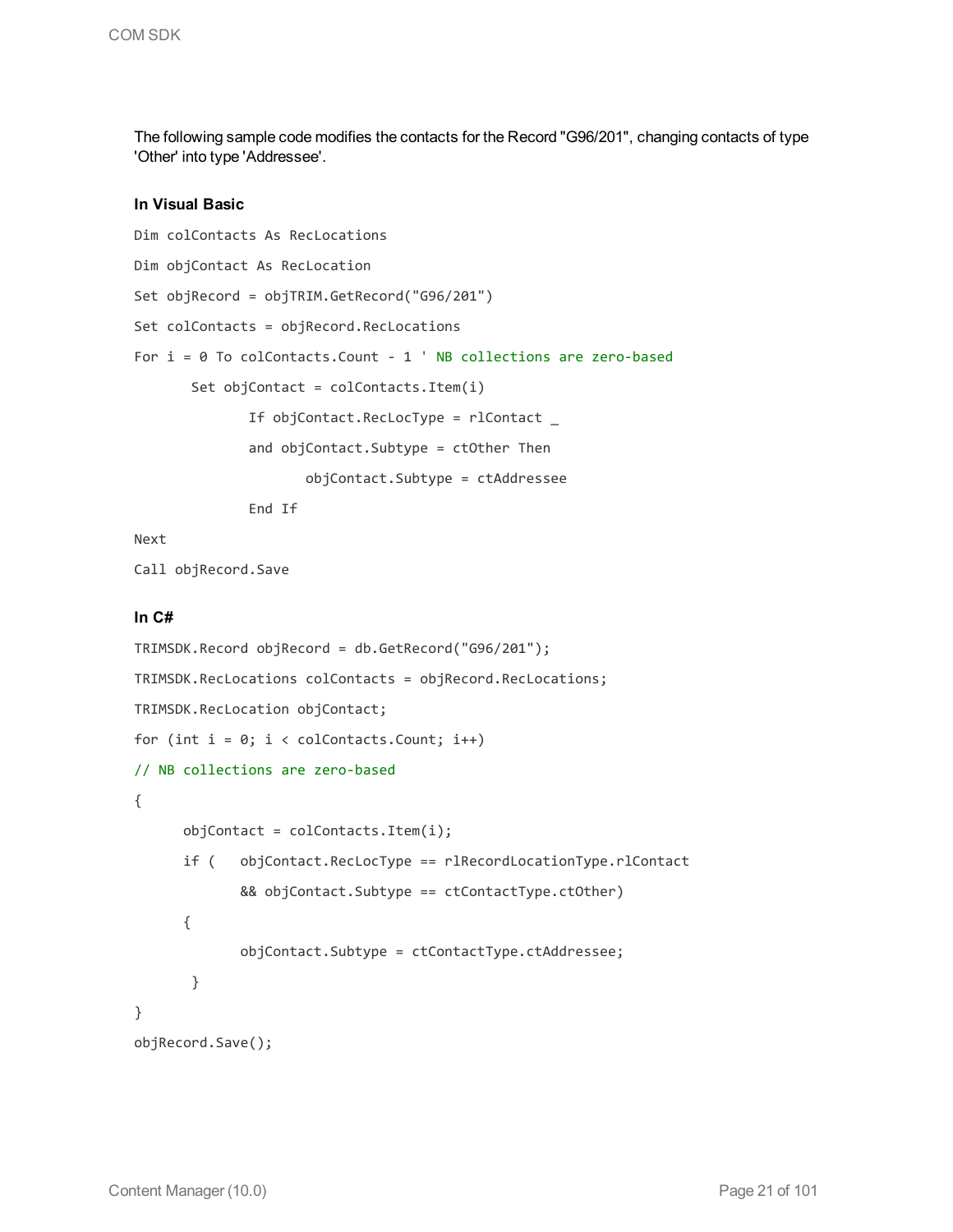The following sample code modifies the contacts for the Record "G96/201", changing contacts of type 'Other' into type 'Addressee'.

#### **In Visual Basic**

```
Dim colContacts As RecLocations
Dim objContact As RecLocation
Set objRecord = objTRIM.GetRecord("G96/201")
Set colContacts = objRecord.RecLocations
For i = 0 To colContacts.Count - 1 ' NB collections are zero-based
       Set objContact = colContacts.Item(i)
              If objContact.RecLocType = rlContact _
              and objContact.Subtype = ctOther Then
                     objContact.Subtype = ctAddressee
              End If
Next
```
Call objRecord.Save

#### **In C#**

```
TRIMSDK.Record objRecord = db.GetRecord("G96/201");
TRIMSDK.RecLocations colContacts = objRecord.RecLocations;
TRIMSDK.RecLocation objContact;
for (int i = 0; i < colContacts.Count; i++)// NB collections are zero-based
{
     objContact = colContacts.Item(i);
      if ( objContact.RecLocType == rlRecordLocationType.rlContact
             && objContact.Subtype == ctContactType.ctOther)
      {
             objContact.Subtype = ctContactType.ctAddressee;
       }
}
objRecord.Save();
```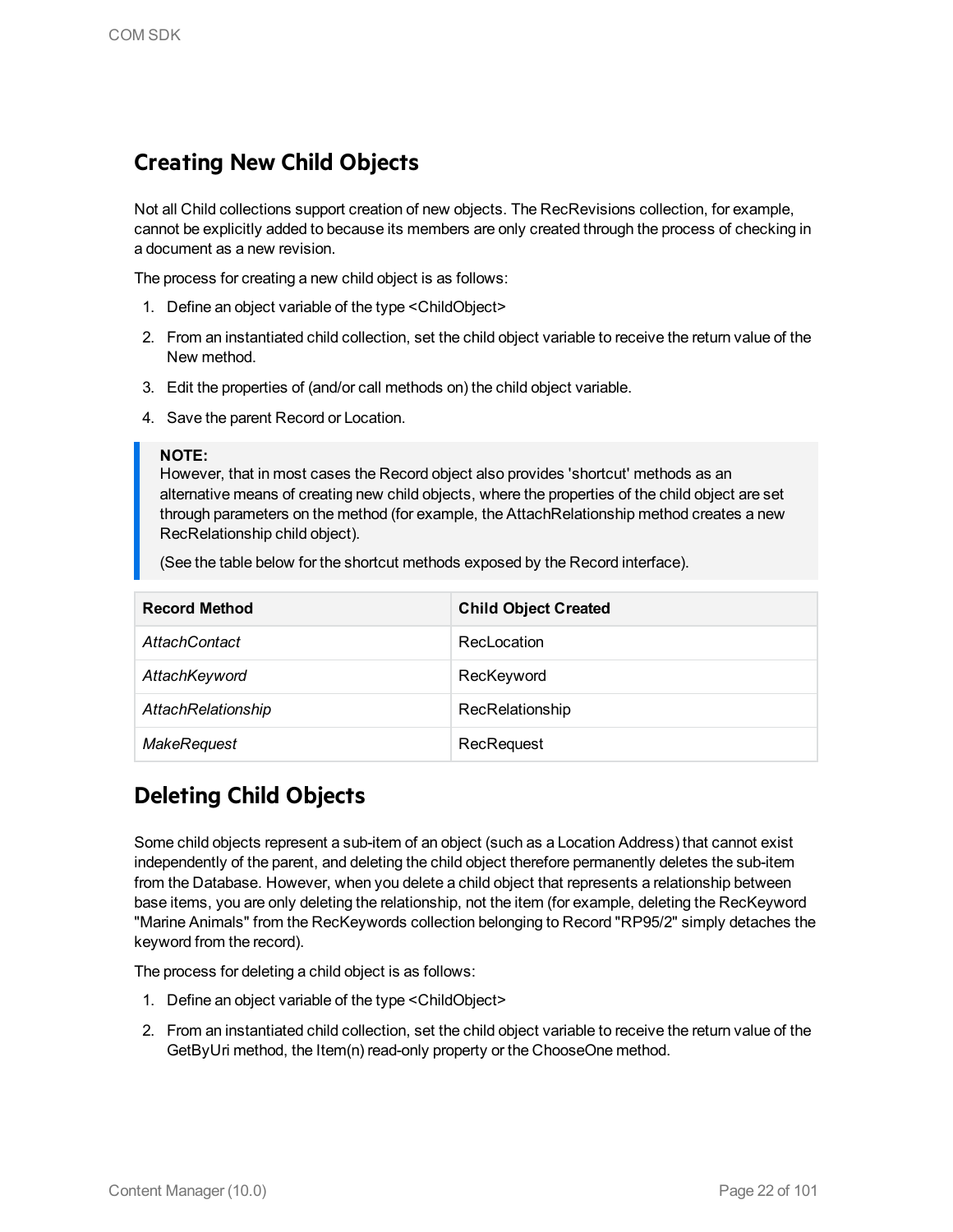#### **Creating New Child Objects**

Not all Child collections support creation of new objects. The RecRevisions collection, for example, cannot be explicitly added to because its members are only created through the process of checking in a document as a new revision.

The process for creating a new child object is as follows:

- 1. Define an object variable of the type <ChildObject>
- 2. From an instantiated child collection, set the child object variable to receive the return value of the New method.
- 3. Edit the properties of (and/or call methods on) the child object variable.
- 4. Save the parent Record or Location.

#### **NOTE:**

However, that in most cases the Record object also provides 'shortcut' methods as an alternative means of creating new child objects, where the properties of the child object are set through parameters on the method (for example, the AttachRelationship method creates a new RecRelationship child object).

(See the table below for the shortcut methods exposed by the Record interface).

| <b>Record Method</b> | <b>Child Object Created</b> |
|----------------------|-----------------------------|
| AttachContact        | RecLocation                 |
| AttachKeyword        | RecKeyword                  |
| AttachRelationship   | RecRelationship             |
| <b>MakeRequest</b>   | RecRequest                  |

#### **Deleting Child Objects**

Some child objects represent a sub-item of an object (such as a Location Address) that cannot exist independently of the parent, and deleting the child object therefore permanently deletes the sub-item from the Database. However, when you delete a child object that represents a relationship between base items, you are only deleting the relationship, not the item (for example, deleting the RecKeyword "Marine Animals" from the RecKeywords collection belonging to Record "RP95/2" simply detaches the keyword from the record).

The process for deleting a child object is as follows:

- 1. Define an object variable of the type <ChildObject>
- 2. From an instantiated child collection, set the child object variable to receive the return value of the GetByUri method, the Item(n) read-only property or the ChooseOne method.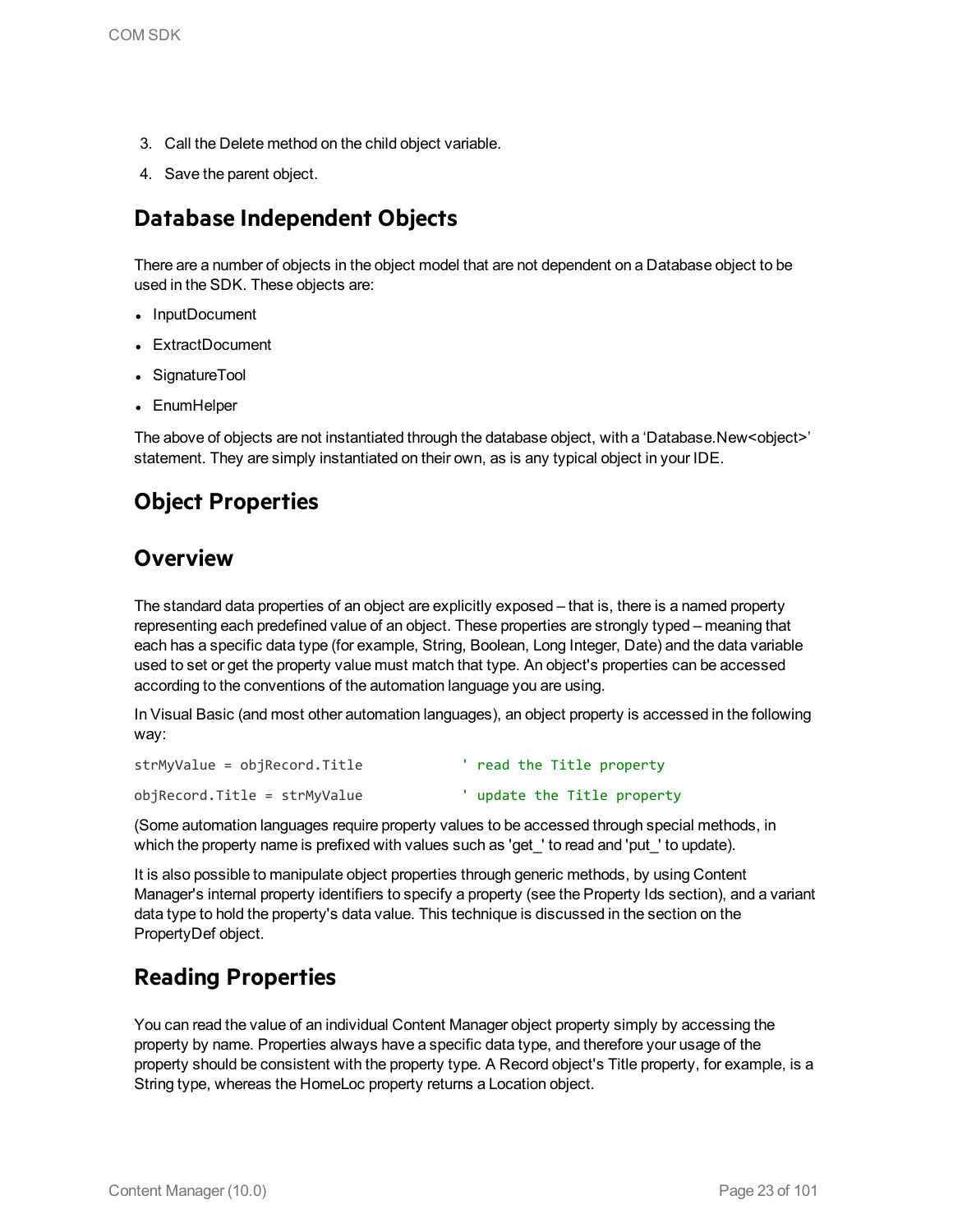- 3. Call the Delete method on the child object variable.
- 4. Save the parent object.

#### **Database Independent Objects**

There are a number of objects in the object model that are not dependent on a Database object to be used in the SDK. These objects are:

- InputDocument
- ExtractDocument
- SignatureTool
- EnumHelper

<span id="page-22-0"></span>The above of objects are not instantiated through the database object, with a 'Database.New<object>' statement. They are simply instantiated on their own, as is any typical object in your IDE.

### **Object Properties**

#### **Overview**

The standard data properties of an object are explicitly exposed – that is, there is a named property representing each predefined value of an object. These properties are strongly typed – meaning that each has a specific data type (for example, String, Boolean, Long Integer, Date) and the data variable used to set or get the property value must match that type. An object's properties can be accessed according to the conventions of the automation language you are using.

In Visual Basic (and most other automation languages), an object property is accessed in the following way:

| strMyValue = objRecord.Title | read the Title property   |
|------------------------------|---------------------------|
| objRecord.Title = strMyValue | update the Title property |

(Some automation languages require property values to be accessed through special methods, in which the property name is prefixed with values such as 'get\_' to read and 'put\_' to update).

It is also possible to manipulate object properties through generic methods, by using Content Manager's internal property identifiers to specify a property (see the Property Ids section), and a variant data type to hold the property's data value. This technique is discussed in the section on the PropertyDef object.

### **Reading Properties**

You can read the value of an individual Content Manager object property simply by accessing the property by name. Properties always have a specific data type, and therefore your usage of the property should be consistent with the property type. A Record object's Title property, for example, is a String type, whereas the HomeLoc property returns a Location object.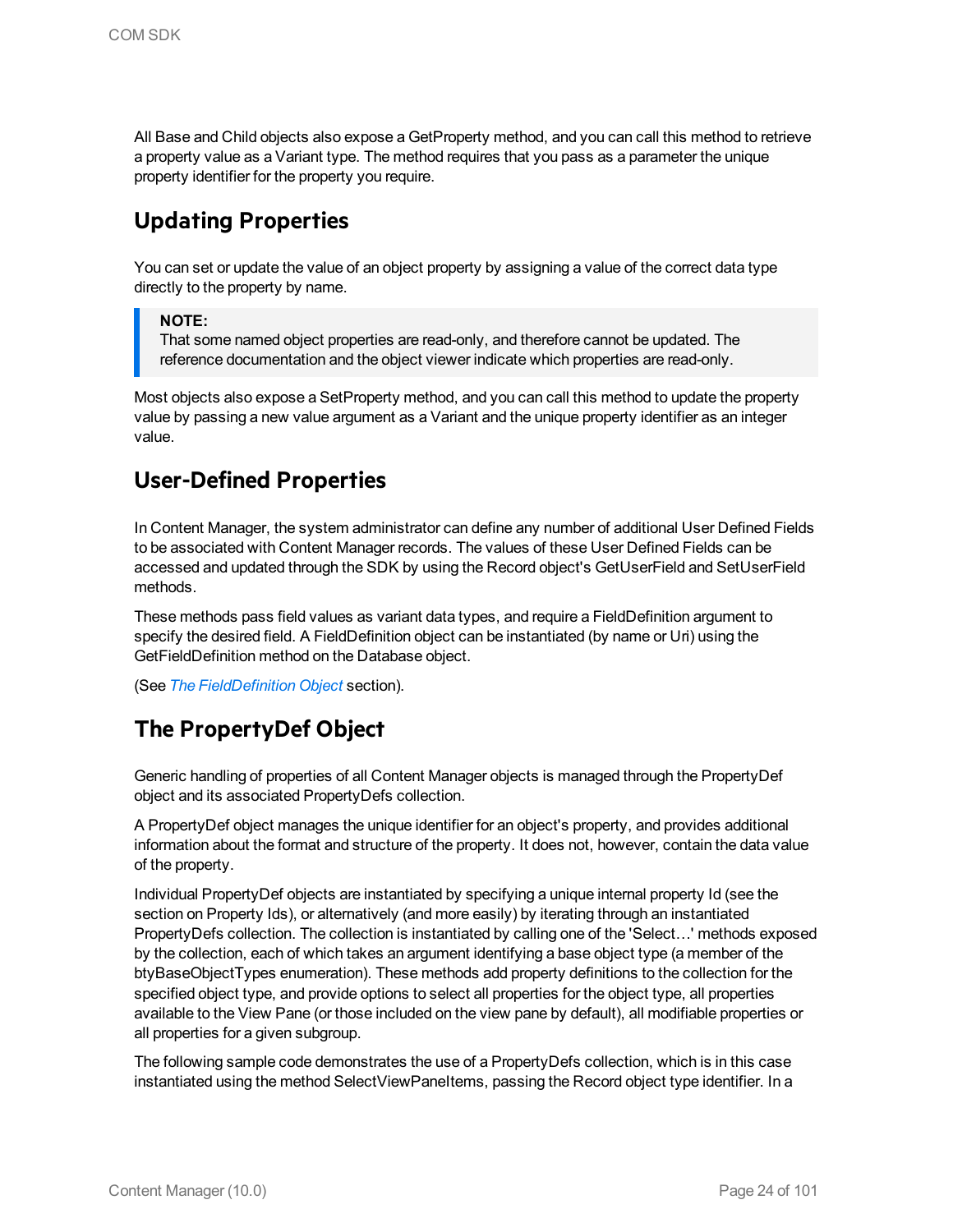All Base and Child objects also expose a GetProperty method, and you can call this method to retrieve a property value as a Variant type. The method requires that you pass as a parameter the unique property identifier for the property you require.

#### **Updating Properties**

You can set or update the value of an object property by assigning a value of the correct data type directly to the property by name.

#### **NOTE:**

That some named object properties are read-only, and therefore cannot be updated. The reference documentation and the object viewer indicate which properties are read-only.

Most objects also expose a SetProperty method, and you can call this method to update the property value by passing a new value argument as a Variant and the unique property identifier as an integer value.

#### **User-Defined Properties**

In Content Manager, the system administrator can define any number of additional User Defined Fields to be associated with Content Manager records. The values of these User Defined Fields can be accessed and updated through the SDK by using the Record object's GetUserField and SetUserField methods.

These methods pass field values as variant data types, and require a FieldDefinition argument to specify the desired field. A FieldDefinition object can be instantiated (by name or Uri) using the GetFieldDefinition method on the Database object.

(See *The [FieldDefinition](#page-25-1) Object* section).

#### **The PropertyDef Object**

Generic handling of properties of all Content Manager objects is managed through the PropertyDef object and its associated PropertyDefs collection.

A PropertyDef object manages the unique identifier for an object's property, and provides additional information about the format and structure of the property. It does not, however, contain the data value of the property.

Individual PropertyDef objects are instantiated by specifying a unique internal property Id (see the section on Property Ids), or alternatively (and more easily) by iterating through an instantiated PropertyDefs collection. The collection is instantiated by calling one of the 'Select…' methods exposed by the collection, each of which takes an argument identifying a base object type (a member of the btyBaseObjectTypes enumeration). These methods add property definitions to the collection for the specified object type, and provide options to select all properties for the object type, all properties available to the View Pane (or those included on the view pane by default), all modifiable properties or all properties for a given subgroup.

The following sample code demonstrates the use of a PropertyDefs collection, which is in this case instantiated using the method SelectViewPaneItems, passing the Record object type identifier. In a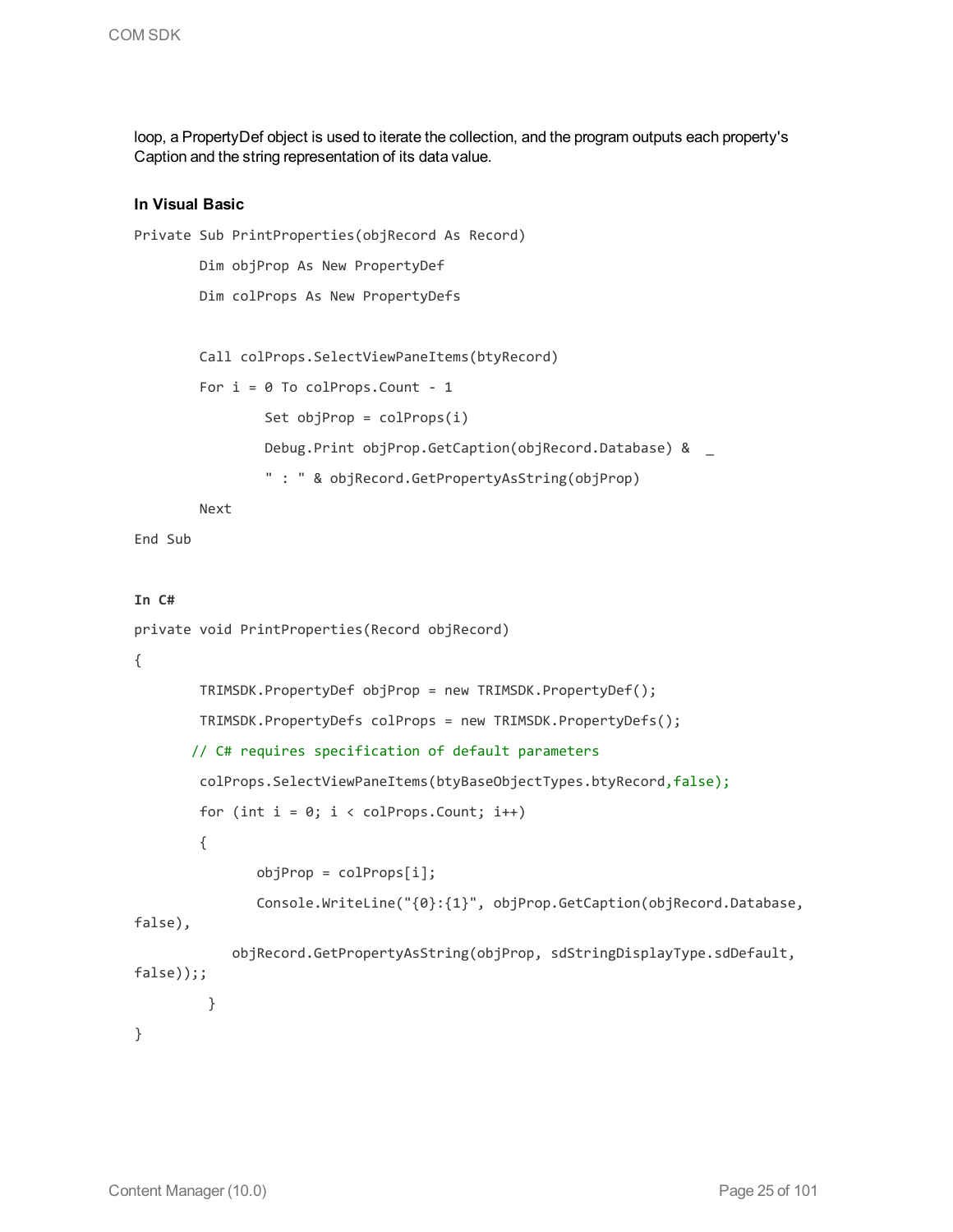loop, a PropertyDef object is used to iterate the collection, and the program outputs each property's Caption and the string representation of its data value.

#### **In Visual Basic**

```
Private Sub PrintProperties(objRecord As Record)
        Dim objProp As New PropertyDef
       Dim colProps As New PropertyDefs
        Call colProps.SelectViewPaneItems(btyRecord)
        For i = 0 To colProps. Count - 1
                Set objProp = colProps(i)
                Debug.Print objProp.GetCaption(objRecord.Database) & _
                " : " & objRecord.GetPropertyAsString(objProp)
```
Next

End Sub

#### **In C#**

```
private void PrintProperties(Record objRecord)
```
{

}

```
TRIMSDK.PropertyDef objProp = new TRIMSDK.PropertyDef();
        TRIMSDK.PropertyDefs colProps = new TRIMSDK.PropertyDefs();
       // C# requires specification of default parameters
        colProps.SelectViewPaneItems(btyBaseObjectTypes.btyRecord,false);
        for (int i = 0; i < colProps.Count; i++){
               objProp = colProps[i];
               Console.WriteLine("{0}:{1}", objProp.GetCaption(objRecord.Database,
false),
            objRecord.GetPropertyAsString(objProp, sdStringDisplayType.sdDefault,
false));;
         }
```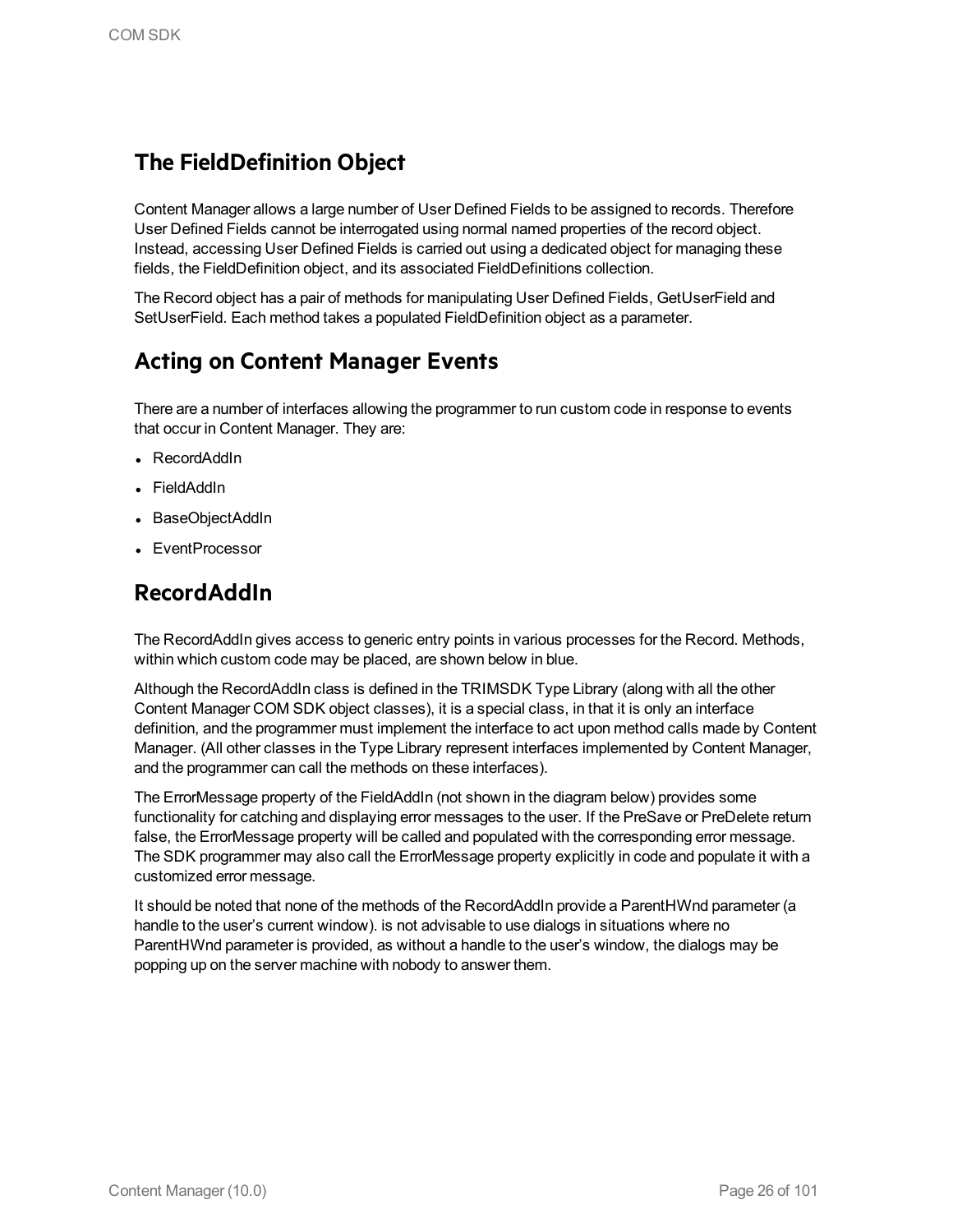### <span id="page-25-1"></span>**The FieldDefinition Object**

Content Manager allows a large number of User Defined Fields to be assigned to records. Therefore User Defined Fields cannot be interrogated using normal named properties of the record object. Instead, accessing User Defined Fields is carried out using a dedicated object for managing these fields, the FieldDefinition object, and its associated FieldDefinitions collection.

<span id="page-25-0"></span>The Record object has a pair of methods for manipulating User Defined Fields, GetUserField and SetUserField. Each method takes a populated FieldDefinition object as a parameter.

#### **Acting on Content Manager Events**

There are a number of interfaces allowing the programmer to run custom code in response to events that occur in Content Manager. They are:

- RecordAddIn
- FieldAddIn
- BaseObjectAddIn
- EventProcessor

#### **RecordAddIn**

The RecordAddIn gives access to generic entry points in various processes for the Record. Methods, within which custom code may be placed, are shown below in blue.

Although the RecordAddIn class is defined in the TRIMSDK Type Library (along with all the other Content Manager COM SDK object classes), it is a special class, in that it is only an interface definition, and the programmer must implement the interface to act upon method calls made by Content Manager. (All other classes in the Type Library represent interfaces implemented by Content Manager, and the programmer can call the methods on these interfaces).

The ErrorMessage property of the FieldAddIn (not shown in the diagram below) provides some functionality for catching and displaying error messages to the user. If the PreSave or PreDelete return false, the ErrorMessage property will be called and populated with the corresponding error message. The SDK programmer may also call the ErrorMessage property explicitly in code and populate it with a customized error message.

It should be noted that none of the methods of the RecordAddIn provide a ParentHWnd parameter (a handle to the user's current window). is not advisable to use dialogs in situations where no ParentHWnd parameter is provided, as without a handle to the user's window, the dialogs may be popping up on the server machine with nobody to answer them.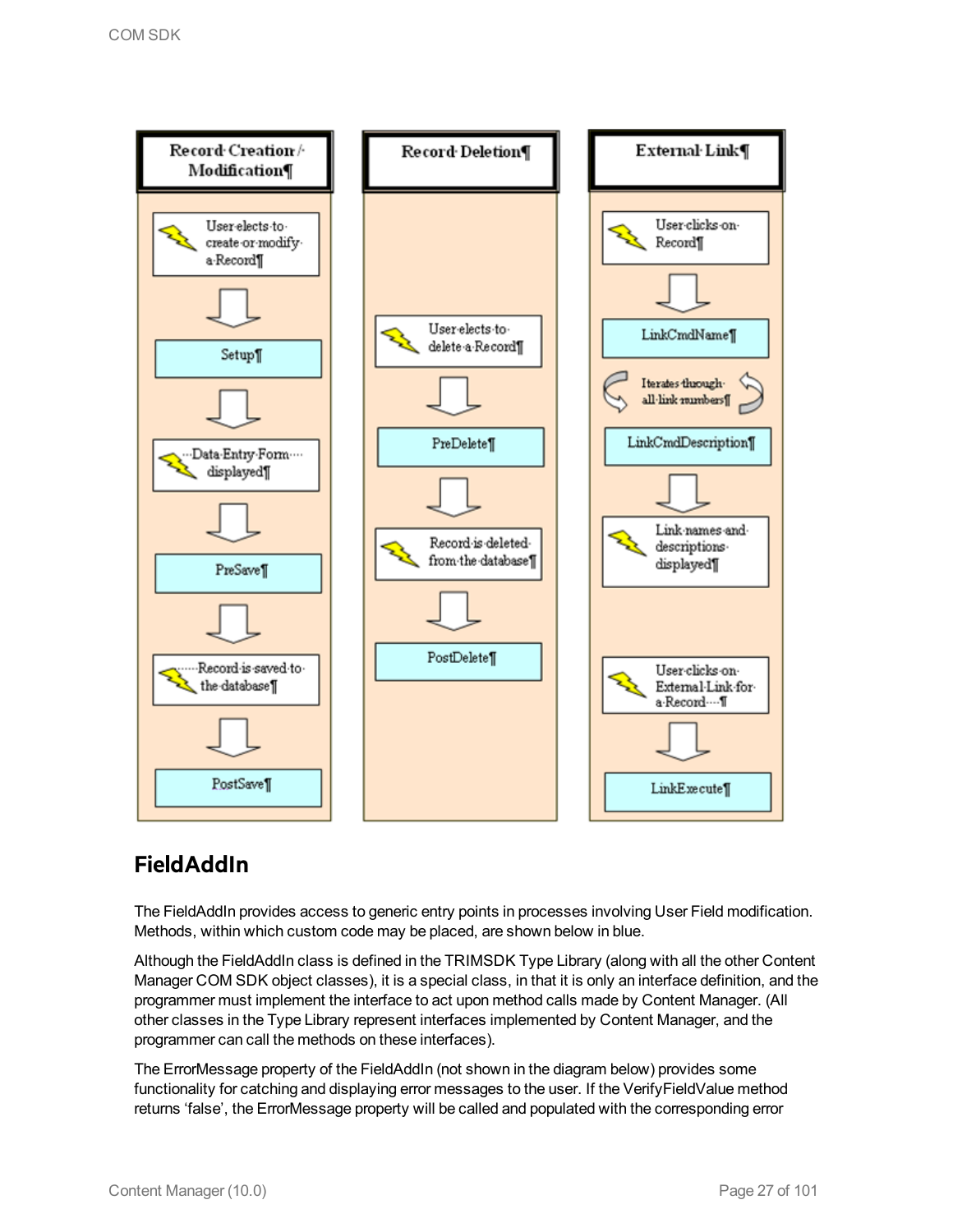

### **FieldAddIn**

The FieldAddIn provides access to generic entry points in processes involving User Field modification. Methods, within which custom code may be placed, are shown below in blue.

Although the FieldAddIn class is defined in the TRIMSDK Type Library (along with all the other Content Manager COM SDK object classes), it is a special class, in that it is only an interface definition, and the programmer must implement the interface to act upon method calls made by Content Manager. (All other classes in the Type Library represent interfaces implemented by Content Manager, and the programmer can call the methods on these interfaces).

The ErrorMessage property of the FieldAddIn (not shown in the diagram below) provides some functionality for catching and displaying error messages to the user. If the VerifyFieldValue method returns 'false', the ErrorMessage property will be called and populated with the corresponding error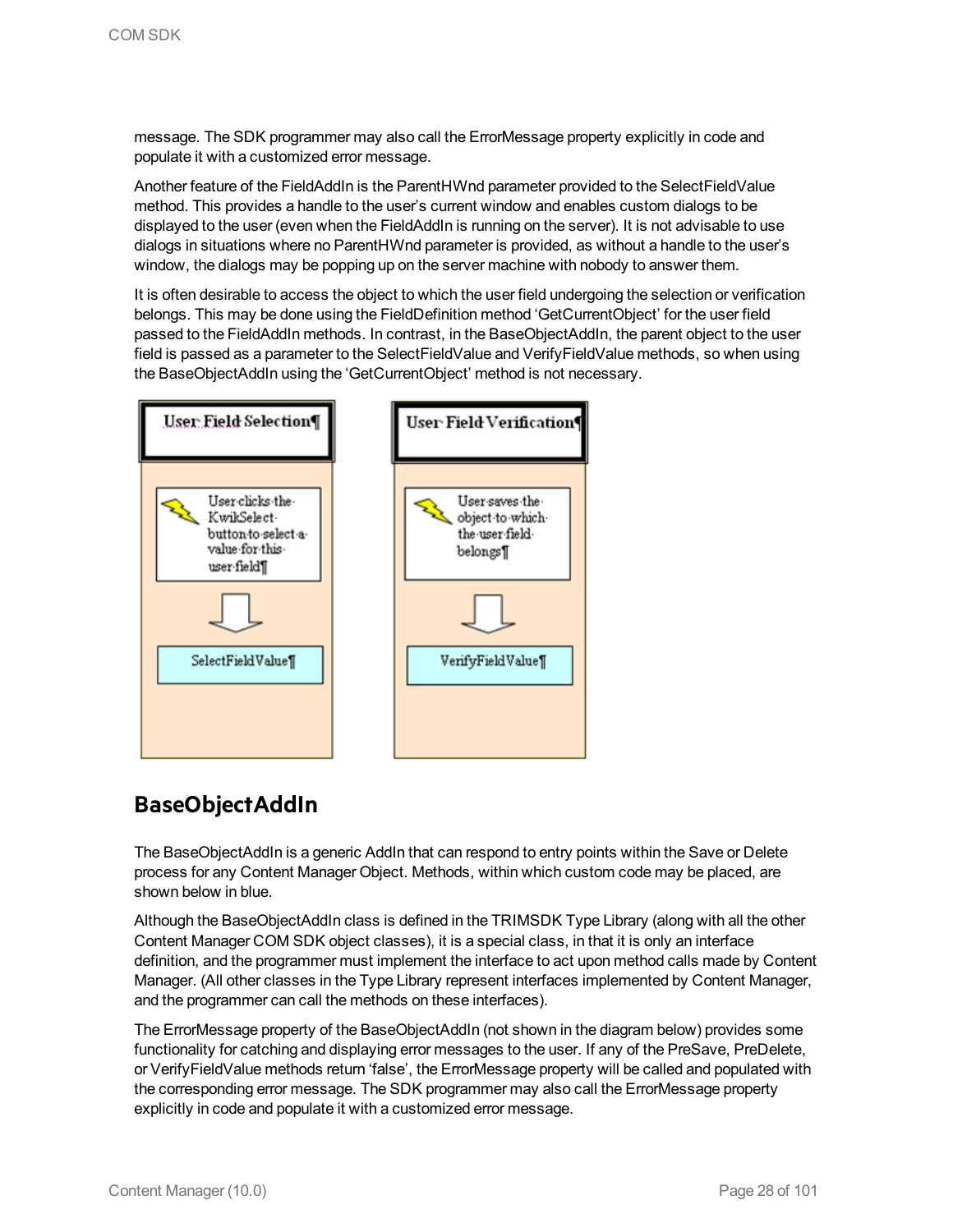message. The SDK programmer may also call the ErrorMessage property explicitly in code and populate it with a customized error message.

Another feature of the FieldAddIn is the ParentHWnd parameter provided to the SelectFieldValue method. This provides a handle to the user's current window and enables custom dialogs to be displayed to the user (even when the FieldAddIn is running on the server). It is not advisable to use dialogs in situations where no ParentHWnd parameter is provided, as without a handle to the user's window, the dialogs may be popping up on the server machine with nobody to answer them.

It is often desirable to access the object to which the user field undergoing the selection or verification belongs. This may be done using the FieldDefinition method 'GetCurrentObject' for the user field passed to the FieldAddIn methods. In contrast, in the BaseObjectAddIn, the parent object to the user field is passed as a parameter to the SelectFieldValue and VerifyFieldValue methods, so when using the BaseObjectAddIn using the 'GetCurrentObject' method is not necessary.



### **BaseObjectAddIn**

The BaseObjectAddIn is a generic AddIn that can respond to entry points within the Save or Delete process for any Content Manager Object. Methods, within which custom code may be placed, are shown below in blue.

Although the BaseObjectAddIn class is defined in the TRIMSDK Type Library (along with all the other Content Manager COM SDK object classes), it is a special class, in that it is only an interface definition, and the programmer must implement the interface to act upon method calls made by Content Manager. (All other classes in the Type Library represent interfaces implemented by Content Manager, and the programmer can call the methods on these interfaces).

The ErrorMessage property of the BaseObjectAddIn (not shown in the diagram below) provides some functionality for catching and displaying error messages to the user. If any of the PreSave, PreDelete, or VerifyFieldValue methods return 'false', the ErrorMessage property will be called and populated with the corresponding error message. The SDK programmer may also call the ErrorMessage property explicitly in code and populate it with a customized error message.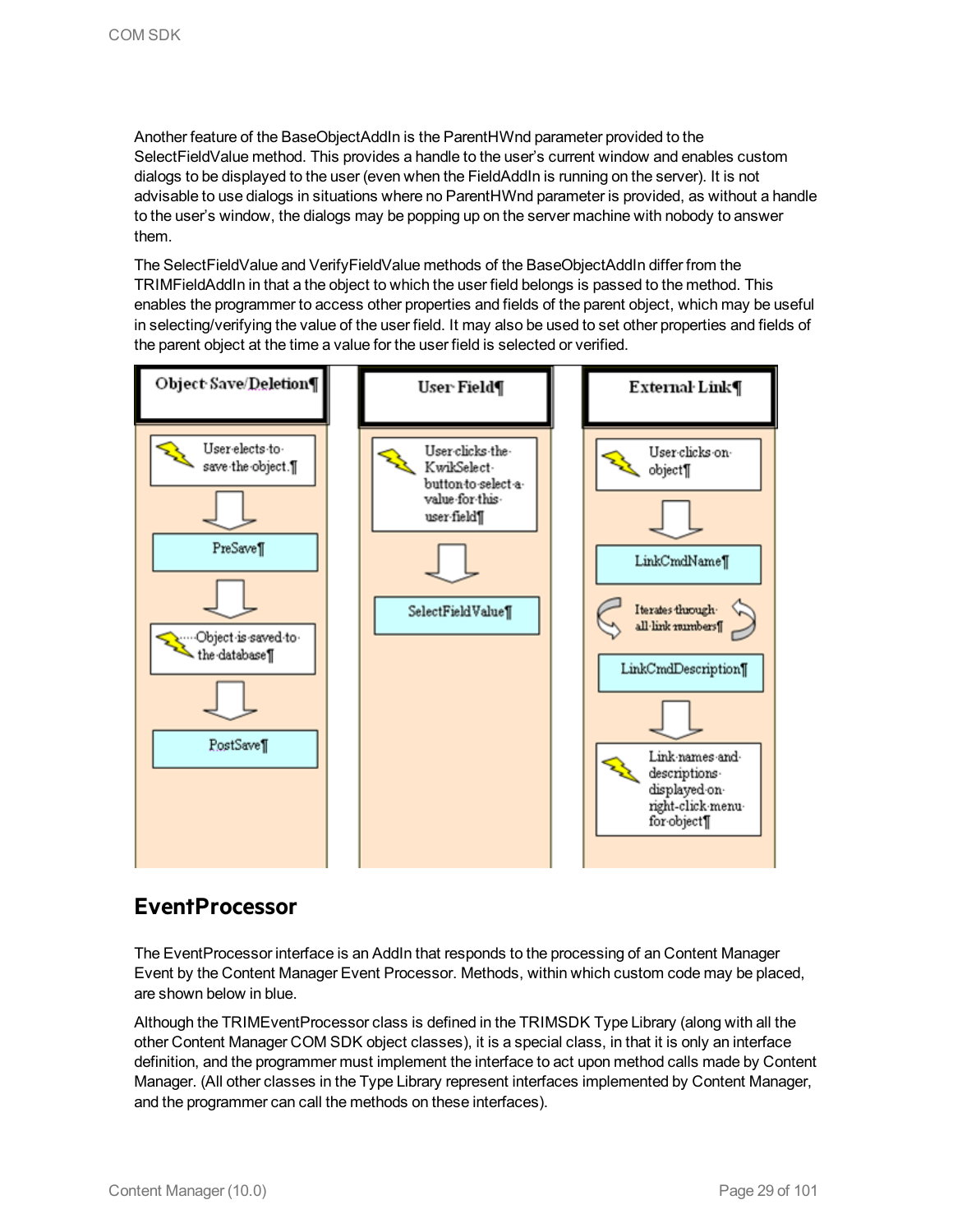Another feature of the BaseObjectAddIn is the ParentHWnd parameter provided to the SelectFieldValue method. This provides a handle to the user's current window and enables custom dialogs to be displayed to the user (even when the FieldAddIn is running on the server). It is not advisable to use dialogs in situations where no ParentHWnd parameter is provided, as without a handle to the user's window, the dialogs may be popping up on the server machine with nobody to answer them.

The SelectFieldValue and VerifyFieldValue methods of the BaseObjectAddIn differ from the TRIMFieldAddIn in that a the object to which the user field belongs is passed to the method. This enables the programmer to access other properties and fields of the parent object, which may be useful in selecting/verifying the value of the user field. It may also be used to set other properties and fields of the parent object at the time a value for the user field is selected or verified.



#### **EventProcessor**

The EventProcessor interface is an AddIn that responds to the processing of an Content Manager Event by the Content Manager Event Processor. Methods, within which custom code may be placed, are shown below in blue.

Although the TRIMEventProcessor class is defined in the TRIMSDK Type Library (along with all the other Content Manager COM SDK object classes), it is a special class, in that it is only an interface definition, and the programmer must implement the interface to act upon method calls made by Content Manager. (All other classes in the Type Library represent interfaces implemented by Content Manager, and the programmer can call the methods on these interfaces).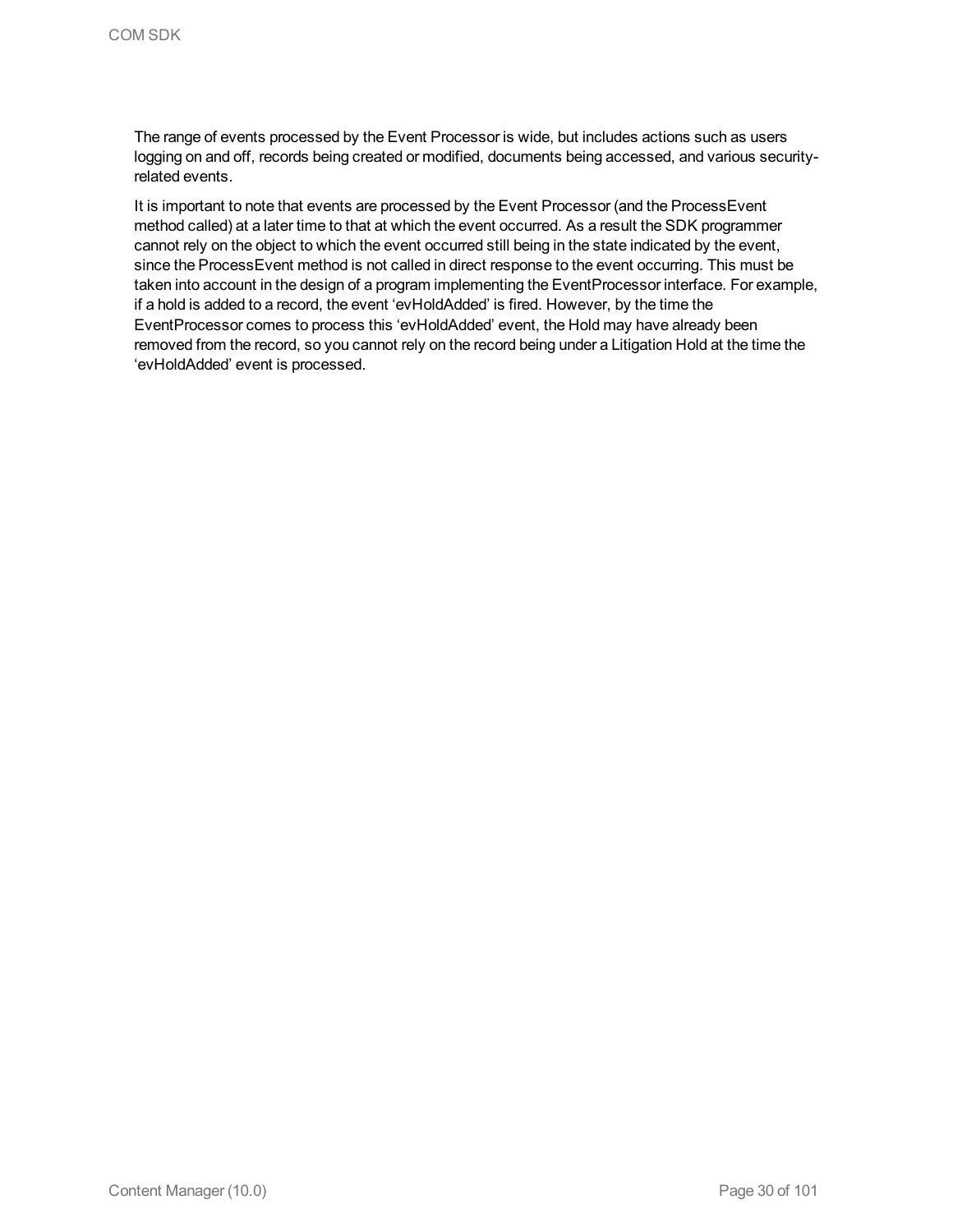The range of events processed by the Event Processor is wide, but includes actions such as users logging on and off, records being created or modified, documents being accessed, and various securityrelated events.

It is important to note that events are processed by the Event Processor (and the ProcessEvent method called) at a later time to that at which the event occurred. As a result the SDK programmer cannot rely on the object to which the event occurred still being in the state indicated by the event, since the ProcessEvent method is not called in direct response to the event occurring. This must be taken into account in the design of a program implementing the EventProcessor interface. For example, if a hold is added to a record, the event 'evHoldAdded' is fired. However, by the time the EventProcessor comes to process this 'evHoldAdded' event, the Hold may have already been removed from the record, so you cannot rely on the record being under a Litigation Hold at the time the 'evHoldAdded' event is processed.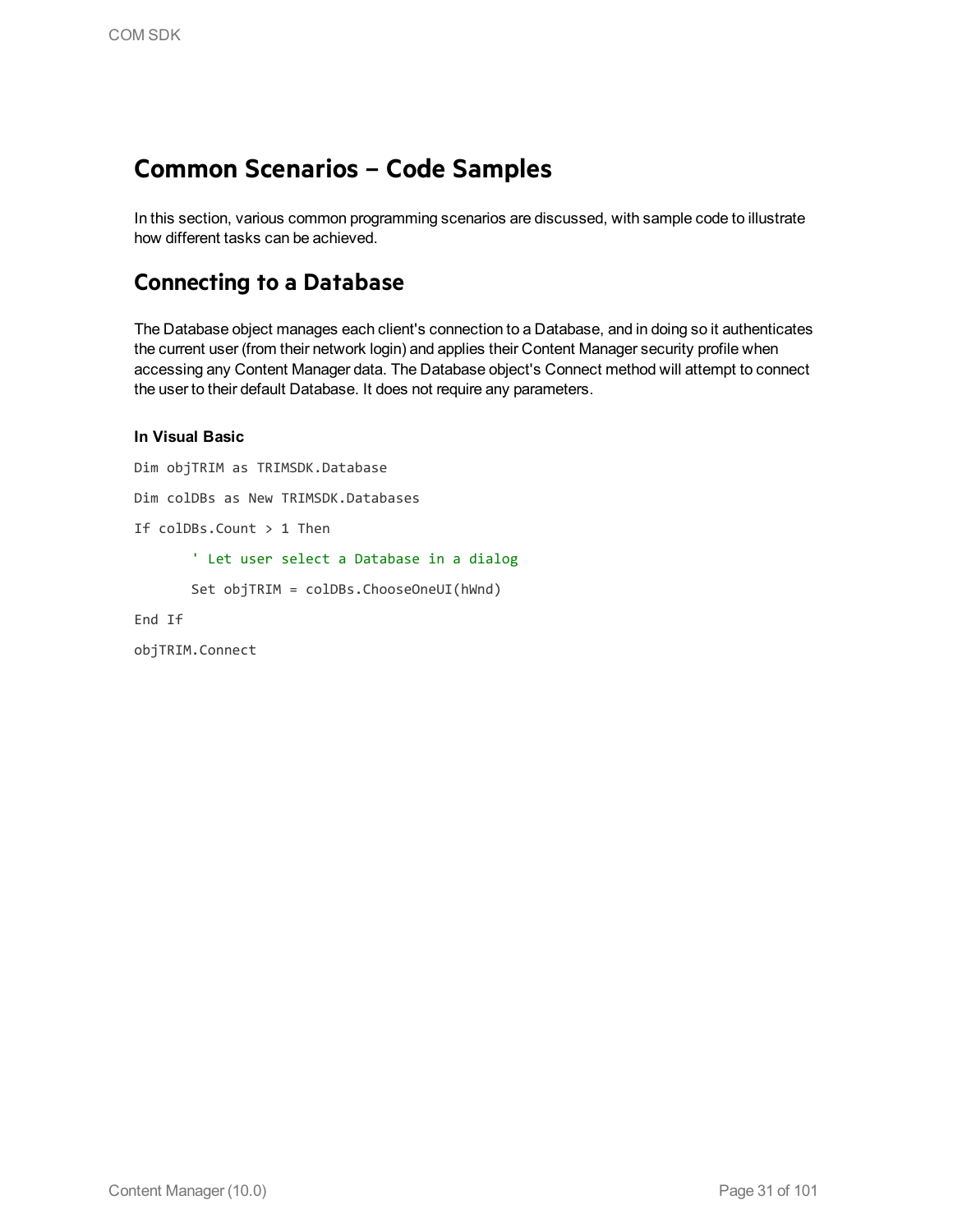### <span id="page-30-0"></span>**Common Scenarios – Code Samples**

<span id="page-30-1"></span>In this section, various common programming scenarios are discussed, with sample code to illustrate how different tasks can be achieved.

#### **Connecting to a Database**

The Database object manages each client's connection to a Database, and in doing so it authenticates the current user (from their network login) and applies their Content Manager security profile when accessing any Content Manager data. The Database object's Connect method will attempt to connect the user to their default Database. It does not require any parameters.

#### **In Visual Basic**

Dim objTRIM as TRIMSDK.Database Dim colDBs as New TRIMSDK.Databases If colDBs.Count > 1 Then ' Let user select a Database in a dialog Set objTRIM = colDBs.ChooseOneUI(hWnd) End If

objTRIM.Connect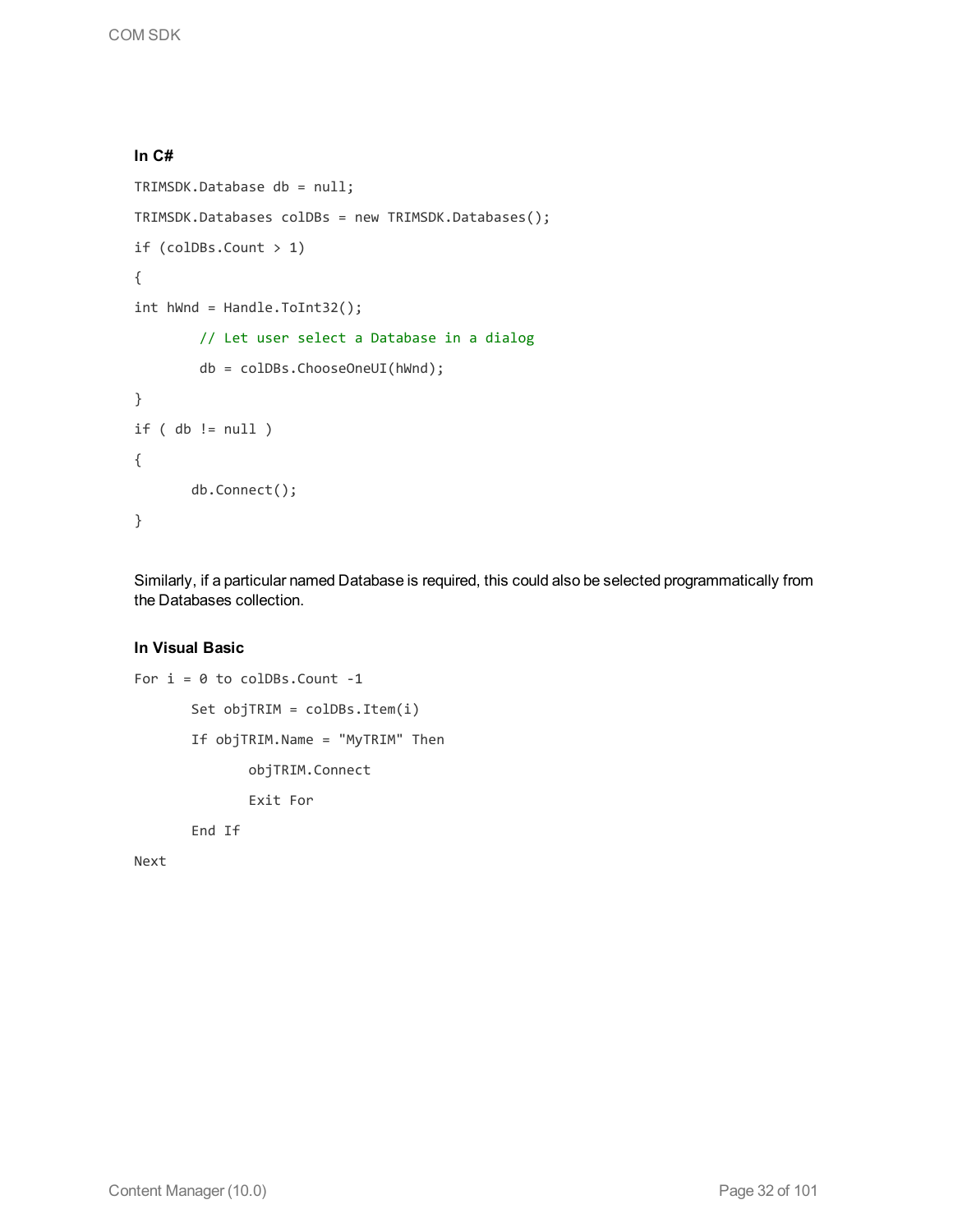#### **In C#**

```
TRIMSDK.Database db = null;
TRIMSDK.Databases colDBs = new TRIMSDK.Databases();
if (colDBs.Count > 1)
{
int hWnd = Handle.ToInt32();
       // Let user select a Database in a dialog
       db = colDBs.ChooseOneUI(hWnd);
}
if ( db != null ){
       db.Connect();
}
```
Similarly, if a particular named Database is required, this could also be selected programmatically from the Databases collection.

#### **In Visual Basic**

```
For i = 0 to colDBs. Count -1
       Set objTRIM = colDBs.Item(i)
       If objTRIM.Name = "MyTRIM" Then
              objTRIM.Connect
              Exit For
```
End If

Next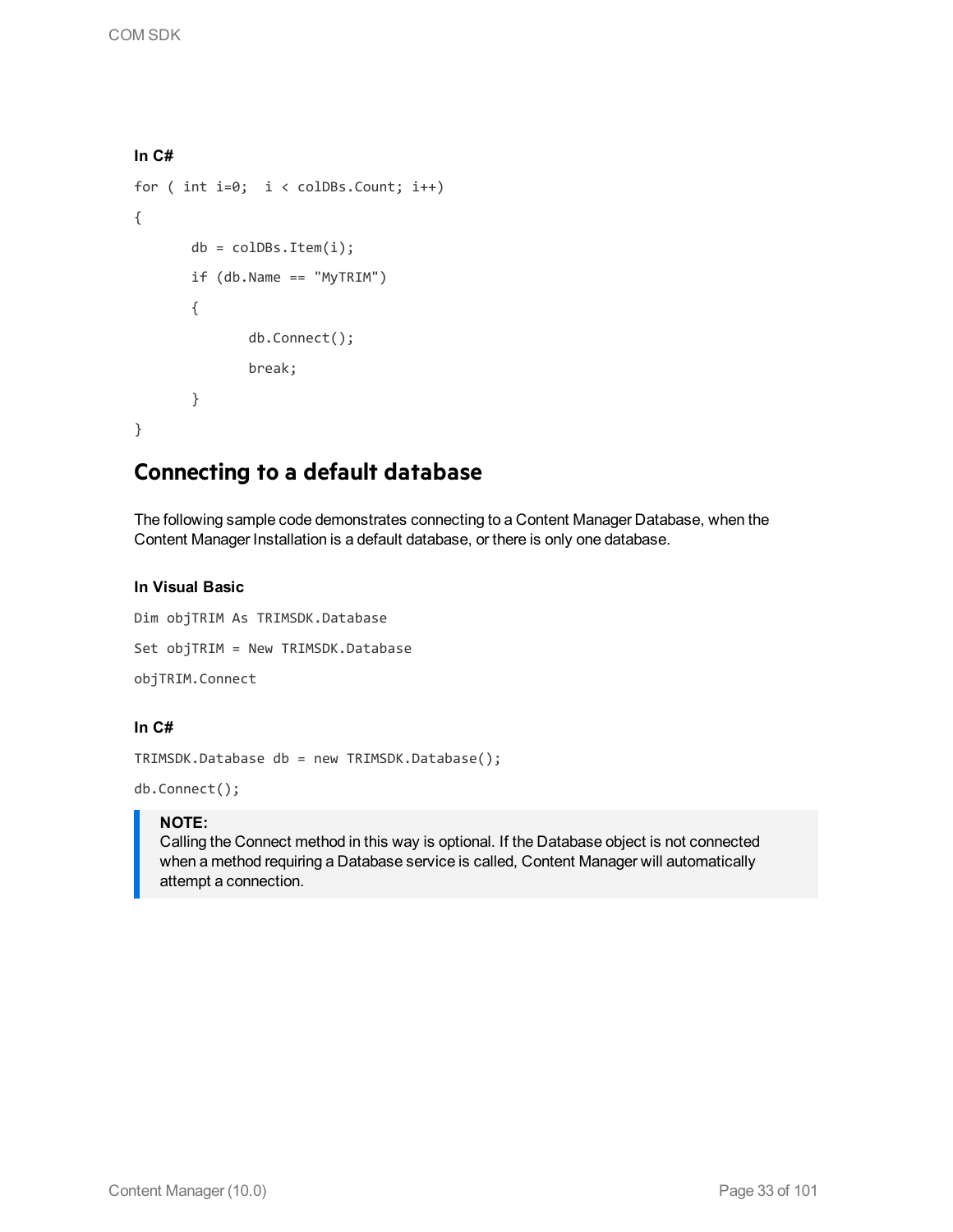#### **In C#**

```
for ( int i=0; i < colDBs.Count; i++)
{
       db = colDBs.Item(i);
       if (db.Name == "MyTRIM")
       {
              db.Connect();
              break;
       }
}
```
#### **Connecting to a default database**

The following sample code demonstrates connecting to a Content Manager Database, when the Content Manager Installation is a default database, or there is only one database.

#### **In Visual Basic**

Dim objTRIM As TRIMSDK.Database Set objTRIM = New TRIMSDK.Database objTRIM.Connect

#### **In C#**

TRIMSDK.Database db = new TRIMSDK.Database();

```
db.Connect();
```
#### **NOTE:**

Calling the Connect method in this way is optional. If the Database object is not connected when a method requiring a Database service is called, Content Manager will automatically attempt a connection.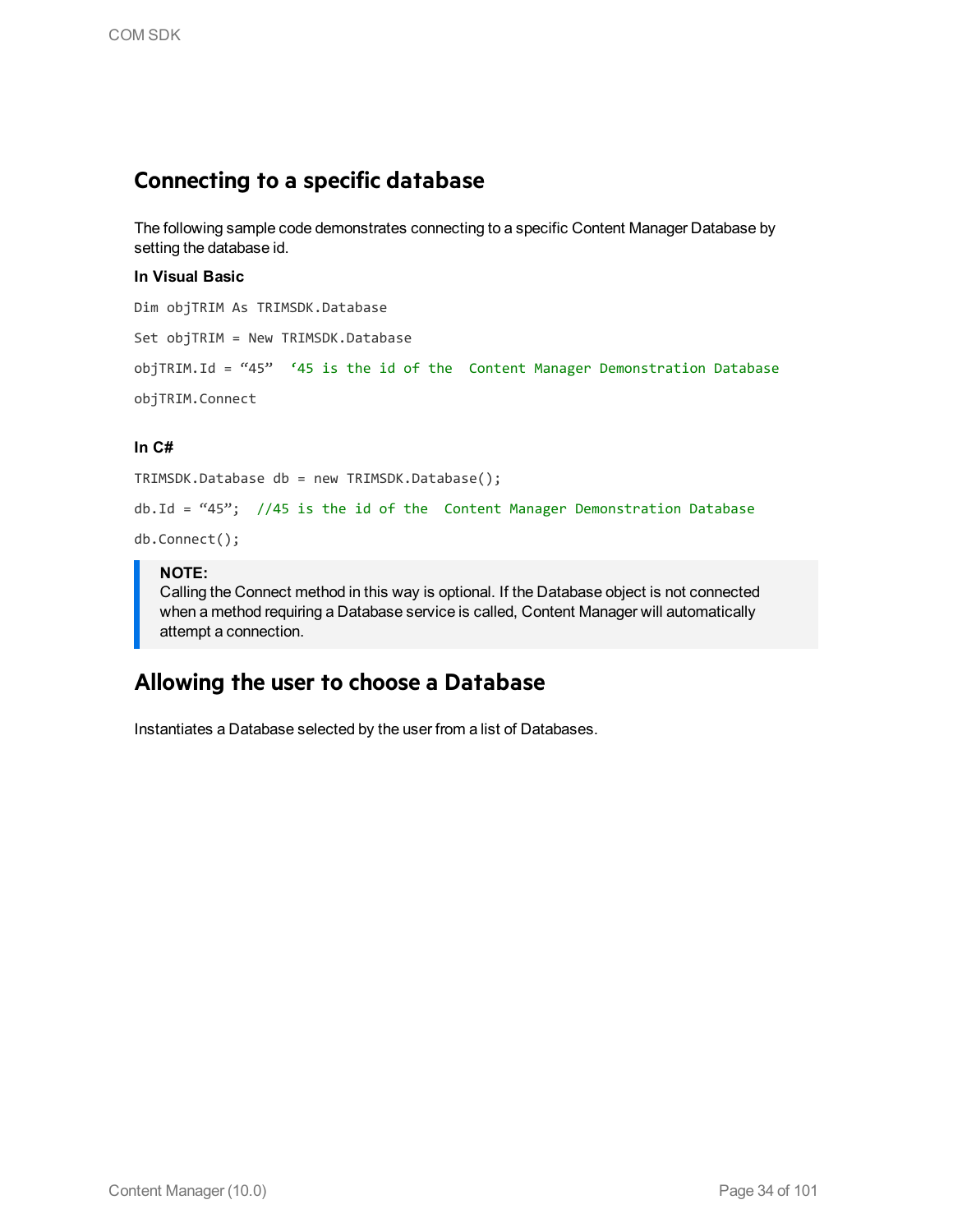### **Connecting to a specific database**

The following sample code demonstrates connecting to a specific Content Manager Database by setting the database id.

#### **In Visual Basic**

Dim objTRIM As TRIMSDK.Database

Set objTRIM = New TRIMSDK.Database

objTRIM.Id = "45" '45 is the id of the Content Manager Demonstration Database

objTRIM.Connect

#### **In C#**

TRIMSDK.Database db = new TRIMSDK.Database();

db.Id = "45"; //45 is the id of the Content Manager Demonstration Database

db.Connect();

#### **NOTE:**

Calling the Connect method in this way is optional. If the Database object is not connected when a method requiring a Database service is called, Content Manager will automatically attempt a connection.

#### **Allowing the user to choose a Database**

Instantiates a Database selected by the user from a list of Databases.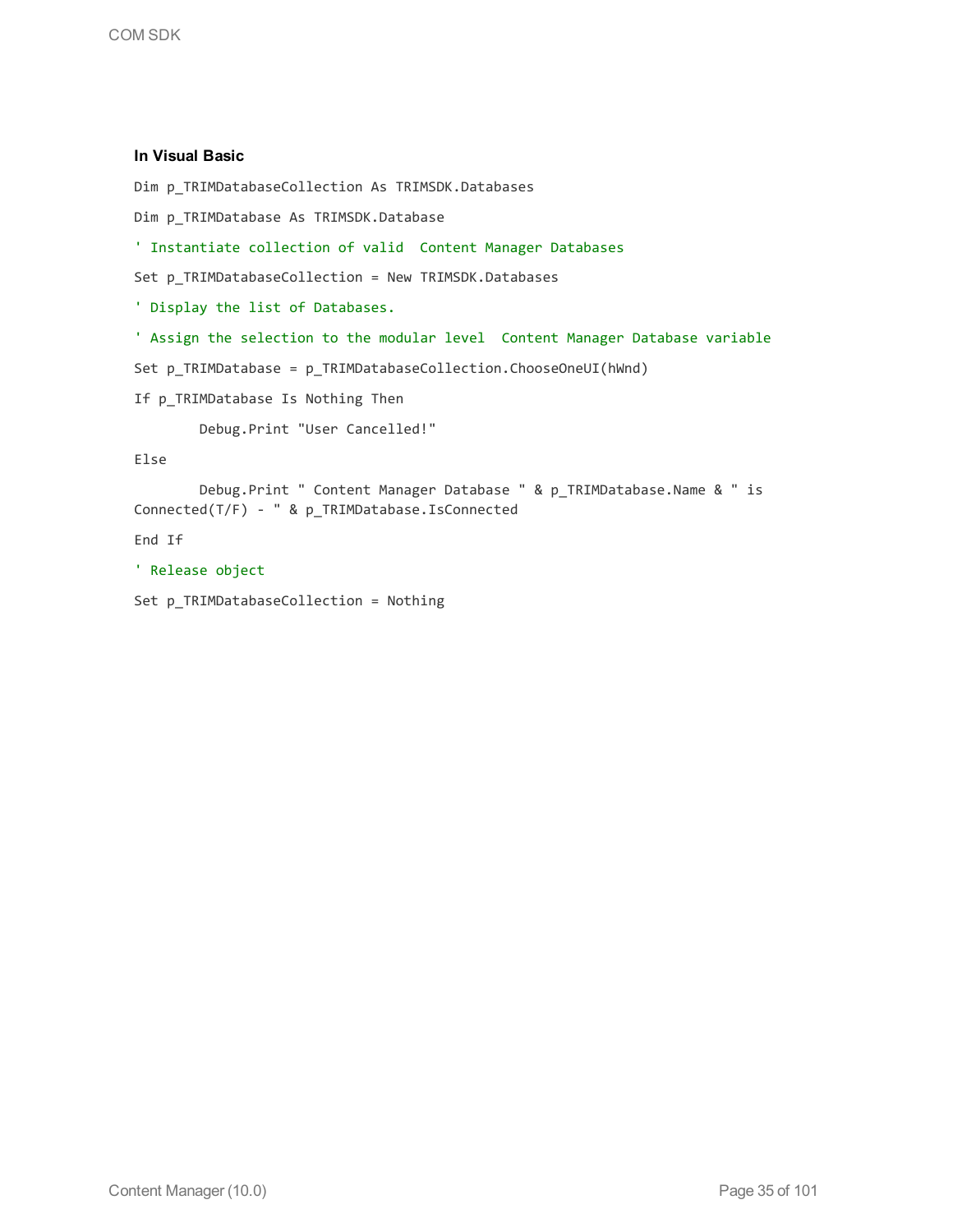#### **In Visual Basic**

Dim p\_TRIMDatabaseCollection As TRIMSDK.Databases

Dim p\_TRIMDatabase As TRIMSDK.Database

' Instantiate collection of valid Content Manager Databases

Set p\_TRIMDatabaseCollection = New TRIMSDK.Databases

' Display the list of Databases.

' Assign the selection to the modular level Content Manager Database variable

Set p\_TRIMDatabase = p\_TRIMDatabaseCollection.ChooseOneUI(hWnd)

If p\_TRIMDatabase Is Nothing Then

Debug.Print "User Cancelled!"

Else

```
Debug.Print " Content Manager Database " & p_TRIMDatabase.Name & " is
Connected(T/F) - " & p_TRIMDatabase.IsConnected
```
End If

' Release object

```
Set p_TRIMDatabaseCollection = Nothing
```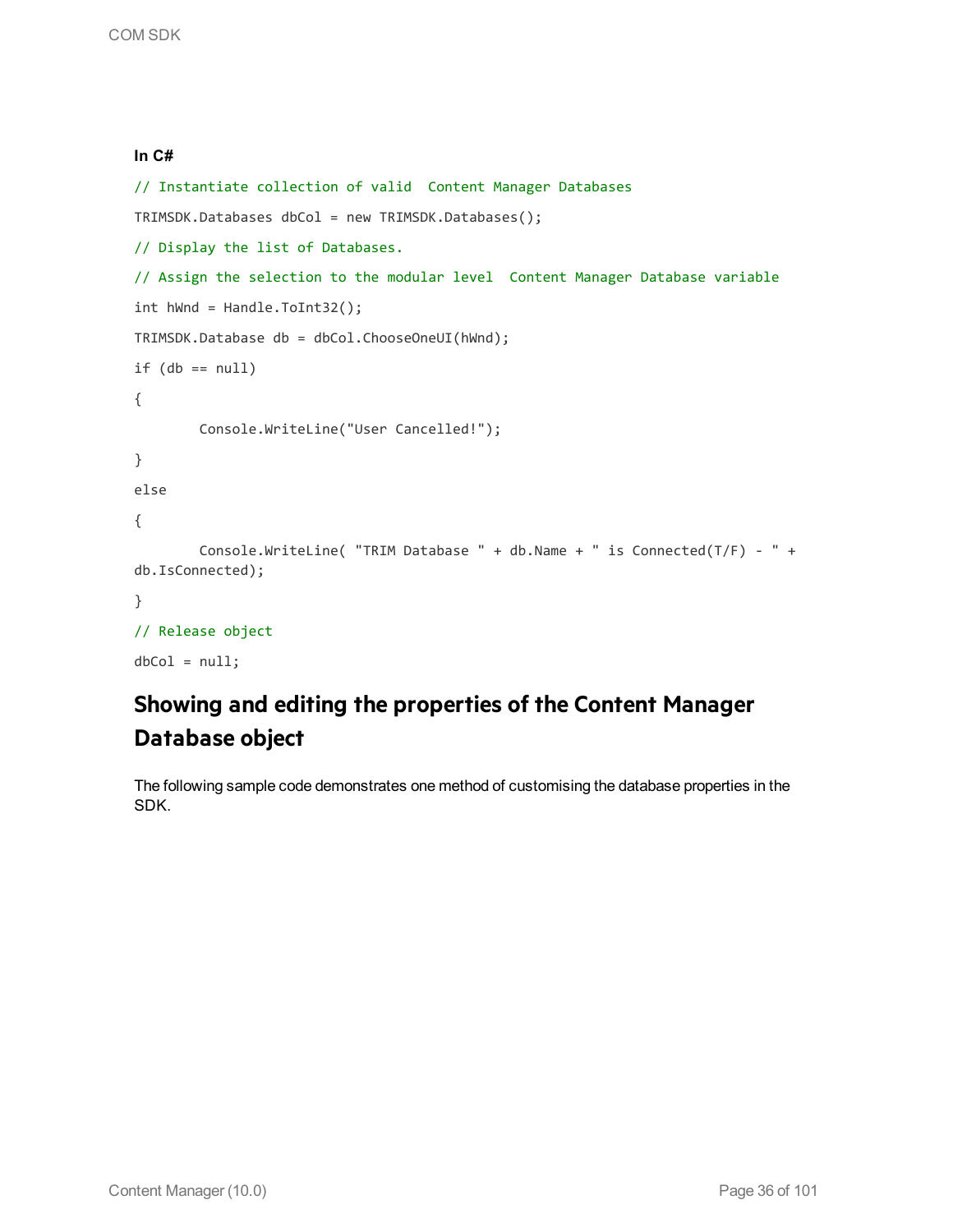#### **In C#**

```
// Instantiate collection of valid Content Manager Databases
TRIMSDK.Databases dbCol = new TRIMSDK.Databases();
// Display the list of Databases.
// Assign the selection to the modular level Content Manager Database variable
int hWnd = Handle.ToInt32();
TRIMSDK.Database db = dbCol.ChooseOneUI(hWnd);
if (db == null){
        Console.WriteLine("User Cancelled!");
}
else
{
        Console.WriteLine( "TRIM Database " + db.Name + " is Connected(T/F) - " +
db.IsConnected);
}
// Release object
dbCol = null;
```
### **Showing and editing the properties of the Content Manager Database object**

The following sample code demonstrates one method of customising the database properties in the SDK.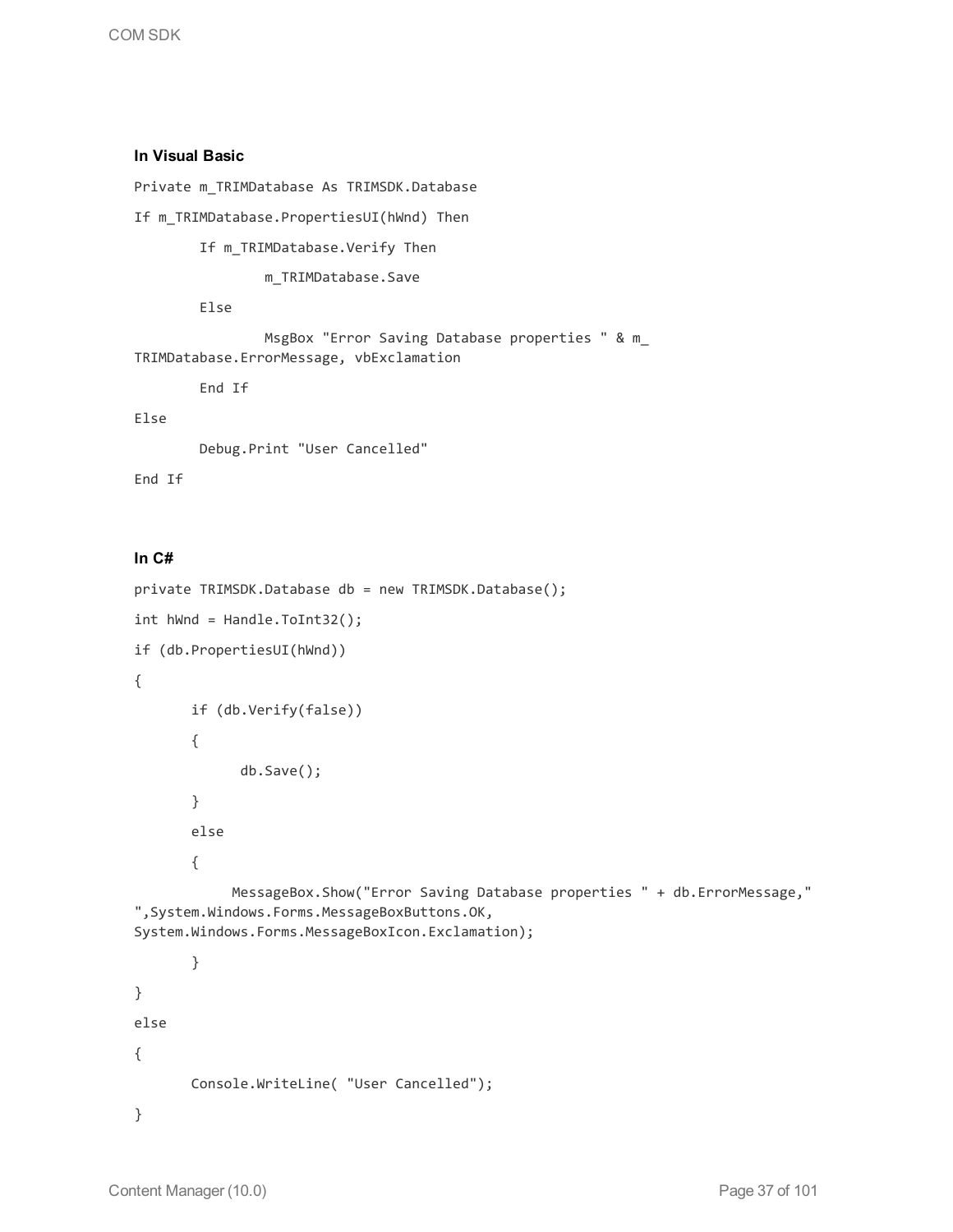Private m\_TRIMDatabase As TRIMSDK.Database

If m\_TRIMDatabase.PropertiesUI(hWnd) Then

If m\_TRIMDatabase.Verify Then

m\_TRIMDatabase.Save

Else

```
MsgBox "Error Saving Database properties " & m_
TRIMDatabase.ErrorMessage, vbExclamation
```
End If

#### Else

Debug.Print "User Cancelled"

### End If

### **In C#**

```
private TRIMSDK.Database db = new TRIMSDK.Database();
```

```
int hWnd = Handle.ToInt32();
```

```
if (db.PropertiesUI(hWnd))
```

```
{
```

```
if (db.Verify(false))
{
      db.Save();
}
else
```

```
{
```

```
MessageBox.Show("Error Saving Database properties " + db.ErrorMessage,"
",System.Windows.Forms.MessageBoxButtons.OK,
```

```
System.Windows.Forms.MessageBoxIcon.Exclamation);
```

```
}
}
else
{
       Console.WriteLine( "User Cancelled");
}
```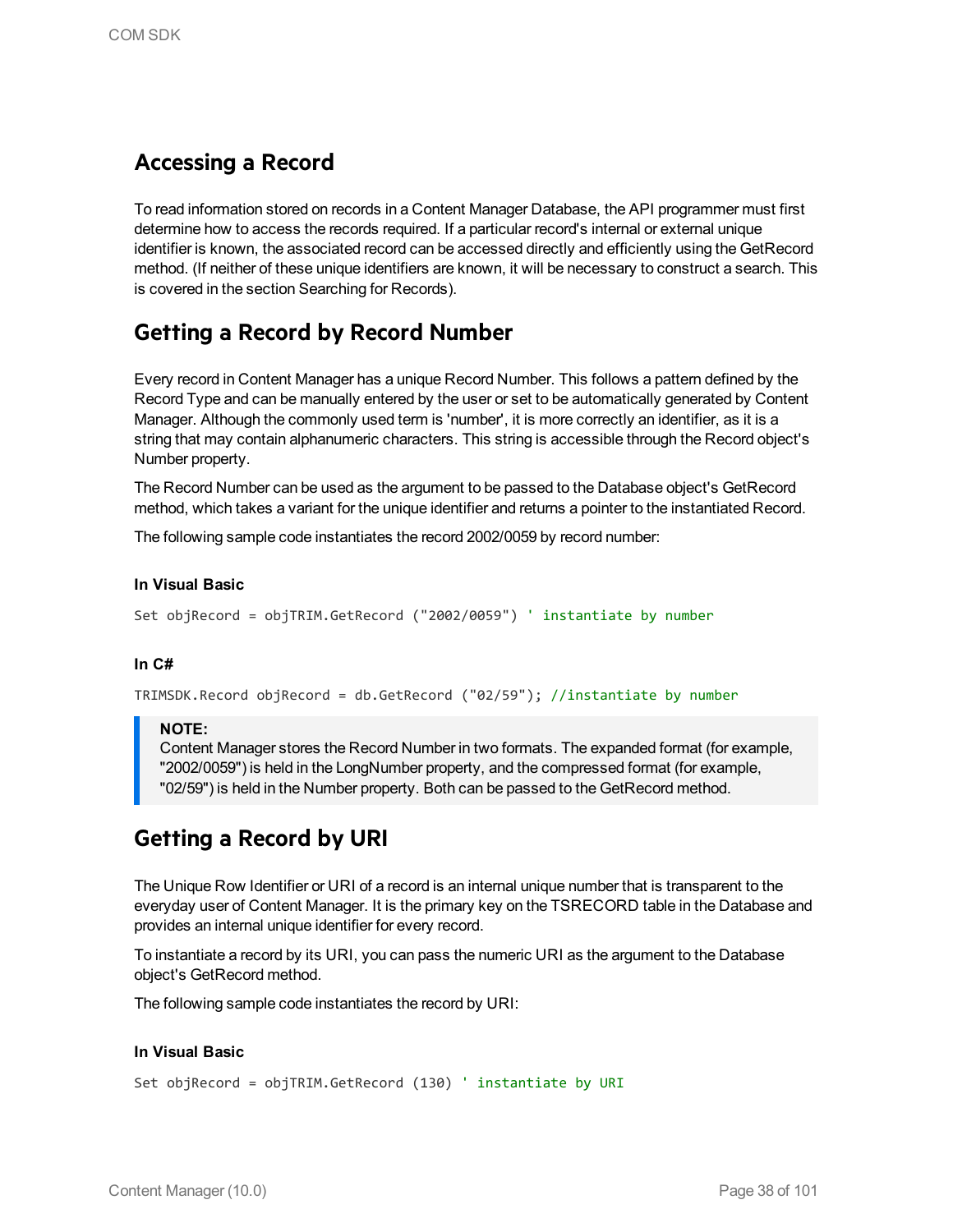## **Accessing a Record**

To read information stored on records in a Content Manager Database, the API programmer must first determine how to access the records required. If a particular record's internal or external unique identifier is known, the associated record can be accessed directly and efficiently using the GetRecord method. (If neither of these unique identifiers are known, it will be necessary to construct a search. This is covered in the section Searching for Records).

# **Getting a Record by Record Number**

Every record in Content Manager has a unique Record Number. This follows a pattern defined by the Record Type and can be manually entered by the user or set to be automatically generated by Content Manager. Although the commonly used term is 'number', it is more correctly an identifier, as it is a string that may contain alphanumeric characters. This string is accessible through the Record object's Number property.

The Record Number can be used as the argument to be passed to the Database object's GetRecord method, which takes a variant for the unique identifier and returns a pointer to the instantiated Record.

The following sample code instantiates the record 2002/0059 by record number:

#### **In Visual Basic**

Set objRecord = objTRIM.GetRecord ("2002/0059") ' instantiate by number

#### **In C#**

TRIMSDK.Record objRecord = db.GetRecord ("02/59"); //instantiate by number

#### **NOTE:**

Content Manager stores the Record Number in two formats. The expanded format (for example, "2002/0059") is held in the LongNumber property, and the compressed format (for example, "02/59") is held in the Number property. Both can be passed to the GetRecord method.

## **Getting a Record by URI**

The Unique Row Identifier or URI of a record is an internal unique number that is transparent to the everyday user of Content Manager. It is the primary key on the TSRECORD table in the Database and provides an internal unique identifier for every record.

To instantiate a record by its URI, you can pass the numeric URI as the argument to the Database object's GetRecord method.

The following sample code instantiates the record by URI:

#### **In Visual Basic**

```
Set objRecord = objTRIM.GetRecord (130) ' instantiate by URI
```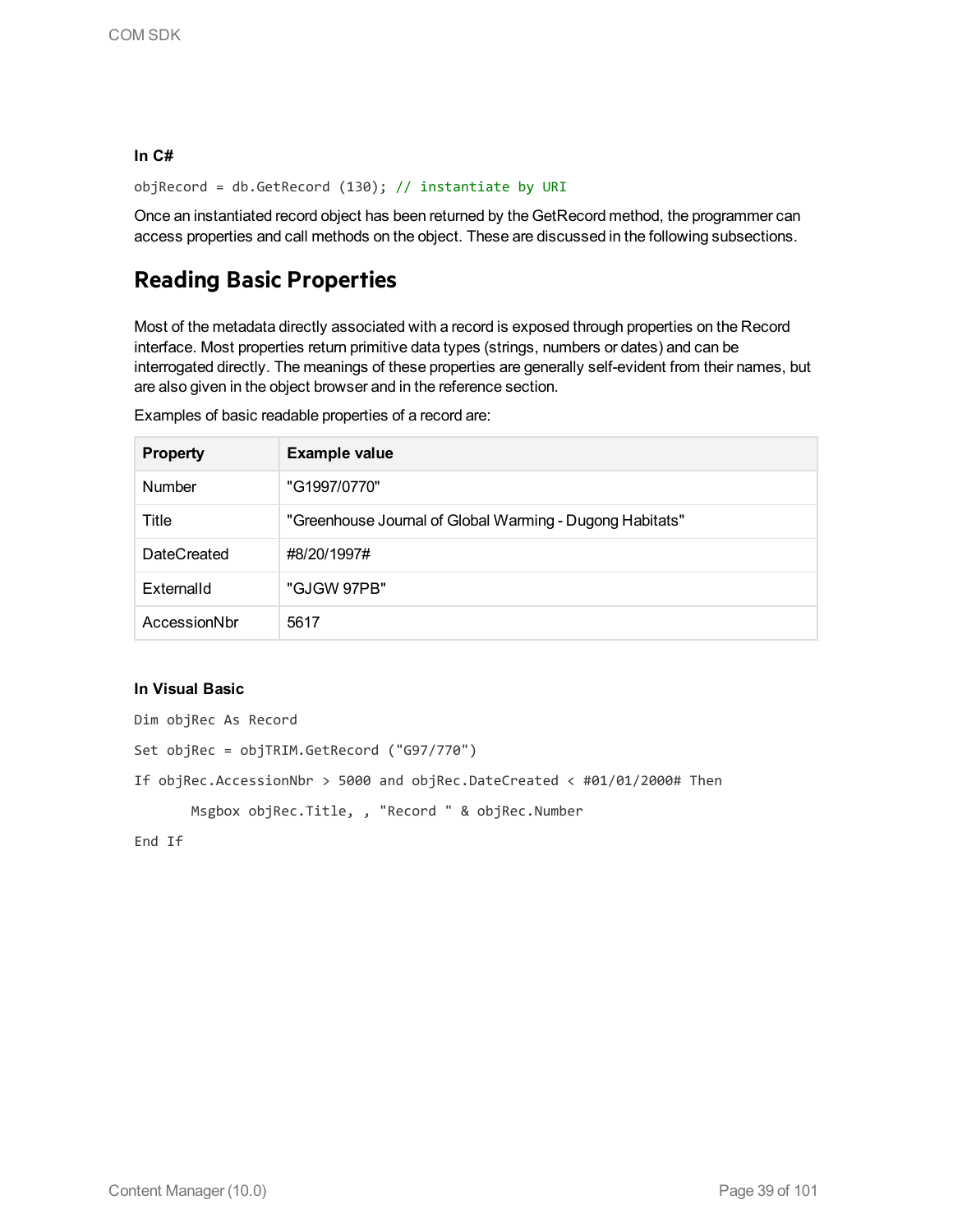```
objRecord = db.GetRecord (130); // instantiate by URI
```
Once an instantiated record object has been returned by the GetRecord method, the programmer can access properties and call methods on the object. These are discussed in the following subsections.

## **Reading Basic Properties**

Most of the metadata directly associated with a record is exposed through properties on the Record interface. Most properties return primitive data types (strings, numbers or dates) and can be interrogated directly. The meanings of these properties are generally self-evident from their names, but are also given in the object browser and in the reference section.

| <b>Property</b>    | <b>Example value</b>                                     |
|--------------------|----------------------------------------------------------|
| <b>Number</b>      | "G1997/0770"                                             |
| Title              | "Greenhouse Journal of Global Warming - Dugong Habitats" |
| <b>DateCreated</b> | #8/20/1997#                                              |
| Externalld         | "GJGW 97PB"                                              |
| AccessionNbr       | 5617                                                     |

Examples of basic readable properties of a record are:

### **In Visual Basic**

Dim objRec As Record

```
Set objRec = objTRIM.GetRecord ("G97/770")
```

```
If objRec.AccessionNbr > 5000 and objRec.DateCreated < #01/01/2000# Then
```

```
Msgbox objRec.Title, , "Record " & objRec.Number
```
End If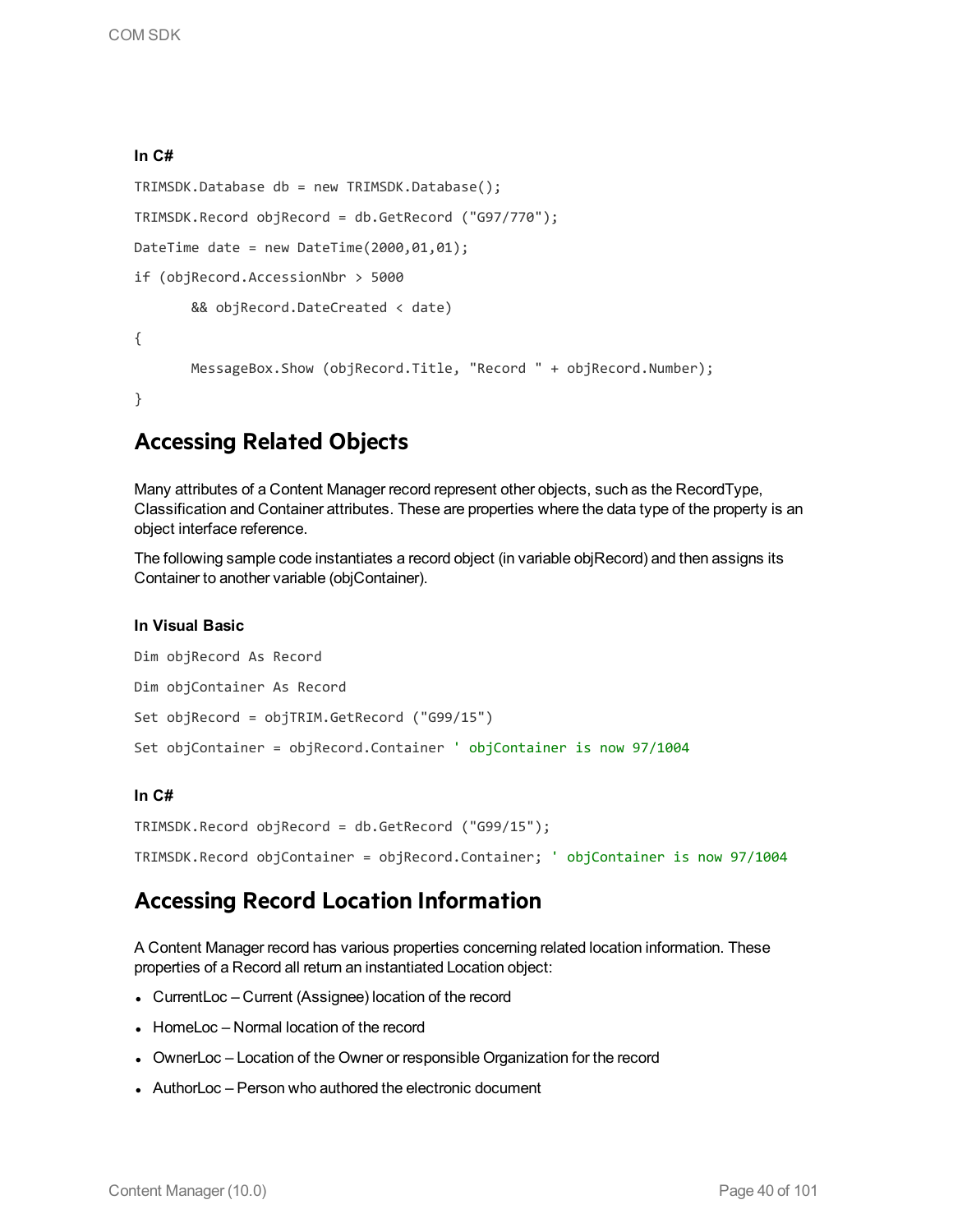```
TRIMSDK.Database db = new TRIMSDK.Database();
TRIMSDK.Record objRecord = db.GetRecord ("G97/770");
DateTime date = new DateTime(2000,01,01);
if (objRecord.AccessionNbr > 5000
       && objRecord.DateCreated < date)
{
       MessageBox.Show (objRecord.Title, "Record " + objRecord.Number);
}
```
## **Accessing Related Objects**

Many attributes of a Content Manager record represent other objects, such as the RecordType, Classification and Container attributes. These are properties where the data type of the property is an object interface reference.

The following sample code instantiates a record object (in variable objRecord) and then assigns its Container to another variable (objContainer).

#### **In Visual Basic**

```
Dim objRecord As Record
Dim objContainer As Record
Set objRecord = objTRIM.GetRecord ("G99/15")
Set objContainer = objRecord.Container ' objContainer is now 97/1004
```
#### **In C#**

```
TRIMSDK.Record objRecord = db.GetRecord ("G99/15");
TRIMSDK.Record objContainer = objRecord.Container; ' objContainer is now 97/1004
```
## **Accessing Record Location Information**

A Content Manager record has various properties concerning related location information. These properties of a Record all return an instantiated Location object:

- CurrentLoc Current (Assignee) location of the record
- HomeLoc Normal location of the record
- OwnerLoc Location of the Owner or responsible Organization for the record
- AuthorLoc Person who authored the electronic document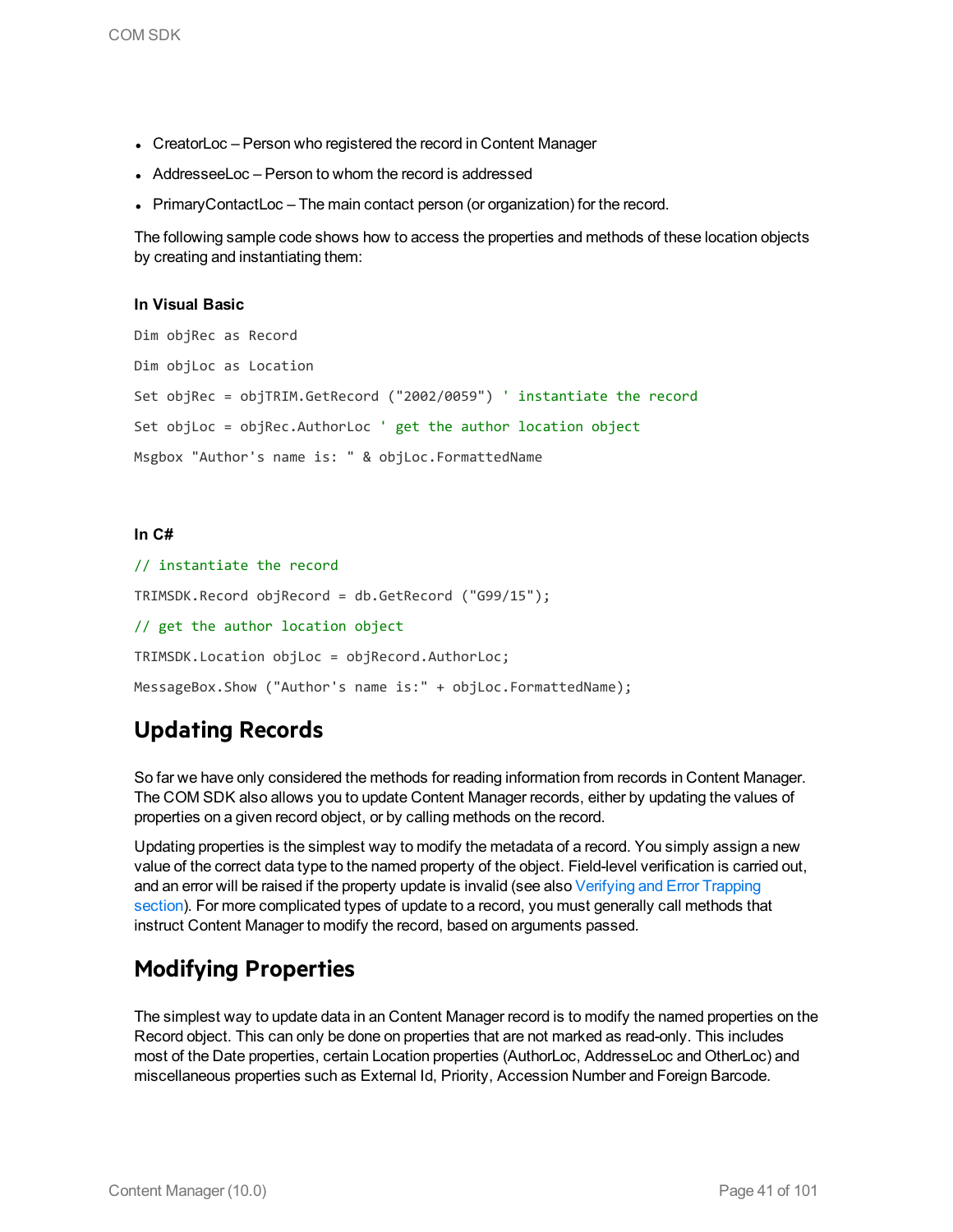- CreatorLoc Person who registered the record in Content Manager
- AddresseeLoc Person to whom the record is addressed
- PrimaryContactLoc The main contact person (or organization) for the record.

The following sample code shows how to access the properties and methods of these location objects by creating and instantiating them:

#### **In Visual Basic**

Dim objRec as Record Dim objLoc as Location Set objRec = objTRIM.GetRecord ("2002/0059") ' instantiate the record Set objLoc = objRec.AuthorLoc ' get the author location object Msgbox "Author's name is: " & objLoc.FormattedName

#### **In C#**

```
// instantiate the record
```
TRIMSDK.Record objRecord = db.GetRecord ("G99/15");

// get the author location object

TRIMSDK.Location objLoc = objRecord.AuthorLoc;

MessageBox.Show ("Author's name is:" + objLoc.FormattedName);

## **Updating Records**

So far we have only considered the methods for reading information from records in Content Manager. The COM SDK also allows you to update Content Manager records, either by updating the values of properties on a given record object, or by calling methods on the record.

Updating properties is the simplest way to modify the metadata of a record. You simply assign a new value of the correct data type to the named property of the object. Field-level verification is carried out, and an error will be raised if the property update is invalid (see also [Verifying](#page-42-0) and Error Trapping [section\)](#page-42-0). For more complicated types of update to a record, you must generally call methods that instruct Content Manager to modify the record, based on arguments passed.

# **Modifying Properties**

The simplest way to update data in an Content Manager record is to modify the named properties on the Record object. This can only be done on properties that are not marked as read-only. This includes most of the Date properties, certain Location properties (AuthorLoc, AddresseLoc and OtherLoc) and miscellaneous properties such as External Id, Priority, Accession Number and Foreign Barcode.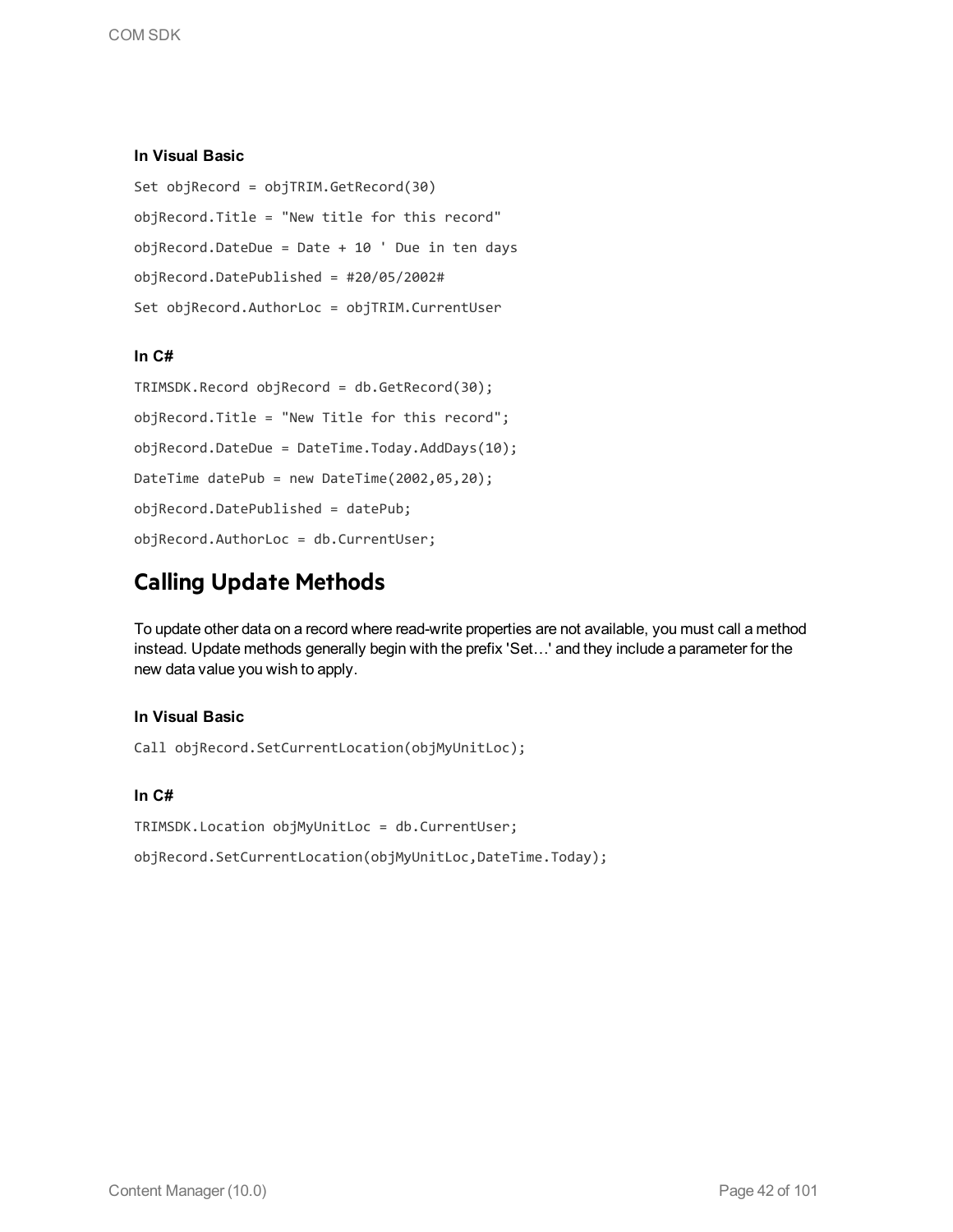```
Set objRecord = objTRIM.GetRecord(30)
objRecord.Title = "New title for this record"
objRecord.DateDue = Date + 10 ' Due in ten days
objRecord.DatePublished = #20/05/2002#
Set objRecord.AuthorLoc = objTRIM.CurrentUser
```
### **In C#**

TRIMSDK.Record objRecord = db.GetRecord(30); objRecord.Title = "New Title for this record"; objRecord.DateDue = DateTime.Today.AddDays(10); DateTime datePub = new DateTime(2002,05,20); objRecord.DatePublished = datePub; objRecord.AuthorLoc = db.CurrentUser;

# **Calling Update Methods**

To update other data on a record where read-write properties are not available, you must call a method instead. Update methods generally begin with the prefix 'Set…' and they include a parameter for the new data value you wish to apply.

## **In Visual Basic**

Call objRecord.SetCurrentLocation(objMyUnitLoc);

## **In C#**

TRIMSDK.Location objMyUnitLoc = db.CurrentUser;

objRecord.SetCurrentLocation(objMyUnitLoc,DateTime.Today);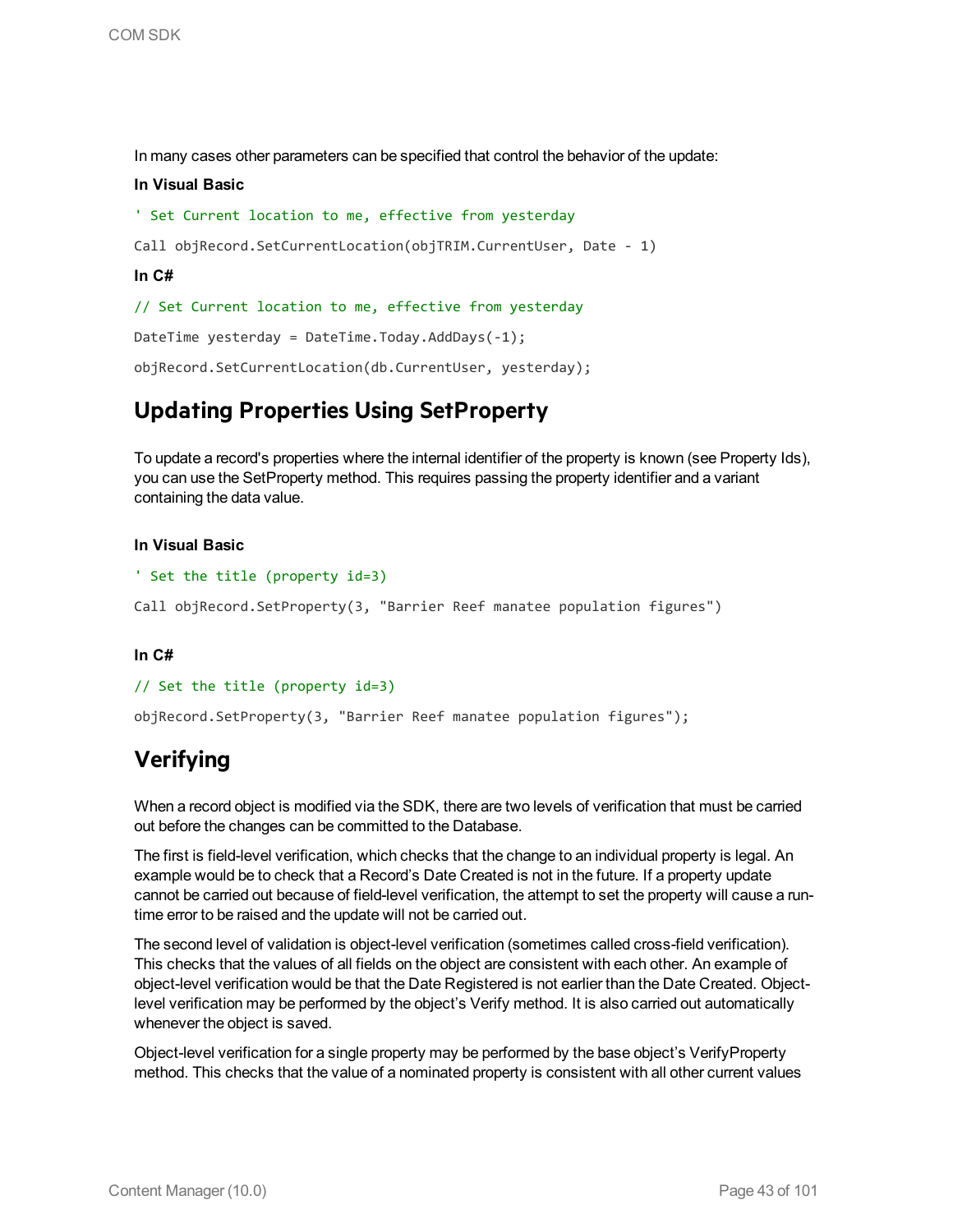In many cases other parameters can be specified that control the behavior of the update:

#### **In Visual Basic**

```
' Set Current location to me, effective from yesterday
```
Call objRecord.SetCurrentLocation(objTRIM.CurrentUser, Date - 1)

**In C#**

// Set Current location to me, effective from yesterday

DateTime yesterday = DateTime.Today.AddDays(-1);

objRecord.SetCurrentLocation(db.CurrentUser, yesterday);

## **Updating Properties Using SetProperty**

To update a record's properties where the internal identifier of the property is known (see Property Ids), you can use the SetProperty method. This requires passing the property identifier and a variant containing the data value.

#### **In Visual Basic**

```
' Set the title (property id=3)
```
Call objRecord.SetProperty(3, "Barrier Reef manatee population figures")

#### **In C#**

```
// Set the title (property id=3)
```
<span id="page-42-0"></span>objRecord.SetProperty(3, "Barrier Reef manatee population figures");

## **Verifying**

When a record object is modified via the SDK, there are two levels of verification that must be carried out before the changes can be committed to the Database.

The first is field-level verification, which checks that the change to an individual property is legal. An example would be to check that a Record's Date Created is not in the future. If a property update cannot be carried out because of field-level verification, the attempt to set the property will cause a runtime error to be raised and the update will not be carried out.

The second level of validation is object-level verification (sometimes called cross-field verification). This checks that the values of all fields on the object are consistent with each other. An example of object-level verification would be that the Date Registered is not earlier than the Date Created. Objectlevel verification may be performed by the object's Verify method. It is also carried out automatically whenever the object is saved.

Object-level verification for a single property may be performed by the base object's VerifyProperty method. This checks that the value of a nominated property is consistent with all other current values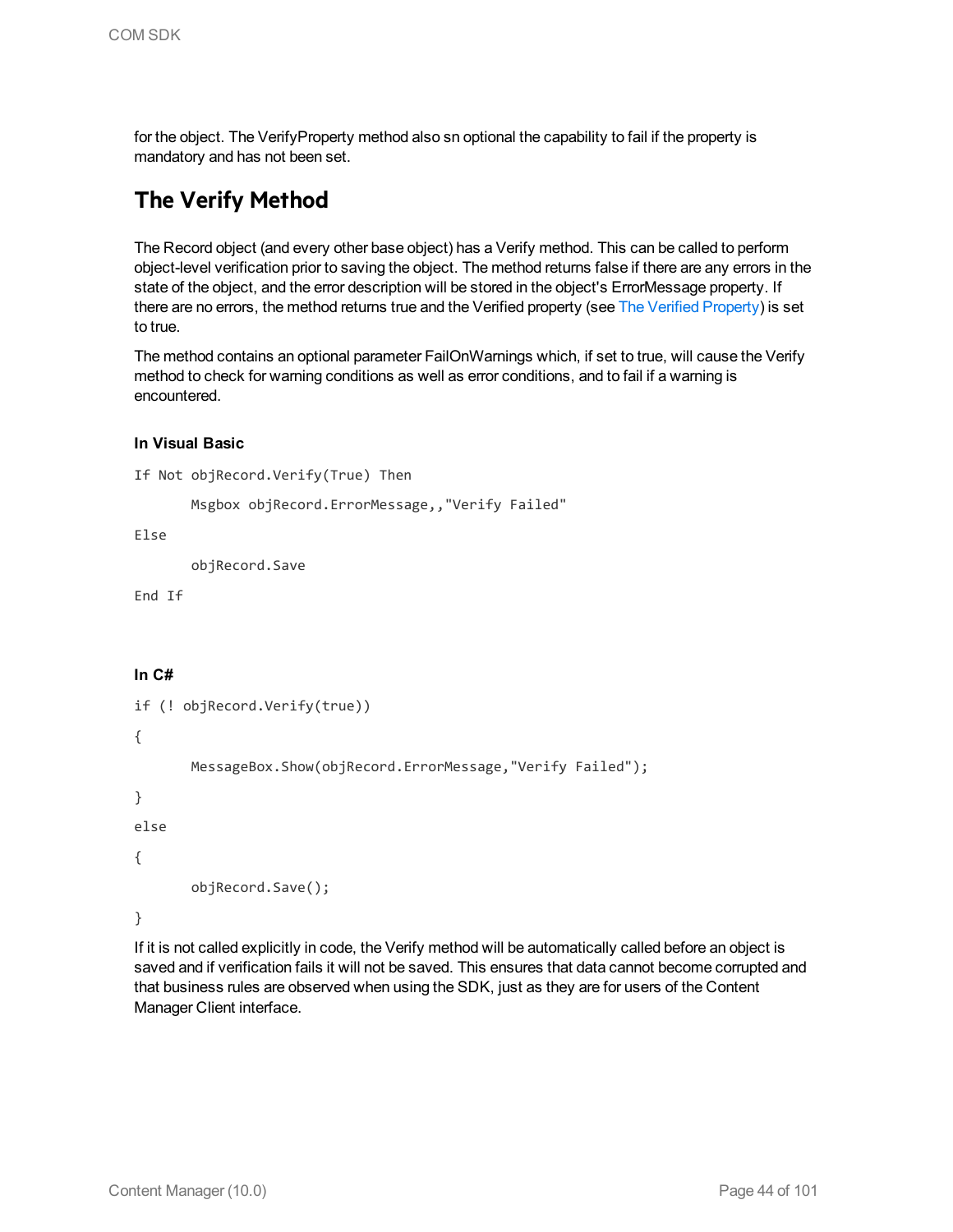for the object. The VerifyProperty method also sn optional the capability to fail if the property is mandatory and has not been set.

# **The Verify Method**

The Record object (and every other base object) has a Verify method. This can be called to perform object-level verification prior to saving the object. The method returns false if there are any errors in the state of the object, and the error description will be stored in the object's ErrorMessage property. If there are no errors, the method returns true and the Verified property (see The Verified [Property](#page-48-0)) is set to true.

The method contains an optional parameter FailOnWarnings which, if set to true, will cause the Verify method to check for warning conditions as well as error conditions, and to fail if a warning is encountered.

### **In Visual Basic**

```
If Not objRecord.Verify(True) Then
```
Msgbox objRecord.ErrorMessage,,"Verify Failed"

#### Else

objRecord.Save

End If

## **In C#**

{

```
if (! objRecord.Verify(true))
{
       MessageBox.Show(objRecord.ErrorMessage,"Verify Failed");
}
else
       objRecord.Save();
}
```
If it is not called explicitly in code, the Verify method will be automatically called before an object is saved and if verification fails it will not be saved. This ensures that data cannot become corrupted and that business rules are observed when using the SDK, just as they are for users of the Content Manager Client interface.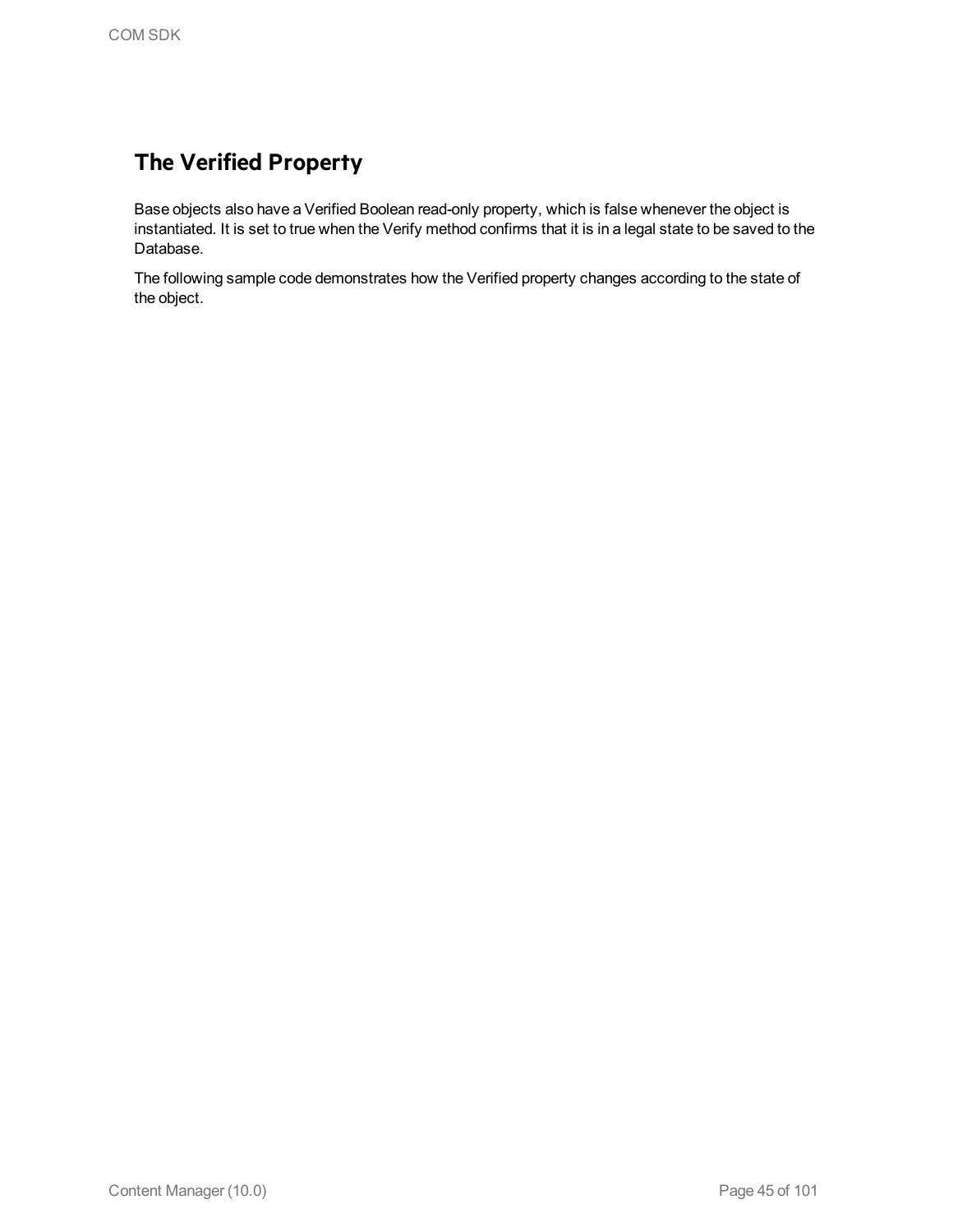# **The Verified Property**

Base objects also have a Verified Boolean read-only property, which is false whenever the object is instantiated. It is set to true when the Verify method confirms that it is in a legal state to be saved to the Database.

The following sample code demonstrates how the Verified property changes according to the state of the object.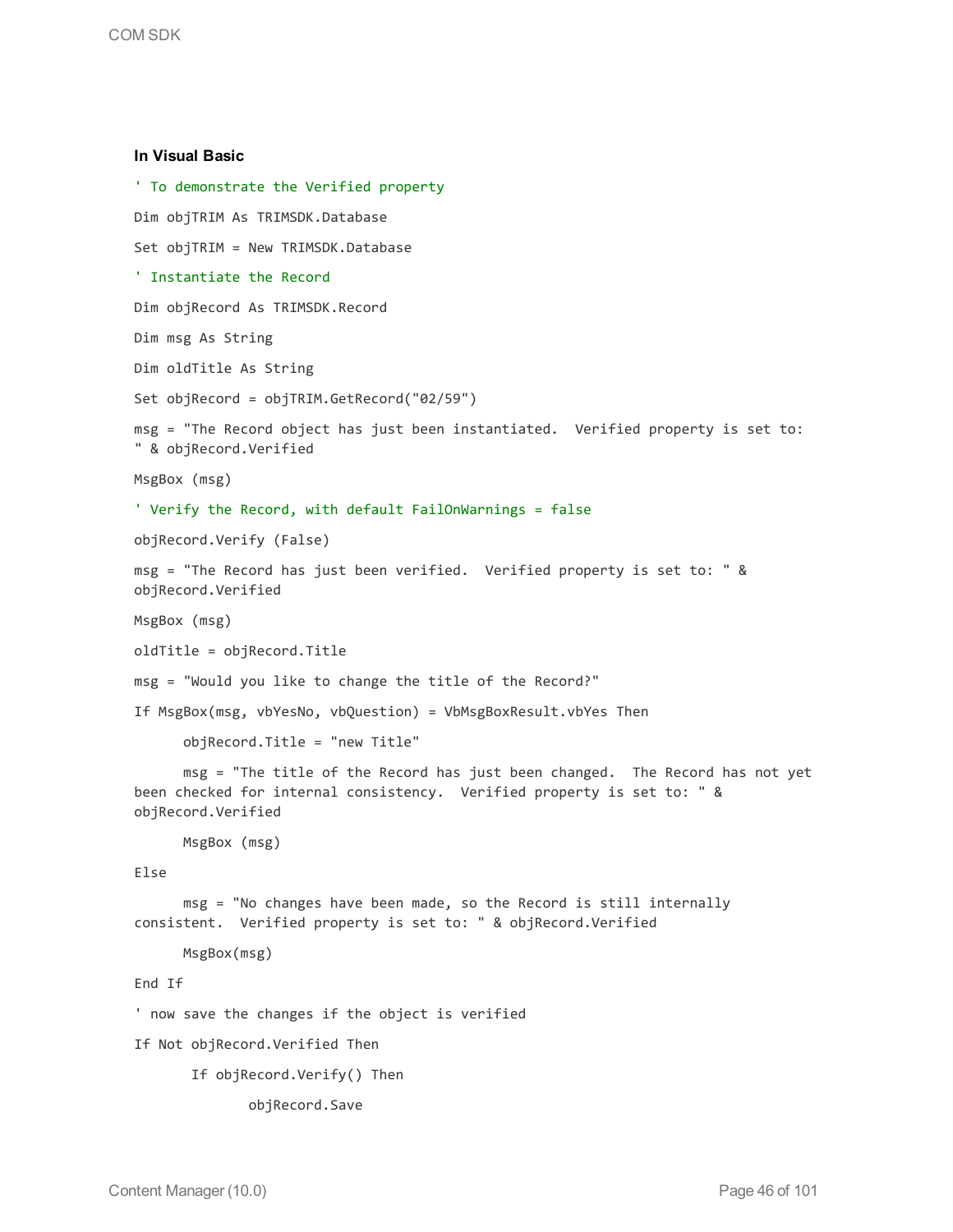```
' To demonstrate the Verified property
Dim objTRIM As TRIMSDK.Database
Set objTRIM = New TRIMSDK.Database
' Instantiate the Record
Dim objRecord As TRIMSDK.Record
Dim msg As String
Dim oldTitle As String
Set objRecord = objTRIM.GetRecord("02/59")
msg = "The Record object has just been instantiated. Verified property is set to:
" & objRecord.Verified
MsgBox (msg)
' Verify the Record, with default FailOnWarnings = false
objRecord.Verify (False)
msg = "The Record has just been verified. Verified property is set to: " &
objRecord.Verified
MsgBox (msg)
oldTitle = objRecord.Title
msg = "Would you like to change the title of the Record?"
If MsgBox(msg, vbYesNo, vbQuestion) = VbMsgBoxResult.vbYes Then
      objRecord.Title = "new Title"
      msg = "The title of the Record has just been changed. The Record has not yet
been checked for internal consistency. Verified property is set to: " &
objRecord.Verified
     MsgBox (msg)
Else
      msg = "No changes have been made, so the Record is still internally
consistent. Verified property is set to: " & objRecord.Verified
     MsgBox(msg)
End If
' now save the changes if the object is verified
If Not objRecord.Verified Then
       If objRecord.Verify() Then
              objRecord.Save
```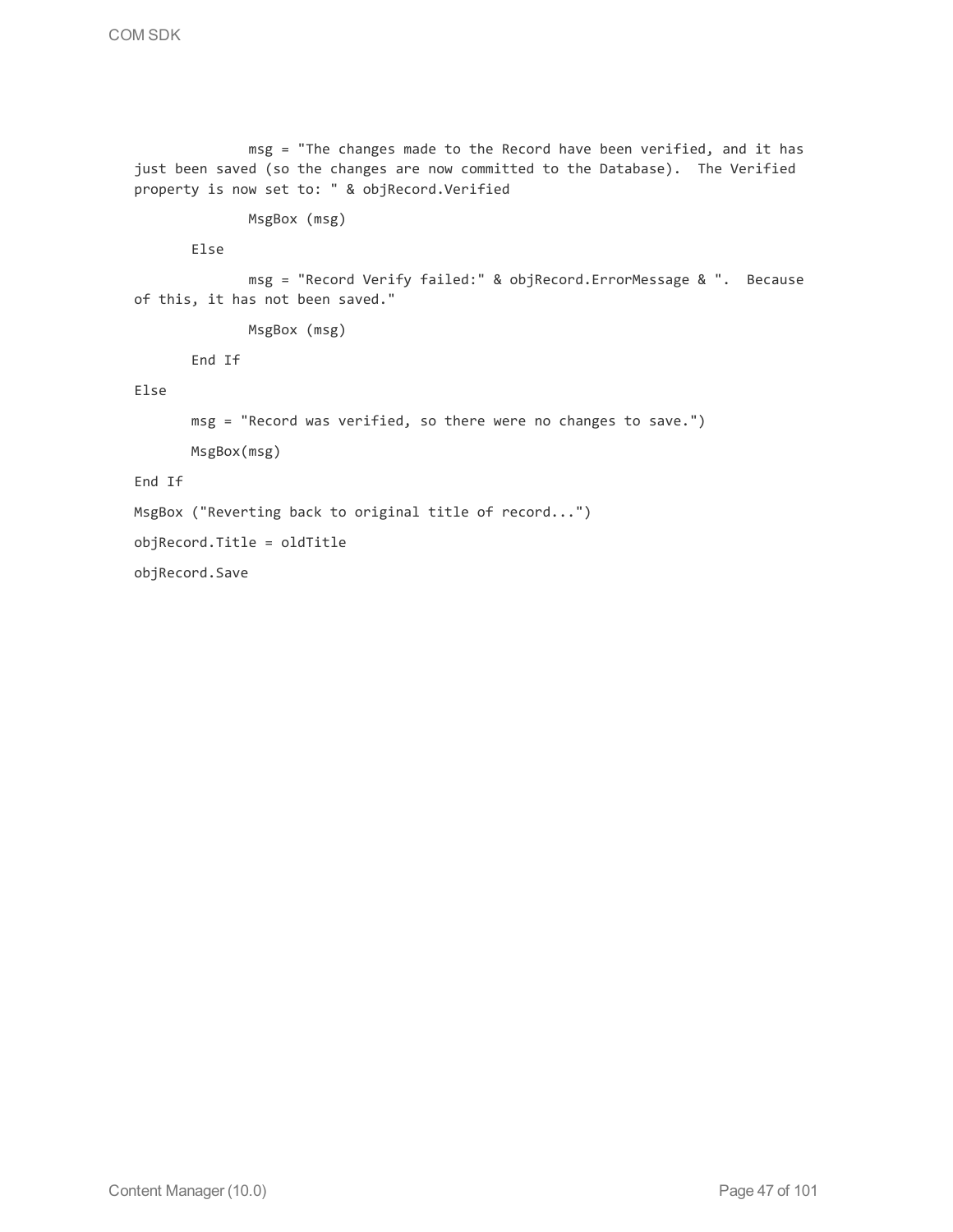```
msg = "The changes made to the Record have been verified, and it has
just been saved (so the changes are now committed to the Database). The Verified
property is now set to: " & objRecord.Verified
              MsgBox (msg)
       Else
              msg = "Record Verify failed:" & objRecord.ErrorMessage & ". Because
of this, it has not been saved."
              MsgBox (msg)
       End If
Else
       msg = "Record was verified, so there were no changes to save.")
       MsgBox(msg)
End If
MsgBox ("Reverting back to original title of record...")
objRecord.Title = oldTitle
objRecord.Save
```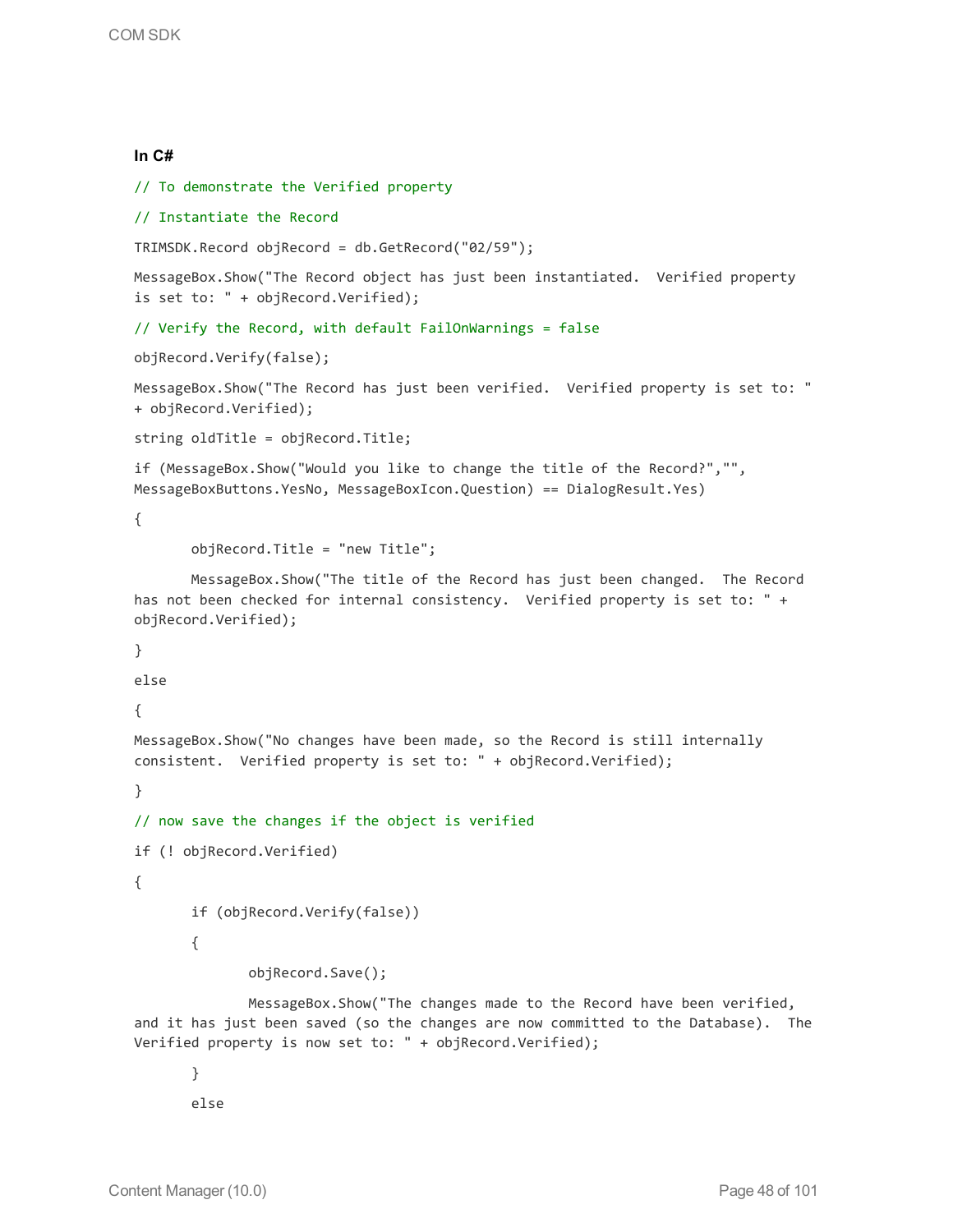```
// To demonstrate the Verified property
```

```
// Instantiate the Record
```

```
TRIMSDK.Record objRecord = db.GetRecord("02/59");
```

```
MessageBox.Show("The Record object has just been instantiated. Verified property
is set to: " + objRecord.Verified);
```
#### // Verify the Record, with default FailOnWarnings = false

```
objRecord.Verify(false);
```
MessageBox.Show("The Record has just been verified. Verified property is set to: " + objRecord.Verified);

string oldTitle = objRecord.Title;

if (MessageBox.Show("Would you like to change the title of the Record?","", MessageBoxButtons.YesNo, MessageBoxIcon.Question) == DialogResult.Yes)

{

```
objRecord.Title = "new Title";
```
MessageBox.Show("The title of the Record has just been changed. The Record has not been checked for internal consistency. Verified property is set to: " + objRecord.Verified);

```
}
```
else

{

```
MessageBox.Show("No changes have been made, so the Record is still internally
consistent. Verified property is set to: " + objRecord.Verified);
```
}

```
// now save the changes if the object is verified
```

```
if (! objRecord.Verified)
```
{

```
if (objRecord.Verify(false))
```

```
{
```

```
objRecord.Save();
```
MessageBox.Show("The changes made to the Record have been verified, and it has just been saved (so the changes are now committed to the Database). The Verified property is now set to: " + objRecord.Verified);

```
}
```
else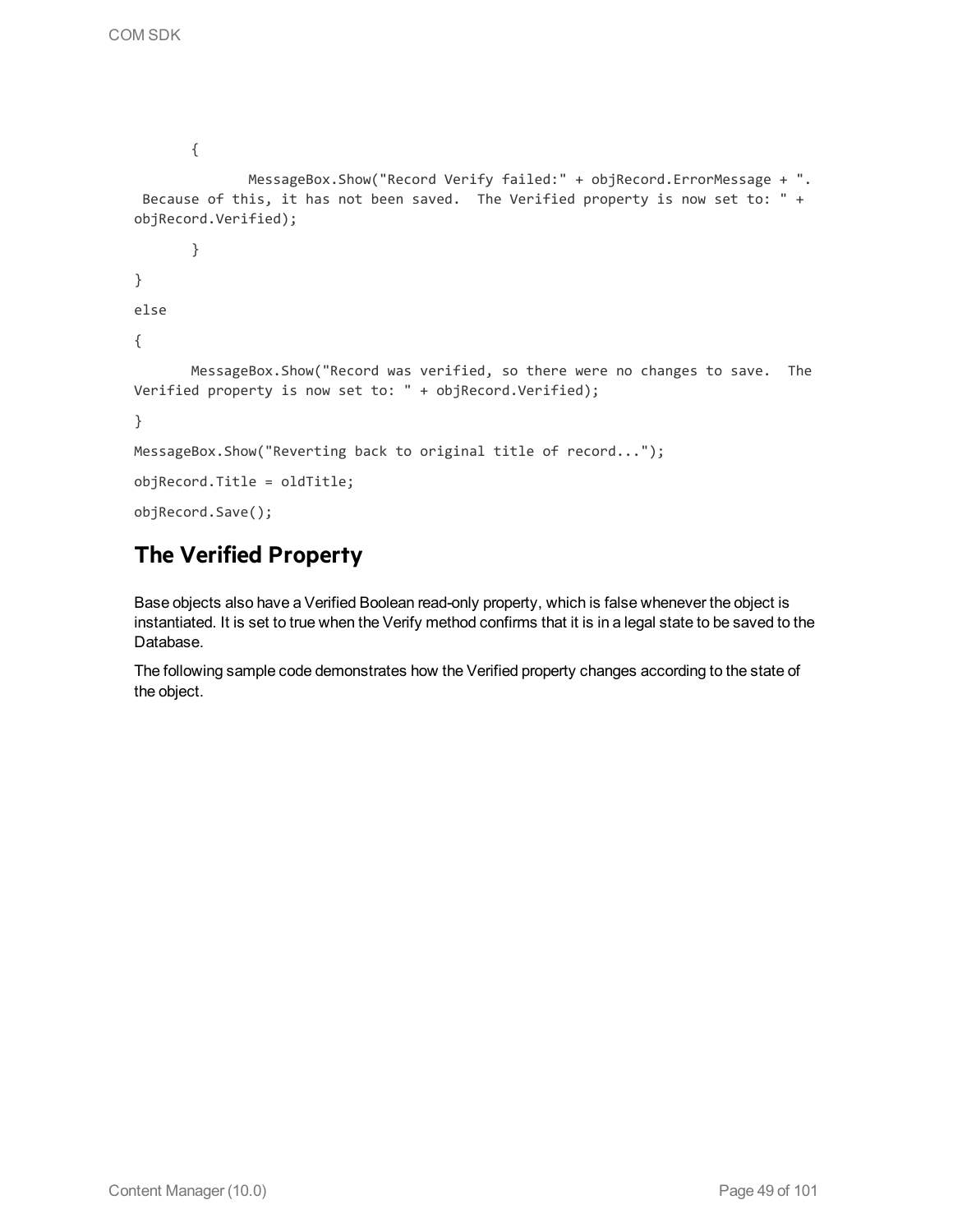```
{
              MessageBox.Show("Record Verify failed:" + objRecord.ErrorMessage + ".
 Because of this, it has not been saved. The Verified property is now set to: " +
objRecord.Verified);
       }
}
else
{
       MessageBox.Show("Record was verified, so there were no changes to save. The
Verified property is now set to: " + objRecord.Verified);
}
MessageBox.Show("Reverting back to original title of record...");
objRecord.Title = oldTitle;
objRecord.Save();
```
# <span id="page-48-0"></span>**The Verified Property**

Base objects also have a Verified Boolean read-only property, which is false whenever the object is instantiated. It is set to true when the Verify method confirms that it is in a legal state to be saved to the Database.

The following sample code demonstrates how the Verified property changes according to the state of the object.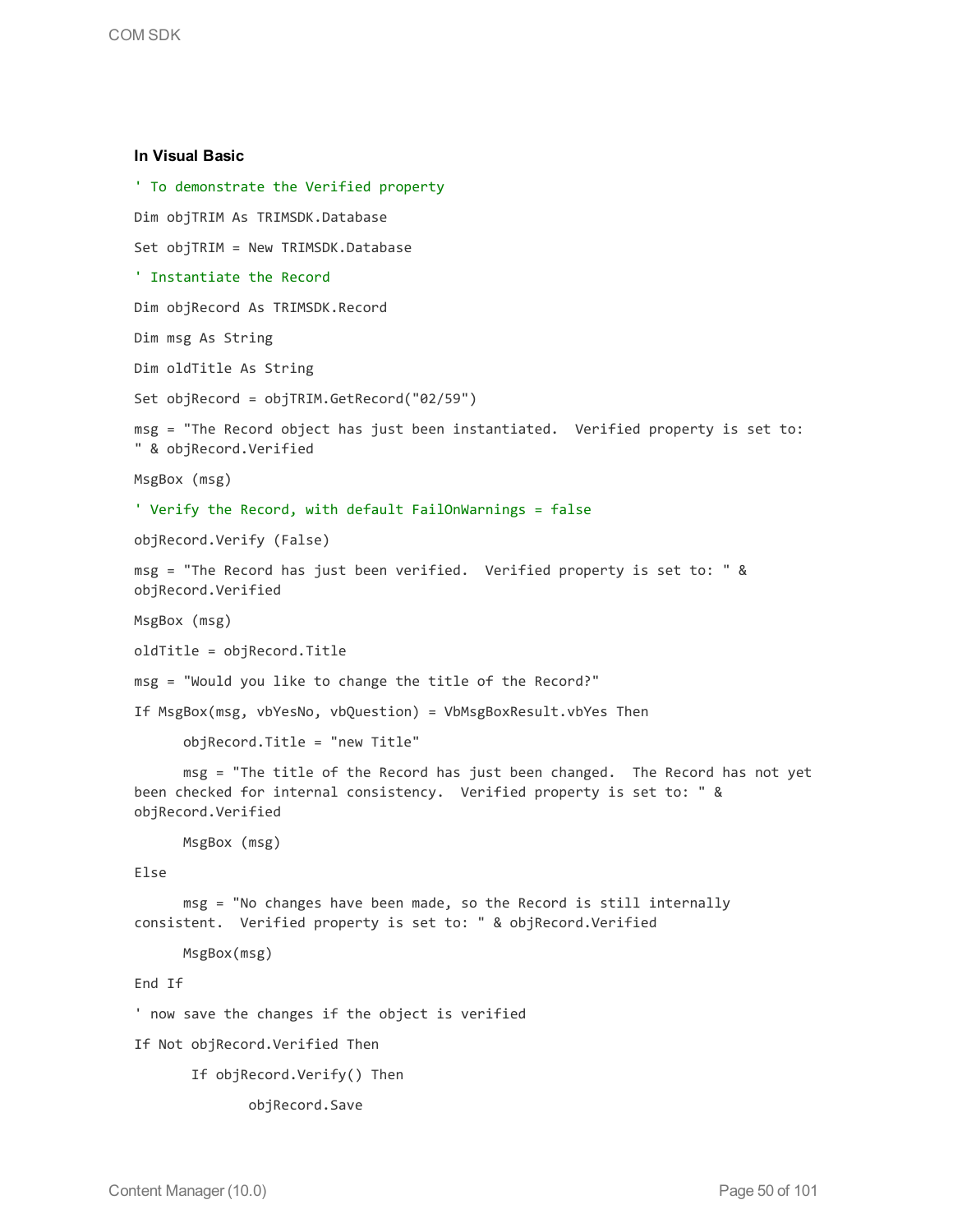```
' To demonstrate the Verified property
Dim objTRIM As TRIMSDK.Database
Set objTRIM = New TRIMSDK.Database
' Instantiate the Record
Dim objRecord As TRIMSDK.Record
Dim msg As String
Dim oldTitle As String
Set objRecord = objTRIM.GetRecord("02/59")
msg = "The Record object has just been instantiated. Verified property is set to:
" & objRecord.Verified
MsgBox (msg)
' Verify the Record, with default FailOnWarnings = false
objRecord.Verify (False)
msg = "The Record has just been verified. Verified property is set to: " &
objRecord.Verified
MsgBox (msg)
oldTitle = objRecord.Title
msg = "Would you like to change the title of the Record?"
If MsgBox(msg, vbYesNo, vbQuestion) = VbMsgBoxResult.vbYes Then
      objRecord.Title = "new Title"
      msg = "The title of the Record has just been changed. The Record has not yet
been checked for internal consistency. Verified property is set to: " &
objRecord.Verified
     MsgBox (msg)
Else
      msg = "No changes have been made, so the Record is still internally
consistent. Verified property is set to: " & objRecord.Verified
     MsgBox(msg)
End If
' now save the changes if the object is verified
If Not objRecord.Verified Then
       If objRecord.Verify() Then
              objRecord.Save
```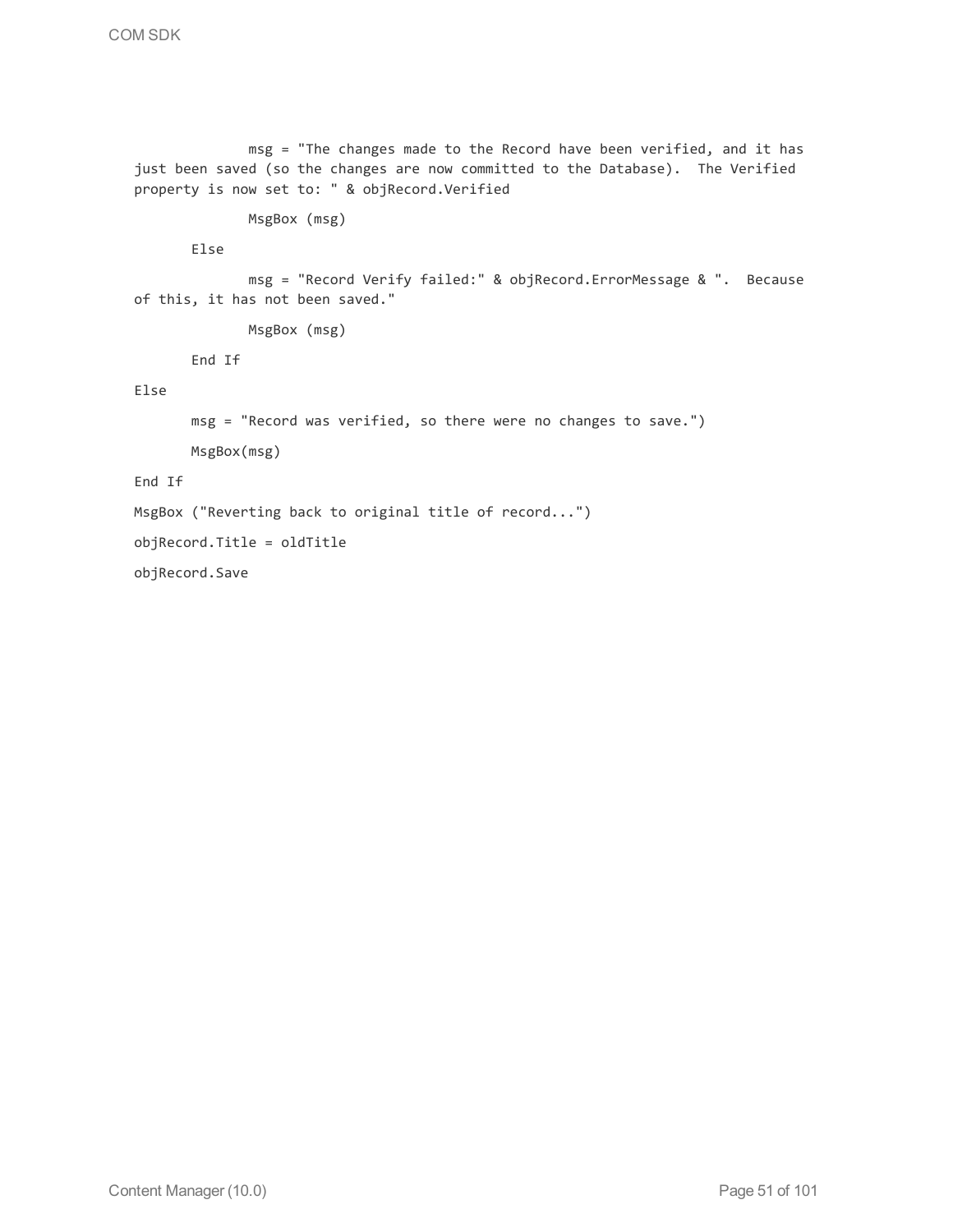```
msg = "The changes made to the Record have been verified, and it has
just been saved (so the changes are now committed to the Database). The Verified
property is now set to: " & objRecord.Verified
              MsgBox (msg)
       Else
              msg = "Record Verify failed:" & objRecord.ErrorMessage & ". Because
of this, it has not been saved."
              MsgBox (msg)
       End If
Else
       msg = "Record was verified, so there were no changes to save.")
       MsgBox(msg)
End If
MsgBox ("Reverting back to original title of record...")
objRecord.Title = oldTitle
objRecord.Save
```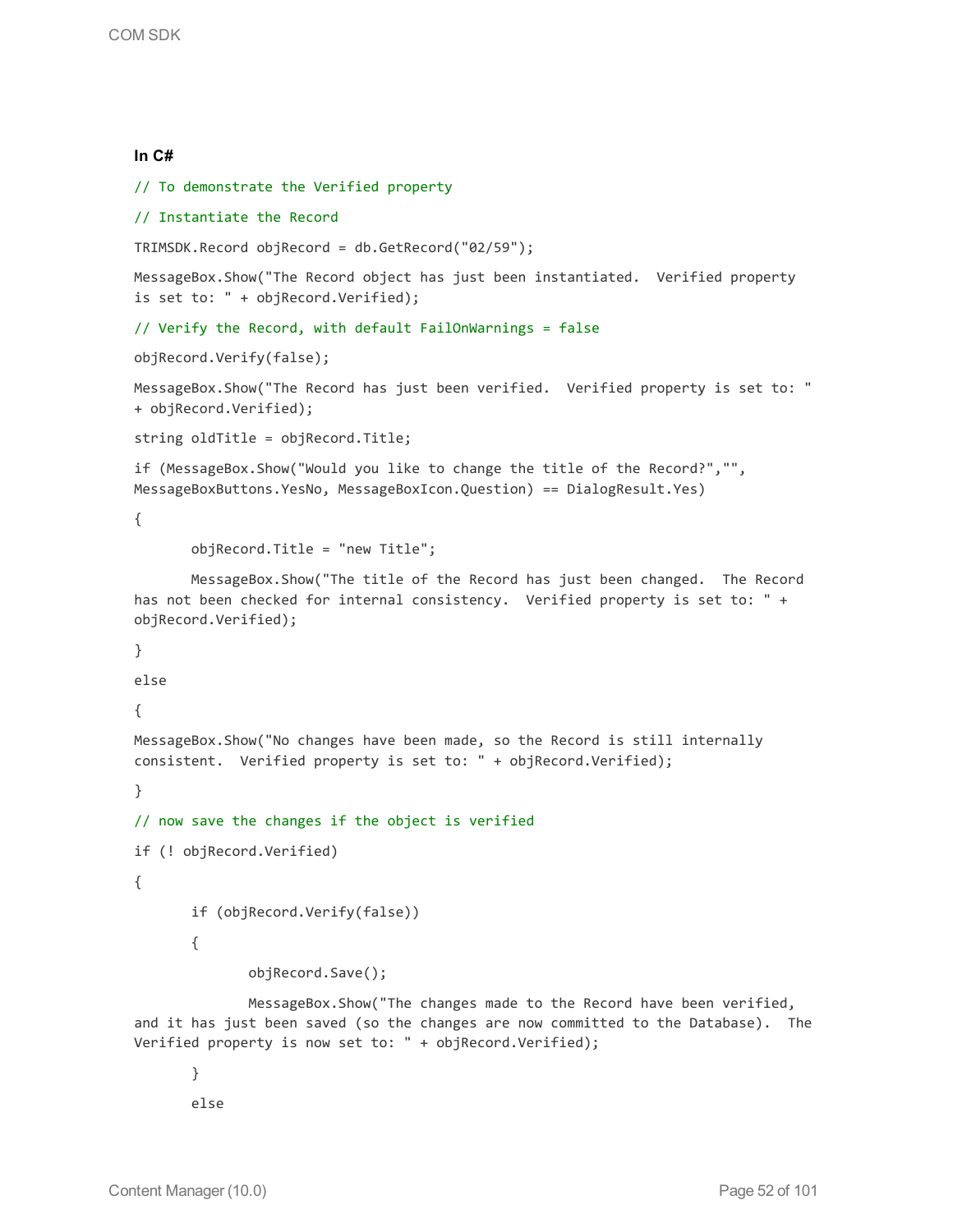```
// To demonstrate the Verified property
```

```
// Instantiate the Record
```

```
TRIMSDK.Record objRecord = db.GetRecord("02/59");
```

```
MessageBox.Show("The Record object has just been instantiated. Verified property
is set to: " + objRecord.Verified);
```
#### // Verify the Record, with default FailOnWarnings = false

```
objRecord.Verify(false);
```
MessageBox.Show("The Record has just been verified. Verified property is set to: " + objRecord.Verified);

string oldTitle = objRecord.Title;

if (MessageBox.Show("Would you like to change the title of the Record?","", MessageBoxButtons.YesNo, MessageBoxIcon.Question) == DialogResult.Yes)

{

```
objRecord.Title = "new Title";
```
MessageBox.Show("The title of the Record has just been changed. The Record has not been checked for internal consistency. Verified property is set to: " + objRecord.Verified);

```
}
```
else

{

```
MessageBox.Show("No changes have been made, so the Record is still internally
consistent. Verified property is set to: " + objRecord.Verified);
```
}

```
// now save the changes if the object is verified
```

```
if (! objRecord.Verified)
```
{

```
if (objRecord.Verify(false))
```

```
{
```

```
objRecord.Save();
```
MessageBox.Show("The changes made to the Record have been verified, and it has just been saved (so the changes are now committed to the Database). The Verified property is now set to: " + objRecord.Verified);

```
}
```
else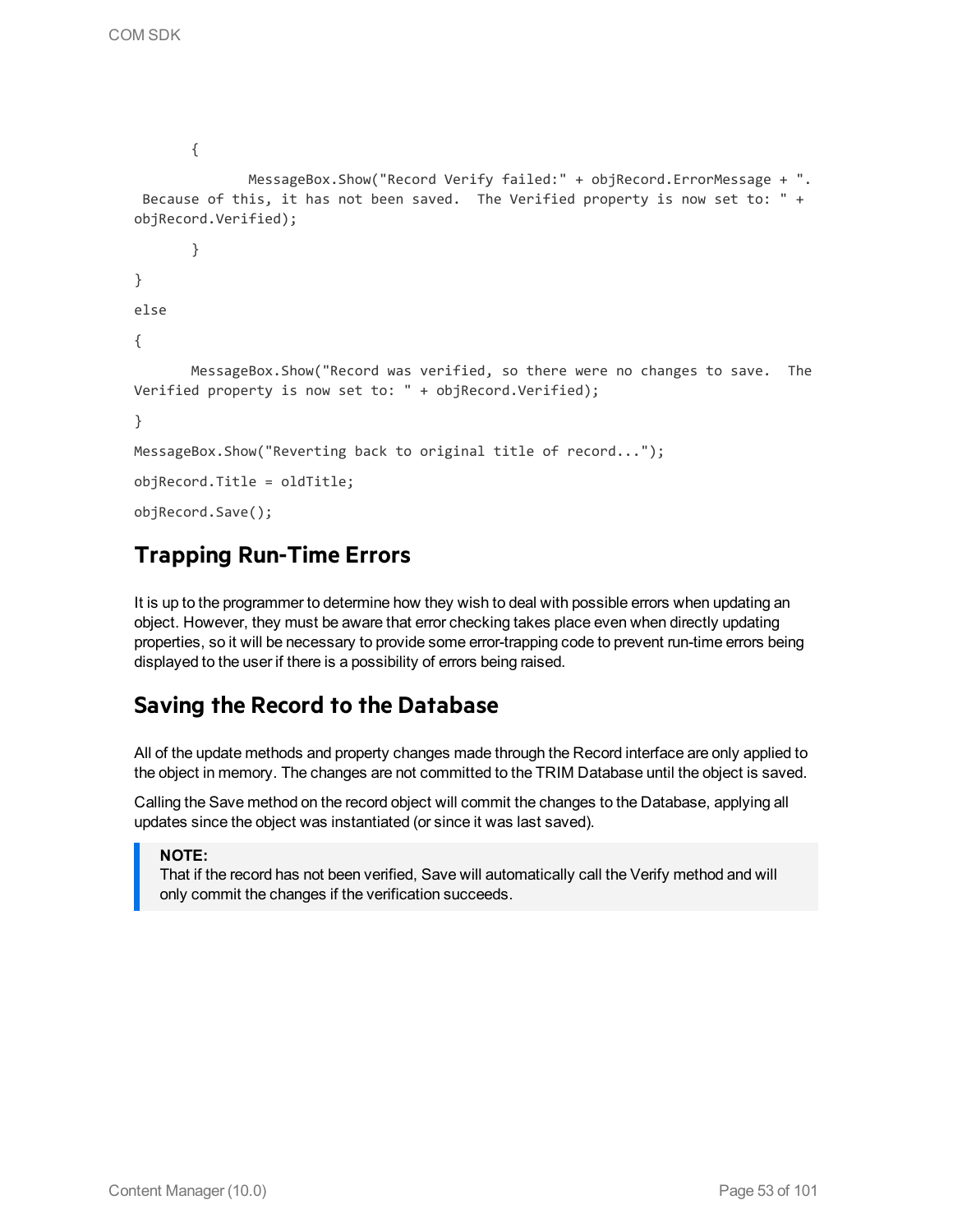```
{
              MessageBox.Show("Record Verify failed:" + objRecord.ErrorMessage + ".
 Because of this, it has not been saved. The Verified property is now set to: " +
objRecord.Verified);
       }
}
else
{
       MessageBox.Show("Record was verified, so there were no changes to save. The
Verified property is now set to: " + objRecord.Verified);
}
MessageBox.Show("Reverting back to original title of record...");
objRecord.Title = oldTitle;
objRecord.Save();
```
# **Trapping Run-Time Errors**

It is up to the programmer to determine how they wish to deal with possible errors when updating an object. However, they must be aware that error checking takes place even when directly updating properties, so it will be necessary to provide some error-trapping code to prevent run-time errors being displayed to the user if there is a possibility of errors being raised.

# **Saving the Record to the Database**

All of the update methods and property changes made through the Record interface are only applied to the object in memory. The changes are not committed to the TRIM Database until the object is saved.

Calling the Save method on the record object will commit the changes to the Database, applying all updates since the object was instantiated (or since it was last saved).

## **NOTE:**

That if the record has not been verified, Save will automatically call the Verify method and will only commit the changes if the verification succeeds.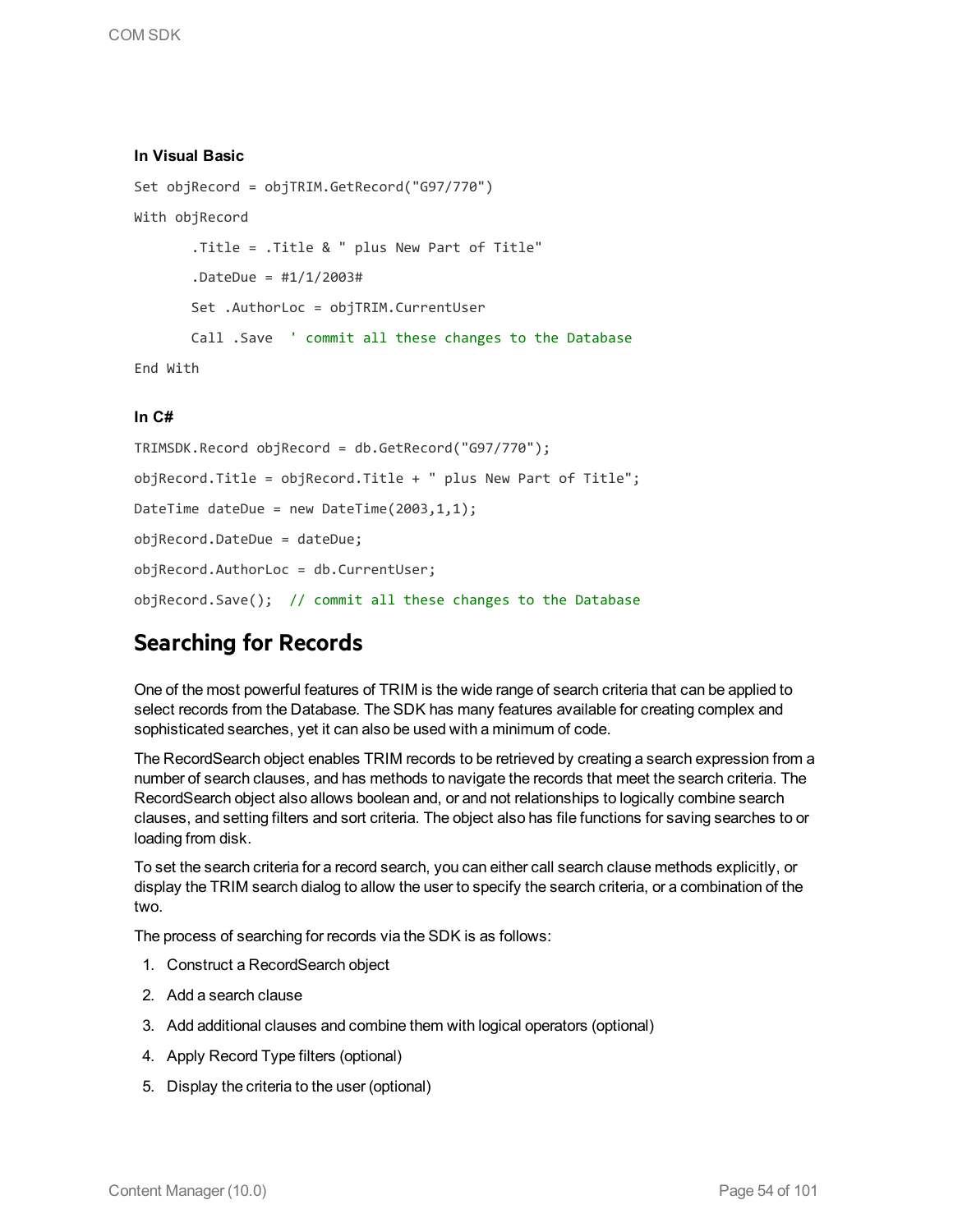```
Set objRecord = objTRIM.GetRecord("G97/770")
With objRecord
       .Title = .Title & " plus New Part of Title"
       .DateDue = #1/1/2003#
       Set .AuthorLoc = objTRIM.CurrentUser
       Call .Save ' commit all these changes to the Database
End With
```
### **In C#**

```
TRIMSDK.Record objRecord = db.GetRecord("G97/770");
objRecord.Title = objRecord.Title + " plus New Part of Title";
DateTime dateDue = new DateTime(2003,1,1);
objRecord.DateDue = dateDue;
objRecord.AuthorLoc = db.CurrentUser;
objRecord.Save(); // commit all these changes to the Database
```
# **Searching for Records**

One of the most powerful features of TRIM is the wide range of search criteria that can be applied to select records from the Database. The SDK has many features available for creating complex and sophisticated searches, yet it can also be used with a minimum of code.

The RecordSearch object enables TRIM records to be retrieved by creating a search expression from a number of search clauses, and has methods to navigate the records that meet the search criteria. The RecordSearch object also allows boolean and, or and not relationships to logically combine search clauses, and setting filters and sort criteria. The object also has file functions for saving searches to or loading from disk.

To set the search criteria for a record search, you can either call search clause methods explicitly, or display the TRIM search dialog to allow the user to specify the search criteria, or a combination of the two.

The process of searching for records via the SDK is as follows:

- 1. Construct a RecordSearch object
- 2. Add a search clause
- 3. Add additional clauses and combine them with logical operators (optional)
- 4. Apply Record Type filters (optional)
- 5. Display the criteria to the user (optional)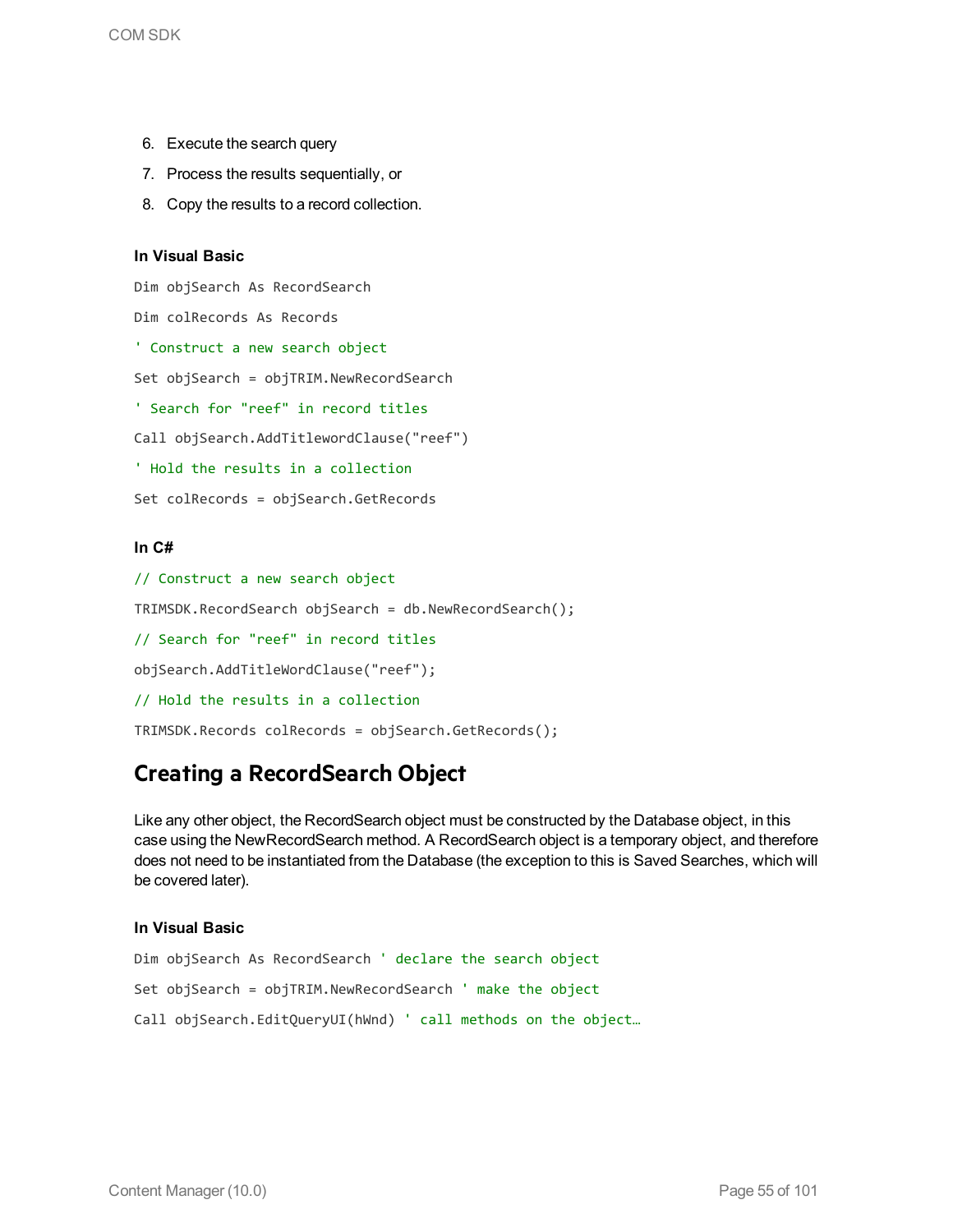- 6. Execute the search query
- 7. Process the results sequentially, or
- 8. Copy the results to a record collection.

```
Dim objSearch As RecordSearch
Dim colRecords As Records
' Construct a new search object
Set objSearch = objTRIM.NewRecordSearch
' Search for "reef" in record titles
Call objSearch.AddTitlewordClause("reef")
' Hold the results in a collection
```
Set colRecords = objSearch.GetRecords

## **In C#**

```
// Construct a new search object
TRIMSDK.RecordSearch objSearch = db.NewRecordSearch();
// Search for "reef" in record titles
objSearch.AddTitleWordClause("reef");
// Hold the results in a collection
TRIMSDK.Records colRecords = objSearch.GetRecords();
```
## **Creating a RecordSearch Object**

Like any other object, the RecordSearch object must be constructed by the Database object, in this case using the NewRecordSearch method. A RecordSearch object is a temporary object, and therefore does not need to be instantiated from the Database (the exception to this is Saved Searches, which will be covered later).

#### **In Visual Basic**

```
Dim objSearch As RecordSearch ' declare the search object
Set objSearch = objTRIM.NewRecordSearch ' make the object
Call objSearch.EditQueryUI(hWnd) ' call methods on the object…
```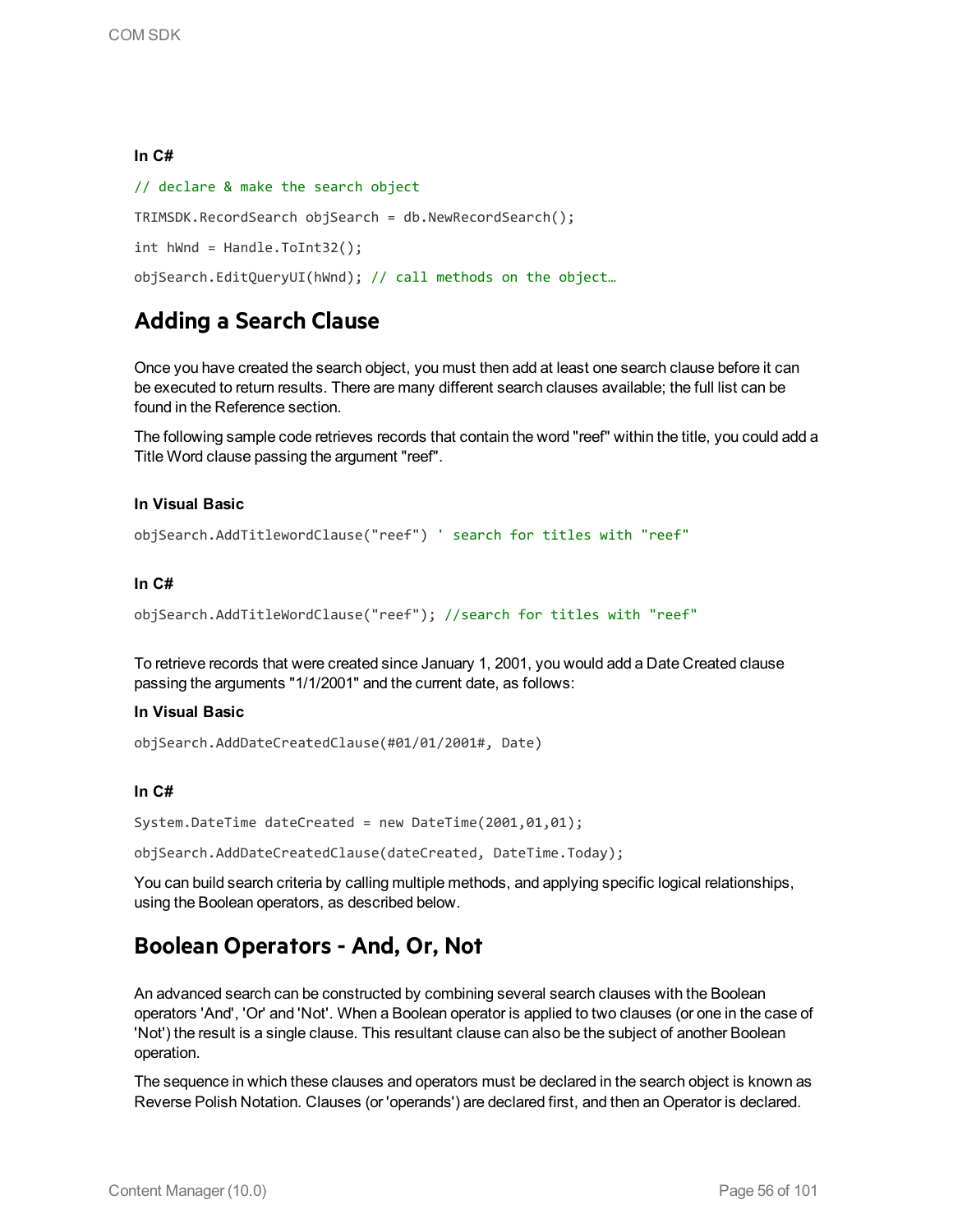```
// declare & make the search object
```
TRIMSDK.RecordSearch objSearch = db.NewRecordSearch();

int hWnd = Handle.ToInt32();

objSearch.EditQueryUI(hWnd); // call methods on the object…

# **Adding a Search Clause**

Once you have created the search object, you must then add at least one search clause before it can be executed to return results. There are many different search clauses available; the full list can be found in the Reference section.

The following sample code retrieves records that contain the word "reef" within the title, you could add a Title Word clause passing the argument "reef".

#### **In Visual Basic**

```
objSearch.AddTitlewordClause("reef") ' search for titles with "reef"
```
#### **In C#**

```
objSearch.AddTitleWordClause("reef"); //search for titles with "reef"
```
To retrieve records that were created since January 1, 2001, you would add a Date Created clause passing the arguments "1/1/2001" and the current date, as follows:

#### **In Visual Basic**

```
objSearch.AddDateCreatedClause(#01/01/2001#, Date)
```
#### **In C#**

```
System.DateTime dateCreated = new DateTime(2001,01,01);
```
objSearch.AddDateCreatedClause(dateCreated, DateTime.Today);

You can build search criteria by calling multiple methods, and applying specific logical relationships, using the Boolean operators, as described below.

## **Boolean Operators - And, Or, Not**

An advanced search can be constructed by combining several search clauses with the Boolean operators 'And', 'Or' and 'Not'. When a Boolean operator is applied to two clauses (or one in the case of 'Not') the result is a single clause. This resultant clause can also be the subject of another Boolean operation.

The sequence in which these clauses and operators must be declared in the search object is known as Reverse Polish Notation. Clauses (or 'operands') are declared first, and then an Operator is declared.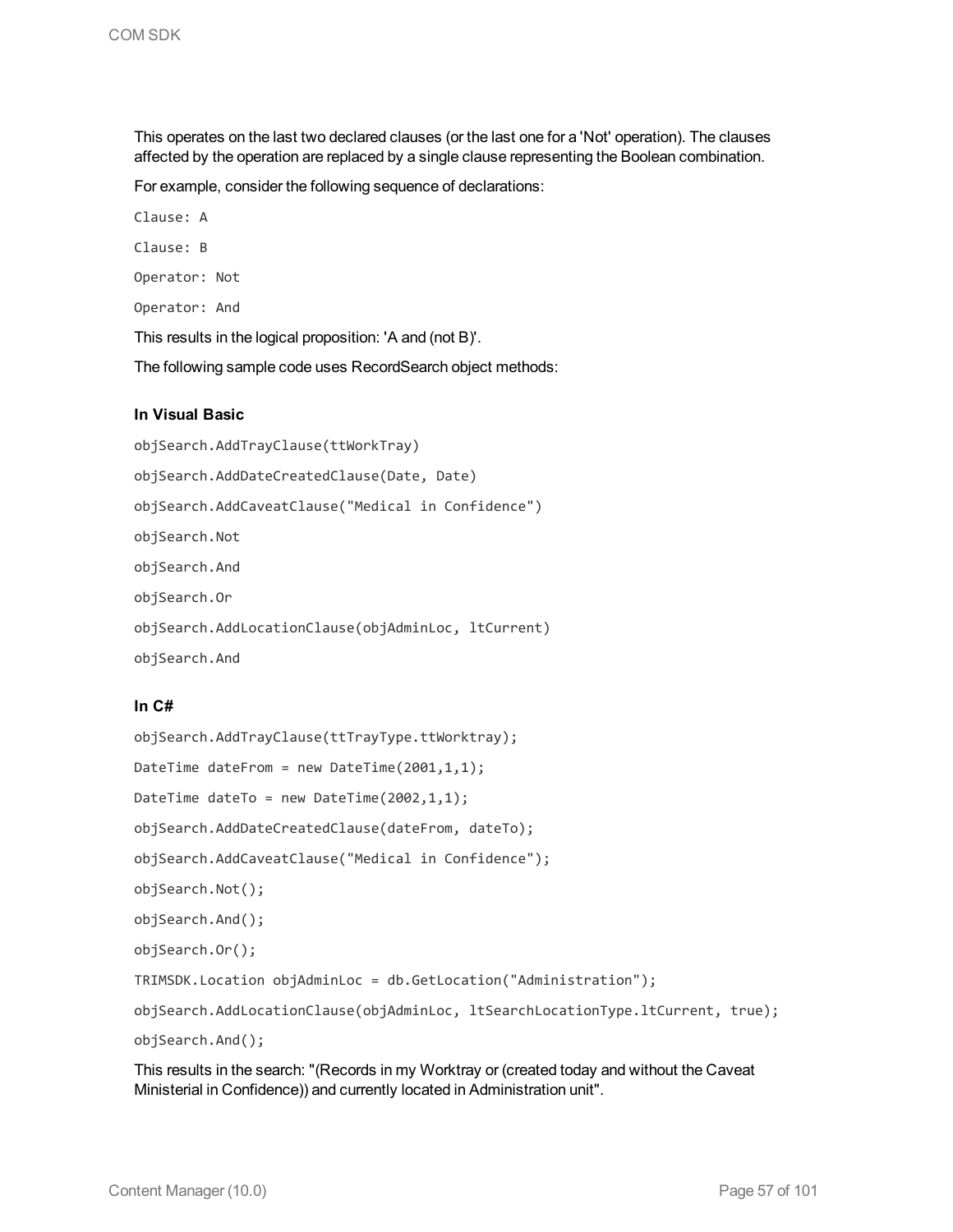This operates on the last two declared clauses (or the last one for a 'Not' operation). The clauses affected by the operation are replaced by a single clause representing the Boolean combination.

For example, consider the following sequence of declarations:

Clause: A Clause: B Operator: Not Operator: And This results in the logical proposition: 'A and (not B)'. The following sample code uses RecordSearch object methods:

#### **In Visual Basic**

objSearch.AddTrayClause(ttWorkTray)

objSearch.AddDateCreatedClause(Date, Date)

objSearch.AddCaveatClause("Medical in Confidence")

objSearch.Not

objSearch.And

objSearch.Or

objSearch.AddLocationClause(objAdminLoc, ltCurrent)

objSearch.And

#### **In C#**

objSearch.AddTrayClause(ttTrayType.ttWorktray);

DateTime dateFrom = new DateTime(2001,1,1);

DateTime dateTo = new DateTime( $2002, 1, 1$ );

objSearch.AddDateCreatedClause(dateFrom, dateTo);

objSearch.AddCaveatClause("Medical in Confidence");

objSearch.Not();

objSearch.And();

objSearch.Or();

TRIMSDK.Location objAdminLoc = db.GetLocation("Administration");

objSearch.AddLocationClause(objAdminLoc, ltSearchLocationType.ltCurrent, true);

objSearch.And();

This results in the search: "(Records in my Worktray or (created today and without the Caveat Ministerial in Confidence)) and currently located in Administration unit".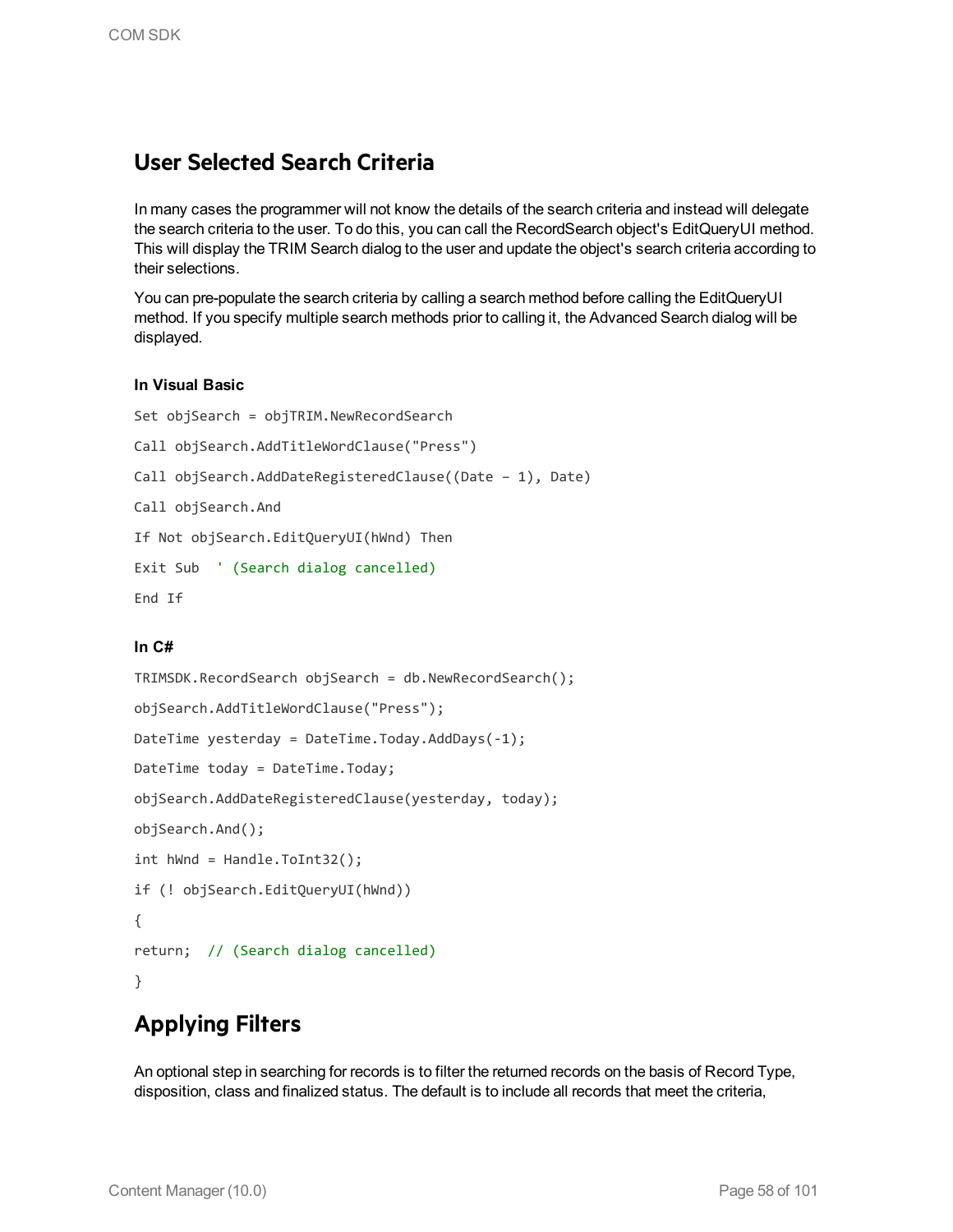## **User Selected Search Criteria**

In many cases the programmer will not know the details of the search criteria and instead will delegate the search criteria to the user. To do this, you can call the RecordSearch object's EditQueryUI method. This will display the TRIM Search dialog to the user and update the object's search criteria according to their selections.

You can pre-populate the search criteria by calling a search method before calling the EditQueryUI method. If you specify multiple search methods prior to calling it, the Advanced Search dialog will be displayed.

#### **In Visual Basic**

```
Set objSearch = objTRIM.NewRecordSearch
Call objSearch.AddTitleWordClause("Press")
Call objSearch.AddDateRegisteredClause((Date – 1), Date)
Call objSearch.And
If Not objSearch.EditQueryUI(hWnd) Then
Exit Sub ' (Search dialog cancelled)
End If
In C#
```

```
TRIMSDK.RecordSearch objSearch = db.NewRecordSearch();
objSearch.AddTitleWordClause("Press");
DateTime yesterday = DateTime.Today.AddDays(-1);
DateTime today = DateTime.Today;
objSearch.AddDateRegisteredClause(yesterday, today);
objSearch.And();
int hWnd = Handle.ToInt32();
if (! objSearch.EditQueryUI(hWnd))
{
return; // (Search dialog cancelled)
}
```
# **Applying Filters**

An optional step in searching for records is to filter the returned records on the basis of Record Type, disposition, class and finalized status. The default is to include all records that meet the criteria,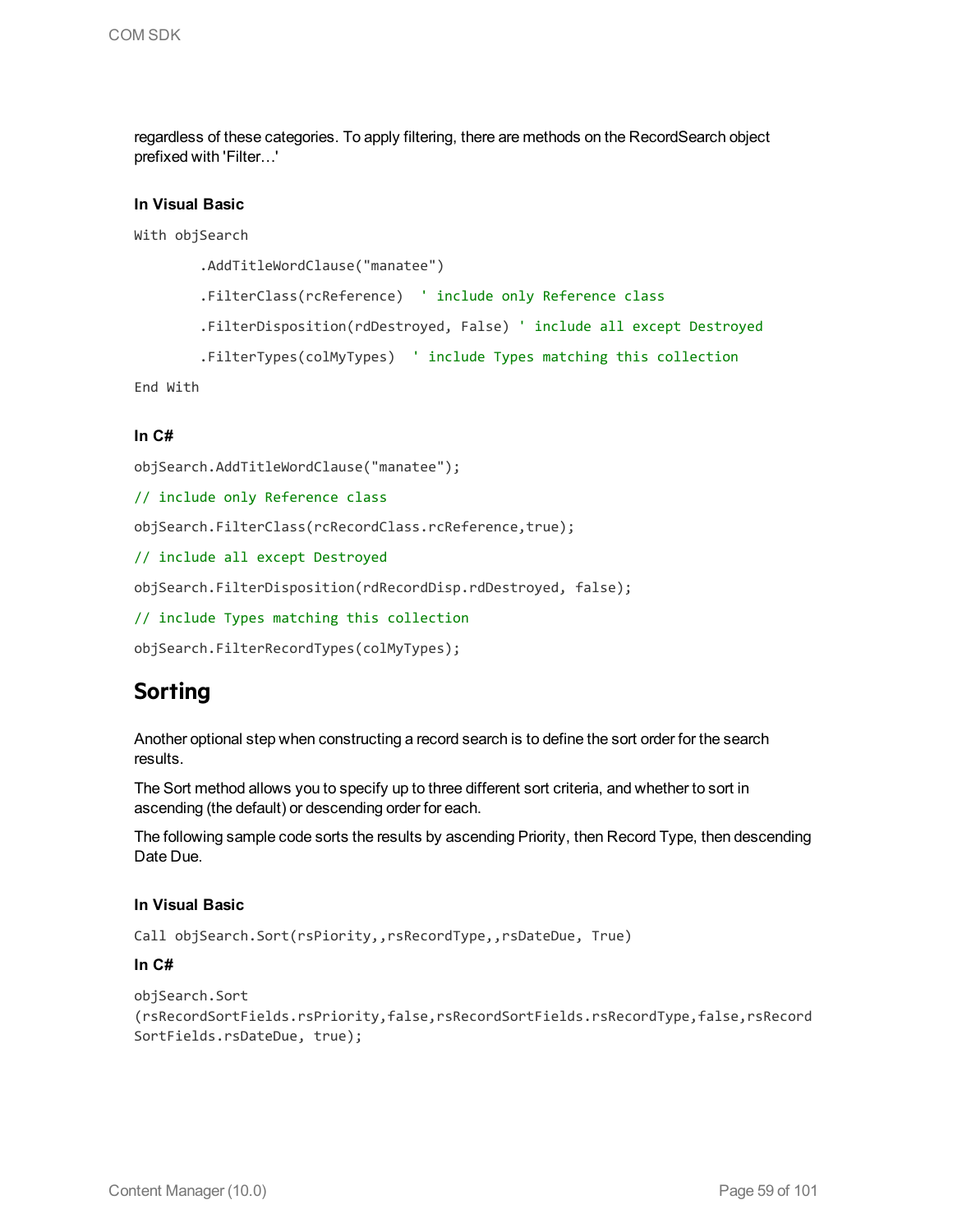regardless of these categories. To apply filtering, there are methods on the RecordSearch object prefixed with 'Filter…'

## **In Visual Basic**

With objSearch

```
.AddTitleWordClause("manatee")
```
.FilterClass(rcReference) ' include only Reference class

```
.FilterDisposition(rdDestroyed, False) ' include all except Destroyed
```

```
.FilterTypes(colMyTypes) ' include Types matching this collection
```
End With

### **In C#**

```
objSearch.AddTitleWordClause("manatee");
```
// include only Reference class

objSearch.FilterClass(rcRecordClass.rcReference,true);

// include all except Destroyed

objSearch.FilterDisposition(rdRecordDisp.rdDestroyed, false);

// include Types matching this collection

```
objSearch.FilterRecordTypes(colMyTypes);
```
## **Sorting**

Another optional step when constructing a record search is to define the sort order for the search results.

The Sort method allows you to specify up to three different sort criteria, and whether to sort in ascending (the default) or descending order for each.

The following sample code sorts the results by ascending Priority, then Record Type, then descending Date Due.

#### **In Visual Basic**

Call objSearch.Sort(rsPiority,,rsRecordType,,rsDateDue, True)

**In C#**

```
objSearch.Sort
(rsRecordSortFields.rsPriority,false,rsRecordSortFields.rsRecordType,false,rsRecord
SortFields.rsDateDue, true);
```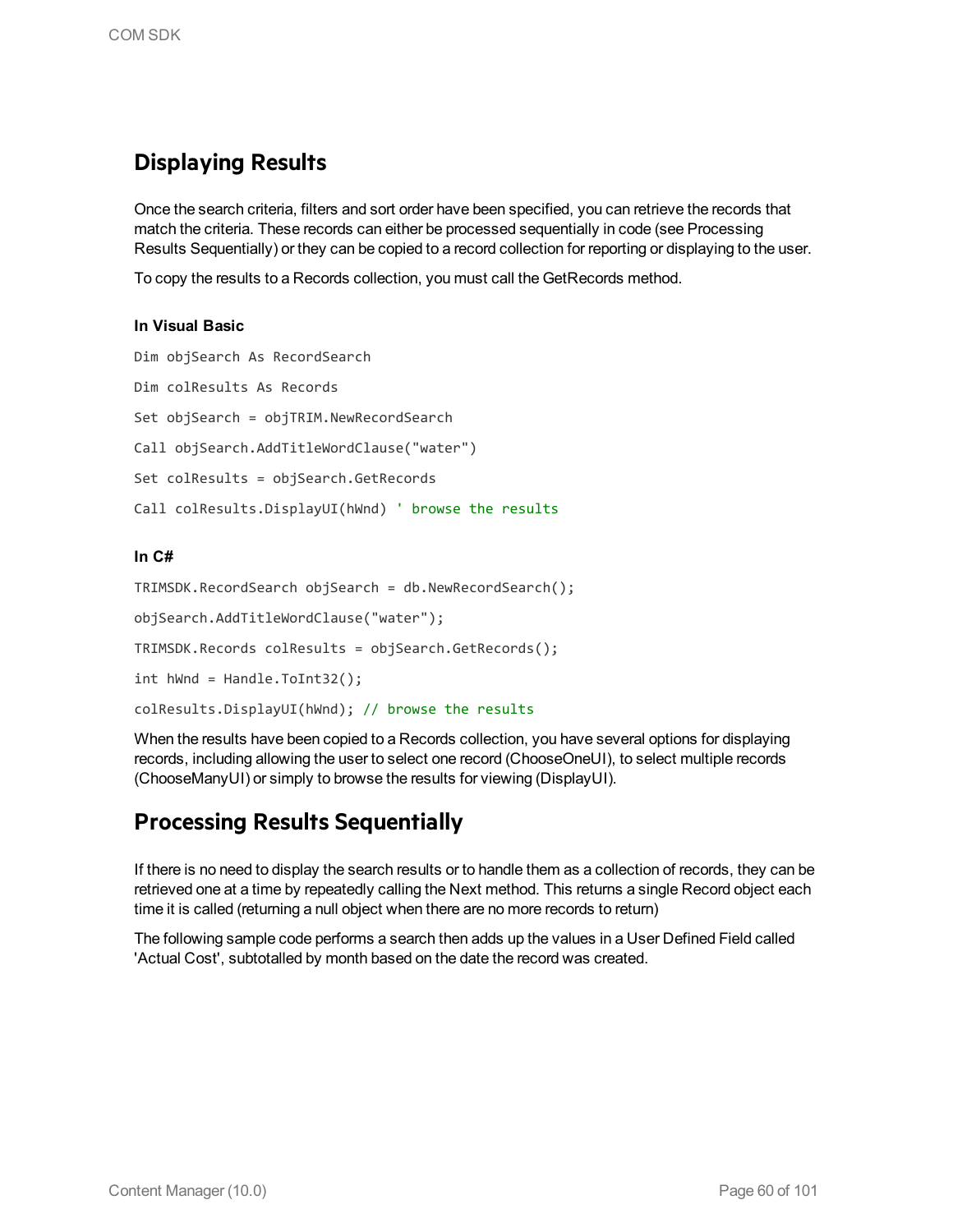# **Displaying Results**

Once the search criteria, filters and sort order have been specified, you can retrieve the records that match the criteria. These records can either be processed sequentially in code (see Processing Results Sequentially) or they can be copied to a record collection for reporting or displaying to the user.

To copy the results to a Records collection, you must call the GetRecords method.

### **In Visual Basic**

```
Dim objSearch As RecordSearch
Dim colResults As Records
Set objSearch = objTRIM.NewRecordSearch
Call objSearch.AddTitleWordClause("water")
Set colResults = objSearch.GetRecords
Call colResults.DisplayUI(hWnd) ' browse the results
```
## **In C#**

```
TRIMSDK.RecordSearch objSearch = db.NewRecordSearch();
objSearch.AddTitleWordClause("water");
TRIMSDK.Records colResults = objSearch.GetRecords();
int hWnd = Handle.ToInt32();
colResults.DisplayUI(hWnd); // browse the results
```
When the results have been copied to a Records collection, you have several options for displaying records, including allowing the user to select one record (ChooseOneUI), to select multiple records (ChooseManyUI) or simply to browse the results for viewing (DisplayUI).

# **Processing Results Sequentially**

If there is no need to display the search results or to handle them as a collection of records, they can be retrieved one at a time by repeatedly calling the Next method. This returns a single Record object each time it is called (returning a null object when there are no more records to return)

The following sample code performs a search then adds up the values in a User Defined Field called 'Actual Cost', subtotalled by month based on the date the record was created.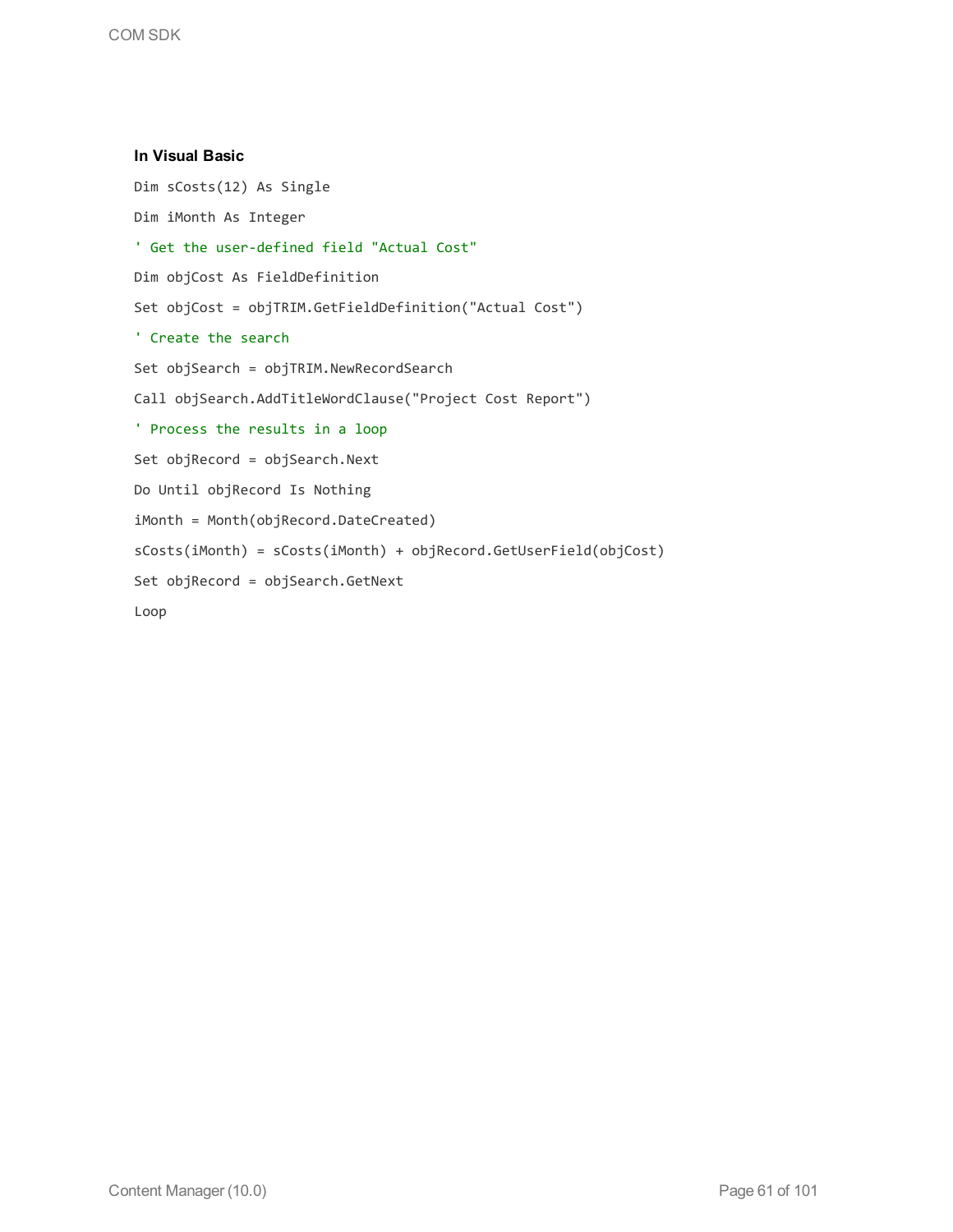```
In Visual Basic
Dim sCosts(12) As Single
Dim iMonth As Integer
' Get the user-defined field "Actual Cost"
Dim objCost As FieldDefinition
Set objCost = objTRIM.GetFieldDefinition("Actual Cost")
' Create the search
Set objSearch = objTRIM.NewRecordSearch
Call objSearch.AddTitleWordClause("Project Cost Report")
' Process the results in a loop
Set objRecord = objSearch.Next
Do Until objRecord Is Nothing
iMonth = Month(objRecord.DateCreated)
sCosts(iMonth) = sCosts(iMonth) + objRecord.GetUserField(objCost)
Set objRecord = objSearch.GetNext
Loop
```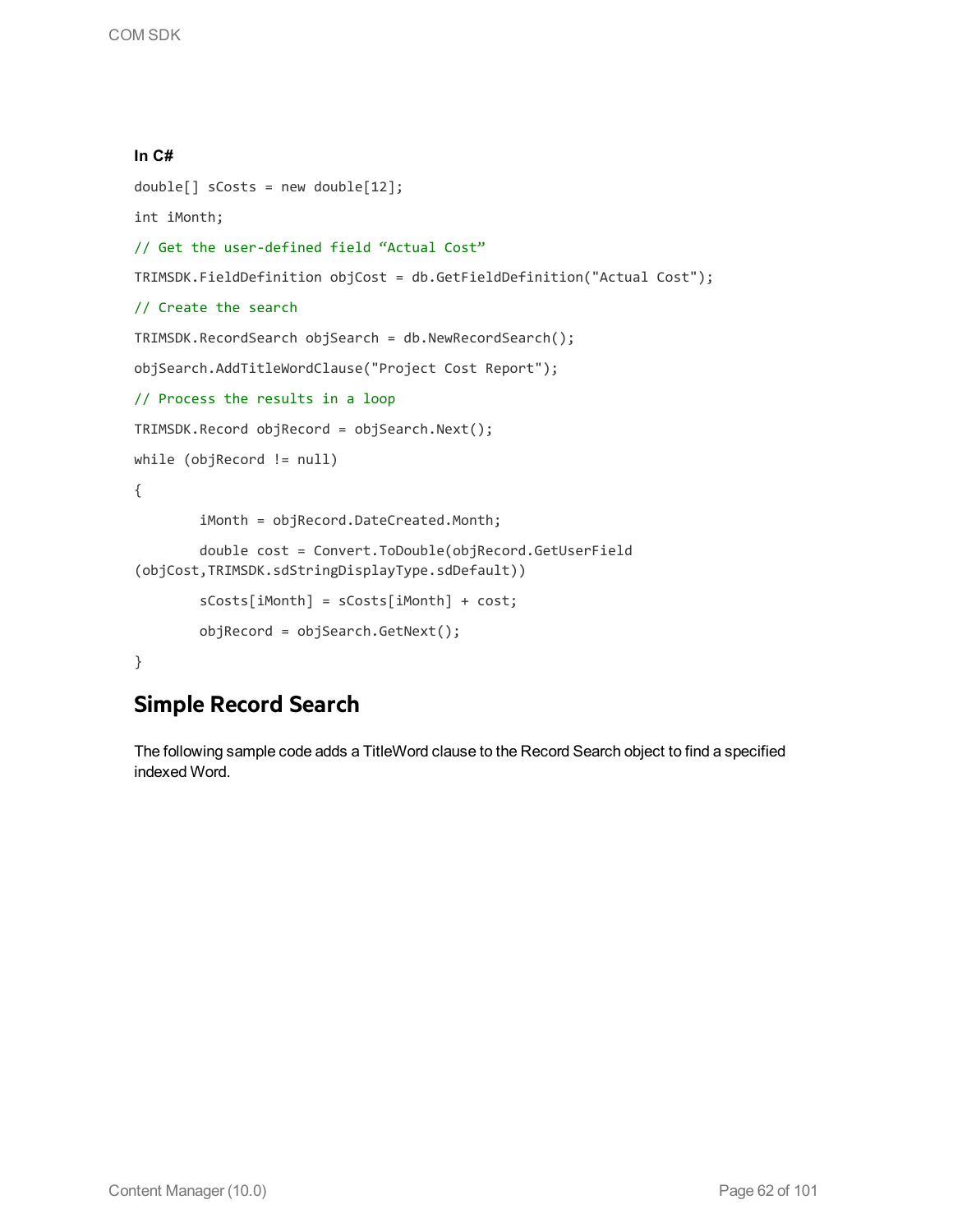```
In C#
double[] sCosts = new double[12];
int iMonth;
// Get the user-defined field "Actual Cost"
TRIMSDK.FieldDefinition objCost = db.GetFieldDefinition("Actual Cost");
// Create the search
TRIMSDK.RecordSearch objSearch = db.NewRecordSearch();
objSearch.AddTitleWordClause("Project Cost Report");
// Process the results in a loop
TRIMSDK.Record objRecord = objSearch.Next();
while (objRecord != null)
{
        iMonth = objRecord.DateCreated.Month;
        double cost = Convert.ToDouble(objRecord.GetUserField
(objCost,TRIMSDK.sdStringDisplayType.sdDefault))
        sCosts[iMonth] = sCosts[iMonth] + cost;
        objRecord = objSearch.GetNext();
}
```
# **Simple Record Search**

The following sample code adds a TitleWord clause to the Record Search object to find a specified indexed Word.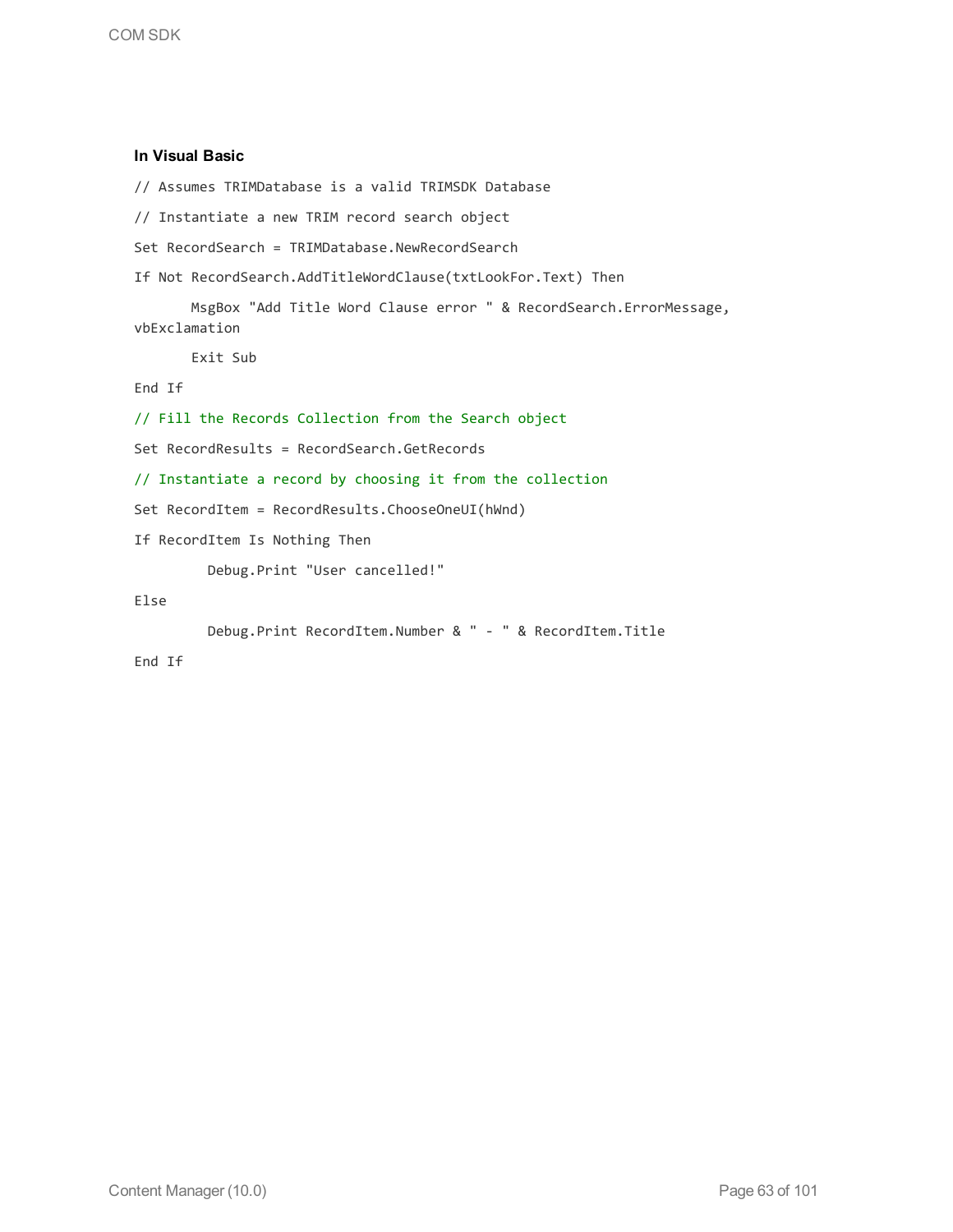// Assumes TRIMDatabase is a valid TRIMSDK Database

// Instantiate a new TRIM record search object

Set RecordSearch = TRIMDatabase.NewRecordSearch

If Not RecordSearch.AddTitleWordClause(txtLookFor.Text) Then

MsgBox "Add Title Word Clause error " & RecordSearch.ErrorMessage, vbExclamation

Exit Sub

End If

// Fill the Records Collection from the Search object

Set RecordResults = RecordSearch.GetRecords

// Instantiate a record by choosing it from the collection

Set RecordItem = RecordResults.ChooseOneUI(hWnd)

If RecordItem Is Nothing Then

Debug.Print "User cancelled!"

Else

Debug.Print RecordItem.Number & " - " & RecordItem.Title

End If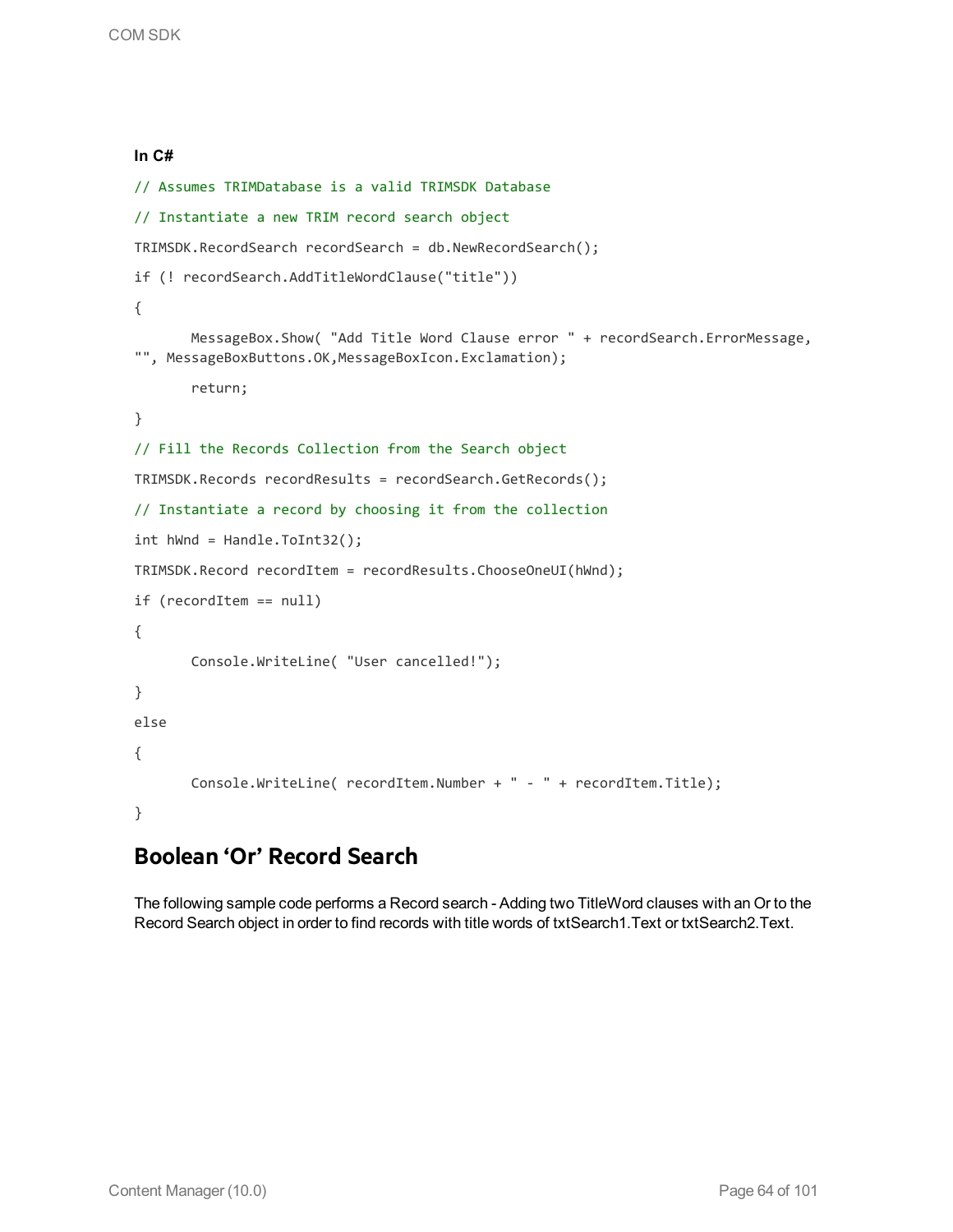```
// Assumes TRIMDatabase is a valid TRIMSDK Database
// Instantiate a new TRIM record search object
TRIMSDK.RecordSearch recordSearch = db.NewRecordSearch();
if (! recordSearch.AddTitleWordClause("title"))
{
       MessageBox.Show( "Add Title Word Clause error " + recordSearch.ErrorMessage,
"", MessageBoxButtons.OK,MessageBoxIcon.Exclamation);
       return;
}
// Fill the Records Collection from the Search object
TRIMSDK.Records recordResults = recordSearch.GetRecords();
// Instantiate a record by choosing it from the collection
int hWnd = Handle.ToInt32();
TRIMSDK.Record recordItem = recordResults.ChooseOneUI(hWnd);
if (recordItem == null)
{
       Console.WriteLine( "User cancelled!");
}
else
{
       Console.WriteLine( recordItem.Number + " - " + recordItem.Title);
}
```
# **Boolean 'Or' Record Search**

The following sample code performs a Record search - Adding two TitleWord clauses with an Or to the Record Search object in order to find records with title words of txtSearch1.Text or txtSearch2.Text.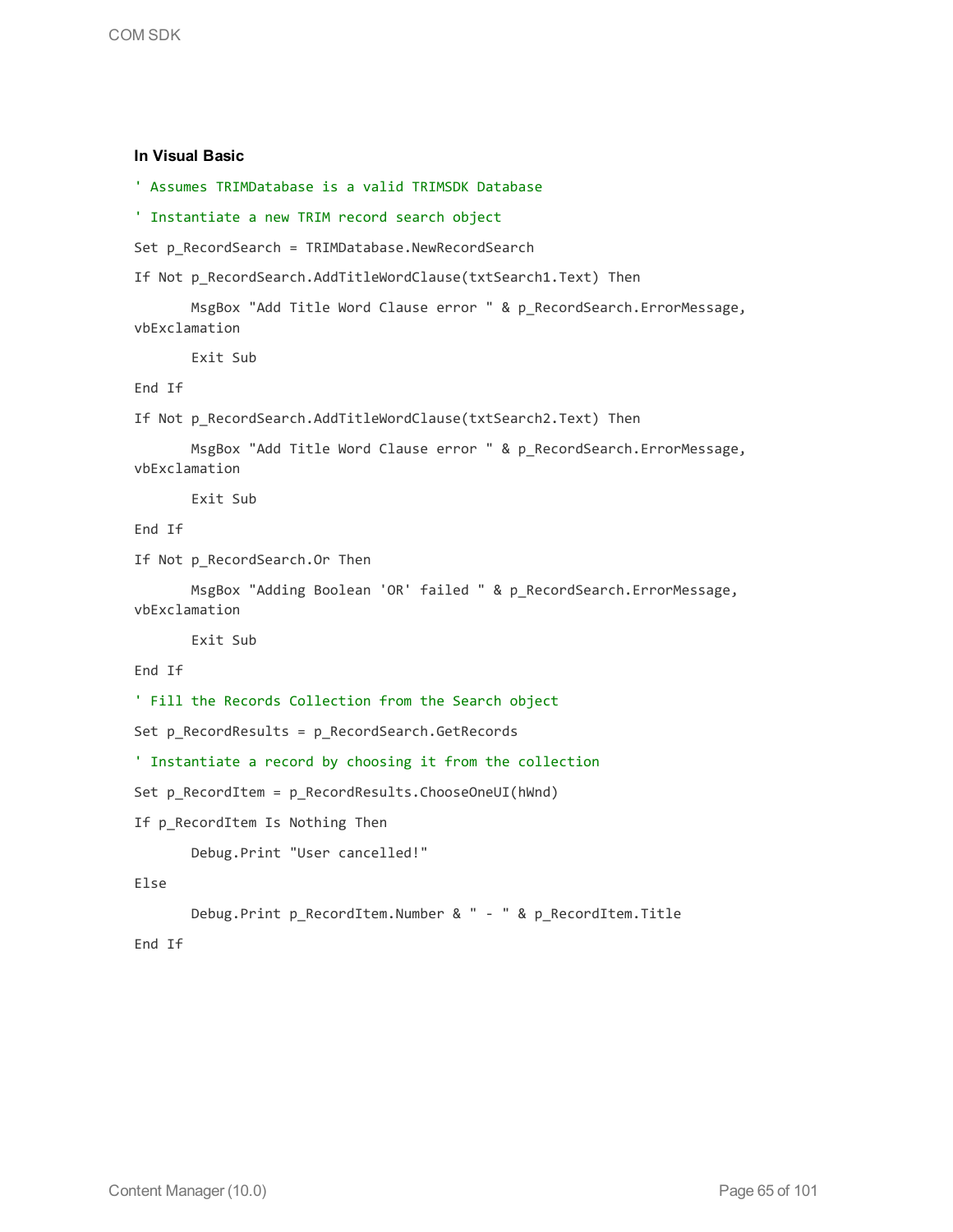```
' Assumes TRIMDatabase is a valid TRIMSDK Database
```
' Instantiate a new TRIM record search object

Set p\_RecordSearch = TRIMDatabase.NewRecordSearch

```
If Not p_RecordSearch.AddTitleWordClause(txtSearch1.Text) Then
```
MsgBox "Add Title Word Clause error " & p\_RecordSearch.ErrorMessage, vbExclamation

Exit Sub

End If

```
If Not p_RecordSearch.AddTitleWordClause(txtSearch2.Text) Then
```

```
MsgBox "Add Title Word Clause error " & p_RecordSearch.ErrorMessage,
vbExclamation
```
Exit Sub

End If

If Not p\_RecordSearch.Or Then

```
MsgBox "Adding Boolean 'OR' failed " & p_RecordSearch.ErrorMessage,
vbExclamation
```
Exit Sub

#### End If

' Fill the Records Collection from the Search object

```
Set p_RecordResults = p_RecordSearch.GetRecords
```
' Instantiate a record by choosing it from the collection

Set p\_RecordItem = p\_RecordResults.ChooseOneUI(hWnd)

If p\_RecordItem Is Nothing Then

Debug.Print "User cancelled!"

#### Else

```
Debug.Print p_RecordItem.Number & " - " & p_RecordItem.Title
```
End If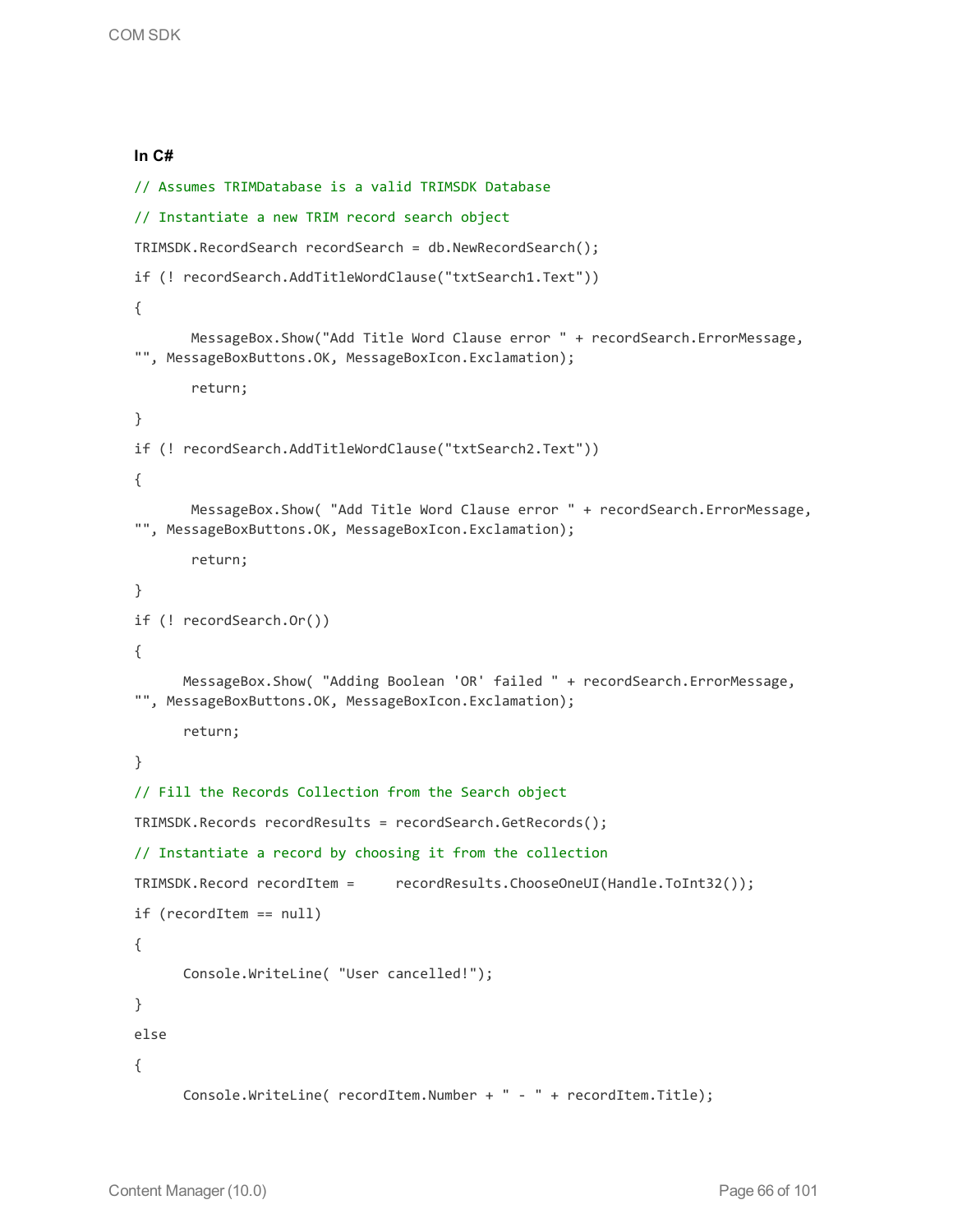```
// Assumes TRIMDatabase is a valid TRIMSDK Database
// Instantiate a new TRIM record search object
TRIMSDK.RecordSearch recordSearch = db.NewRecordSearch();
if (! recordSearch.AddTitleWordClause("txtSearch1.Text"))
{
       MessageBox.Show("Add Title Word Clause error " + recordSearch.ErrorMessage,
"", MessageBoxButtons.OK, MessageBoxIcon.Exclamation);
       return;
}
if (! recordSearch.AddTitleWordClause("txtSearch2.Text"))
{
       MessageBox.Show( "Add Title Word Clause error " + recordSearch.ErrorMessage,
"", MessageBoxButtons.OK, MessageBoxIcon.Exclamation);
       return;
}
if (! recordSearch.Or())
{
      MessageBox.Show( "Adding Boolean 'OR' failed " + recordSearch.ErrorMessage,
"", MessageBoxButtons.OK, MessageBoxIcon.Exclamation);
      return;
}
// Fill the Records Collection from the Search object
TRIMSDK.Records recordResults = recordSearch.GetRecords();
// Instantiate a record by choosing it from the collection
TRIMSDK.Record recordItem = recordResults.ChooseOneUI(Handle.ToInt32());
if (recordItem == null)
{
      Console.WriteLine( "User cancelled!");
}
else
{
      Console.WriteLine( recordItem.Number + " - " + recordItem.Title);
```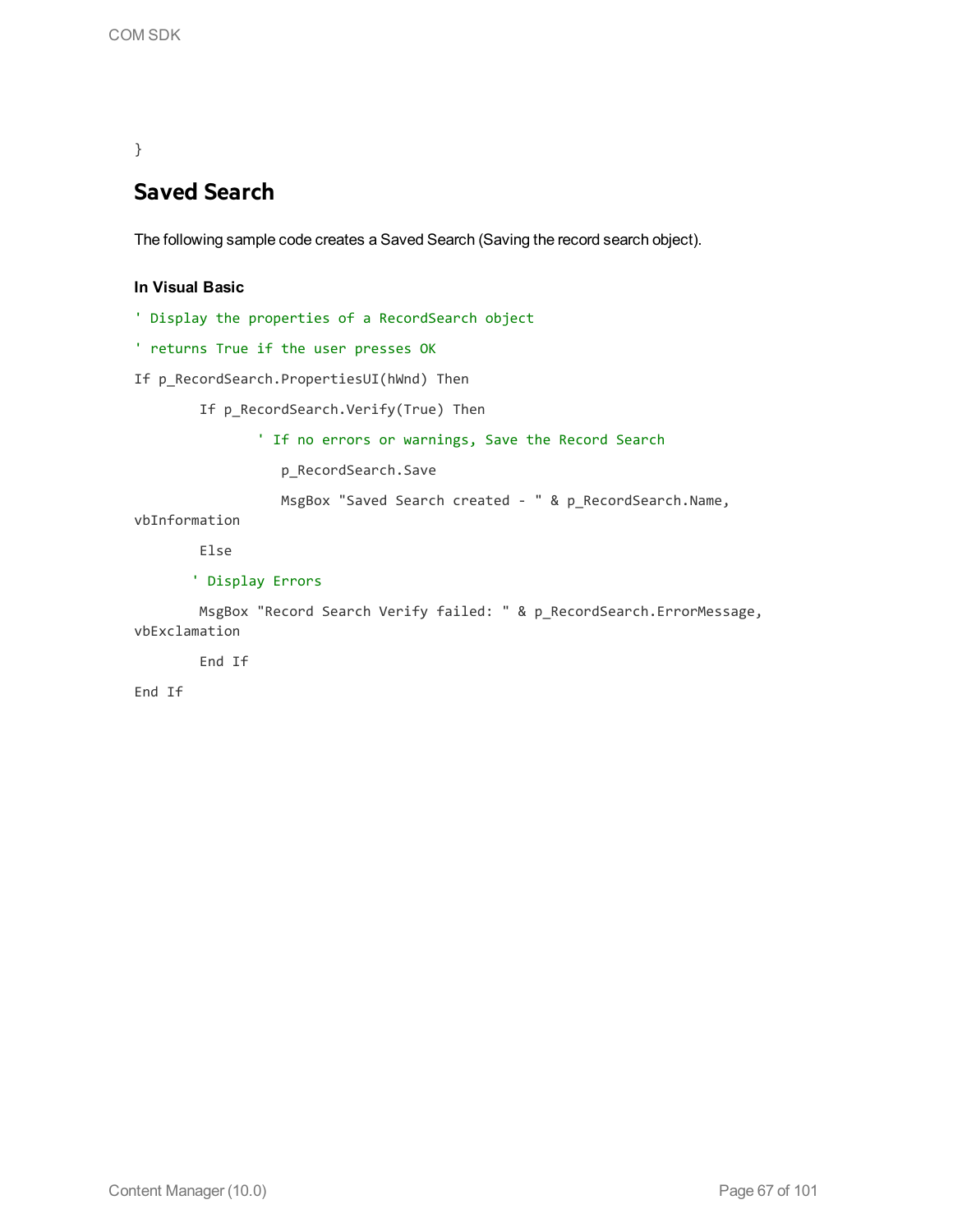## }

## **Saved Search**

The following sample code creates a Saved Search (Saving the record search object).

## **In Visual Basic**

' Display the properties of a RecordSearch object

' returns True if the user presses OK

If p\_RecordSearch.PropertiesUI(hWnd) Then

If p\_RecordSearch.Verify(True) Then

' If no errors or warnings, Save the Record Search

p\_RecordSearch.Save

MsgBox "Saved Search created - " & p\_RecordSearch.Name,

vbInformation

Else

#### ' Display Errors

MsgBox "Record Search Verify failed: " & p\_RecordSearch.ErrorMessage, vbExclamation

End If

End If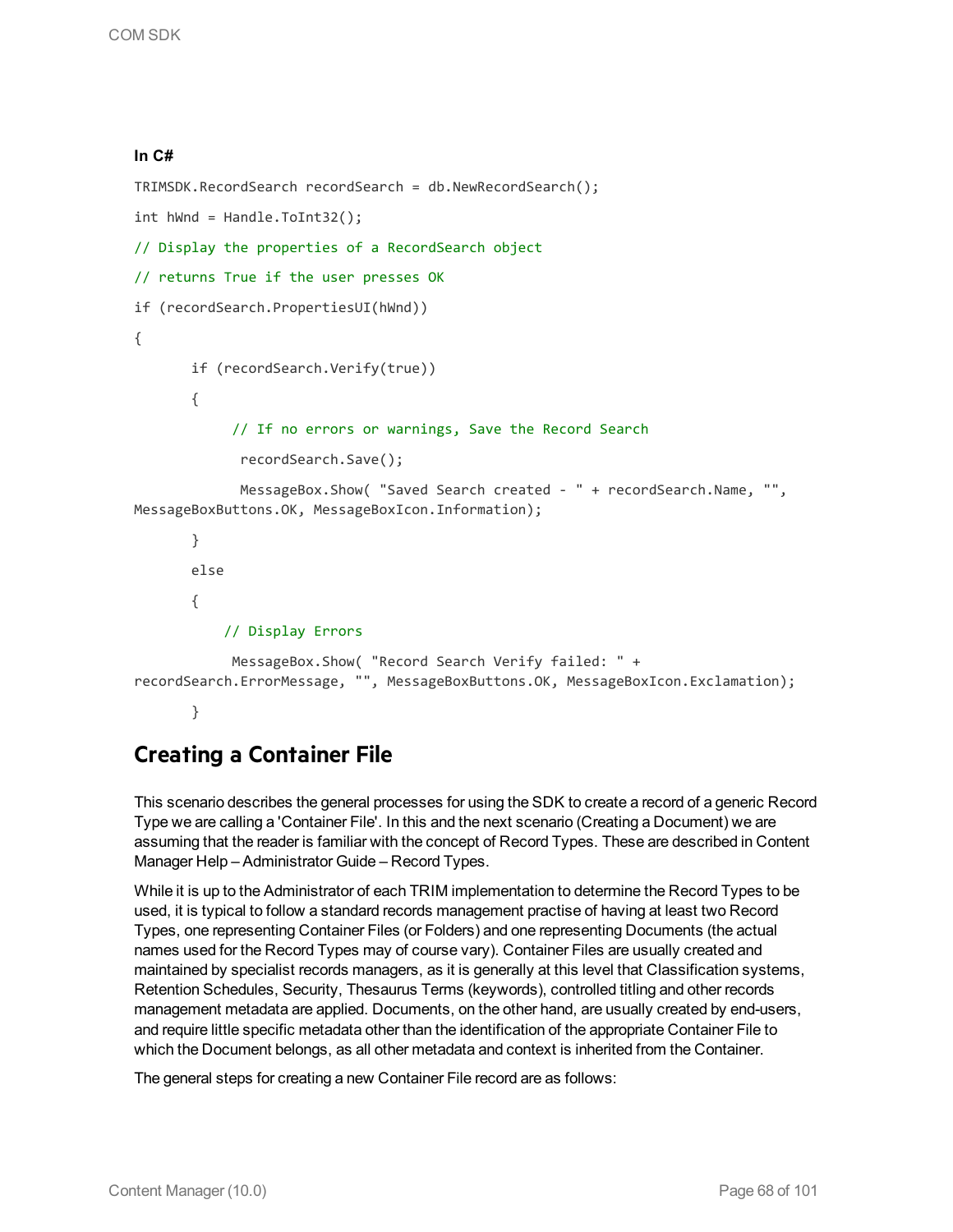```
TRIMSDK.RecordSearch recordSearch = db.NewRecordSearch();
int hWnd = Handle.ToInt32();
// Display the properties of a RecordSearch object
// returns True if the user presses OK
if (recordSearch.PropertiesUI(hWnd))
{
       if (recordSearch.Verify(true))
       {
            // If no errors or warnings, Save the Record Search
             recordSearch.Save();
             MessageBox.Show( "Saved Search created - " + recordSearch.Name, "",
MessageBoxButtons.OK, MessageBoxIcon.Information);
       }
       else
       {
           // Display Errors
            MessageBox.Show( "Record Search Verify failed: " +
recordSearch.ErrorMessage, "", MessageBoxButtons.OK, MessageBoxIcon.Exclamation);
       }
```
# **Creating a Container File**

This scenario describes the general processes for using the SDK to create a record of a generic Record Type we are calling a 'Container File'. In this and the next scenario (Creating a Document) we are assuming that the reader is familiar with the concept of Record Types. These are described in Content Manager Help – Administrator Guide – Record Types.

While it is up to the Administrator of each TRIM implementation to determine the Record Types to be used, it is typical to follow a standard records management practise of having at least two Record Types, one representing Container Files (or Folders) and one representing Documents (the actual names used for the Record Types may of course vary). Container Files are usually created and maintained by specialist records managers, as it is generally at this level that Classification systems, Retention Schedules, Security, Thesaurus Terms (keywords), controlled titling and other records management metadata are applied. Documents, on the other hand, are usually created by end-users, and require little specific metadata other than the identification of the appropriate Container File to which the Document belongs, as all other metadata and context is inherited from the Container.

The general steps for creating a new Container File record are as follows: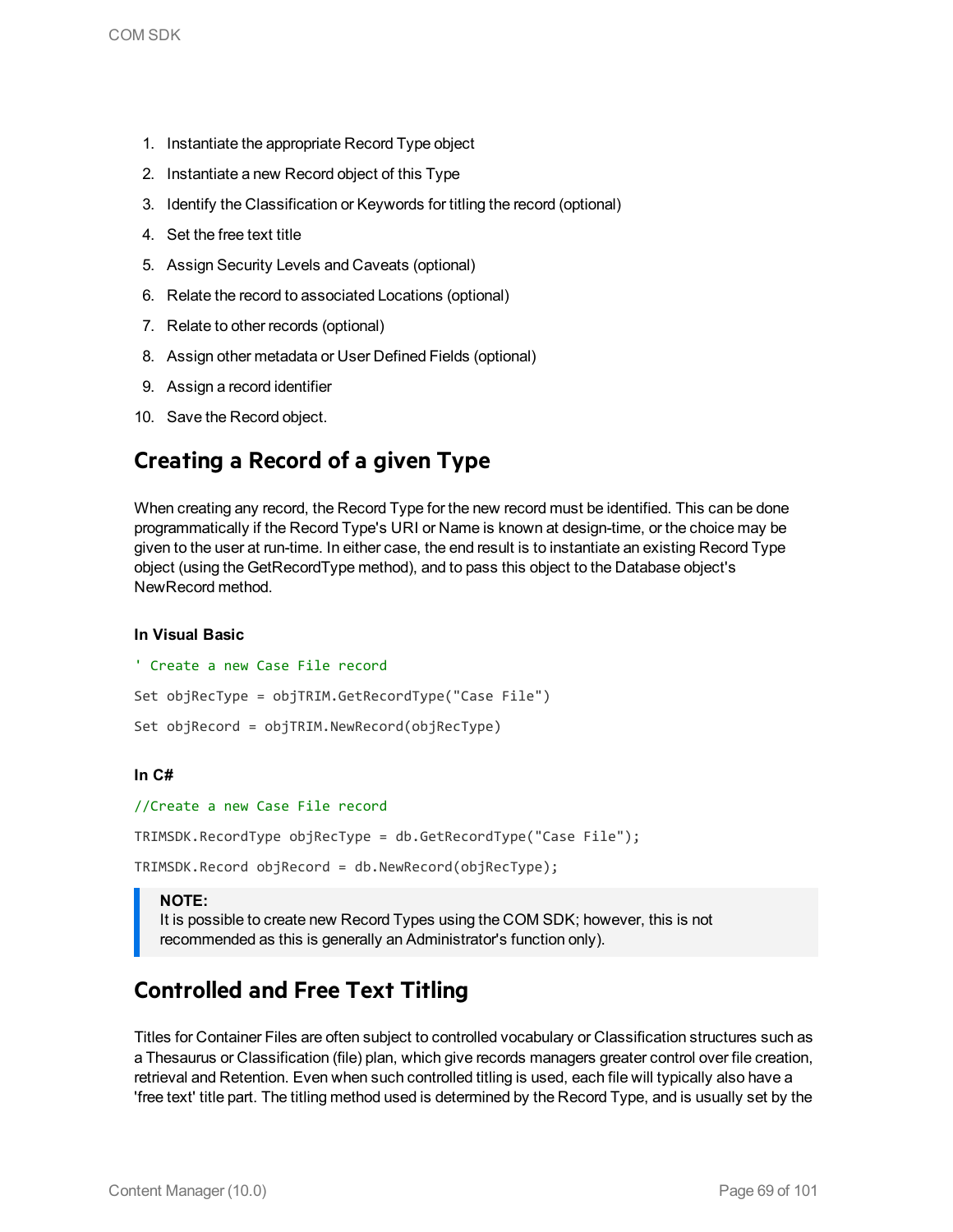- 1. Instantiate the appropriate Record Type object
- 2. Instantiate a new Record object of this Type
- 3. Identify the Classification or Keywords for titling the record (optional)
- 4. Set the free text title
- 5. Assign Security Levels and Caveats (optional)
- 6. Relate the record to associated Locations (optional)
- 7. Relate to other records (optional)
- 8. Assign other metadata or User Defined Fields (optional)
- 9. Assign a record identifier
- 10. Save the Record object.

# **Creating a Record of a given Type**

When creating any record, the Record Type for the new record must be identified. This can be done programmatically if the Record Type's URI or Name is known at design-time, or the choice may be given to the user at run-time. In either case, the end result is to instantiate an existing Record Type object (using the GetRecordType method), and to pass this object to the Database object's NewRecord method.

#### **In Visual Basic**

```
' Create a new Case File record
```

```
Set objRecType = objTRIM.GetRecordType("Case File")
```

```
Set objRecord = objTRIM.NewRecord(objRecType)
```
#### **In C#**

#### //Create a new Case File record

TRIMSDK.RecordType objRecType = db.GetRecordType("Case File");

TRIMSDK.Record objRecord = db.NewRecord(objRecType);

#### **NOTE:**

It is possible to create new Record Types using the COM SDK; however, this is not recommended as this is generally an Administrator's function only).

## **Controlled and Free Text Titling**

Titles for Container Files are often subject to controlled vocabulary or Classification structures such as a Thesaurus or Classification (file) plan, which give records managers greater control over file creation, retrieval and Retention. Even when such controlled titling is used, each file will typically also have a 'free text' title part. The titling method used is determined by the Record Type, and is usually set by the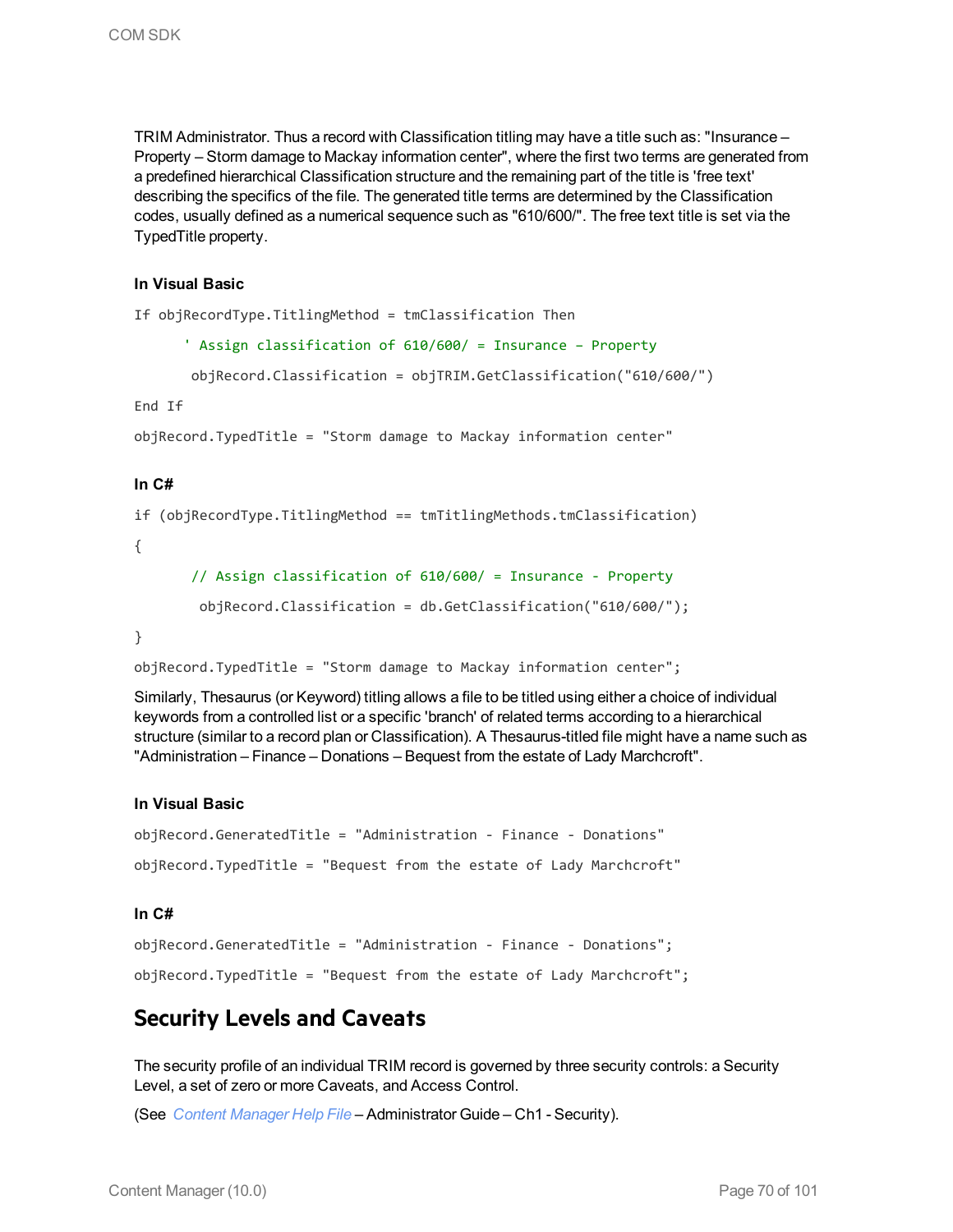TRIM Administrator. Thus a record with Classification titling may have a title such as: "Insurance – Property – Storm damage to Mackay information center", where the first two terms are generated from a predefined hierarchical Classification structure and the remaining part of the title is 'free text' describing the specifics of the file. The generated title terms are determined by the Classification codes, usually defined as a numerical sequence such as "610/600/". The free text title is set via the TypedTitle property.

#### **In Visual Basic**

```
If objRecordType.TitlingMethod = tmClassification Then
```

```
' Assign classification of 610/600/ = Insurance – Property
```

```
objRecord.Classification = objTRIM.GetClassification("610/600/")
```
End If

```
objRecord.TypedTitle = "Storm damage to Mackay information center"
```
#### **In C#**

```
if (objRecordType.TitlingMethod == tmTitlingMethods.tmClassification)
{
       // Assign classification of 610/600/ = Insurance - Property
        objRecord.Classification = db.GetClassification("610/600/");
}
```

```
objRecord.TypedTitle = "Storm damage to Mackay information center";
```
Similarly, Thesaurus (or Keyword) titling allows a file to be titled using either a choice of individual keywords from a controlled list or a specific 'branch' of related terms according to a hierarchical structure (similar to a record plan or Classification). A Thesaurus-titled file might have a name such as "Administration – Finance – Donations – Bequest from the estate of Lady Marchcroft".

#### **In Visual Basic**

```
objRecord.GeneratedTitle = "Administration - Finance - Donations"
objRecord.TypedTitle = "Bequest from the estate of Lady Marchcroft"
```
#### **In C#**

objRecord.GeneratedTitle = "Administration - Finance - Donations"; objRecord.TypedTitle = "Bequest from the estate of Lady Marchcroft";

## **Security Levels and Caveats**

The security profile of an individual TRIM record is governed by three security controls: a Security Level, a set of zero or more Caveats, and Access Control.

(See *Content Manager Help File* – Administrator Guide – Ch1 - Security).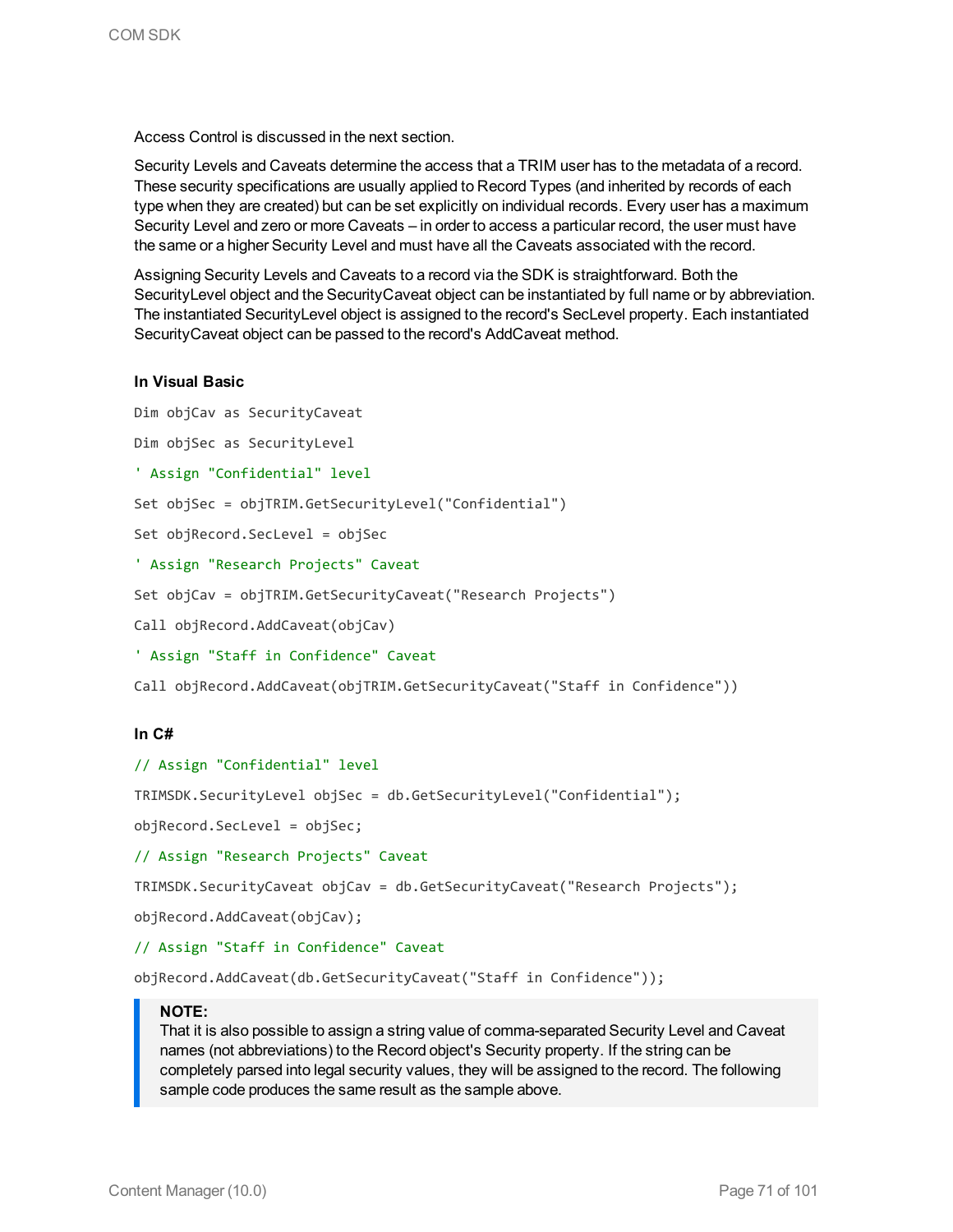Access Control is discussed in the next section.

Security Levels and Caveats determine the access that a TRIM user has to the metadata of a record. These security specifications are usually applied to Record Types (and inherited by records of each type when they are created) but can be set explicitly on individual records. Every user has a maximum Security Level and zero or more Caveats – in order to access a particular record, the user must have the same or a higher Security Level and must have all the Caveats associated with the record.

Assigning Security Levels and Caveats to a record via the SDK is straightforward. Both the SecurityLevel object and the SecurityCaveat object can be instantiated by full name or by abbreviation. The instantiated SecurityLevel object is assigned to the record's SecLevel property. Each instantiated SecurityCaveat object can be passed to the record's AddCaveat method.

#### **In Visual Basic**

Dim objCav as SecurityCaveat

Dim objSec as SecurityLevel

```
' Assign "Confidential" level
```
Set objSec = objTRIM.GetSecurityLevel("Confidential")

```
Set objRecord.SecLevel = objSec
```

```
' Assign "Research Projects" Caveat
```
Set objCav = objTRIM.GetSecurityCaveat("Research Projects")

Call objRecord.AddCaveat(objCav)

```
' Assign "Staff in Confidence" Caveat
```
Call objRecord.AddCaveat(objTRIM.GetSecurityCaveat("Staff in Confidence"))

#### **In C#**

#### // Assign "Confidential" level

TRIMSDK.SecurityLevel objSec = db.GetSecurityLevel("Confidential");

objRecord.SecLevel = objSec;

#### // Assign "Research Projects" Caveat

TRIMSDK.SecurityCaveat objCav = db.GetSecurityCaveat("Research Projects");

objRecord.AddCaveat(objCav);

#### // Assign "Staff in Confidence" Caveat

objRecord.AddCaveat(db.GetSecurityCaveat("Staff in Confidence"));

#### **NOTE:**

That it is also possible to assign a string value of comma-separated Security Level and Caveat names (not abbreviations) to the Record object's Security property. If the string can be completely parsed into legal security values, they will be assigned to the record. The following sample code produces the same result as the sample above.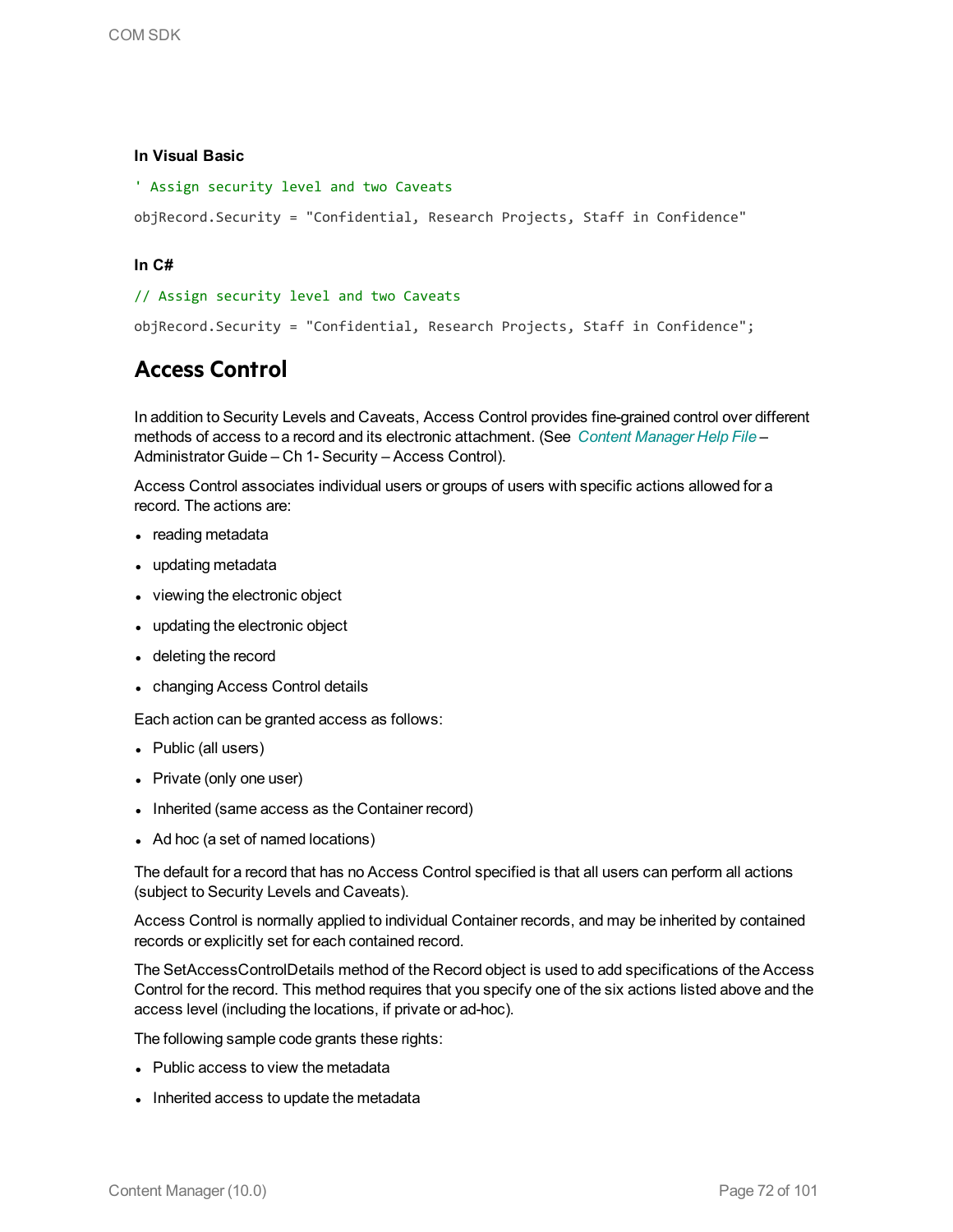' Assign security level and two Caveats objRecord.Security = "Confidential, Research Projects, Staff in Confidence"

## **In C#**

// Assign security level and two Caveats

objRecord.Security = "Confidential, Research Projects, Staff in Confidence";

## **Access Control**

In addition to Security Levels and Caveats, Access Control provides fine-grained control over different methods of access to a record and its electronic attachment. (See *Content Manager Help File* – Administrator Guide – Ch 1- Security – Access Control).

Access Control associates individual users or groups of users with specific actions allowed for a record. The actions are:

- reading metadata
- updating metadata
- viewing the electronic object
- updating the electronic object
- deleting the record
- changing Access Control details

Each action can be granted access as follows:

- Public (all users)
- Private (only one user)
- Inherited (same access as the Container record)
- Ad hoc (a set of named locations)

The default for a record that has no Access Control specified is that all users can perform all actions (subject to Security Levels and Caveats).

Access Control is normally applied to individual Container records, and may be inherited by contained records or explicitly set for each contained record.

The SetAccessControlDetails method of the Record object is used to add specifications of the Access Control for the record. This method requires that you specify one of the six actions listed above and the access level (including the locations, if private or ad-hoc).

The following sample code grants these rights:

- Public access to view the metadata
- Inherited access to update the metadata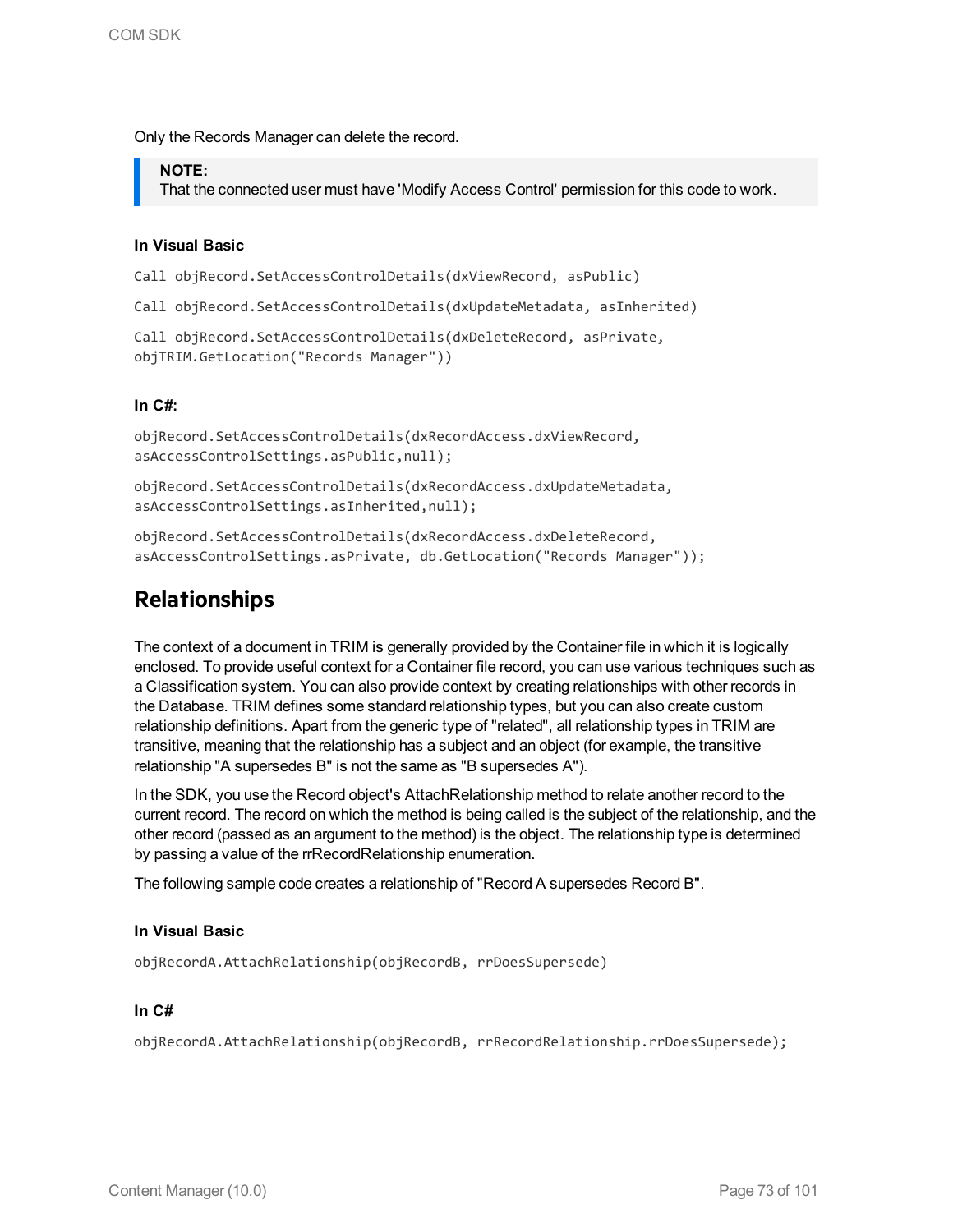Only the Records Manager can delete the record.

### **NOTE:**

That the connected user must have 'Modify Access Control' permission for this code to work.

#### **In Visual Basic**

```
Call objRecord.SetAccessControlDetails(dxViewRecord, asPublic)
```
Call objRecord.SetAccessControlDetails(dxUpdateMetadata, asInherited)

```
Call objRecord.SetAccessControlDetails(dxDeleteRecord, asPrivate,
objTRIM.GetLocation("Records Manager"))
```
### **In C#:**

```
objRecord.SetAccessControlDetails(dxRecordAccess.dxViewRecord,
asAccessControlSettings.asPublic,null);
```
objRecord.SetAccessControlDetails(dxRecordAccess.dxUpdateMetadata, asAccessControlSettings.asInherited,null);

objRecord.SetAccessControlDetails(dxRecordAccess.dxDeleteRecord, asAccessControlSettings.asPrivate, db.GetLocation("Records Manager"));

### **Relationships**

The context of a document in TRIM is generally provided by the Container file in which it is logically enclosed. To provide useful context for a Container file record, you can use various techniques such as a Classification system. You can also provide context by creating relationships with other records in the Database. TRIM defines some standard relationship types, but you can also create custom relationship definitions. Apart from the generic type of "related", all relationship types in TRIM are transitive, meaning that the relationship has a subject and an object (for example, the transitive relationship "A supersedes B" is not the same as "B supersedes A").

In the SDK, you use the Record object's AttachRelationship method to relate another record to the current record. The record on which the method is being called is the subject of the relationship, and the other record (passed as an argument to the method) is the object. The relationship type is determined by passing a value of the rrRecordRelationship enumeration.

The following sample code creates a relationship of "Record A supersedes Record B".

#### **In Visual Basic**

objRecordA.AttachRelationship(objRecordB, rrDoesSupersede)

#### **In C#**

objRecordA.AttachRelationship(objRecordB, rrRecordRelationship.rrDoesSupersede);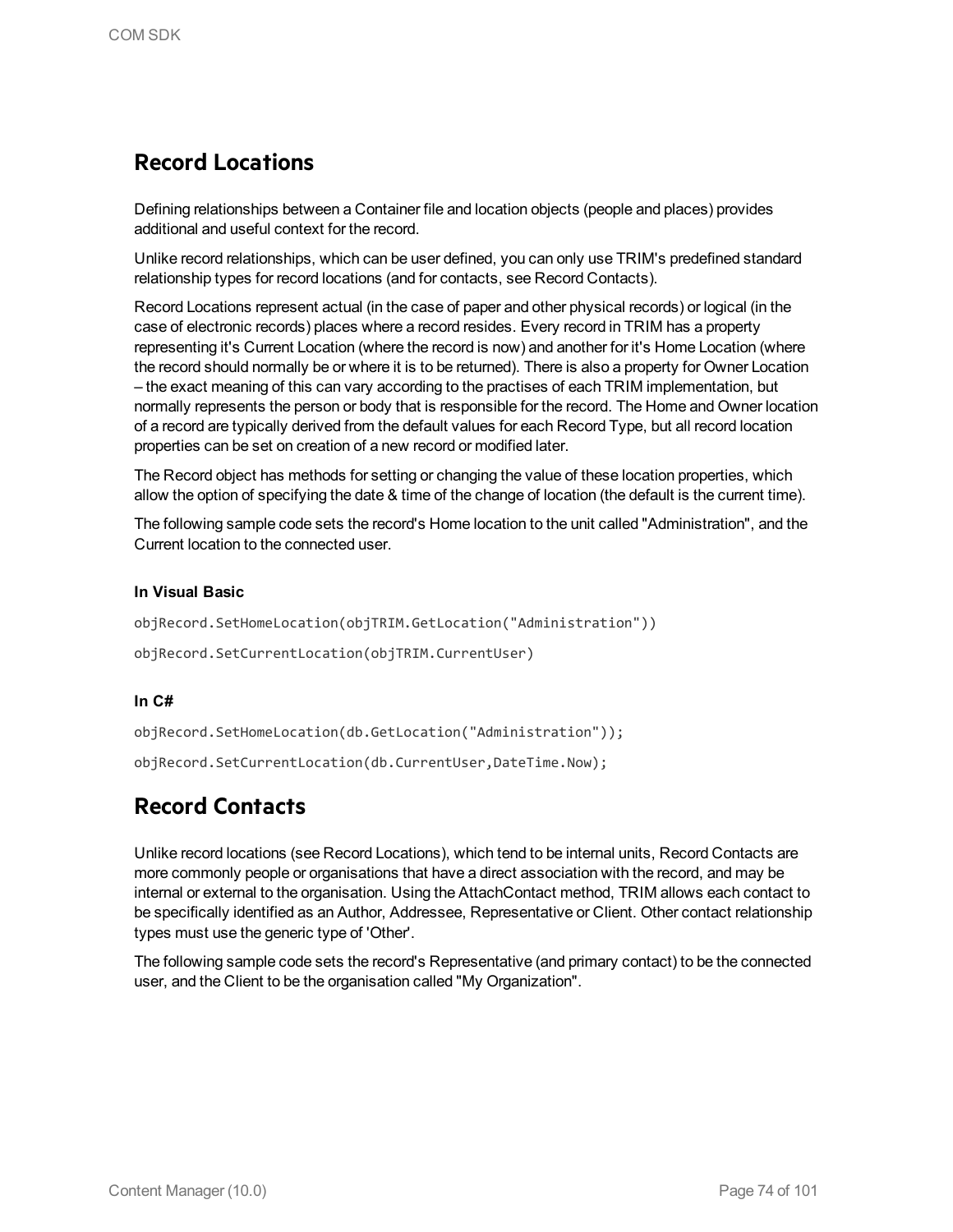## **Record Locations**

Defining relationships between a Container file and location objects (people and places) provides additional and useful context for the record.

Unlike record relationships, which can be user defined, you can only use TRIM's predefined standard relationship types for record locations (and for contacts, see Record Contacts).

Record Locations represent actual (in the case of paper and other physical records) or logical (in the case of electronic records) places where a record resides. Every record in TRIM has a property representing it's Current Location (where the record is now) and another for it's Home Location (where the record should normally be or where it is to be returned). There is also a property for Owner Location – the exact meaning of this can vary according to the practises of each TRIM implementation, but normally represents the person or body that is responsible for the record. The Home and Owner location of a record are typically derived from the default values for each Record Type, but all record location properties can be set on creation of a new record or modified later.

The Record object has methods for setting or changing the value of these location properties, which allow the option of specifying the date & time of the change of location (the default is the current time).

The following sample code sets the record's Home location to the unit called "Administration", and the Current location to the connected user.

### **In Visual Basic**

objRecord.SetHomeLocation(objTRIM.GetLocation("Administration"))

```
objRecord.SetCurrentLocation(objTRIM.CurrentUser)
```
### **In C#**

objRecord.SetHomeLocation(db.GetLocation("Administration"));

objRecord.SetCurrentLocation(db.CurrentUser,DateTime.Now);

## **Record Contacts**

Unlike record locations (see Record Locations), which tend to be internal units, Record Contacts are more commonly people or organisations that have a direct association with the record, and may be internal or external to the organisation. Using the AttachContact method, TRIM allows each contact to be specifically identified as an Author, Addressee, Representative or Client. Other contact relationship types must use the generic type of 'Other'.

The following sample code sets the record's Representative (and primary contact) to be the connected user, and the Client to be the organisation called "My Organization".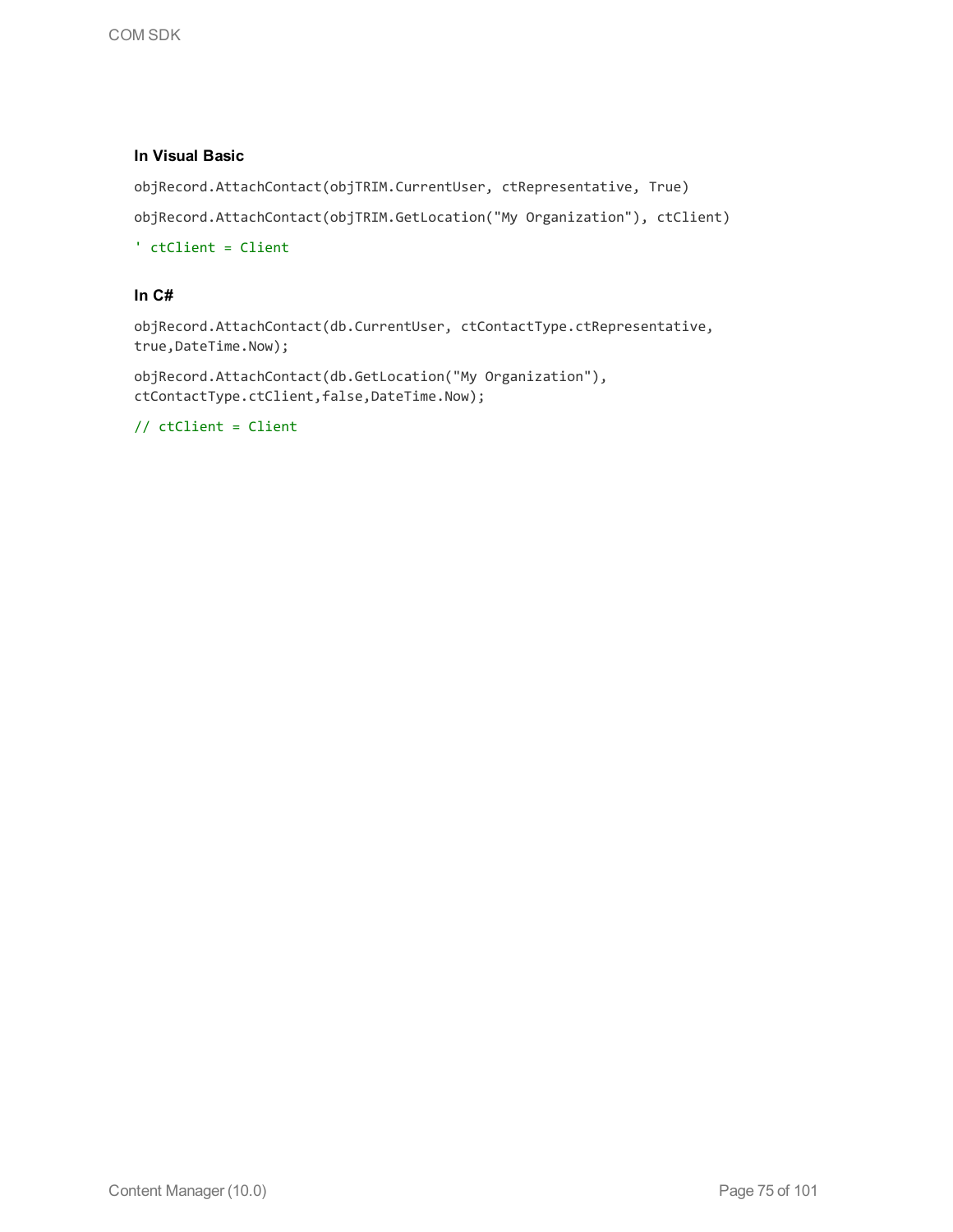### **In Visual Basic**

objRecord.AttachContact(objTRIM.CurrentUser, ctRepresentative, True) objRecord.AttachContact(objTRIM.GetLocation("My Organization"), ctClient)

```
' ctClient = Client
```
### **In C#**

objRecord.AttachContact(db.CurrentUser, ctContactType.ctRepresentative, true,DateTime.Now);

objRecord.AttachContact(db.GetLocation("My Organization"), ctContactType.ctClient,false,DateTime.Now);

// ctClient = Client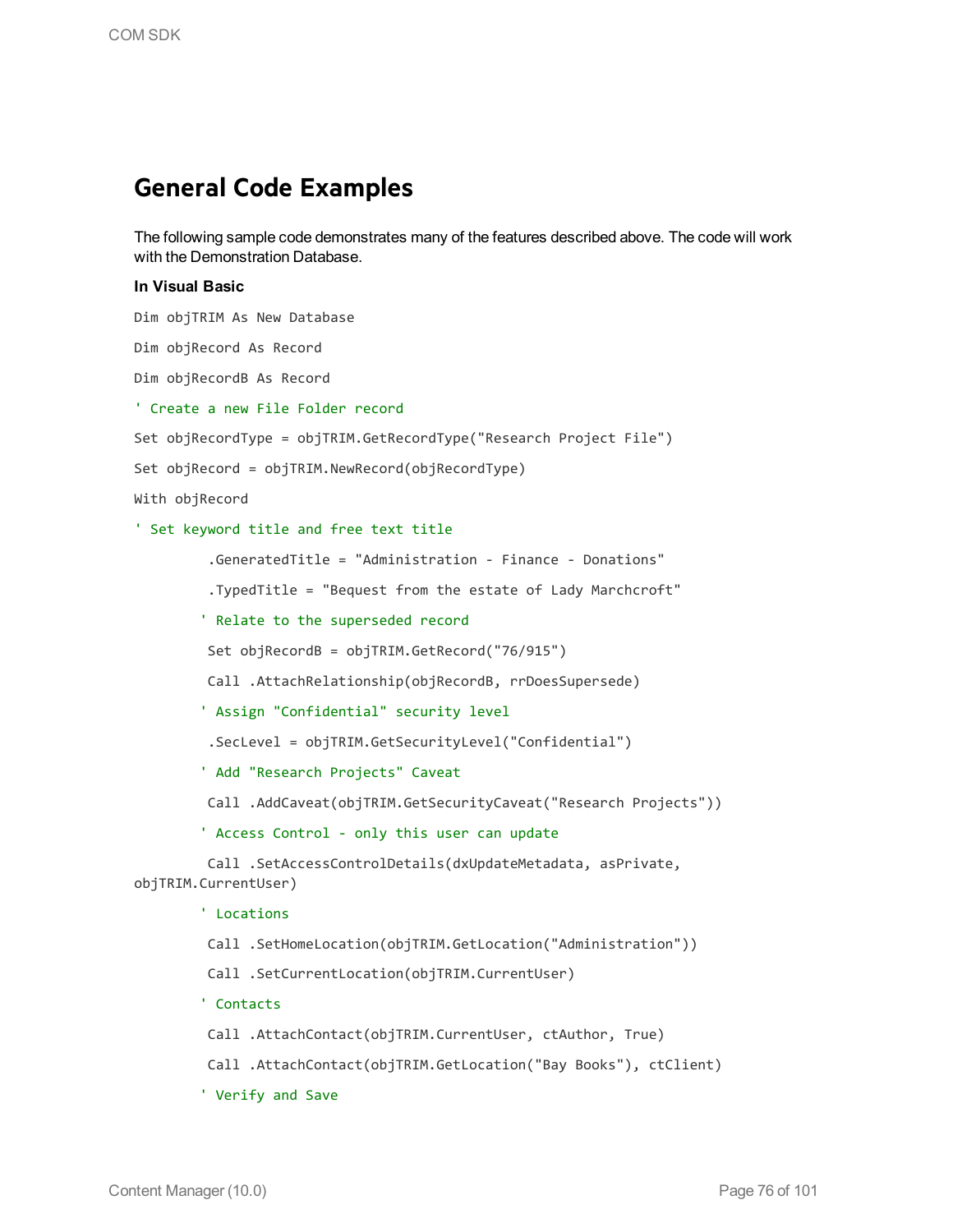## **General Code Examples**

The following sample code demonstrates many of the features described above. The code will work with the Demonstration Database.

### **In Visual Basic**

Dim objTRIM As New Database

Dim objRecord As Record

Dim objRecordB As Record

' Create a new File Folder record

```
Set objRecordType = objTRIM.GetRecordType("Research Project File")
```
Set objRecord = objTRIM.NewRecord(objRecordType)

With objRecord

#### ' Set keyword title and free text title

.GeneratedTitle = "Administration - Finance - Donations"

.TypedTitle = "Bequest from the estate of Lady Marchcroft"

' Relate to the superseded record

Set objRecordB = objTRIM.GetRecord("76/915")

Call .AttachRelationship(objRecordB, rrDoesSupersede)

' Assign "Confidential" security level

.SecLevel = objTRIM.GetSecurityLevel("Confidential")

' Add "Research Projects" Caveat

Call .AddCaveat(objTRIM.GetSecurityCaveat("Research Projects"))

' Access Control - only this user can update

Call .SetAccessControlDetails(dxUpdateMetadata, asPrivate, objTRIM.CurrentUser)

### ' Locations

Call .SetHomeLocation(objTRIM.GetLocation("Administration"))

Call .SetCurrentLocation(objTRIM.CurrentUser)

- ' Contacts
- Call .AttachContact(objTRIM.CurrentUser, ctAuthor, True)

Call .AttachContact(objTRIM.GetLocation("Bay Books"), ctClient)

' Verify and Save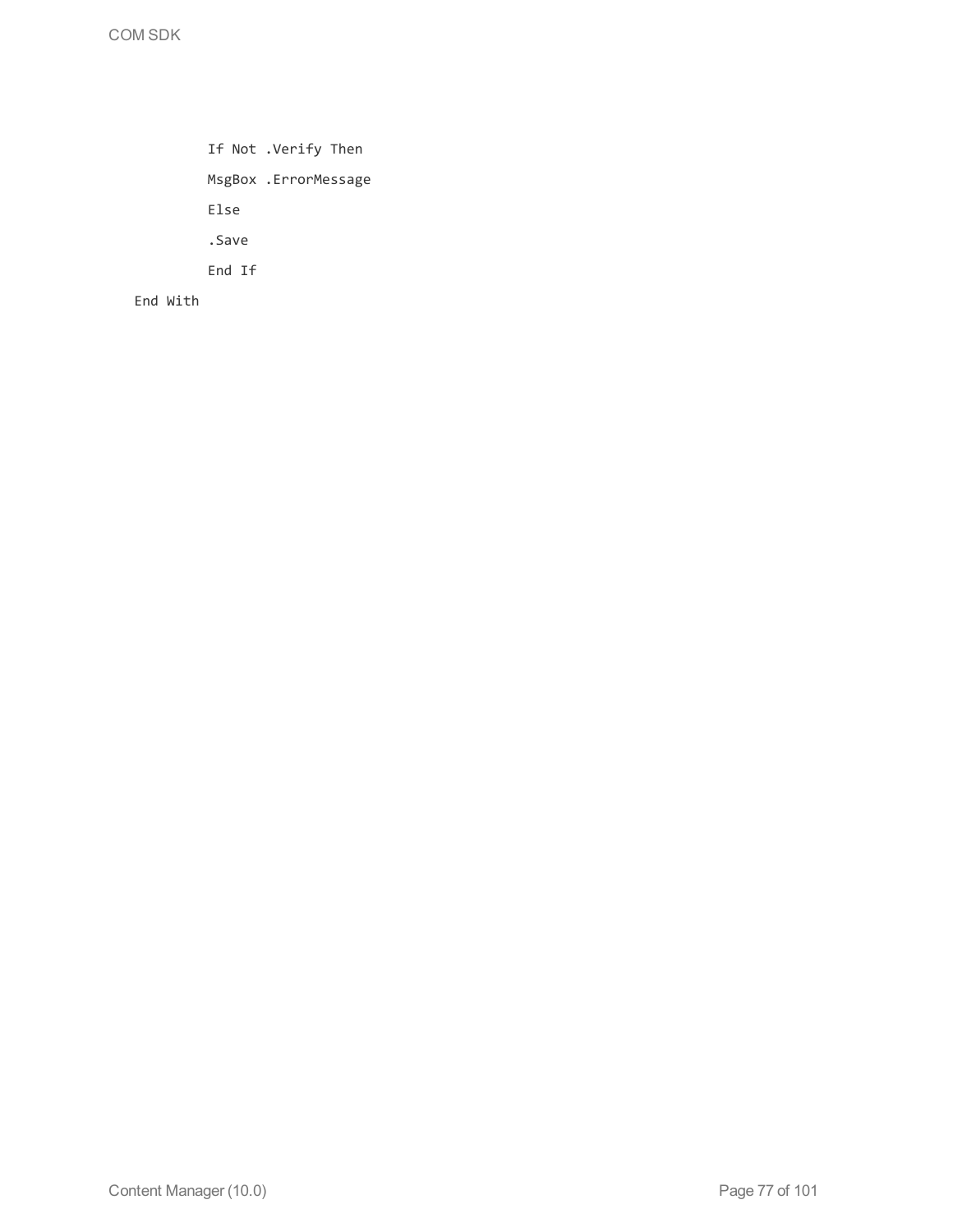If Not .Verify Then MsgBox .ErrorMessage Else .Save End If

End With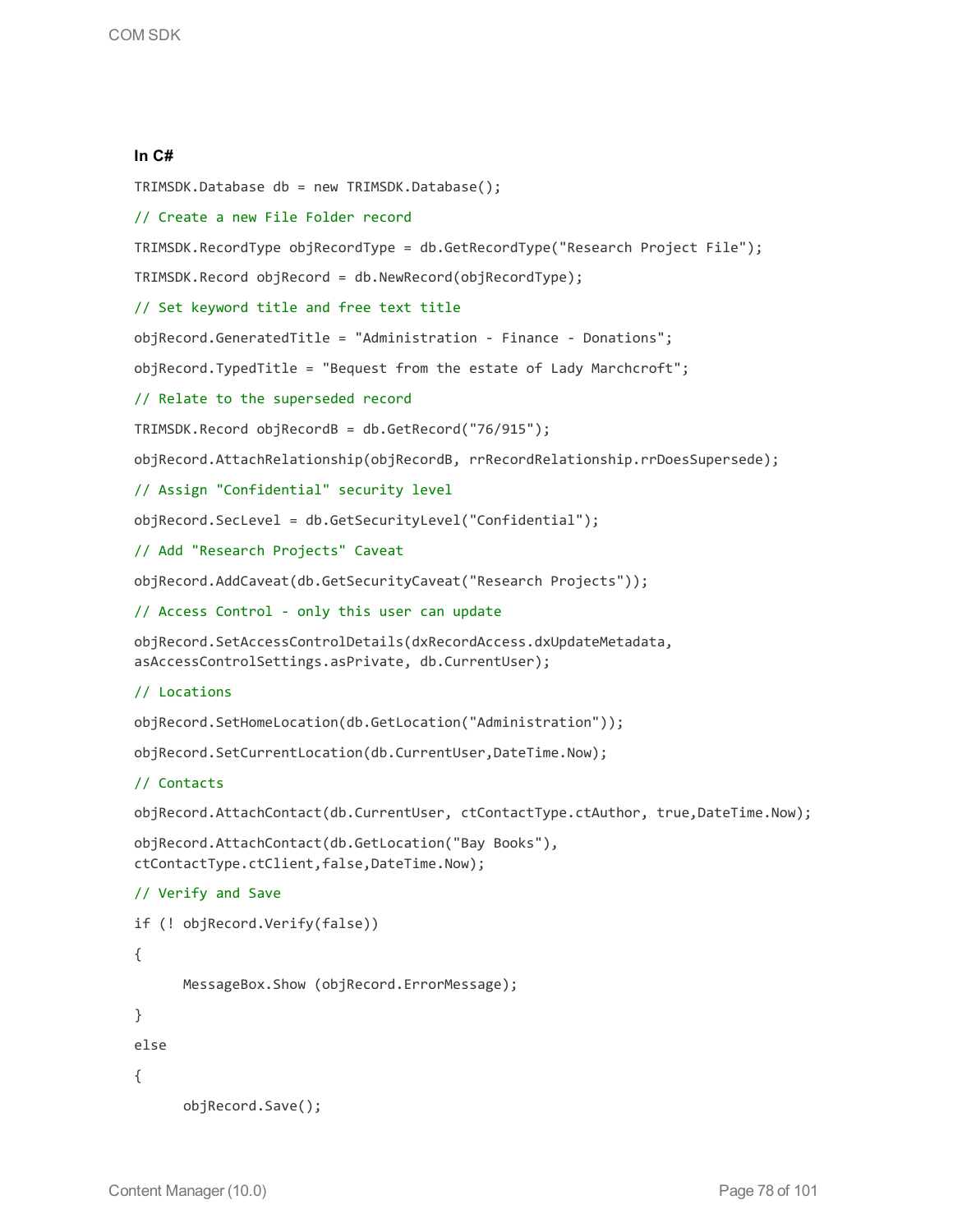### **In C#**

TRIMSDK.Database db = new TRIMSDK.Database();

#### // Create a new File Folder record

TRIMSDK.RecordType objRecordType = db.GetRecordType("Research Project File");

TRIMSDK.Record objRecord = db.NewRecord(objRecordType);

#### // Set keyword title and free text title

objRecord.GeneratedTitle = "Administration - Finance - Donations";

objRecord.TypedTitle = "Bequest from the estate of Lady Marchcroft";

#### // Relate to the superseded record

TRIMSDK.Record objRecordB = db.GetRecord("76/915");

objRecord.AttachRelationship(objRecordB, rrRecordRelationship.rrDoesSupersede);

#### // Assign "Confidential" security level

```
objRecord.SecLevel = db.GetSecurityLevel("Confidential");
```
// Add "Research Projects" Caveat

objRecord.AddCaveat(db.GetSecurityCaveat("Research Projects"));

```
// Access Control - only this user can update
```

```
objRecord.SetAccessControlDetails(dxRecordAccess.dxUpdateMetadata,
asAccessControlSettings.asPrivate, db.CurrentUser);
```
#### // Locations

objRecord.SetHomeLocation(db.GetLocation("Administration"));

objRecord.SetCurrentLocation(db.CurrentUser,DateTime.Now);

#### // Contacts

objRecord.AttachContact(db.CurrentUser, ctContactType.ctAuthor, true,DateTime.Now);

```
objRecord.AttachContact(db.GetLocation("Bay Books"),
ctContactType.ctClient,false,DateTime.Now);
```

```
// Verify and Save
```

```
if (! objRecord.Verify(false))
```
{

MessageBox.Show (objRecord.ErrorMessage);

```
}
```
else

{

objRecord.Save();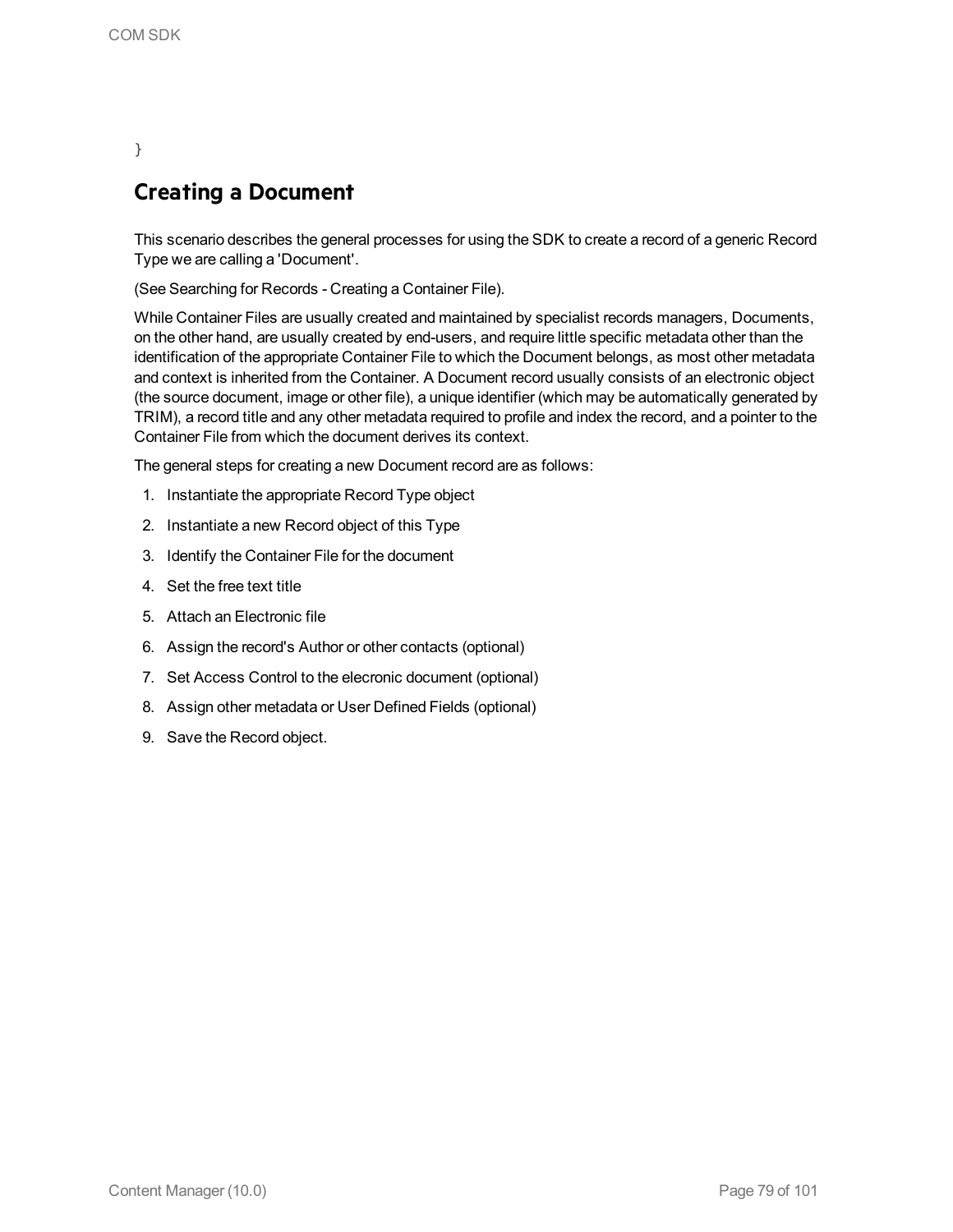### }

### **Creating a Document**

This scenario describes the general processes for using the SDK to create a record of a generic Record Type we are calling a 'Document'.

(See Searching for Records - Creating a Container File).

While Container Files are usually created and maintained by specialist records managers, Documents, on the other hand, are usually created by end-users, and require little specific metadata other than the identification of the appropriate Container File to which the Document belongs, as most other metadata and context is inherited from the Container. A Document record usually consists of an electronic object (the source document, image or other file), a unique identifier (which may be automatically generated by TRIM), a record title and any other metadata required to profile and index the record, and a pointer to the Container File from which the document derives its context.

The general steps for creating a new Document record are as follows:

- 1. Instantiate the appropriate Record Type object
- 2. Instantiate a new Record object of this Type
- 3. Identify the Container File for the document
- 4. Set the free text title
- 5. Attach an Electronic file
- 6. Assign the record's Author or other contacts (optional)
- 7. Set Access Control to the elecronic document (optional)
- 8. Assign other metadata or User Defined Fields (optional)
- 9. Save the Record object.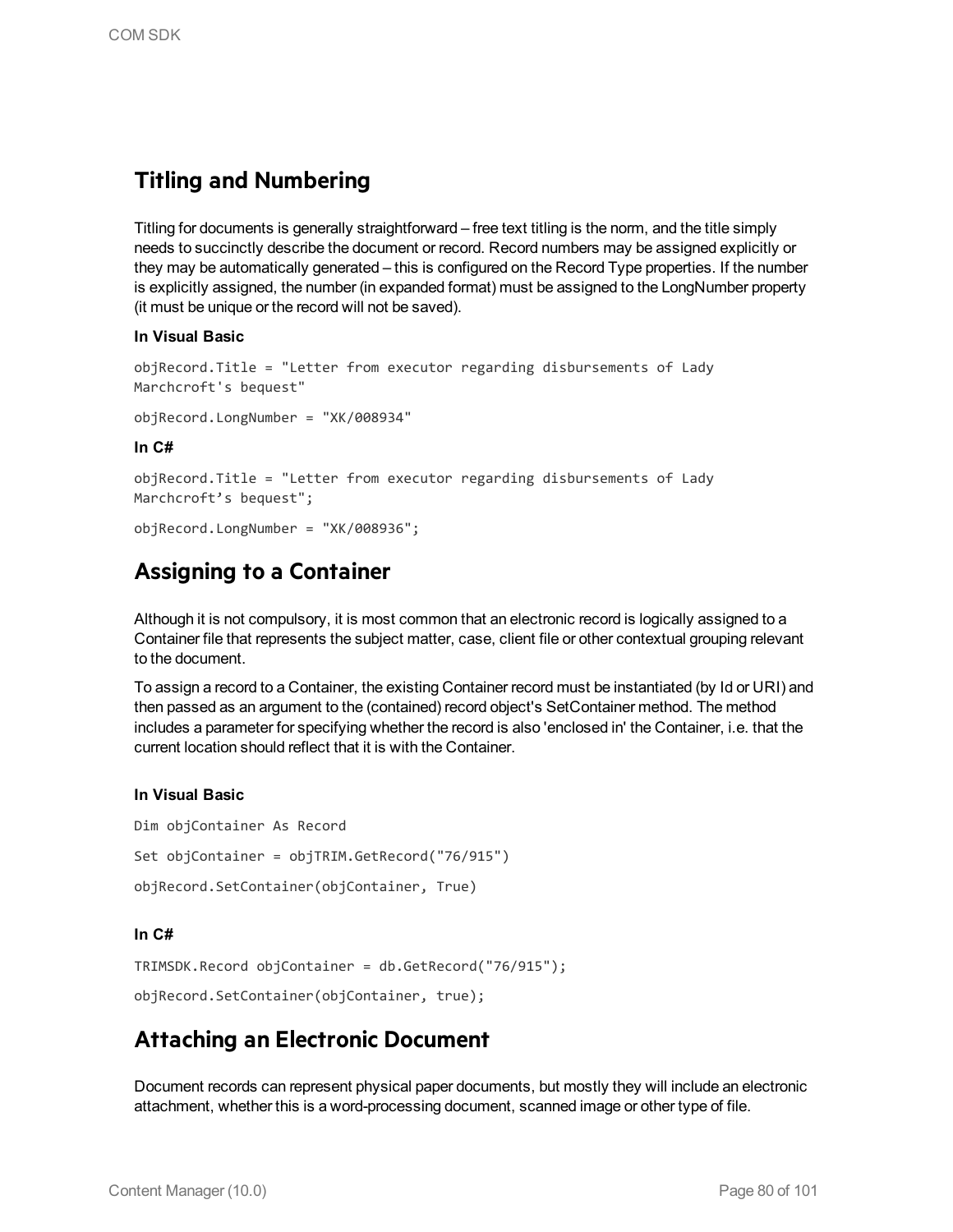## **Titling and Numbering**

Titling for documents is generally straightforward – free text titling is the norm, and the title simply needs to succinctly describe the document or record. Record numbers may be assigned explicitly or they may be automatically generated – this is configured on the Record Type properties. If the number is explicitly assigned, the number (in expanded format) must be assigned to the LongNumber property (it must be unique or the record will not be saved).

### **In Visual Basic**

```
objRecord.Title = "Letter from executor regarding disbursements of Lady
Marchcroft's bequest"
```
objRecord.LongNumber = "XK/008934"

### **In C#**

```
objRecord.Title = "Letter from executor regarding disbursements of Lady
Marchcroft's bequest";
```
objRecord.LongNumber = "XK/008936";

## **Assigning to a Container**

Although it is not compulsory, it is most common that an electronic record is logically assigned to a Container file that represents the subject matter, case, client file or other contextual grouping relevant to the document.

To assign a record to a Container, the existing Container record must be instantiated (by Id or URI) and then passed as an argument to the (contained) record object's SetContainer method. The method includes a parameter for specifying whether the record is also 'enclosed in' the Container, i.e. that the current location should reflect that it is with the Container.

### **In Visual Basic**

```
Dim objContainer As Record
Set objContainer = objTRIM.GetRecord("76/915")
objRecord.SetContainer(objContainer, True)
```
### **In C#**

```
TRIMSDK.Record objContainer = db.GetRecord("76/915");
objRecord.SetContainer(objContainer, true);
```
## **Attaching an Electronic Document**

Document records can represent physical paper documents, but mostly they will include an electronic attachment, whether this is a word-processing document, scanned image or other type of file.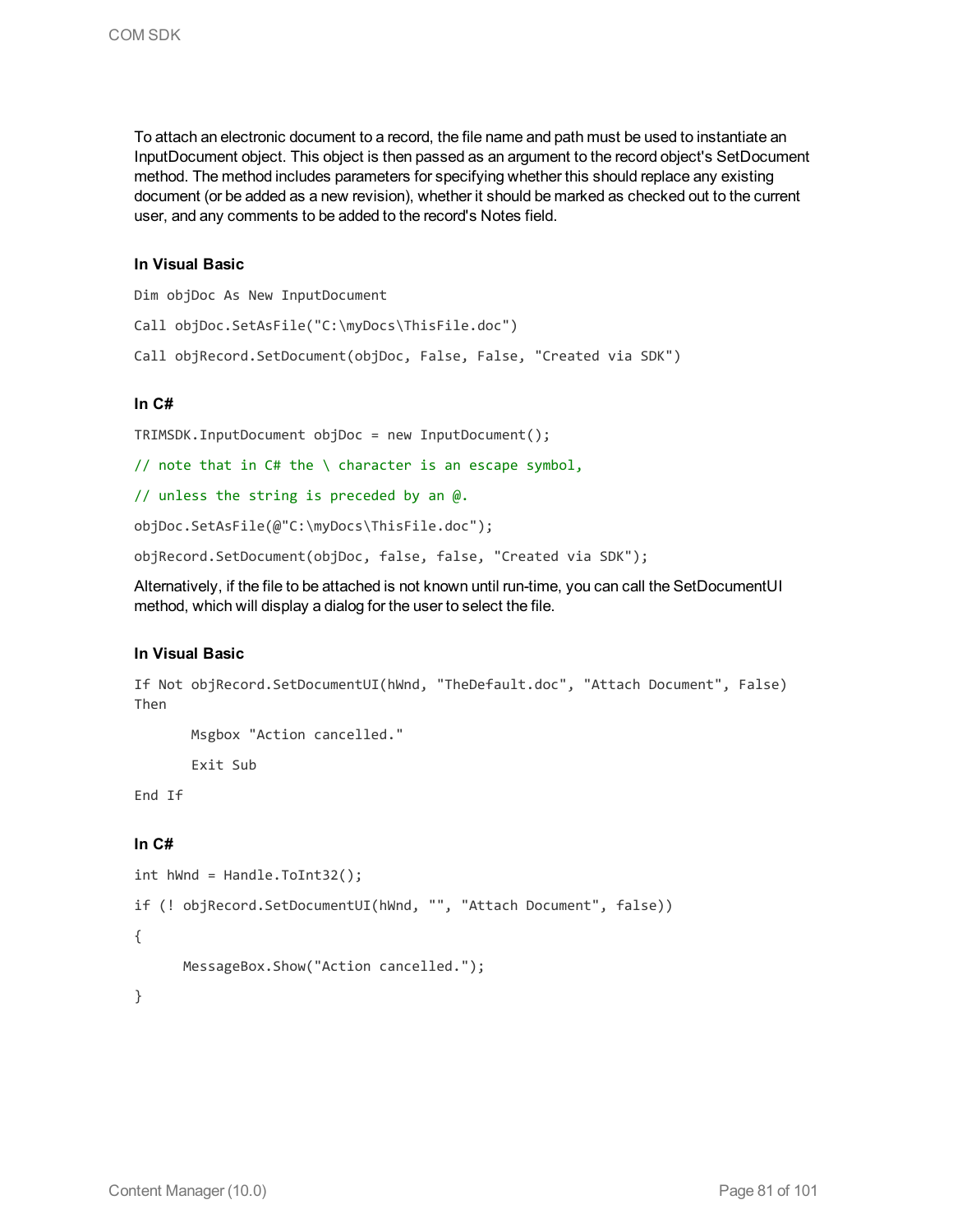To attach an electronic document to a record, the file name and path must be used to instantiate an InputDocument object. This object is then passed as an argument to the record object's SetDocument method. The method includes parameters for specifying whether this should replace any existing document (or be added as a new revision), whether it should be marked as checked out to the current user, and any comments to be added to the record's Notes field.

#### **In Visual Basic**

Dim objDoc As New InputDocument

Call objDoc.SetAsFile("C:\myDocs\ThisFile.doc")

Call objRecord.SetDocument(objDoc, False, False, "Created via SDK")

### **In C#**

TRIMSDK.InputDocument objDoc = new InputDocument();

// note that in C# the \ character is an escape symbol,

// unless the string is preceded by an  $@.$ 

objDoc.SetAsFile(@"C:\myDocs\ThisFile.doc");

objRecord.SetDocument(objDoc, false, false, "Created via SDK");

Alternatively, if the file to be attached is not known until run-time, you can call the SetDocumentUI method, which will display a dialog for the user to select the file.

#### **In Visual Basic**

```
If Not objRecord.SetDocumentUI(hWnd, "TheDefault.doc", "Attach Document", False)
Then
```
Msgbox "Action cancelled."

Exit Sub

End If

### **In C#**

```
int hWnd = Handle.ToInt32();
```
if (! objRecord.SetDocumentUI(hWnd, "", "Attach Document", false))

### {

```
MessageBox.Show("Action cancelled.");
```
}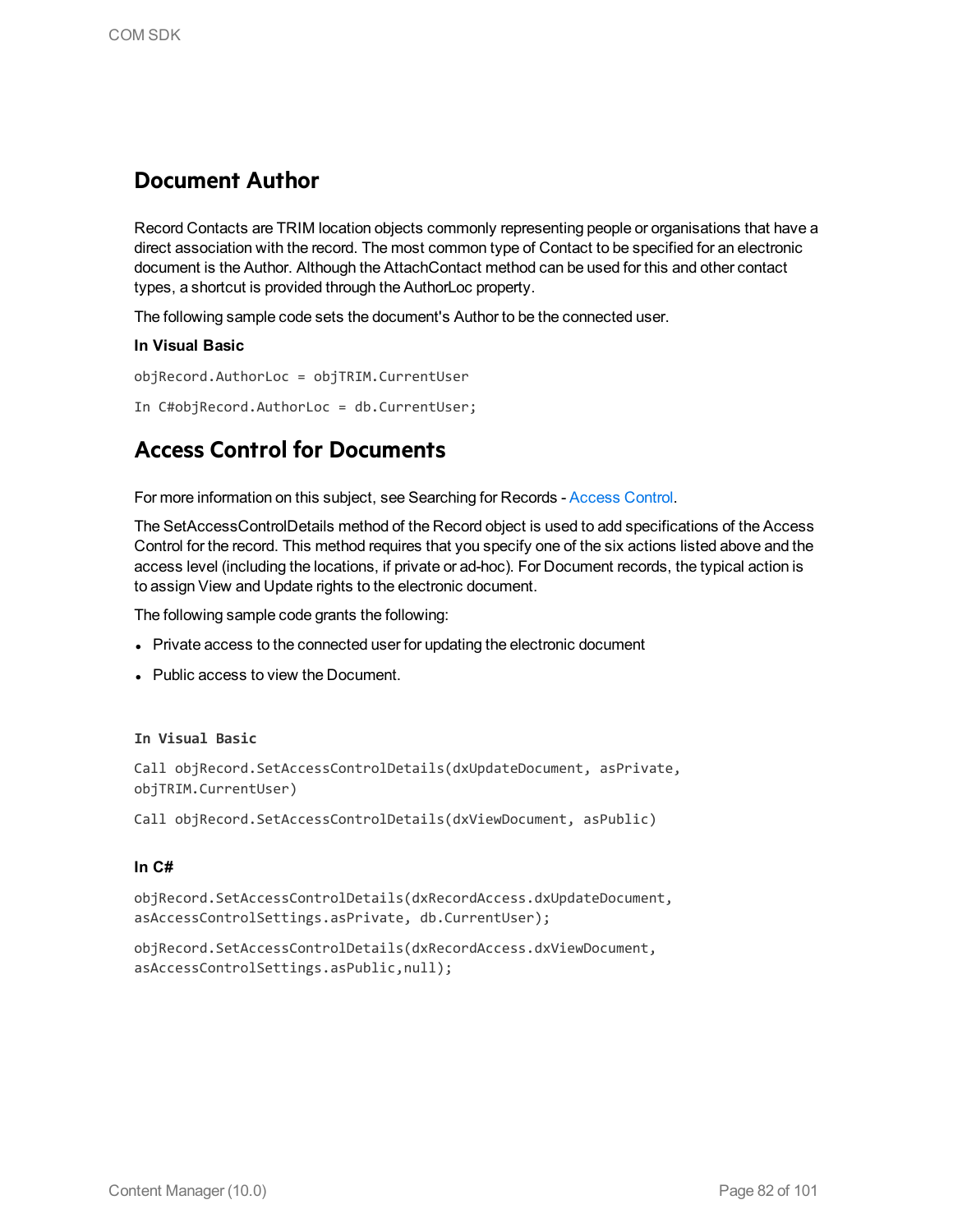## **Document Author**

Record Contacts are TRIM location objects commonly representing people or organisations that have a direct association with the record. The most common type of Contact to be specified for an electronic document is the Author. Although the AttachContact method can be used for this and other contact types, a shortcut is provided through the AuthorLoc property.

The following sample code sets the document's Author to be the connected user.

### **In Visual Basic**

```
objRecord.AuthorLoc = objTRIM.CurrentUser
```

```
In C#objRecord.AuthorLoc = db.CurrentUser;
```
## **Access Control for Documents**

For more information on this subject, see Searching for Records - [Access](#page-71-0) Control.

The SetAccessControlDetails method of the Record object is used to add specifications of the Access Control for the record. This method requires that you specify one of the six actions listed above and the access level (including the locations, if private or ad-hoc). For Document records, the typical action is to assign View and Update rights to the electronic document.

The following sample code grants the following:

- Private access to the connected user for updating the electronic document
- Public access to view the Document.

### **In Visual Basic**

Call objRecord.SetAccessControlDetails(dxUpdateDocument, asPrivate, objTRIM.CurrentUser)

Call objRecord.SetAccessControlDetails(dxViewDocument, asPublic)

### **In C#**

objRecord.SetAccessControlDetails(dxRecordAccess.dxUpdateDocument, asAccessControlSettings.asPrivate, db.CurrentUser);

objRecord.SetAccessControlDetails(dxRecordAccess.dxViewDocument, asAccessControlSettings.asPublic,null);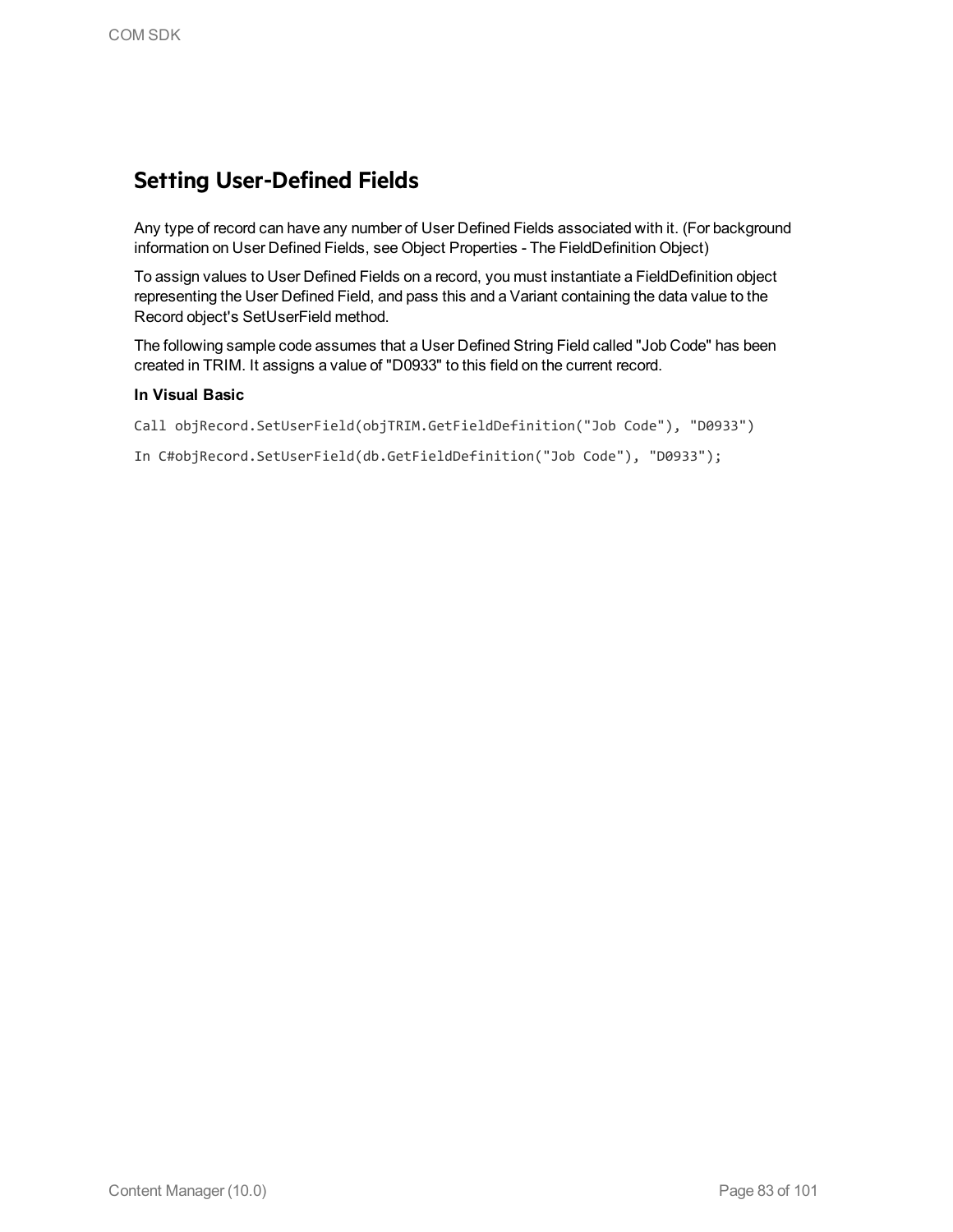## **Setting User-Defined Fields**

Any type of record can have any number of User Defined Fields associated with it. (For background information on User Defined Fields, see Object Properties - The FieldDefinition Object)

To assign values to User Defined Fields on a record, you must instantiate a FieldDefinition object representing the User Defined Field, and pass this and a Variant containing the data value to the Record object's SetUserField method.

The following sample code assumes that a User Defined String Field called "Job Code" has been created in TRIM. It assigns a value of "D0933" to this field on the current record.

### **In Visual Basic**

Call objRecord.SetUserField(objTRIM.GetFieldDefinition("Job Code"), "D0933")

In C#objRecord.SetUserField(db.GetFieldDefinition("Job Code"), "D0933");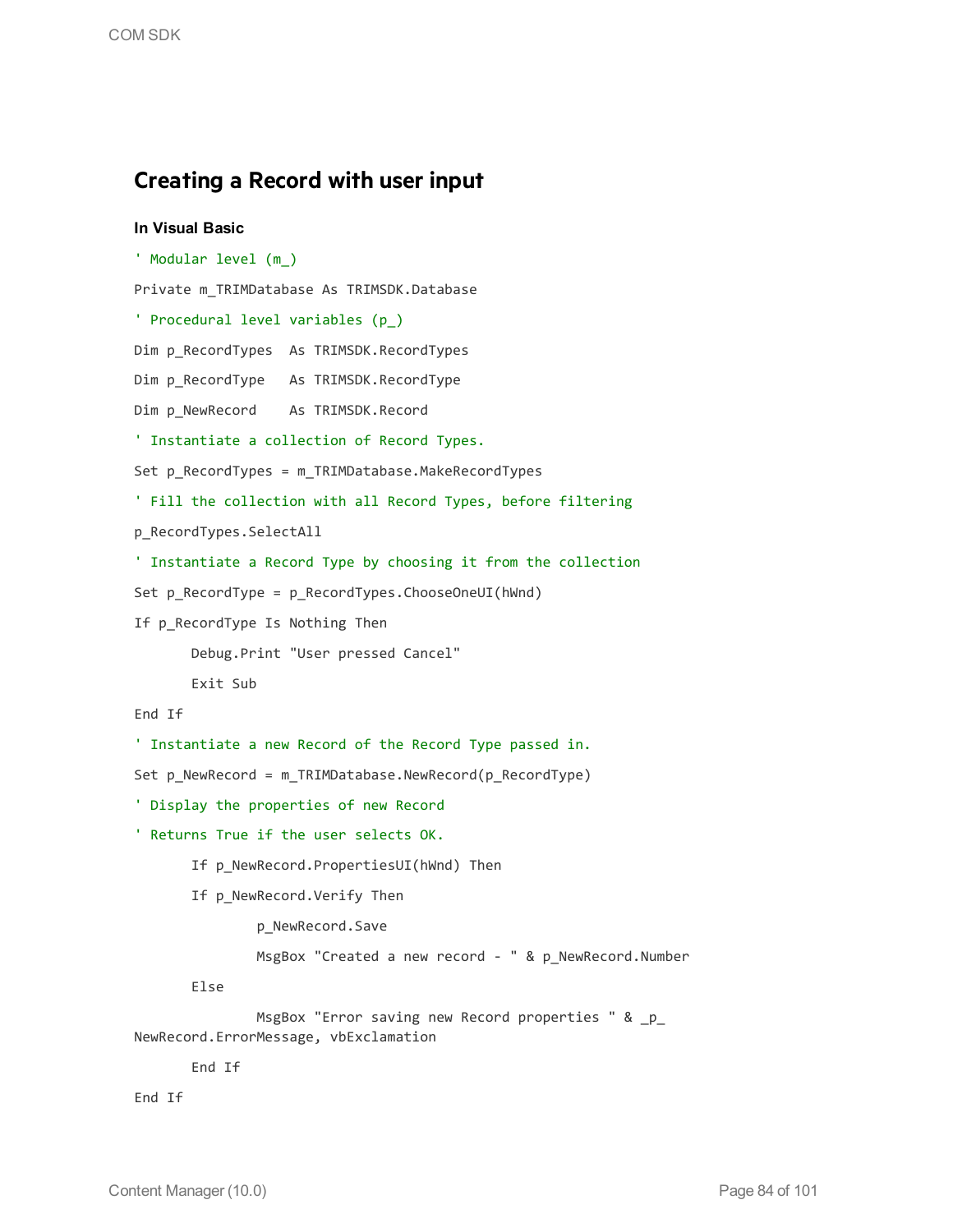### **Creating a Record with user input**

```
In Visual Basic
```

```
' Modular level (m_)
```
Private m\_TRIMDatabase As TRIMSDK.Database

' Procedural level variables (p\_)

Dim p\_RecordTypes As TRIMSDK.RecordTypes

Dim p\_RecordType As TRIMSDK.RecordType

Dim p\_NewRecord As TRIMSDK.Record

' Instantiate a collection of Record Types.

Set p\_RecordTypes = m\_TRIMDatabase.MakeRecordTypes

' Fill the collection with all Record Types, before filtering

p\_RecordTypes.SelectAll

' Instantiate a Record Type by choosing it from the collection

Set p\_RecordType = p\_RecordTypes.ChooseOneUI(hWnd)

If p\_RecordType Is Nothing Then

Debug.Print "User pressed Cancel"

Exit Sub

### End If

' Instantiate a new Record of the Record Type passed in.

Set p\_NewRecord = m\_TRIMDatabase.NewRecord(p\_RecordType)

' Display the properties of new Record

' Returns True if the user selects OK.

If p\_NewRecord.PropertiesUI(hWnd) Then

If p\_NewRecord.Verify Then

p\_NewRecord.Save

MsgBox "Created a new record - " & p\_NewRecord.Number

Else

MsgBox "Error saving new Record properties " & \_p\_ NewRecord.ErrorMessage, vbExclamation

End If

End If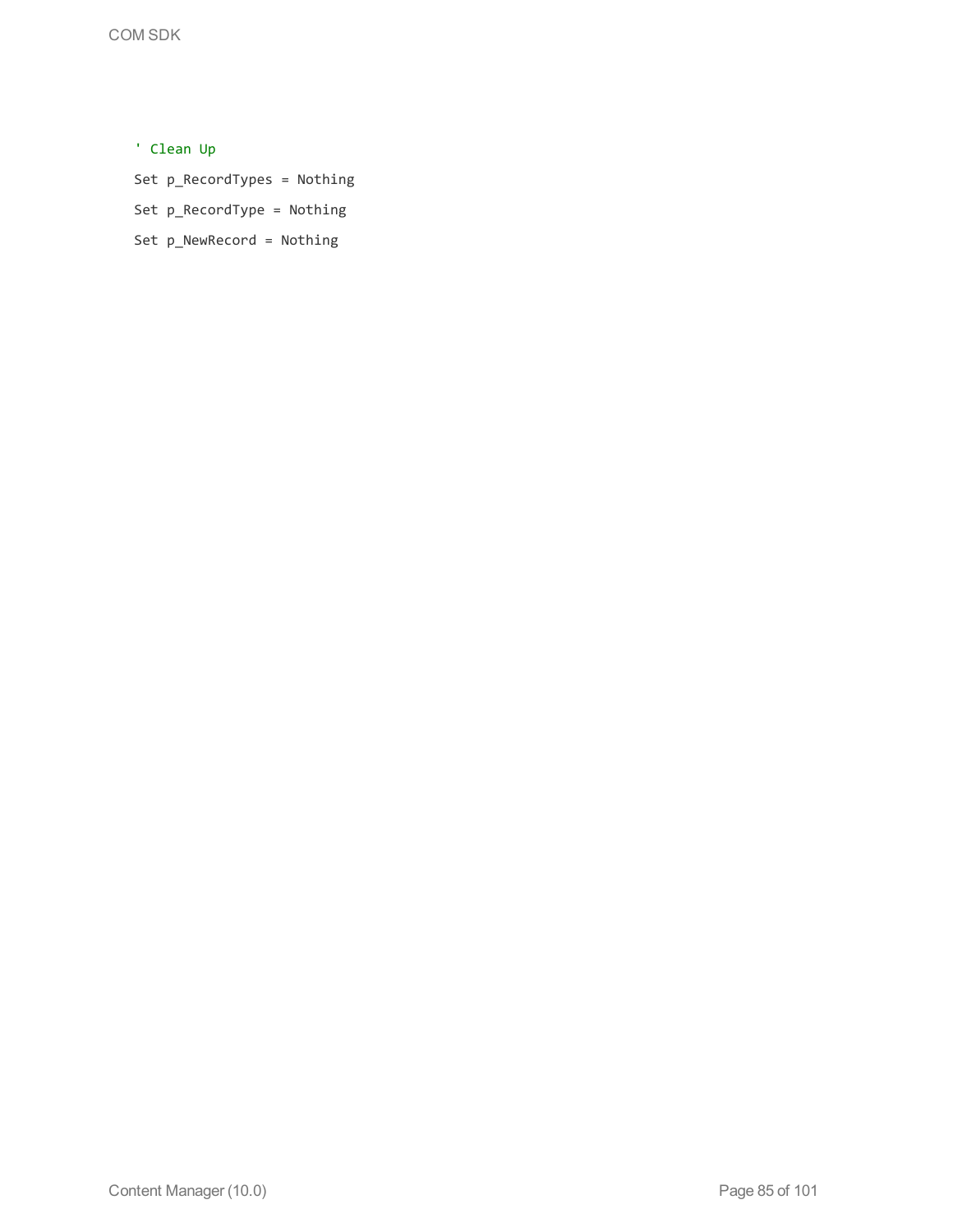COM SDK

' Clean Up

Set p\_RecordTypes = Nothing

Set p\_RecordType = Nothing

Set p\_NewRecord = Nothing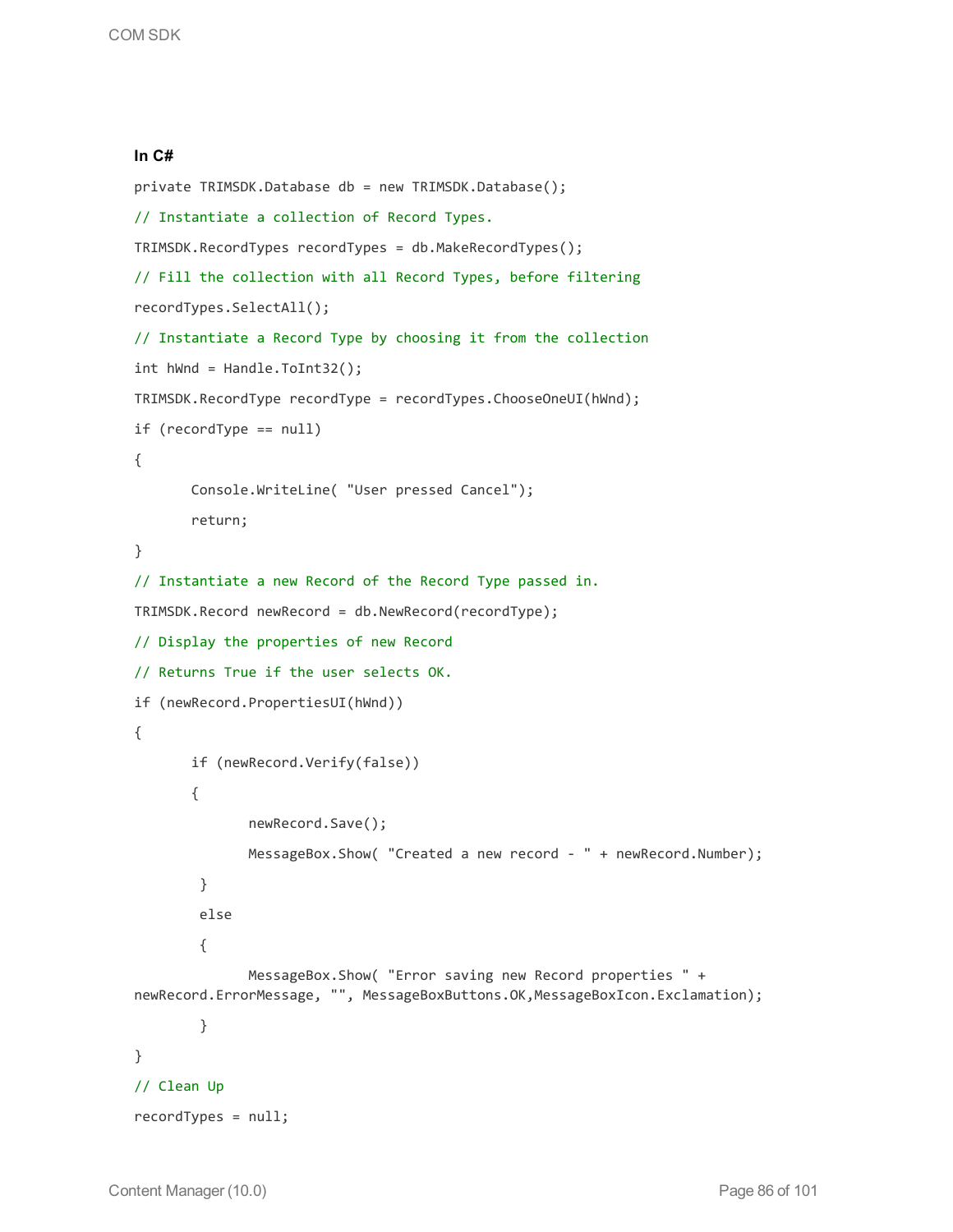### **In C#**

```
private TRIMSDK.Database db = new TRIMSDK.Database();
// Instantiate a collection of Record Types.
TRIMSDK.RecordTypes recordTypes = db.MakeRecordTypes();
// Fill the collection with all Record Types, before filtering
recordTypes.SelectAll();
// Instantiate a Record Type by choosing it from the collection
int hWnd = Handle.ToInt32();
TRIMSDK.RecordType recordType = recordTypes.ChooseOneUI(hWnd);
if (recordType == null)
{
       Console.WriteLine( "User pressed Cancel");
       return;
}
// Instantiate a new Record of the Record Type passed in.
TRIMSDK.Record newRecord = db.NewRecord(recordType);
// Display the properties of new Record
// Returns True if the user selects OK.
if (newRecord.PropertiesUI(hWnd))
{
       if (newRecord.Verify(false))
       {
              newRecord.Save();
              MessageBox.Show( "Created a new record - " + newRecord.Number);
        }
        else
        {
              MessageBox.Show( "Error saving new Record properties " +
newRecord.ErrorMessage, "", MessageBoxButtons.OK,MessageBoxIcon.Exclamation);
        }
}
// Clean Up
recordTypes = null;
```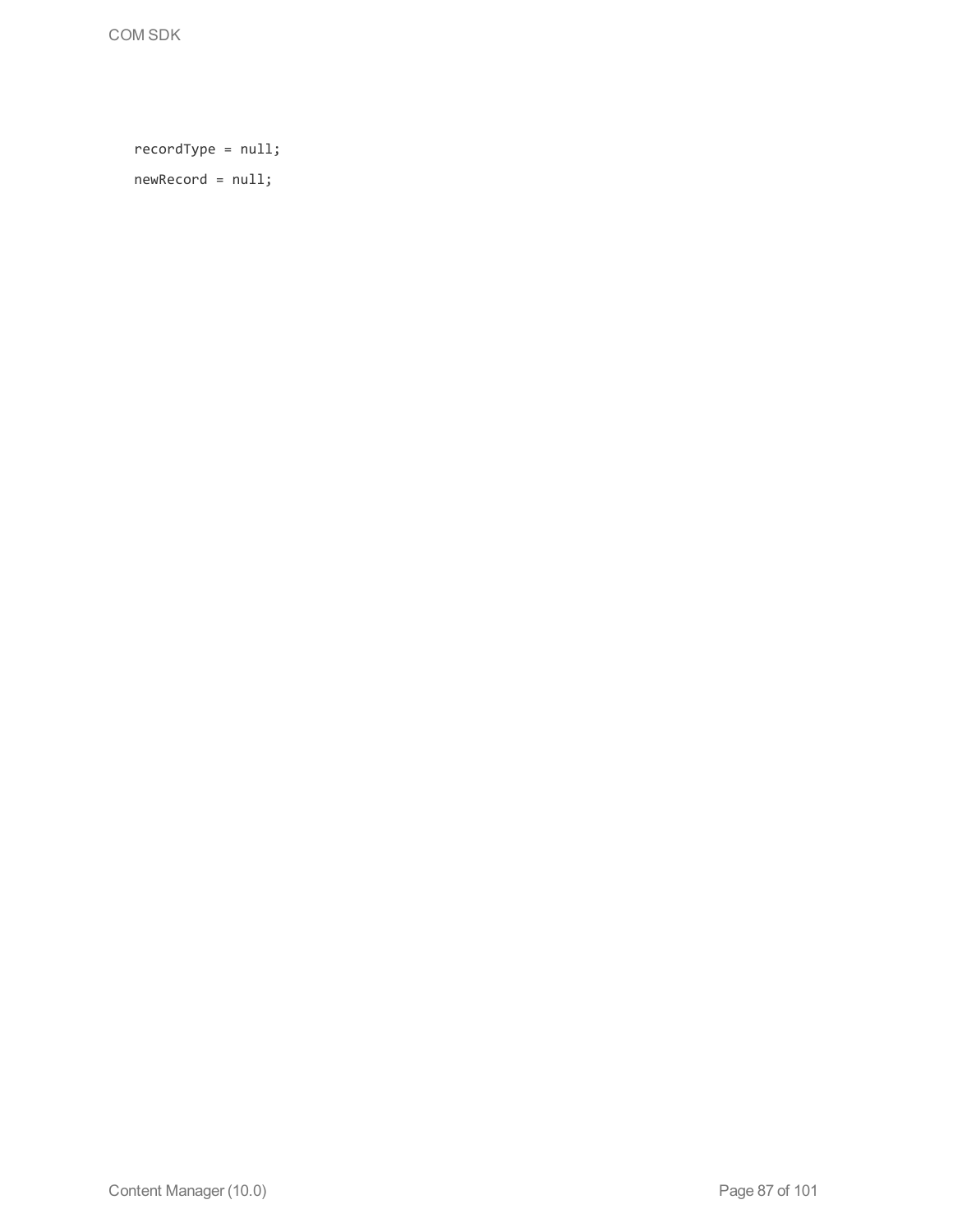recordType = null; newRecord = null;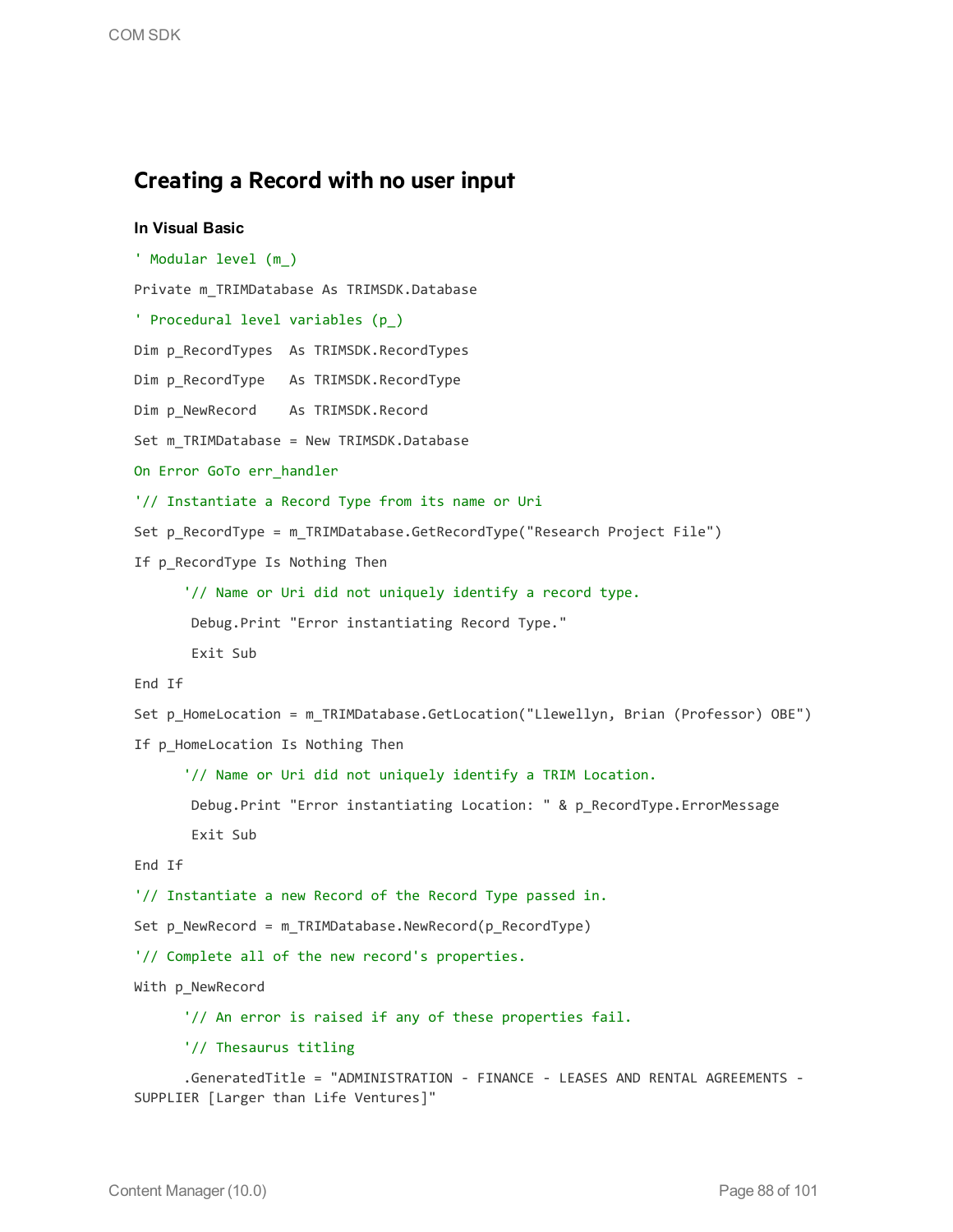### **Creating a Record with no user input**

```
In Visual Basic
```

```
' Modular level (m_)
```
Private m\_TRIMDatabase As TRIMSDK.Database

```
' Procedural level variables (p_)
```
Dim p\_RecordTypes As TRIMSDK.RecordTypes

Dim p\_RecordType As TRIMSDK.RecordType

Dim p\_NewRecord As TRIMSDK.Record

Set m\_TRIMDatabase = New TRIMSDK.Database

On Error GoTo err\_handler

'// Instantiate a Record Type from its name or Uri

Set p\_RecordType = m\_TRIMDatabase.GetRecordType("Research Project File")

If p\_RecordType Is Nothing Then

'// Name or Uri did not uniquely identify a record type.

Debug.Print "Error instantiating Record Type."

Exit Sub

```
End If
```

```
Set p_HomeLocation = m_TRIMDatabase.GetLocation("Llewellyn, Brian (Professor) OBE")
```
If p\_HomeLocation Is Nothing Then

'// Name or Uri did not uniquely identify a TRIM Location.

Debug.Print "Error instantiating Location: " & p\_RecordType.ErrorMessage

```
Exit Sub
```
### End If

'// Instantiate a new Record of the Record Type passed in.

Set p\_NewRecord = m\_TRIMDatabase.NewRecord(p\_RecordType)

'// Complete all of the new record's properties.

With p\_NewRecord

'// An error is raised if any of these properties fail.

'// Thesaurus titling

.GeneratedTitle = "ADMINISTRATION - FINANCE - LEASES AND RENTAL AGREEMENTS - SUPPLIER [Larger than Life Ventures]"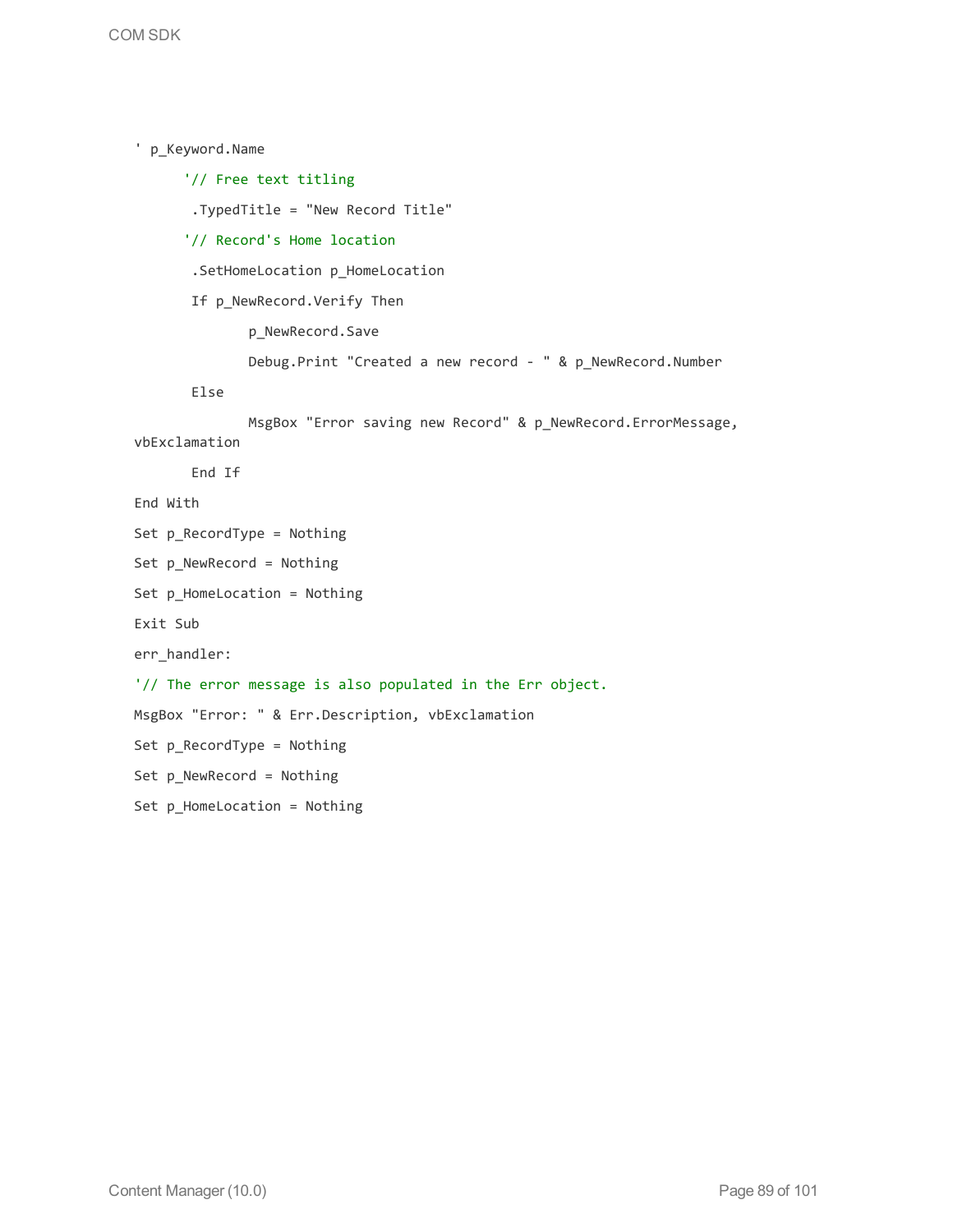' p\_Keyword.Name

'// Free text titling

.TypedTitle = "New Record Title"

'// Record's Home location

.SetHomeLocation p\_HomeLocation

If p\_NewRecord.Verify Then

p\_NewRecord.Save

Debug.Print "Created a new record - " & p\_NewRecord.Number

Else

MsgBox "Error saving new Record" & p\_NewRecord.ErrorMessage, vbExclamation

End If

End With

```
Set p_RecordType = Nothing
```
Set p\_NewRecord = Nothing

```
Set p_HomeLocation = Nothing
```
Exit Sub

err\_handler:

'// The error message is also populated in the Err object.

MsgBox "Error: " & Err.Description, vbExclamation

Set p\_RecordType = Nothing

Set p\_NewRecord = Nothing

Set p\_HomeLocation = Nothing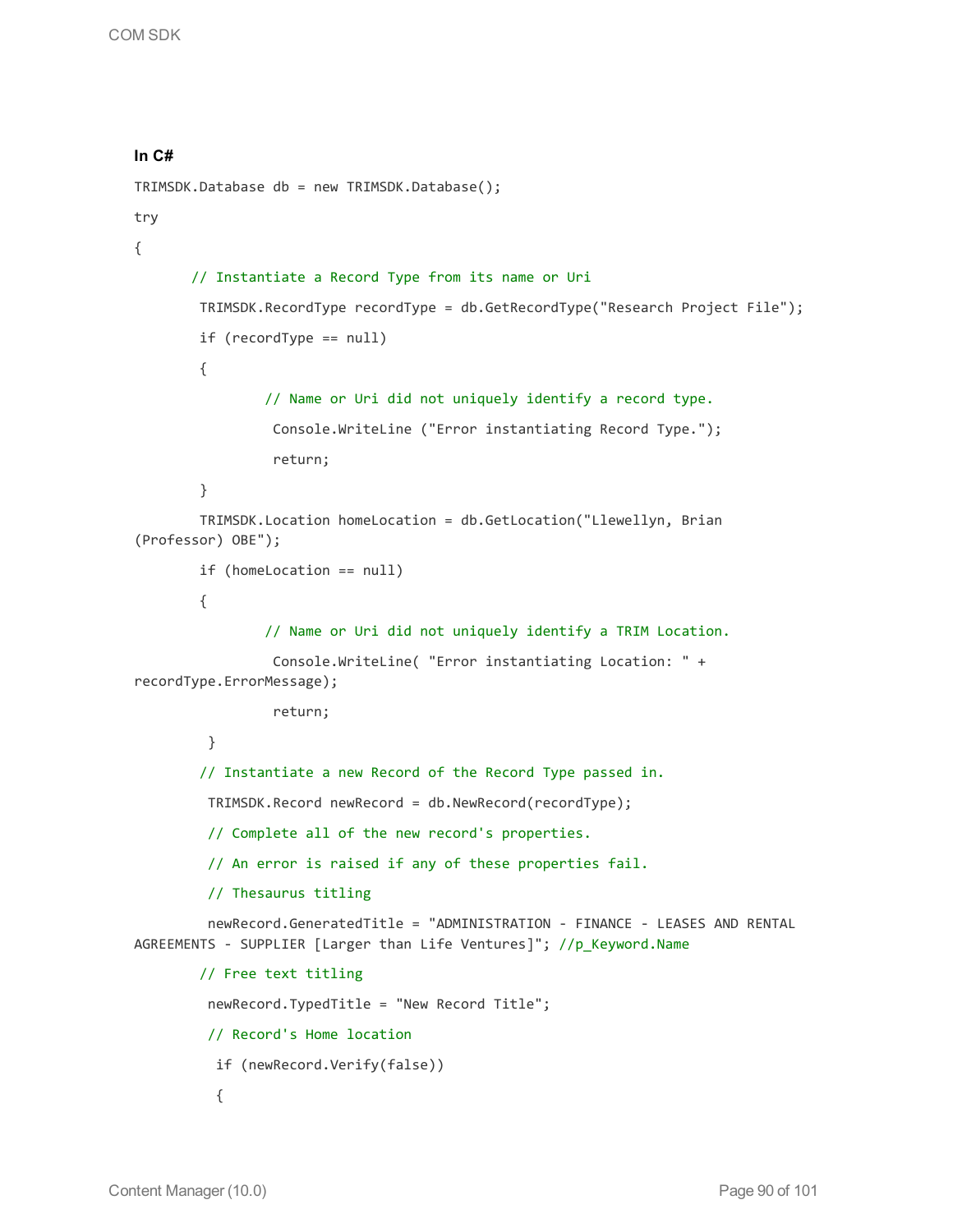```
In C#
```

```
TRIMSDK.Database db = new TRIMSDK.Database();
try
{
       // Instantiate a Record Type from its name or Uri
       TRIMSDK.RecordType recordType = db.GetRecordType("Research Project File");
        if (recordType == null)
        {
                // Name or Uri did not uniquely identify a record type.
                 Console.WriteLine ("Error instantiating Record Type.");
                 return;
        }
        TRIMSDK.Location homeLocation = db.GetLocation("Llewellyn, Brian
(Professor) OBE");
        if (homeLocation == null)
        {
                // Name or Uri did not uniquely identify a TRIM Location.
                 Console.WriteLine( "Error instantiating Location: " +
recordType.ErrorMessage);
                 return;
         }
        // Instantiate a new Record of the Record Type passed in.
         TRIMSDK.Record newRecord = db.NewRecord(recordType);
         // Complete all of the new record's properties.
         // An error is raised if any of these properties fail.
         // Thesaurus titling
         newRecord.GeneratedTitle = "ADMINISTRATION - FINANCE - LEASES AND RENTAL
AGREEMENTS - SUPPLIER [Larger than Life Ventures]"; //p_Keyword.Name
        // Free text titling
         newRecord.TypedTitle = "New Record Title";
         // Record's Home location
```

```
if (newRecord.Verify(false))
```

```
{
```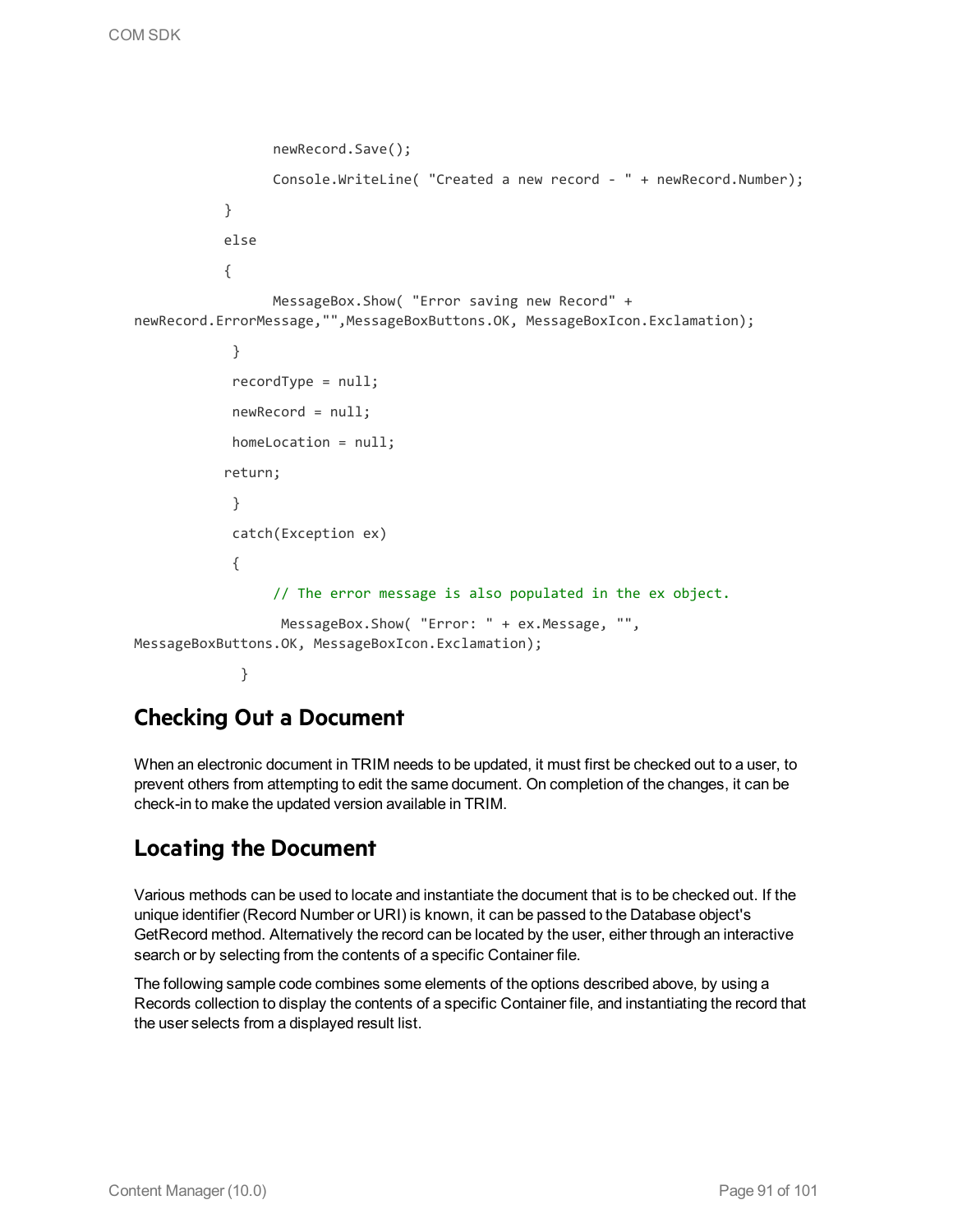```
newRecord.Save();
                 Console.WriteLine( "Created a new record - " + newRecord.Number);
           }
           else
           {
                 MessageBox.Show( "Error saving new Record" +
newRecord.ErrorMessage,"",MessageBoxButtons.OK, MessageBoxIcon.Exclamation);
            }
            recordType = null;
            newRecord = null;
            homeLocation = null;
           return;
            }
            catch(Exception ex)
            {
                 // The error message is also populated in the ex object.
                  MessageBox.Show( "Error: " + ex.Message, "",
MessageBoxButtons.OK, MessageBoxIcon.Exclamation);
             }
```
### **Checking Out a Document**

When an electronic document in TRIM needs to be updated, it must first be checked out to a user, to prevent others from attempting to edit the same document. On completion of the changes, it can be check-in to make the updated version available in TRIM.

## **Locating the Document**

Various methods can be used to locate and instantiate the document that is to be checked out. If the unique identifier (Record Number or URI) is known, it can be passed to the Database object's GetRecord method. Alternatively the record can be located by the user, either through an interactive search or by selecting from the contents of a specific Container file.

The following sample code combines some elements of the options described above, by using a Records collection to display the contents of a specific Container file, and instantiating the record that the user selects from a displayed result list.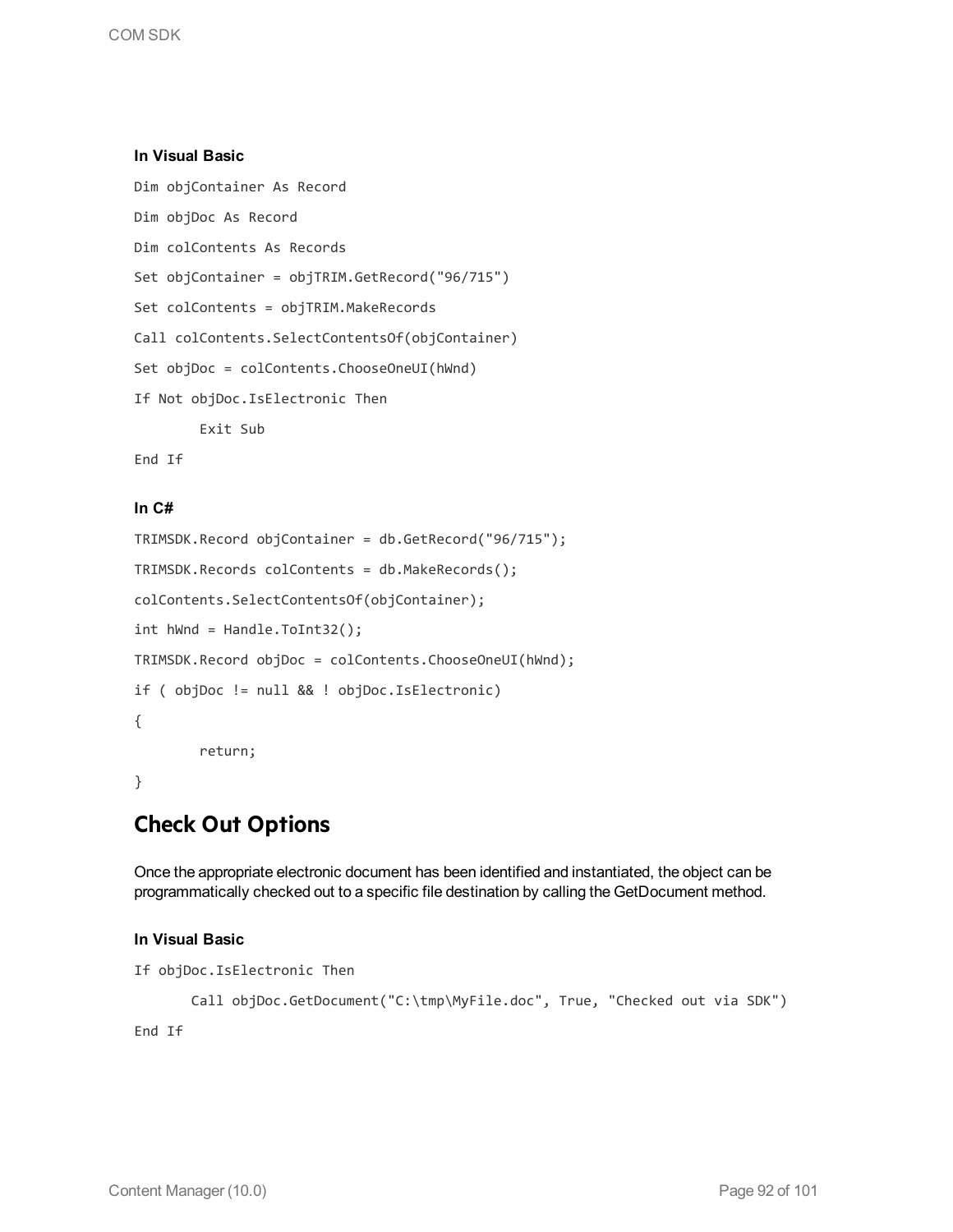### **In Visual Basic**

Dim objContainer As Record

Dim objDoc As Record

Dim colContents As Records

Set objContainer = objTRIM.GetRecord("96/715")

Set colContents = objTRIM.MakeRecords

Call colContents.SelectContentsOf(objContainer)

Set objDoc = colContents.ChooseOneUI(hWnd)

If Not objDoc.IsElectronic Then

Exit Sub

End If

### **In C#**

```
TRIMSDK.Record objContainer = db.GetRecord("96/715");
TRIMSDK.Records colContents = db.MakeRecords();
colContents.SelectContentsOf(objContainer);
int hWnd = Handle.ToInt32();
TRIMSDK.Record objDoc = colContents.ChooseOneUI(hWnd);
if ( objDoc != null && ! objDoc.IsElectronic)
{
        return;
```
}

### **Check Out Options**

Once the appropriate electronic document has been identified and instantiated, the object can be programmatically checked out to a specific file destination by calling the GetDocument method.

### **In Visual Basic**

```
If objDoc.IsElectronic Then
       Call objDoc.GetDocument("C:\tmp\MyFile.doc", True, "Checked out via SDK")
```
End If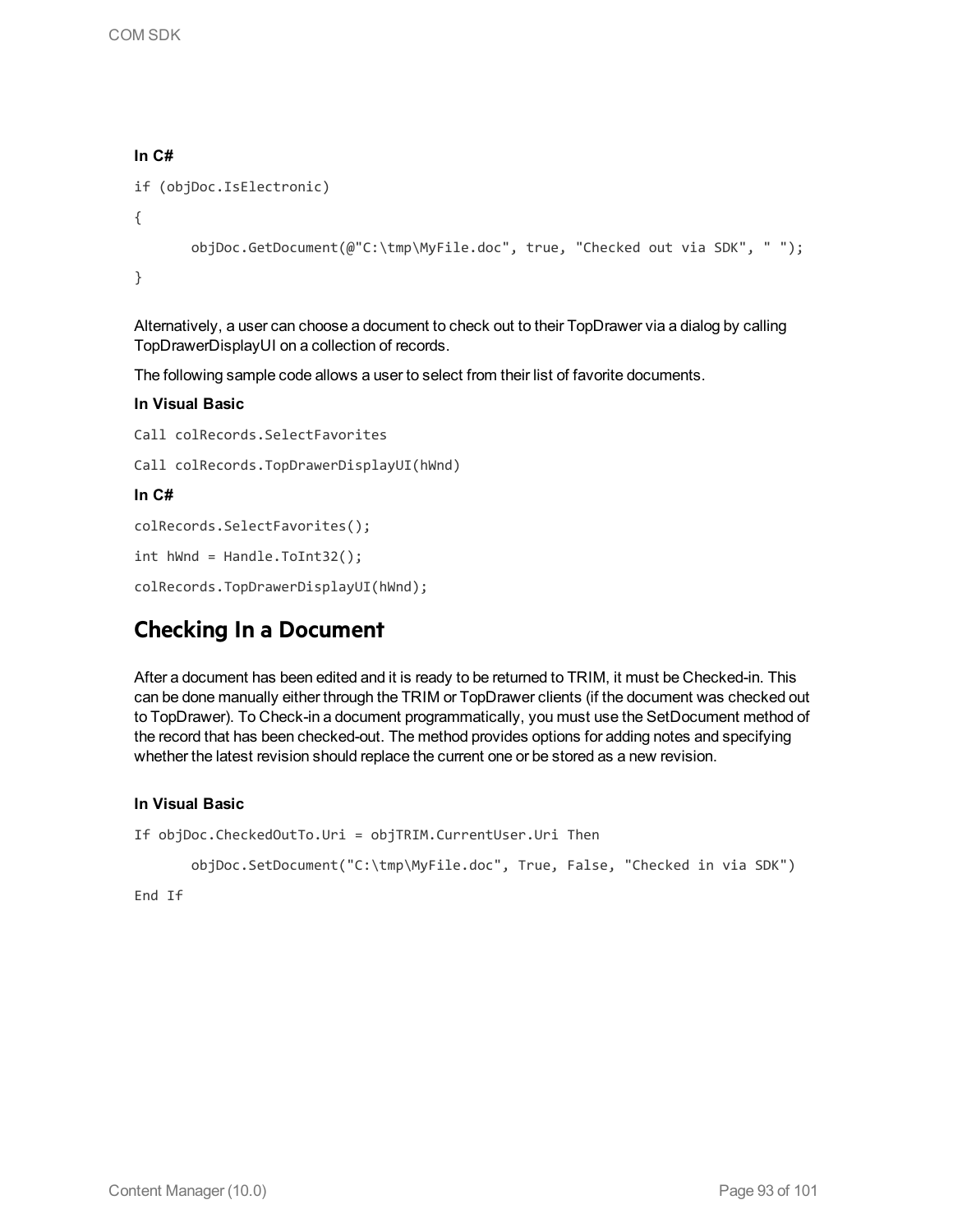### **In C#**

```
if (objDoc.IsElectronic)
{
       objDoc.GetDocument(@"C:\tmp\MyFile.doc", true, "Checked out via SDK", " ");
}
```
Alternatively, a user can choose a document to check out to their TopDrawer via a dialog by calling TopDrawerDisplayUI on a collection of records.

The following sample code allows a user to select from their list of favorite documents.

### **In Visual Basic**

```
Call colRecords.SelectFavorites
```
Call colRecords.TopDrawerDisplayUI(hWnd)

### **In C#**

colRecords.SelectFavorites();

int hWnd = Handle.ToInt32();

colRecords.TopDrawerDisplayUI(hWnd);

### **Checking In a Document**

After a document has been edited and it is ready to be returned to TRIM, it must be Checked-in. This can be done manually either through the TRIM or TopDrawer clients (if the document was checked out to TopDrawer). To Check-in a document programmatically, you must use the SetDocument method of the record that has been checked-out. The method provides options for adding notes and specifying whether the latest revision should replace the current one or be stored as a new revision.

### **In Visual Basic**

```
If objDoc.CheckedOutTo.Uri = objTRIM.CurrentUser.Uri Then
```

```
objDoc.SetDocument("C:\tmp\MyFile.doc", True, False, "Checked in via SDK")
```
End If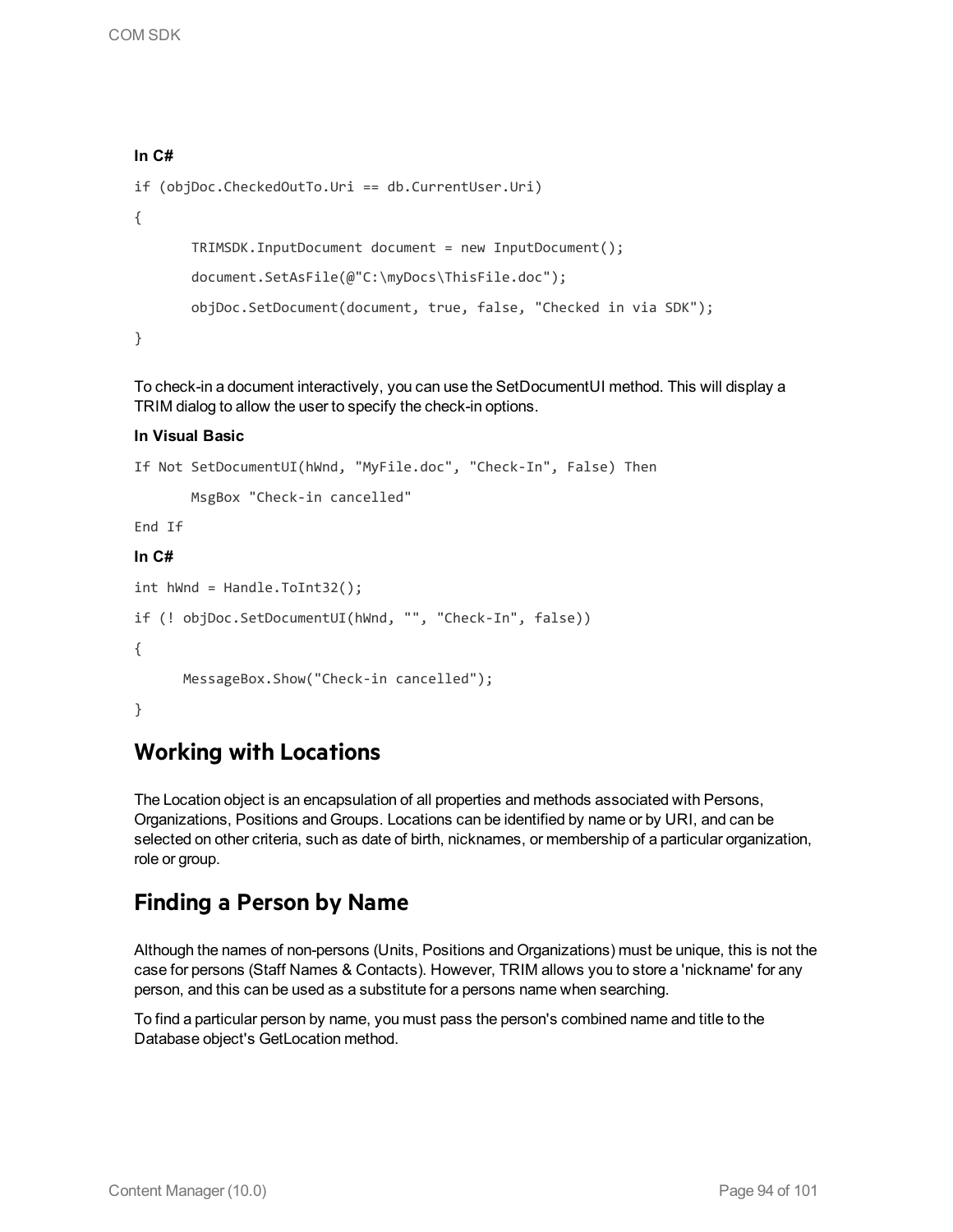### **In C#**

```
if (objDoc.CheckedOutTo.Uri == db.CurrentUser.Uri)
{
       TRIMSDK.InputDocument document = new InputDocument();
       document.SetAsFile(@"C:\myDocs\ThisFile.doc");
       objDoc.SetDocument(document, true, false, "Checked in via SDK");
}
```
To check-in a document interactively, you can use the SetDocumentUI method. This will display a TRIM dialog to allow the user to specify the check-in options.

### **In Visual Basic**

```
If Not SetDocumentUI(hWnd, "MyFile.doc", "Check-In", False) Then
       MsgBox "Check-in cancelled"
End If
In C#
int hWnd = Handle.ToInt32();
if (! objDoc.SetDocumentUI(hWnd, "", "Check-In", false))
{
      MessageBox.Show("Check-in cancelled");
}
```
## **Working with Locations**

The Location object is an encapsulation of all properties and methods associated with Persons, Organizations, Positions and Groups. Locations can be identified by name or by URI, and can be selected on other criteria, such as date of birth, nicknames, or membership of a particular organization, role or group.

## **Finding a Person by Name**

Although the names of non-persons (Units, Positions and Organizations) must be unique, this is not the case for persons (Staff Names & Contacts). However, TRIM allows you to store a 'nickname' for any person, and this can be used as a substitute for a persons name when searching.

To find a particular person by name, you must pass the person's combined name and title to the Database object's GetLocation method.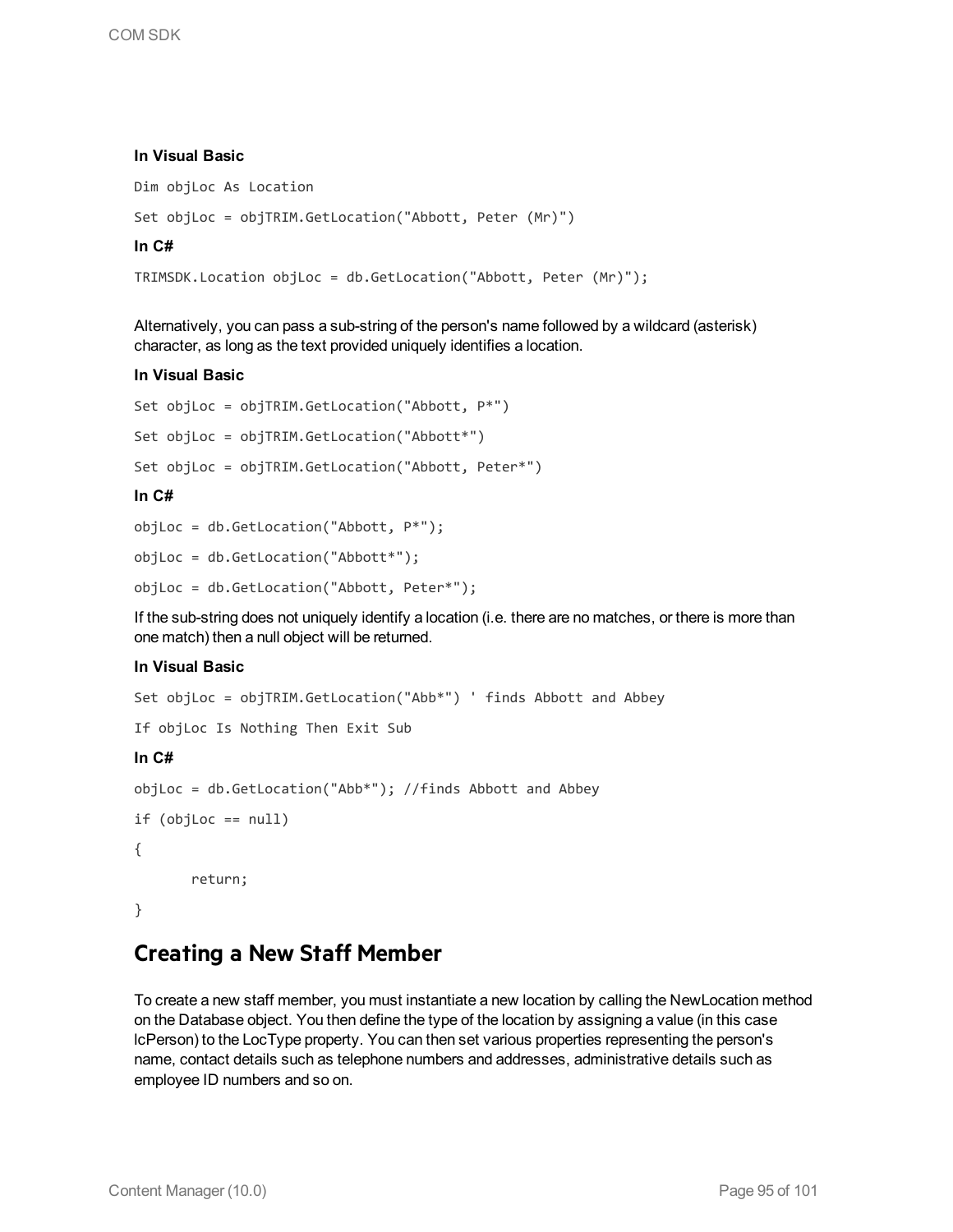### **In Visual Basic**

Dim objLoc As Location

Set objLoc = objTRIM.GetLocation("Abbott, Peter (Mr)")

### **In C#**

```
TRIMSDK.Location objLoc = db.GetLocation("Abbott, Peter (Mr)");
```
Alternatively, you can pass a sub-string of the person's name followed by a wildcard (asterisk) character, as long as the text provided uniquely identifies a location.

### **In Visual Basic**

```
Set objLoc = objTRIM.GetLocation("Abbott, P*")
```
Set objLoc = objTRIM.GetLocation("Abbott\*")

```
Set objLoc = objTRIM.GetLocation("Abbott, Peter*")
```
### **In C#**

```
objLoc = db.GetLocation("Abbott, P*");
```
objLoc = db.GetLocation("Abbott\*");

objLoc = db.GetLocation("Abbott, Peter\*");

If the sub-string does not uniquely identify a location (i.e. there are no matches, or there is more than one match) then a null object will be returned.

### **In Visual Basic**

```
Set objLoc = objTRIM.GetLocation("Abb*") ' finds Abbott and Abbey
If objLoc Is Nothing Then Exit Sub
In C#
objLoc = db.GetLocation("Abb*"); //finds Abbott and Abbey
if (objLoc == null)
{
       return;
}
```
## **Creating a New Staff Member**

To create a new staff member, you must instantiate a new location by calling the NewLocation method on the Database object. You then define the type of the location by assigning a value (in this case lcPerson) to the LocType property. You can then set various properties representing the person's name, contact details such as telephone numbers and addresses, administrative details such as employee ID numbers and so on.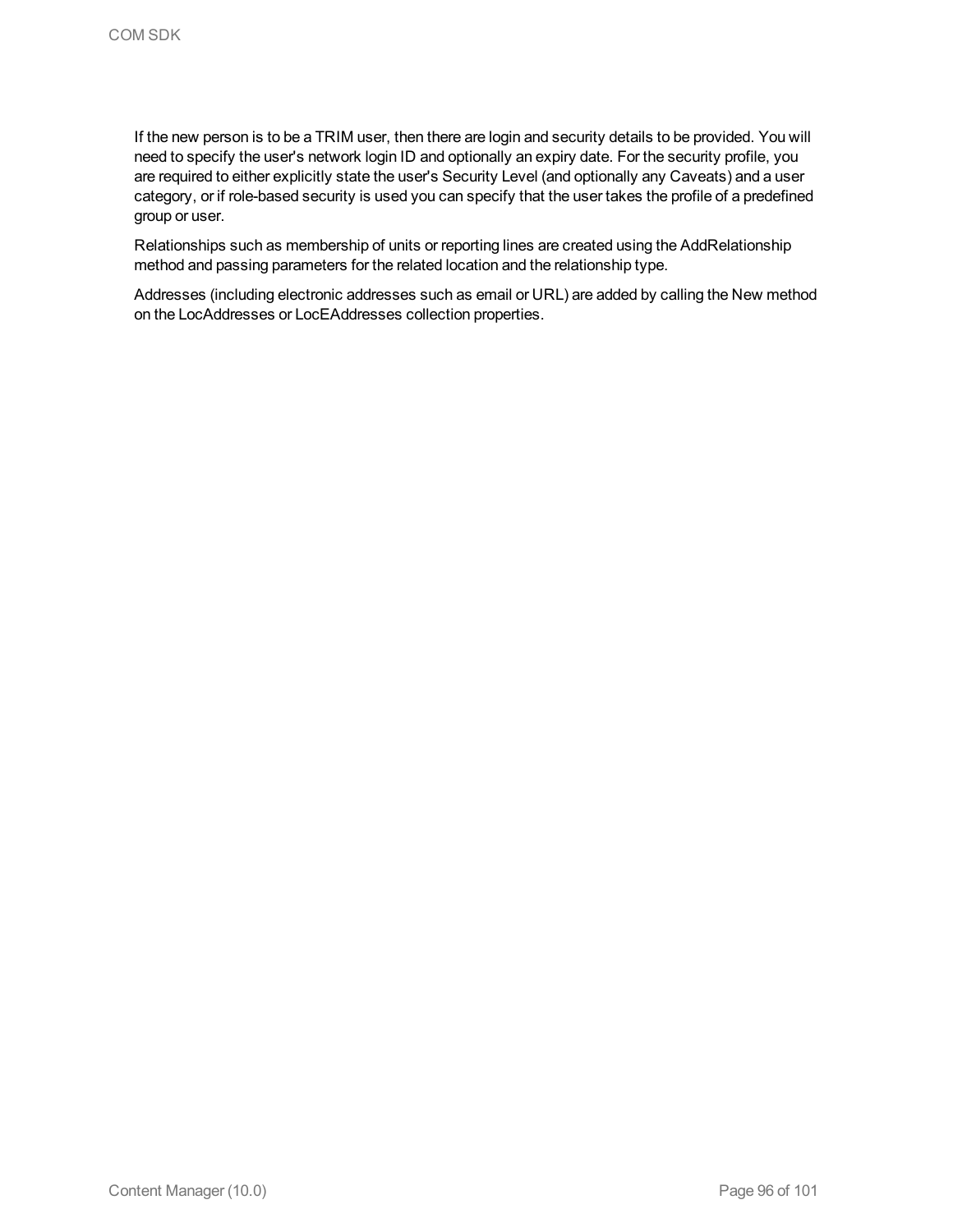If the new person is to be a TRIM user, then there are login and security details to be provided. You will need to specify the user's network login ID and optionally an expiry date. For the security profile, you are required to either explicitly state the user's Security Level (and optionally any Caveats) and a user category, or if role-based security is used you can specify that the user takes the profile of a predefined group or user.

Relationships such as membership of units or reporting lines are created using the AddRelationship method and passing parameters for the related location and the relationship type.

Addresses (including electronic addresses such as email or URL) are added by calling the New method on the LocAddresses or LocEAddresses collection properties.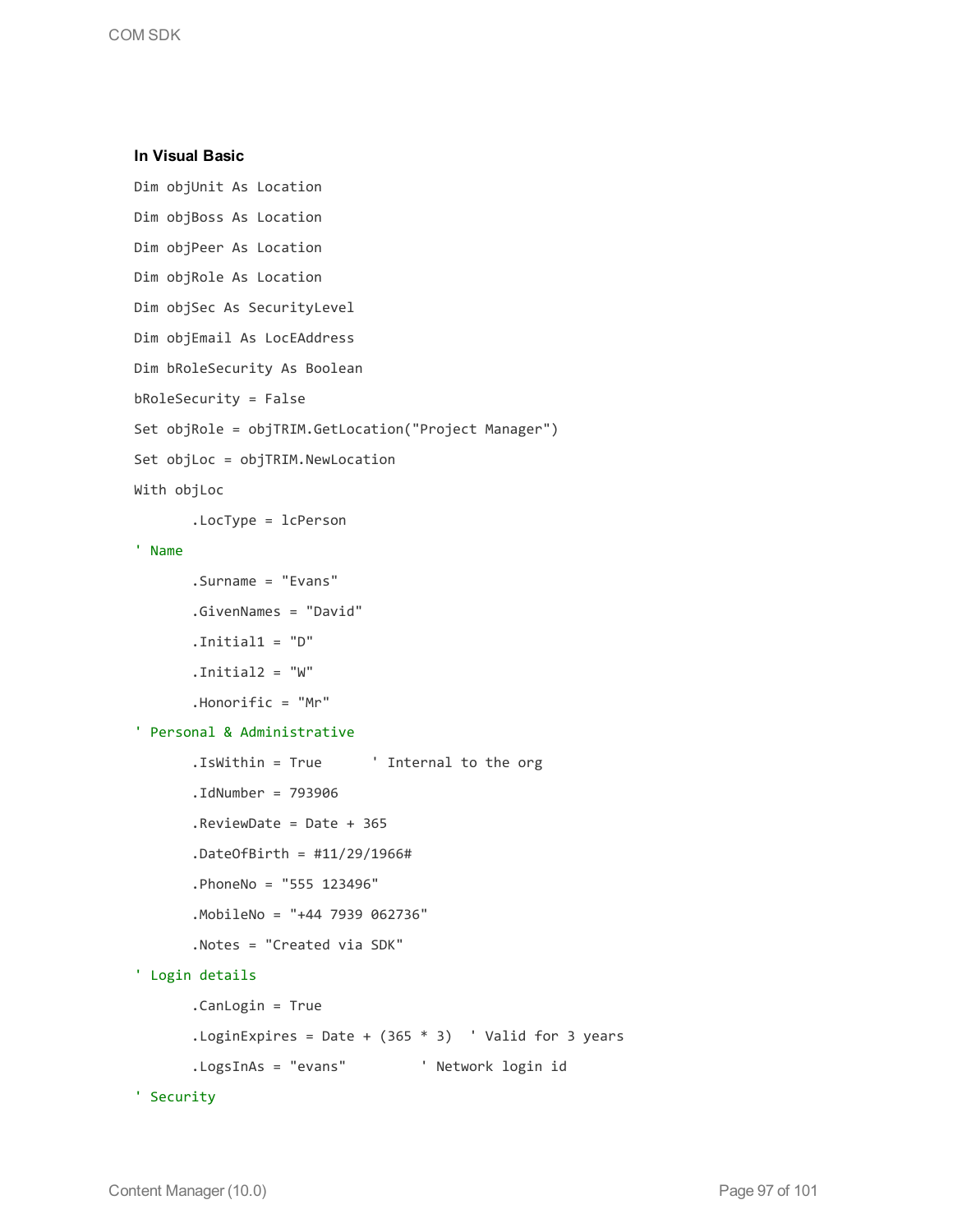### **In Visual Basic**

```
Dim objUnit As Location
```

```
Dim objBoss As Location
```

```
Dim objPeer As Location
```

```
Dim objRole As Location
```
Dim objSec As SecurityLevel

```
Dim objEmail As LocEAddress
```

```
Dim bRoleSecurity As Boolean
```

```
bRoleSecurity = False
```

```
Set objRole = objTRIM.GetLocation("Project Manager")
```

```
Set objLoc = objTRIM.NewLocation
```
With objLoc

.LocType = lcPerson

### ' Name

```
.Surname = "Evans"
.GivenNames = "David"
.Initial1 = "D"
.Initial2 = "W"
.Honorific = "Mr"
```
### ' Personal & Administrative

```
.IsWithin = True ' Internal to the org
      .IdNumber = 793906
      .ReviewDate = Date + 365
      .DateOfBirth = #11/29/1966#
      .PhoneNo = "555 123496"
      .MobileNo = "+44 7939 062736"
      .Notes = "Created via SDK"
' Login details
      .CanLogin = True
```

```
.LoginExpires = Date + (365 * 3) ' Valid for 3 years
```

```
.LogsInAs = "evans" ' Network login id
```

```
' Security
```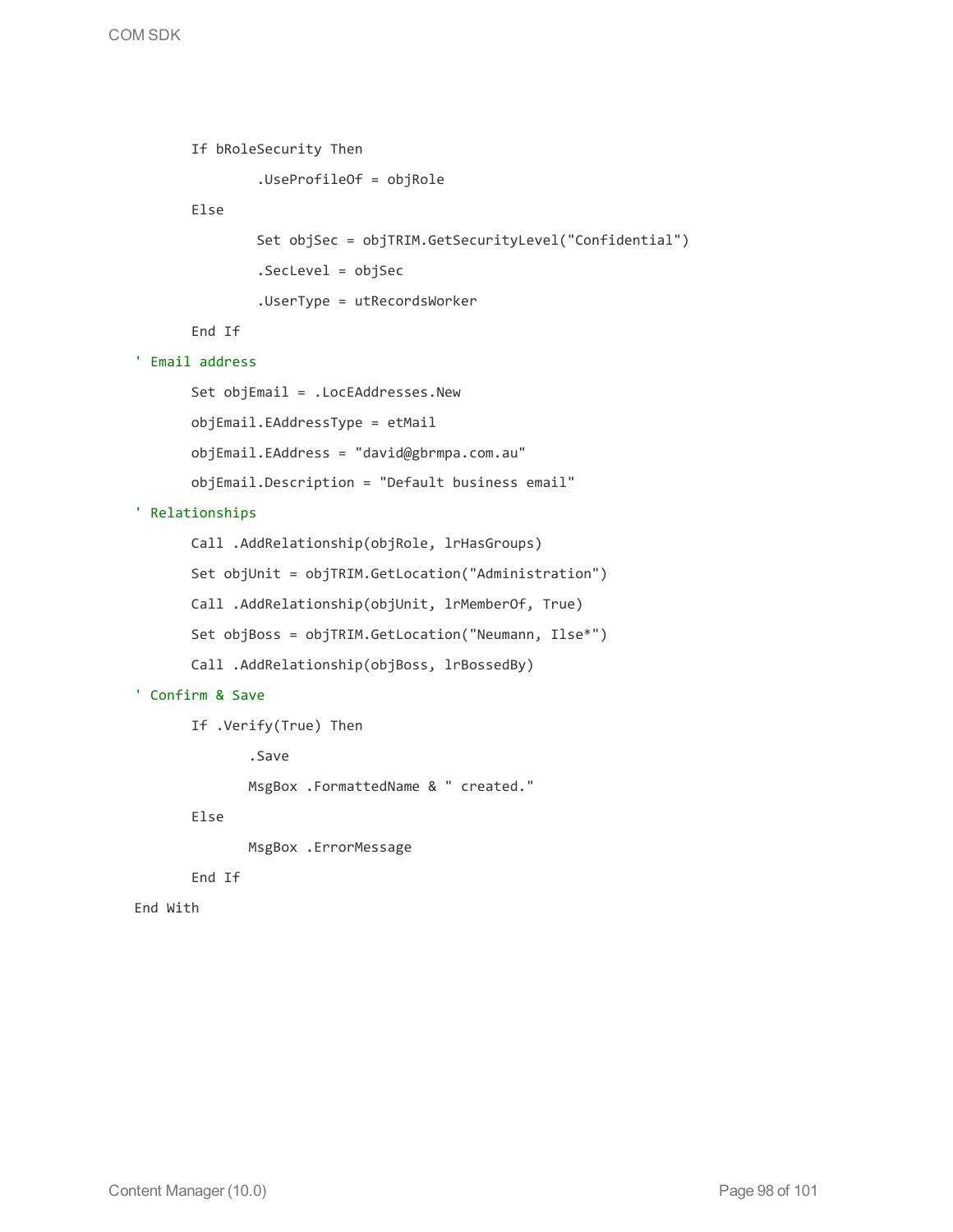```
If bRoleSecurity Then
        .UseProfileOf = objRole
Else
        Set objSec = objTRIM.GetSecurityLevel("Confidential")
        .SecLevel = objSec
        .UserType = utRecordsWorker
```
End If

#### ' Email address

```
Set objEmail = .LocEAddresses.New
objEmail.EAddressType = etMail
objEmail.EAddress = "david@gbrmpa.com.au"
objEmail.Description = "Default business email"
```
' Relationships

```
Call .AddRelationship(objRole, lrHasGroups)
Set objUnit = objTRIM.GetLocation("Administration")
Call .AddRelationship(objUnit, lrMemberOf, True)
Set objBoss = objTRIM.GetLocation("Neumann, Ilse*")
Call .AddRelationship(objBoss, lrBossedBy)
```
### ' Confirm & Save

```
If .Verify(True) Then
       .Save
```
MsgBox .FormattedName & " created."

Else

MsgBox .ErrorMessage

End If

End With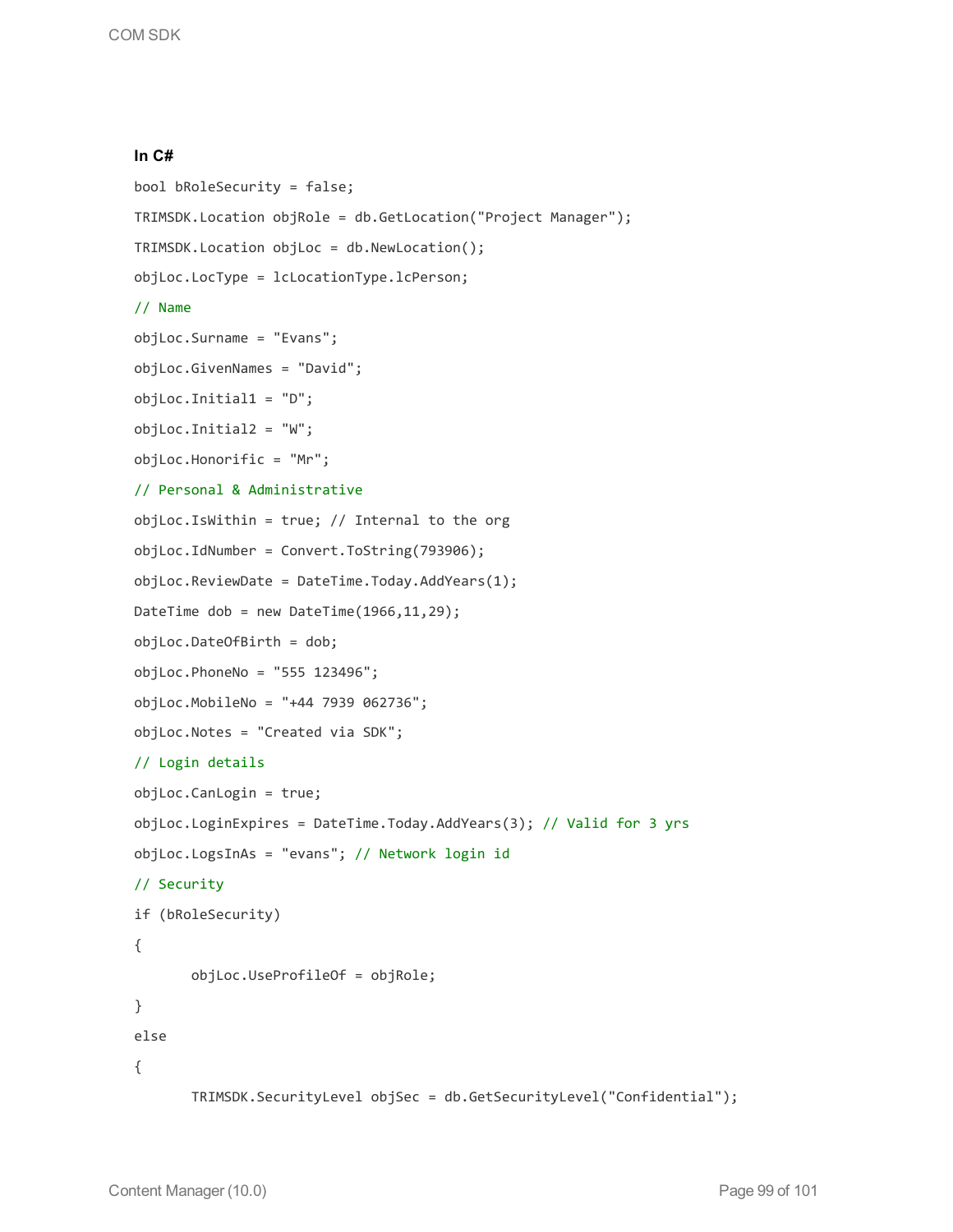### **In C#**

```
bool bRoleSecurity = false;
TRIMSDK.Location objRole = db.GetLocation("Project Manager");
TRIMSDK.Location objLoc = db.NewLocation();
objLoc.LocType = lcLocationType.lcPerson;
// Name
objLoc.Surname = "Evans";
objLoc.GivenNames = "David";
objLoc.Initial1 = "D";
objLoc.Initial2 = "W";
objLoc.Honorific = "Mr";
// Personal & Administrative
objLoc.IsWithin = true; // Internal to the org
objLoc.IdNumber = Convert.ToString(793906);
objLoc.ReviewDate = DateTime.Today.AddYears(1);
DateTime dob = new DateTime(1966, 11, 29);
objLoc.DateOfBirth = dob;
objLoc.PhoneNo = "555 123496";
objLoc.MobileNo = "+44 7939 062736";
objLoc.Notes = "Created via SDK";
// Login details
objLoc.CanLogin = true;
objLoc.LoginExpires = DateTime.Today.AddYears(3); // Valid for 3 yrs
objLoc.LogsInAs = "evans"; // Network login id
// Security
if (bRoleSecurity)
{
       objLoc.UseProfileOf = objRole;
}
else
{
       TRIMSDK.SecurityLevel objSec = db.GetSecurityLevel("Confidential");
```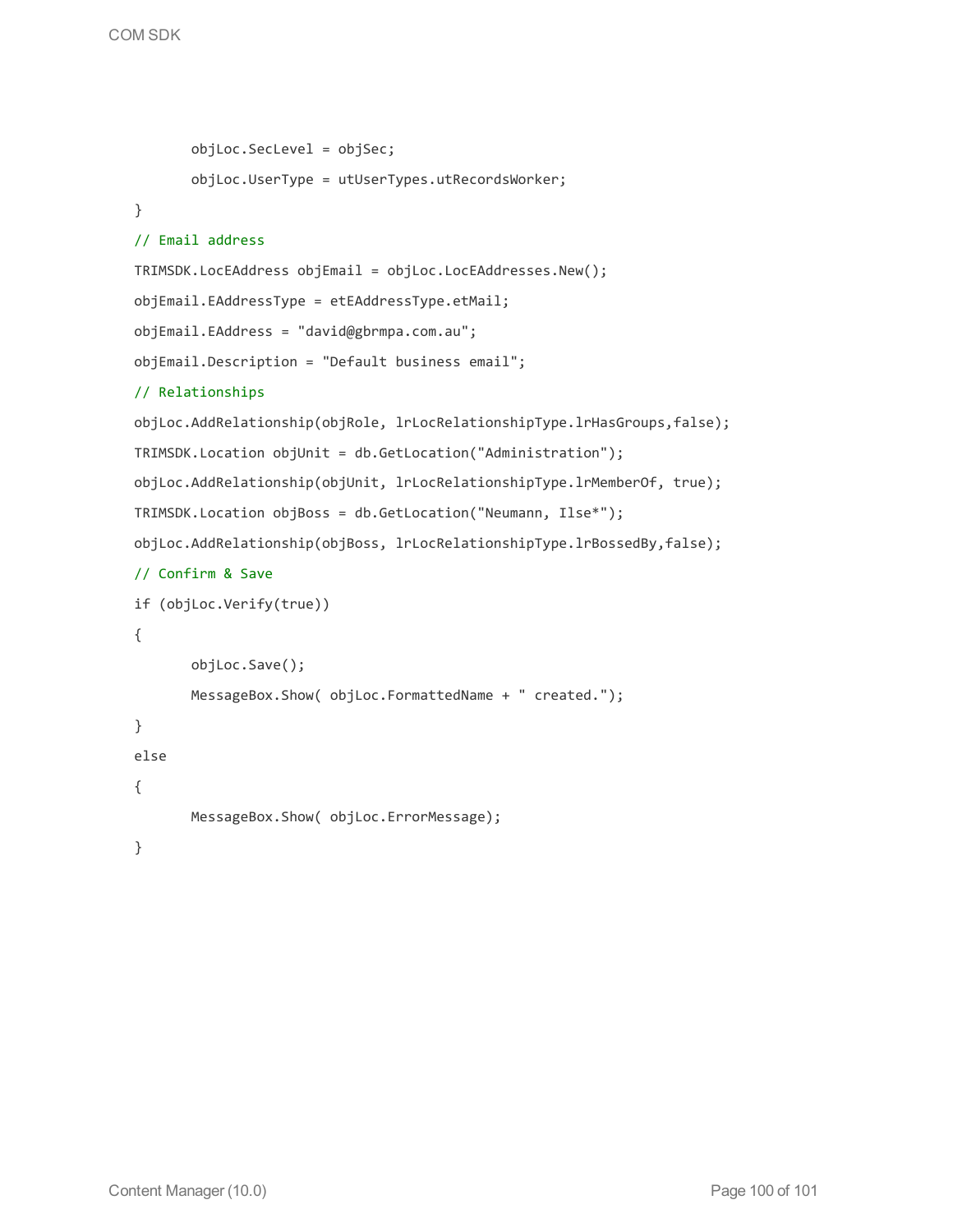```
objLoc.SecLevel = objSec;
       objLoc.UserType = utUserTypes.utRecordsWorker;
}
// Email address
TRIMSDK.LocEAddress objEmail = objLoc.LocEAddresses.New();
objEmail.EAddressType = etEAddressType.etMail;
objEmail.EAddress = "david@gbrmpa.com.au";
objEmail.Description = "Default business email";
// Relationships
objLoc.AddRelationship(objRole, lrLocRelationshipType.lrHasGroups,false);
TRIMSDK.Location objUnit = db.GetLocation("Administration");
objLoc.AddRelationship(objUnit, lrLocRelationshipType.lrMemberOf, true);
TRIMSDK.Location objBoss = db.GetLocation("Neumann, Ilse*");
objLoc.AddRelationship(objBoss, lrLocRelationshipType.lrBossedBy,false);
// Confirm & Save
if (objLoc.Verify(true))
{
       objLoc.Save();
       MessageBox.Show( objLoc.FormattedName + " created.");
}
else
{
       MessageBox.Show( objLoc.ErrorMessage);
}
```